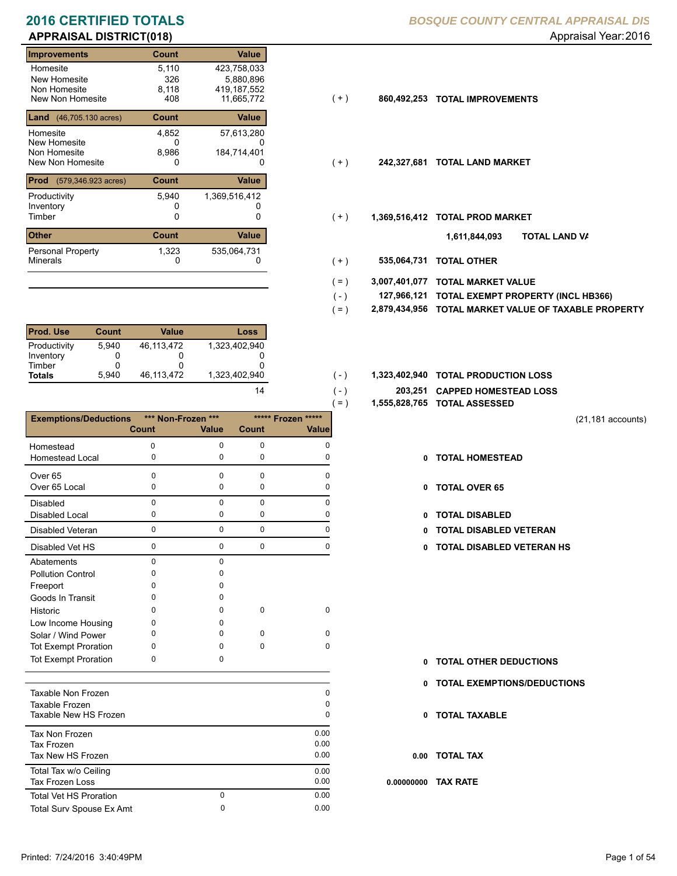# **APPRAISAL DISTRICT(018)** Appraisal Year: 2016

| <b>Improvements</b>                                               | Count                 | <b>Value</b>                              |       |               |                           |
|-------------------------------------------------------------------|-----------------------|-------------------------------------------|-------|---------------|---------------------------|
| Homesite<br>New Homesite<br>Non Homesite<br>New Non Homesite      | 5,110<br>326<br>8,118 | 423,758,033<br>5,880,896<br>419, 187, 552 |       |               |                           |
| <b>Land</b> $(46,705.130 \text{ acres})$                          | 408<br><b>Count</b>   | 11,665,772<br>Value                       | ( + ) | 860,492,253   | <b>TOTAL IMPROVEMENTS</b> |
| Homesite<br>New Homesite<br>Non Homesite                          | 4,852<br>0<br>8,986   | 57,613,280<br>184,714,401                 |       |               |                           |
| New Non Homesite<br><b>Prod</b><br>$(579, 346.923 \text{ acres})$ | 0<br><b>Count</b>     | 0<br>Value                                | $(+)$ | 242,327,681   | <b>TOTAL LAND MARKET</b>  |
| Productivity<br>Inventory                                         | 5,940                 | 1,369,516,412                             |       |               |                           |
| Timber                                                            | 0                     | 0                                         | $(+)$ | 1,369,516,412 | <b>TOTAL PROD MARKET</b>  |
| <b>Other</b><br><b>Personal Property</b>                          | <b>Count</b><br>1,323 | Value<br>535,064,731                      |       |               | וסד<br>1,611,844,093      |
| <b>Minerals</b>                                                   | 0                     | 0                                         | $+ )$ | 535,064,731   | TOTAL OTHER               |

| <b>Prod. Use</b> | <b>Count</b> | <b>Value</b> | Loss          |
|------------------|--------------|--------------|---------------|
| Productivity     | 5.940        | 46.113.472   | 1,323,402,940 |
| Inventory        |              |              |               |
| Timber           |              |              |               |
| <b>Totals</b>    | 5.940        | 46,113,472   | 1,323,402,940 |

|                                 |              |                    |             | $( = )$            | 1,555,828,765 |
|---------------------------------|--------------|--------------------|-------------|--------------------|---------------|
| <b>Exemptions/Deductions</b>    |              | *** Non-Frozen *** |             | ***** Frozen ***** |               |
|                                 | <b>Count</b> | <b>Value</b>       | Count       | <b>Value</b>       |               |
| Homestead                       | $\Omega$     | 0                  | 0           | 0                  |               |
| <b>Homestead Local</b>          | 0            | $\mathbf 0$        | 0           | 0                  | 0             |
| Over <sub>65</sub>              | 0            | $\mathbf 0$        | $\mathbf 0$ | $\Omega$           |               |
| Over 65 Local                   | 0            | 0                  | 0           | 0                  | 0             |
| <b>Disabled</b>                 | $\mathbf 0$  | $\mathbf{0}$       | 0           | $\Omega$           |               |
| <b>Disabled Local</b>           | 0            | 0                  | 0           | 0                  | 0             |
| <b>Disabled Veteran</b>         | $\Omega$     | $\mathbf 0$        | $\mathbf 0$ | $\Omega$           |               |
| Disabled Vet HS                 | 0            | $\mathbf 0$        | $\mathbf 0$ | $\mathbf 0$        | 0             |
| Abatements                      | 0            | $\mathbf 0$        |             |                    |               |
| <b>Pollution Control</b>        | 0            | $\Omega$           |             |                    |               |
| Freeport                        | 0            | 0                  |             |                    |               |
| Goods In Transit                | $\Omega$     | 0                  |             |                    |               |
| Historic                        | $\Omega$     | 0                  | 0           | 0                  |               |
| Low Income Housing              | 0            | O.                 |             |                    |               |
| Solar / Wind Power              | 0            | 0                  | 0           | $\Omega$           |               |
| <b>Tot Exempt Proration</b>     | 0            | $\Omega$           | 0           | 0                  |               |
| <b>Tot Exempt Proration</b>     | 0            | 0                  |             |                    | 0             |
|                                 |              |                    |             |                    | 0             |
| Taxable Non Frozen              |              |                    |             | 0                  |               |
| Taxable Frozen                  |              |                    |             | 0                  |               |
| Taxable New HS Frozen           |              |                    |             | 0                  | 0             |
| Tax Non Frozen                  |              |                    |             | 0.00               |               |
| <b>Tax Frozen</b>               |              |                    |             | 0.00               |               |
| Tax New HS Frozen               |              |                    |             | 0.00               | 0.00          |
| Total Tax w/o Ceiling           |              |                    |             | 0.00               |               |
| <b>Tax Frozen Loss</b>          |              |                    |             | 0.00               | 0.00000000    |
| <b>Total Vet HS Proration</b>   |              | $\mathbf 0$        |             | 0.00               |               |
| <b>Total Surv Spouse Ex Amt</b> |              | 0                  |             | 0.00               |               |

- $(+)$
- $(+)$
- $(+)$ 
	- **TOTAL LAND VA 1,611,844,093**
- 0 0 **535,064,731 TOTAL OTHER**  $(+)$

 $( - )$  $( - )$ 

14

- **3,007,401,077 TOTAL MARKET VALUE**  $( = )$
- **TOTAL EXEMPT PROPERTY (INCL HB366) 127,966,121**  $( - )$
- **2,879,434,956 TOTAL MARKET VALUE OF TAXABLE PROPERTY**  $( = )$
- 1,323,402,940 **1,323,402,940 <b>10TAL PRODUCTION LOSS** 
	- **203,251 CAPPED HOMESTEAD LOSS**
	- **1,555,828,765 TOTAL ASSESSED**
- (21,181 accounts)
- **TOTAL HOMESTEAD**
- 0 TOTAL OVER 65
- 0 TOTAL DISABLED
- Disabled Veteran **TOTAL DISABLED VETERAN**
- 0 0 0 0 **0 TOTAL DISABLED VETERAN HS**

- **TOTAL OTHER DEDUCTIONS 0**
- **0 TOTAL EXEMPTIONS/DEDUCTIONS**
- **0 TOTAL TAXABLE**

**0.00 TOTAL TAX**

**0.00000000 TAX RATE**

Printed: 7/24/2016 3:40:49PM Page 1 of 54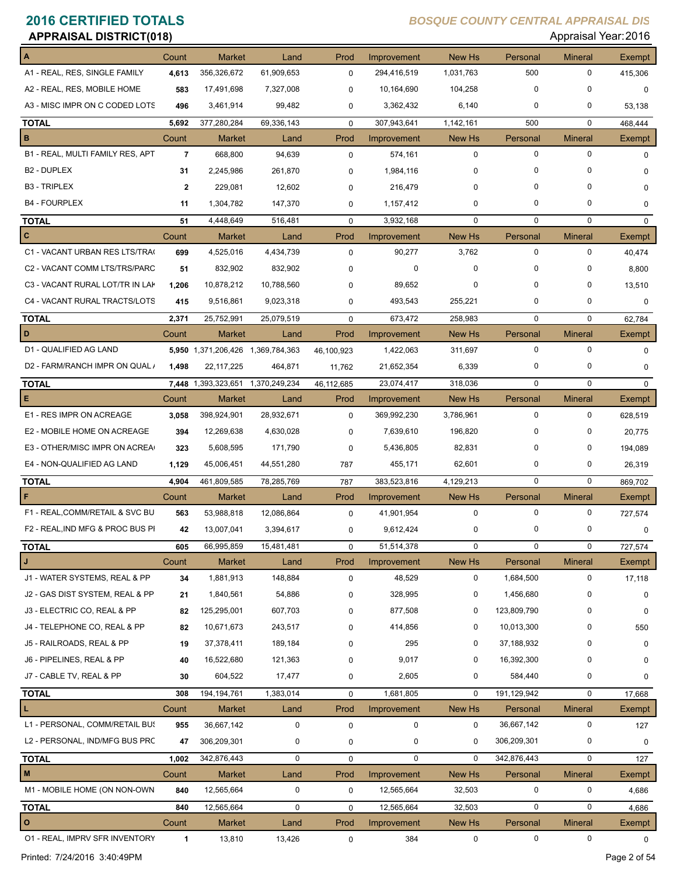| <b>APPRAISAL DISTRICT(018)</b>   |              |                                   |               |             |             |               |             | Appraisal Year: 2016 |               |
|----------------------------------|--------------|-----------------------------------|---------------|-------------|-------------|---------------|-------------|----------------------|---------------|
|                                  | Count        | <b>Market</b>                     | Land          | Prod        | Improvement | New Hs        | Personal    | <b>Mineral</b>       | Exempt        |
| A1 - REAL, RES, SINGLE FAMILY    | 4,613        | 356,326,672                       | 61,909,653    | $\mathbf 0$ | 294,416,519 | 1,031,763     | 500         | 0                    | 415,306       |
| A2 - REAL, RES, MOBILE HOME      | 583          | 17,491,698                        | 7,327,008     | $\mathbf 0$ | 10,164,690  | 104,258       | $\Omega$    | 0                    | $\mathbf 0$   |
| A3 - MISC IMPR ON C CODED LOTS   | 496          | 3,461,914                         | 99,482        | 0           | 3,362,432   | 6,140         | 0           | 0                    | 53,138        |
| <b>TOTAL</b>                     | 5,692        | 377,280,284                       | 69,336,143    | $\mathbf 0$ | 307,943,641 | 1,142,161     | 500         | $\mathbf 0$          | 468,444       |
| В                                | Count        | <b>Market</b>                     | Land          | Prod        | Improvement | New Hs        | Personal    | <b>Mineral</b>       | Exempt        |
| B1 - REAL, MULTI FAMILY RES, APT | 7            | 668,800                           | 94,639        | 0           | 574,161     | $\mathbf 0$   | 0           | $\mathbf 0$          | 0             |
| B <sub>2</sub> - DUPLEX          | 31           | 2,245,986                         | 261,870       | 0           | 1,984,116   | 0             |             | 0                    | 0             |
| <b>B3 - TRIPLEX</b>              | $\mathbf{2}$ | 229,081                           | 12,602        | 0           | 216,479     | $\Omega$      | 0           | 0                    | 0             |
| <b>B4 - FOURPLEX</b>             | 11           | 1,304,782                         | 147,370       | 0           | 1,157,412   | $\mathbf 0$   | 0           | 0                    | 0             |
| <b>TOTAL</b>                     | 51           | 4,448,649                         | 516,481       | $\mathbf 0$ | 3,932,168   | $\mathbf 0$   | 0           | $\mathbf 0$          | $\mathbf 0$   |
| C                                | Count        | <b>Market</b>                     | Land          | Prod        | Improvement | <b>New Hs</b> | Personal    | <b>Mineral</b>       | <b>Exempt</b> |
| C1 - VACANT URBAN RES LTS/TRA(   | 699          | 4,525,016                         | 4,434,739     | $\mathbf 0$ | 90,277      | 3,762         | 0           | 0                    | 40,474        |
| C2 - VACANT COMM LTS/TRS/PARC    | 51           | 832,902                           | 832,902       | $\Omega$    | $\mathbf 0$ | 0             | 0           | 0                    | 8,800         |
| C3 - VACANT RURAL LOT/TR IN LAK  | 1,206        | 10,878,212                        | 10,788,560    | 0           | 89,652      | 0             | 0           | 0                    | 13,510        |
| C4 - VACANT RURAL TRACTS/LOTS    | 415          | 9,516,861                         | 9,023,318     | 0           | 493,543     | 255,221       | 0           | 0                    | 0             |
| <b>TOTAL</b>                     | 2,371        | 25,752,991                        | 25,079,519    | $\mathbf 0$ | 673,472     | 258,983       | $\mathbf 0$ | $\mathbf 0$          | 62,784        |
| D                                | Count        | <b>Market</b>                     | Land          | Prod        | Improvement | New Hs        | Personal    | <b>Mineral</b>       | Exempt        |
| D1 - QUALIFIED AG LAND           |              | 5,950 1,371,206,426 1,369,784,363 |               | 46,100,923  | 1,422,063   | 311,697       | 0           | $\mathbf 0$          | 0             |
| D2 - FARM/RANCH IMPR ON QUAL /   | 1,498        | 22, 117, 225                      | 464,871       | 11,762      | 21,652,354  | 6,339         | 0           | 0                    | 0             |
| <b>TOTAL</b>                     |              | <b>7,448</b> 1,393,323,651        | 1,370,249,234 | 46,112,685  | 23,074,417  | 318,036       | $\mathbf 0$ | $\mathbf 0$          | $\Omega$      |
| Е                                | Count        | <b>Market</b>                     | Land          | Prod        | Improvement | New Hs        | Personal    | <b>Mineral</b>       | Exempt        |
| E1 - RES IMPR ON ACREAGE         | 3,058        | 398,924,901                       | 28,932,671    | $\mathbf 0$ | 369,992,230 | 3,786,961     | 0           | 0                    | 628,519       |
| E2 - MOBILE HOME ON ACREAGE      | 394          | 12,269,638                        | 4,630,028     | $\mathbf 0$ | 7,639,610   | 196,820       | 0           | 0                    | 20,775        |
| E3 - OTHER/MISC IMPR ON ACREA    | 323          | 5,608,595                         | 171,790       | 0           | 5,436,805   | 82,831        | O           | 0                    | 194,089       |
| E4 - NON-QUALIFIED AG LAND       | 1,129        | 45,006,451                        | 44,551,280    | 787         | 455,171     | 62,601        | 0           | 0                    | 26,319        |
| <b>TOTAL</b>                     | 4,904        | 461,809,585                       | 78,285,769    | 787         | 383,523,816 | 4,129,213     | $\mathbf 0$ | $\mathbf 0$          | 869,702       |
| F                                | Count        | Market                            | Land          | Prod        | Improvement | New Hs        | Personal    | <b>Mineral</b>       | Exempt        |
| F1 - REAL, COMM/RETAIL & SVC BU  | 563          | 53,988,818                        | 12,086,864    | 0           | 41,901,954  | 0             | 0           | 0                    | 727,574       |
| F2 - REAL, IND MFG & PROC BUS PI | 42           | 13,007,041                        | 3,394,617     | 0           | 9,612,424   | 0             |             | 0                    | 0             |
| <b>TOTAL</b>                     | 605          | 66,995,859                        | 15,481,481    | $\mathbf 0$ | 51,514,378  | $\mathbf 0$   | 0           | 0                    | 727,574       |
| J                                | Count        | <b>Market</b>                     | Land          | Prod        | Improvement | New Hs        | Personal    | <b>Mineral</b>       | Exempt        |
| J1 - WATER SYSTEMS, REAL & PP    | 34           | 1,881,913                         | 148,884       | $\mathbf 0$ | 48,529      | 0             | 1,684,500   | 0                    | 17,118        |
| J2 - GAS DIST SYSTEM, REAL & PP  | 21           | 1,840,561                         | 54,886        | 0           | 328,995     | 0             | 1,456,680   | 0                    | 0             |
| J3 - ELECTRIC CO, REAL & PP      | 82           | 125,295,001                       | 607,703       | 0           | 877,508     | 0             | 123,809,790 | 0                    | $\mathbf 0$   |
| J4 - TELEPHONE CO, REAL & PP     | 82           | 10,671,673                        | 243,517       | $\Omega$    | 414,856     | 0             | 10,013,300  | 0                    | 550           |
| J5 - RAILROADS, REAL & PP        | 19           | 37,378,411                        | 189,184       | $\Omega$    | 295         | 0             | 37,188,932  | 0                    | 0             |
| J6 - PIPELINES, REAL & PP        | 40           | 16,522,680                        | 121,363       | 0           | 9,017       | 0             | 16,392,300  | 0                    | 0             |
| J7 - CABLE TV, REAL & PP         | 30           | 604,522                           | 17,477        | 0           | 2,605       | 0             | 584,440     | 0                    | 0             |
| <b>TOTAL</b>                     | 308          | 194, 194, 761                     | 1,383,014     | $\mathbf 0$ | 1,681,805   | $\mathbf 0$   | 191,129,942 | 0                    | 17,668        |
| г                                | Count        | <b>Market</b>                     | Land          | Prod        | Improvement | New Hs        | Personal    | <b>Mineral</b>       | Exempt        |
| L1 - PERSONAL, COMM/RETAIL BUS   | 955          | 36,667,142                        | $\mathbf 0$   | $\mathbf 0$ | $\mathbf 0$ | 0             | 36,667,142  | 0                    | 127           |
| L2 - PERSONAL, IND/MFG BUS PRC   | 47           | 306,209,301                       | 0             | 0           | $\pmb{0}$   | 0             | 306,209,301 | 0                    | 0             |
| <b>TOTAL</b>                     | 1,002        | 342,876,443                       | $\mathsf 0$   | $\mathbf 0$ | $\mathbf 0$ | $\Omega$      | 342,876,443 | $\mathbf 0$          | 127           |
| M                                | Count        | Market                            | Land          | Prod        | Improvement | New Hs        | Personal    | <b>Mineral</b>       | Exempt        |
| M1 - MOBILE HOME (ON NON-OWN     | 840          | 12,565,664                        | 0             | 0           | 12,565,664  | 32,503        | 0           | 0                    | 4,686         |
| <b>TOTAL</b>                     | 840          | 12,565,664                        | $\pmb{0}$     | $\mathbf 0$ | 12,565,664  | 32,503        | $\mathbf 0$ | 0                    | 4,686         |
| O                                | Count        | Market                            | Land          | Prod        | Improvement | New Hs        | Personal    | <b>Mineral</b>       | Exempt        |
| 01 - REAL, IMPRV SFR INVENTORY   | 1            | 13,810                            | 13,426        | 0           | 384         | 0             | 0           | 0                    | 0             |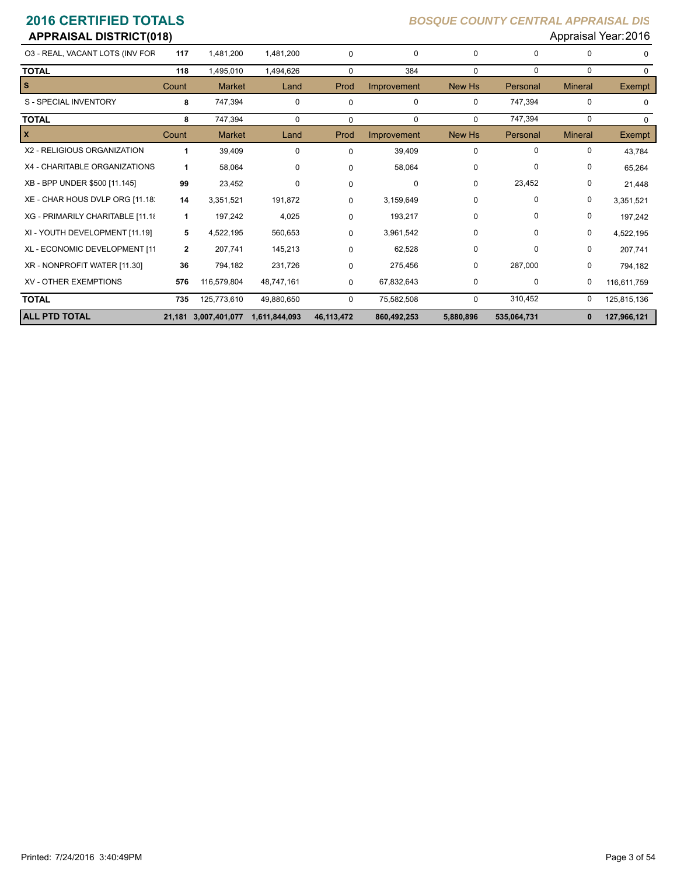| <b>APPRAISAL DISTRICT(018)</b>   |              |                      |               |            |             |             |             |                | Appraisal Year: 2016 |
|----------------------------------|--------------|----------------------|---------------|------------|-------------|-------------|-------------|----------------|----------------------|
| 03 - REAL, VACANT LOTS (INV FOR  | 117          | 1,481,200            | 1,481,200     | 0          | $\mathbf 0$ | 0           | 0           | 0              | $\Omega$             |
| <b>TOTAL</b>                     | 118          | 1,495,010            | 1,494,626     | 0          | 384         | $\mathbf 0$ | 0           | 0              | $\Omega$             |
| <b>S</b>                         | Count        | <b>Market</b>        | Land          | Prod       | Improvement | New Hs      | Personal    | <b>Mineral</b> | <b>Exempt</b>        |
| S - SPECIAL INVENTORY            | 8            | 747,394              | $\mathbf 0$   | 0          | $\mathbf 0$ | 0           | 747,394     | $\mathbf 0$    | 0                    |
| <b>TOTAL</b>                     | 8            | 747,394              | $\mathbf 0$   | $\Omega$   | 0           | 0           | 747,394     | $\Omega$       | 0                    |
| $\mathbf{x}$                     | Count        | <b>Market</b>        | Land          | Prod       | Improvement | New Hs      | Personal    | <b>Mineral</b> | <b>Exempt</b>        |
| X2 - RELIGIOUS ORGANIZATION      | 1            | 39,409               | $\Omega$      | $\Omega$   | 39,409      | $\Omega$    | 0           | 0              | 43,784               |
| X4 - CHARITABLE ORGANIZATIONS    | 1            | 58,064               | 0             | $\Omega$   | 58,064      | 0           | 0           | 0              | 65,264               |
| XB - BPP UNDER \$500 [11.145]    | 99           | 23,452               | $\Omega$      | $\Omega$   | $\Omega$    | $\Omega$    | 23,452      | 0              | 21,448               |
| XE - CHAR HOUS DVLP ORG [11.18]  | 14           | 3,351,521            | 191,872       | $\Omega$   | 3,159,649   | 0           | 0           | 0              | 3,351,521            |
| XG - PRIMARILY CHARITABLE [11.18 | 1            | 197,242              | 4,025         | 0          | 193,217     | 0           | 0           | 0              | 197,242              |
| XI - YOUTH DEVELOPMENT [11.19]   | 5            | 4,522,195            | 560,653       | 0          | 3,961,542   | 0           | 0           | 0              | 4,522,195            |
| XL - ECONOMIC DEVELOPMENT [11    | $\mathbf{2}$ | 207,741              | 145,213       | 0          | 62,528      | 0           | 0           | 0              | 207,741              |
| XR - NONPROFIT WATER [11.30]     | 36           | 794,182              | 231,726       | 0          | 275,456     | 0           | 287,000     | 0              | 794,182              |
| <b>XV - OTHER EXEMPTIONS</b>     | 576          | 116,579,804          | 48,747,161    | 0          | 67,832,643  | 0           | 0           | 0              | 116,611,759          |
| <b>TOTAL</b>                     | 735          | 125,773,610          | 49,880,650    | 0          | 75,582,508  | 0           | 310,452     | 0              | 125,815,136          |
| <b>ALL PTD TOTAL</b>             |              | 21,181 3,007,401,077 | 1,611,844,093 | 46,113,472 | 860,492,253 | 5,880,896   | 535,064,731 | 0              | 127,966,121          |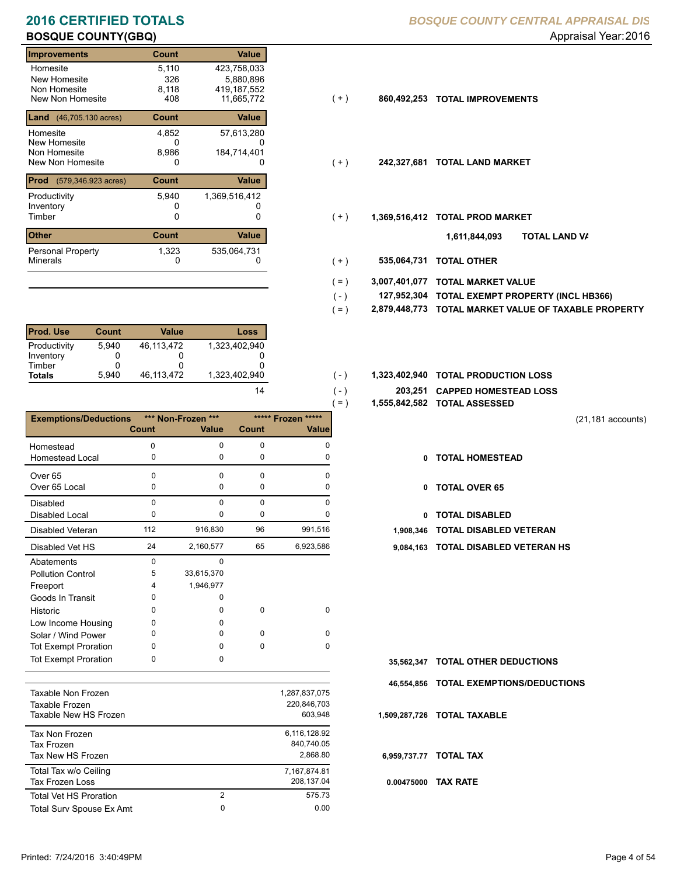# **BOSQUE COUNTY(GBQ) BOSQUE COUNTY(GBQ) Appraisal Year: 2016**

| <b>Improvements</b>            | <b>Count</b> | Value         |       |               |                           |
|--------------------------------|--------------|---------------|-------|---------------|---------------------------|
| Homesite                       | 5,110        | 423,758,033   |       |               |                           |
| New Homesite                   | 326          | 5,880,896     |       |               |                           |
| Non Homesite                   | 8.118        | 419, 187, 552 |       |               |                           |
| New Non Homesite               | 408          | 11,665,772    | $(+)$ | 860,492,253   | <b>TOTAL IMPROVEMENTS</b> |
| <b>Land</b> (46,705.130 acres) | <b>Count</b> | Value         |       |               |                           |
| Homesite                       | 4,852        | 57,613,280    |       |               |                           |
| New Homesite                   | 0            | O             |       |               |                           |
| Non Homesite                   | 8,986        | 184,714,401   |       |               |                           |
| New Non Homesite               | 0            | 0             | $(+)$ | 242,327,681   | <b>TOTAL LAND MARKET</b>  |
| Prod<br>(579,346.923 acres)    | <b>Count</b> | Value         |       |               |                           |
| Productivity                   | 5,940        | 1,369,516,412 |       |               |                           |
| Inventory                      |              |               |       |               |                           |
| Timber                         | 0            | 0             | $(+)$ | 1,369,516,412 | <b>TOTAL PROD MARKET</b>  |
| <b>Other</b>                   | <b>Count</b> | Value         |       |               | 1,611,844,093             |
| <b>Personal Property</b>       | 1,323        | 535,064,731   |       |               |                           |
| <b>Minerals</b>                | 0            | 0             | $(+)$ | 535,064,731   | <b>TOTAL OTHER</b>        |

| <b>Prod. Use</b> | <b>Count</b> | Value      | Loss          |
|------------------|--------------|------------|---------------|
| Productivity     | 5.940        | 46.113.472 | 1,323,402,940 |
| Inventory        |              |            |               |
| Timber           |              |            |               |
| <b>Totals</b>    | 5.940        | 46.113.472 | 1.323.402.940 |

|                              |              |                    |              | $=$ )              |            | 1,555,842,582 TOTAL ASSESSED  |
|------------------------------|--------------|--------------------|--------------|--------------------|------------|-------------------------------|
| <b>Exemptions/Deductions</b> |              | *** Non-Frozen *** |              | ***** Frozen ***** |            |                               |
|                              | <b>Count</b> | <b>Value</b>       | <b>Count</b> | <b>Value</b>       |            |                               |
| Homestead                    | 0            | $\Omega$           | $\Omega$     | $\Omega$           |            |                               |
| <b>Homestead Local</b>       | 0            | 0                  | 0            | 0                  | 0          | <b>TOTAL HOMESTEAD</b>        |
| Over <sub>65</sub>           | 0            | $\Omega$           | $\Omega$     | U                  |            |                               |
| Over 65 Local                | 0            | 0                  | 0            | <sup>0</sup>       | 0          | <b>TOTAL OVER 65</b>          |
| <b>Disabled</b>              | 0            | $\Omega$           | $\Omega$     | <sup>n</sup>       |            |                               |
| Disabled Local               | 0            | 0                  | 0            | o                  | 0          | <b>TOTAL DISABLED</b>         |
| Disabled Veteran             | 112          | 916,830            | 96           | 991,516            | 1,908,346  | <b>TOTAL DISABLED VETERAN</b> |
| Disabled Vet HS              | 24           | 2,160,577          | 65           | 6,923,586          | 9,084,163  | <b>TOTAL DISABLED VETERAN</b> |
| Abatements                   | 0            | $\Omega$           |              |                    |            |                               |
| <b>Pollution Control</b>     | 5            | 33,615,370         |              |                    |            |                               |
| Freeport                     | 4            | 1,946,977          |              |                    |            |                               |
| Goods In Transit             | 0            | 0                  |              |                    |            |                               |
| Historic                     | 0            | <sup>0</sup>       | $\Omega$     | $\Omega$           |            |                               |
| Low Income Housing           | 0            | 0                  |              |                    |            |                               |
| Solar / Wind Power           | 0            | 0                  | $\Omega$     | $\Omega$           |            |                               |
| <b>Tot Exempt Proration</b>  | 0            | 0                  | $\Omega$     | $\Omega$           |            |                               |
| <b>Tot Exempt Proration</b>  | 0            | 0                  |              |                    | 35,562,347 | <b>TOTAL OTHER DEDUCTIONS</b> |
|                              |              |                    |              |                    | 46,554,856 | <b>TOTAL EXEMPTIONS/DEDUC</b> |
| <b>Taxable Non Frozen</b>    |              |                    |              | 1,287,837,075      |            |                               |
| Taxable Frozen               |              |                    |              | 220,846,703        |            |                               |

| Taxable Frozen<br>Taxable New HS Frozen           |                | 220,846,703<br>603.948                 |
|---------------------------------------------------|----------------|----------------------------------------|
| Tax Non Frozen<br>Tax Frozen<br>Tax New HS Frozen |                | 6,116,128.92<br>840,740.05<br>2.868.80 |
| Total Tax w/o Ceiling<br>Tax Frozen Loss          |                | 7,167,874.81<br>208,137.04             |
| Total Vet HS Proration                            | $\overline{2}$ | 575.73                                 |
| Total Surv Spouse Ex Amt                          | 0              | 0.00                                   |
|                                                   |                |                                        |

## **2016 CERTIFIED TOTALS** *BOSQUE COUNTY CENTRAL APPRAISAL DIS*

- $(+)$
- $(+)$
- $(+)$ 
	- **TOTAL LAND VA 1,611,844,093**
- 0 0 **535,064,731 TOTAL OTHER**  $(+)$

 $( - )$  $( - )$ 

14

- **3,007,401,077 TOTAL MARKET VALUE**  $( = )$
- **TOTAL EXEMPT PROPERTY (INCL HB366) 127,952,304**  $( - )$
- **2,879,448,773 TOTAL MARKET VALUE OF TAXABLE PROPERTY**  $( = )$
- 1,323,402,940 **1,323,402,940 <b>10TAL PRODUCTION LOSS** 
	- **203,251 CAPPED HOMESTEAD LOSS**
	- **1,555,842,582 TOTAL ASSESSED**
- (21,181 accounts)
- **TOTAL HOMESTEAD**
- 0 TOTAL OVER 65
- 0 TOTAL DISABLED
- 
- 24 65 2,160,577 6,923,586 **9,084,163 TOTAL DISABLED VETERAN HS**

- **TOTAL OTHER DEDUCTIONS 35,562,347**
- **46,554,856 TOTAL EXEMPTIONS/DEDUCTIONS**
- **1,509,287,726 TOTAL TAXABLE**
- **6,959,737.77 TOTAL TAX**
- **0.00475000 TAX RATE**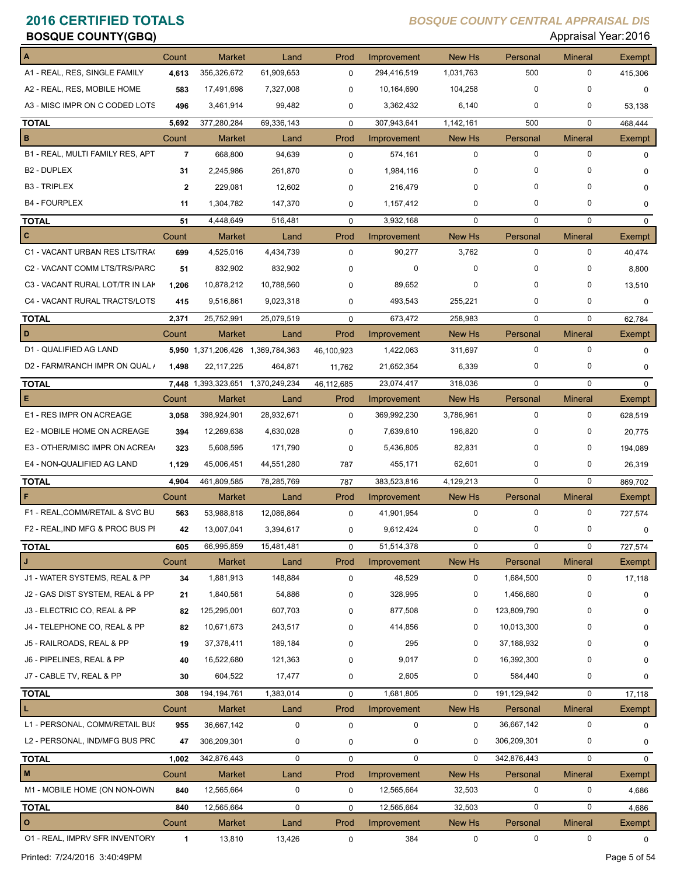| <b>BOSQUE COUNTY(GBQ)</b>        |                |                                   |                    |             |                           |               |             | Appraisal Year: 2016 |               |
|----------------------------------|----------------|-----------------------------------|--------------------|-------------|---------------------------|---------------|-------------|----------------------|---------------|
|                                  | Count          | <b>Market</b>                     | Land               | Prod        | Improvement               | <b>New Hs</b> | Personal    | <b>Mineral</b>       | <b>Exempt</b> |
| A1 - REAL, RES, SINGLE FAMILY    | 4,613          | 356,326,672                       | 61,909,653         | 0           | 294,416,519               | 1,031,763     | 500         | 0                    | 415,306       |
| A2 - REAL, RES, MOBILE HOME      | 583            | 17,491,698                        | 7,327,008          | $\mathbf 0$ | 10,164,690                | 104,258       | 0           | 0                    | $\mathbf 0$   |
| A3 - MISC IMPR ON C CODED LOTS   | 496            | 3,461,914                         | 99,482             | 0           | 3,362,432                 | 6,140         | 0           | 0                    | 53,138        |
| <b>TOTAL</b>                     | 5,692          | 377,280,284                       | 69,336,143         | $\mathbf 0$ | 307,943,641               | 1,142,161     | 500         | 0                    | 468,444       |
| в                                | Count          | <b>Market</b>                     | Land               | Prod        | Improvement               | New Hs        | Personal    | <b>Mineral</b>       | <b>Exempt</b> |
| B1 - REAL, MULTI FAMILY RES, APT | $\overline{7}$ | 668,800                           | 94,639             | $\mathbf 0$ | 574,161                   | 0             | $\mathbf 0$ | $\mathbf 0$          | $\mathbf 0$   |
| B <sub>2</sub> - DUPLEX          | 31             | 2,245,986                         | 261,870            | 0           | 1,984,116                 | 0             | 0           | 0                    | 0             |
| <b>B3 - TRIPLEX</b>              | 2              | 229,081                           | 12,602             | 0           | 216,479                   | $\Omega$      | 0           | $\Omega$             | $\mathbf 0$   |
| <b>B4 - FOURPLEX</b>             | 11             | 1,304,782                         | 147,370            | 0           | 1,157,412                 | $\mathbf 0$   | 0           | 0                    | $\mathbf 0$   |
| <b>TOTAL</b>                     | 51             | 4,448,649                         | 516,481            | $\mathbf 0$ | 3,932,168                 | $\mathbf 0$   | 0           | 0                    | $\mathbf 0$   |
| C                                | Count          | <b>Market</b>                     | Land               | Prod        | Improvement               | <b>New Hs</b> | Personal    | <b>Mineral</b>       | <b>Exempt</b> |
| C1 - VACANT URBAN RES LTS/TRA(   | 699            | 4,525,016                         | 4,434,739          | $\mathbf 0$ | 90,277                    | 3,762         | 0           | 0                    | 40,474        |
| C2 - VACANT COMM LTS/TRS/PARC    | 51             | 832,902                           | 832,902            | $\Omega$    | 0                         | $\mathbf 0$   | 0           | 0                    | 8,800         |
| C3 - VACANT RURAL LOT/TR IN LAP  | 1,206          | 10,878,212                        | 10,788,560         | 0           | 89,652                    | 0             | 0           | 0                    | 13,510        |
| C4 - VACANT RURAL TRACTS/LOTS    | 415            | 9,516,861                         | 9,023,318          | 0           | 493,543                   | 255,221       | 0           | 0                    | 0             |
| <b>TOTAL</b>                     | 2,371          | 25,752,991                        | 25,079,519         | $\mathbf 0$ | 673,472                   | 258,983       | $\mathbf 0$ | $\mathbf 0$          | 62,784        |
| D                                | Count          | <b>Market</b>                     | Land               | Prod        | Improvement               | <b>New Hs</b> | Personal    | <b>Mineral</b>       | Exempt        |
| D1 - QUALIFIED AG LAND           |                | 5,950 1,371,206,426 1,369,784,363 |                    | 46,100,923  | 1,422,063                 | 311,697       | $\pmb{0}$   | 0                    | 0             |
| D2 - FARM/RANCH IMPR ON QUAL /   | 1,498          | 22, 117, 225                      | 464,871            | 11,762      | 21,652,354                | 6,339         | 0           | 0                    | $\mathbf 0$   |
| <b>TOTAL</b>                     |                | 7,448 1,393,323,651               | 1,370,249,234      | 46,112,685  | 23,074,417                | 318,036       | $\mathbf 0$ | 0                    | $\Omega$      |
| Е                                | Count          | <b>Market</b>                     | Land               | Prod        | Improvement               | New Hs        | Personal    | <b>Mineral</b>       | Exempt        |
| E1 - RES IMPR ON ACREAGE         | 3,058          | 398,924,901                       | 28,932,671         | $\mathbf 0$ | 369,992,230               | 3,786,961     | 0           | 0                    | 628,519       |
| E2 - MOBILE HOME ON ACREAGE      | 394            | 12,269,638                        | 4,630,028          | 0           | 7,639,610                 | 196,820       | 0           | 0                    | 20,775        |
| E3 - OTHER/MISC IMPR ON ACREA    | 323            | 5,608,595                         | 171,790            | 0           | 5,436,805                 | 82,831        | 0           | 0                    | 194,089       |
| E4 - NON-QUALIFIED AG LAND       |                | 45,006,451                        | 44,551,280         |             | 455,171                   | 62,601        | 0           | 0                    |               |
|                                  | 1,129          |                                   |                    | 787         |                           |               | 0           | 0                    | 26,319        |
| <b>TOTAL</b><br>F                | 4,904          | 461,809,585                       | 78,285,769         | 787<br>Prod | 383,523,816               | 4,129,213     | Personal    | <b>Mineral</b>       | 869,702       |
| F1 - REAL, COMM/RETAIL & SVC BU  | Count<br>563   | Market<br>53,988,818              | Land<br>12,086,864 |             | Improvement<br>41,901,954 | New Hs<br>0   | 0           | 0                    | Exempt        |
|                                  |                |                                   |                    | $\mathbf 0$ |                           |               |             |                      | 727,574       |
| F2 - REAL, IND MFG & PROC BUS PI | 42             | 13,007,041                        | 3,394,617          | 0           | 9,612,424                 |               | 0           |                      | U             |
| <b>TOTAL</b>                     | 605            | 66,995,859                        | 15,481,481         | $\mathbf 0$ | 51,514,378                | $\mathbf 0$   | 0           | 0                    | 727,574       |
| J                                | Count          | <b>Market</b>                     | Land               | Prod        | Improvement               | New Hs        | Personal    | <b>Mineral</b>       | Exempt        |
| J1 - WATER SYSTEMS, REAL & PP    | 34             | 1,881,913                         | 148,884            | 0           | 48,529                    | 0             | 1,684,500   | 0                    | 17,118        |
| J2 - GAS DIST SYSTEM, REAL & PP  | 21             | 1,840,561                         | 54,886             | 0           | 328,995                   | 0             | 1,456,680   | 0                    | 0             |
| J3 - ELECTRIC CO, REAL & PP      | 82             | 125,295,001                       | 607,703            | 0           | 877,508                   | 0             | 123,809,790 | 0                    | 0             |
| J4 - TELEPHONE CO, REAL & PP     | 82             | 10,671,673                        | 243,517            | 0           | 414,856                   | 0             | 10,013,300  | 0                    | 0             |
| J5 - RAILROADS, REAL & PP        | 19             | 37,378,411                        | 189,184            | 0           | 295                       | 0             | 37,188,932  | 0                    | 0             |
| J6 - PIPELINES, REAL & PP        | 40             | 16,522,680                        | 121,363            | 0           | 9,017                     | 0             | 16,392,300  | 0                    | 0             |
| J7 - CABLE TV, REAL & PP         | 30             | 604,522                           | 17,477             | 0           | 2,605                     | 0             | 584,440     | 0                    | 0             |
| <b>TOTAL</b>                     | 308            | 194, 194, 761                     | 1,383,014          | $\pmb{0}$   | 1,681,805                 | $\mathbf 0$   | 191,129,942 | 0                    | 17,118        |
| L                                | Count          | <b>Market</b>                     | Land               | Prod        | Improvement               | New Hs        | Personal    | <b>Mineral</b>       | Exempt        |
| L1 - PERSONAL, COMM/RETAIL BUS   | 955            | 36,667,142                        | 0                  | $\mathbf 0$ | 0                         | 0             | 36,667,142  | 0                    | 0             |
| L2 - PERSONAL, IND/MFG BUS PRC   | 47             | 306,209,301                       | 0                  | 0           | 0                         | 0             | 306,209,301 | 0                    | 0             |
| <b>TOTAL</b>                     | 1,002          | 342,876,443                       | 0                  | $\mathbf 0$ | $\mathbf 0$               | $\Omega$      | 342,876,443 | 0                    | $\mathbf 0$   |
| M                                | Count          | <b>Market</b>                     | Land               | Prod        | Improvement               | New Hs        | Personal    | <b>Mineral</b>       | <b>Exempt</b> |
| M1 - MOBILE HOME (ON NON-OWN     | 840            | 12,565,664                        | 0                  | $\mathbf 0$ | 12,565,664                | 32,503        | 0           | 0                    | 4,686         |
| <b>TOTAL</b>                     | 840            | 12,565,664                        | $\pmb{0}$          | $\mathbf 0$ | 12,565,664                | 32,503        | $\mathbf 0$ | 0                    | 4,686         |
| $\circ$                          | Count          | Market                            | Land               | Prod        | Improvement               | New Hs        | Personal    | <b>Mineral</b>       | Exempt        |
| 01 - REAL, IMPRV SFR INVENTORY   | 1              | 13,810                            | 13,426             | $\mathbf 0$ | 384                       | 0             | $\pmb{0}$   | 0                    | 0             |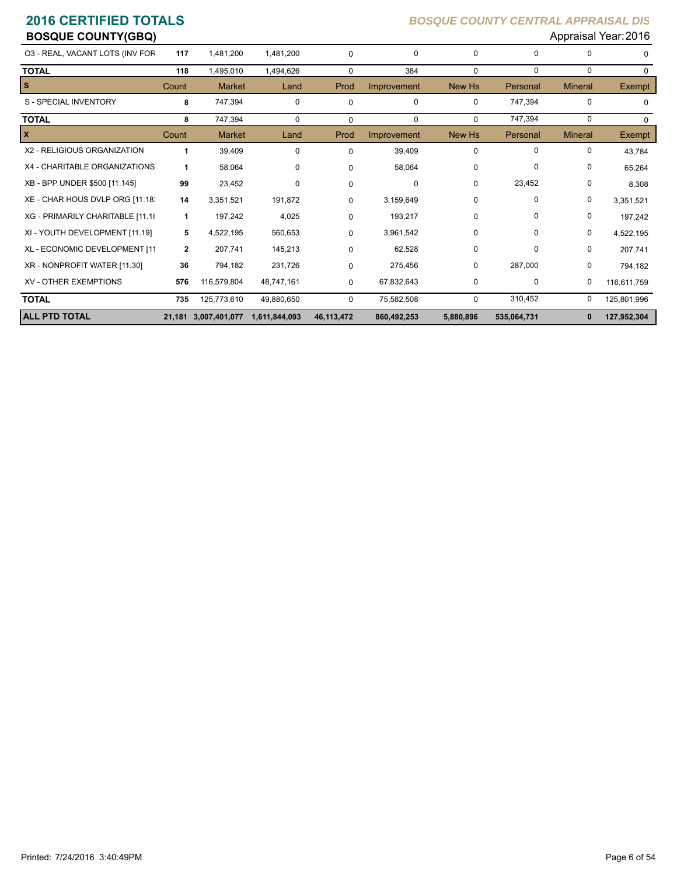| <b>BOSQUE COUNTY(GBQ)</b>        |              |                      |               |              |             |             |             |                | Appraisal Year: 2016 |
|----------------------------------|--------------|----------------------|---------------|--------------|-------------|-------------|-------------|----------------|----------------------|
| 03 - REAL, VACANT LOTS (INV FOR  | 117          | 1,481,200            | 1,481,200     | 0            | $\mathbf 0$ | 0           | $\Omega$    | 0              | $\Omega$             |
| <b>TOTAL</b>                     | 118          | 1,495,010            | 1,494,626     | $\Omega$     | 384         | $\mathbf 0$ | $\mathbf 0$ | 0              | $\Omega$             |
| <b>S</b>                         | Count        | <b>Market</b>        | Land          | Prod         | Improvement | New Hs      | Personal    | <b>Mineral</b> | <b>Exempt</b>        |
| S - SPECIAL INVENTORY            | 8            | 747,394              | $\mathbf 0$   | 0            | $\mathbf 0$ | 0           | 747,394     | 0              | $\Omega$             |
| <b>TOTAL</b>                     | 8            | 747,394              | $\Omega$      | $\Omega$     | $\Omega$    | $\Omega$    | 747,394     | 0              | $\Omega$             |
| $\mathbf{x}$                     | Count        | <b>Market</b>        | Land          | Prod         | Improvement | New Hs      | Personal    | <b>Mineral</b> | <b>Exempt</b>        |
| X2 - RELIGIOUS ORGANIZATION      | 1            | 39,409               | $\mathbf 0$   | $\Omega$     | 39,409      | 0           | 0           | 0              | 43,784               |
| X4 - CHARITABLE ORGANIZATIONS    | 1            | 58,064               | 0             | $\Omega$     | 58,064      | 0           | 0           | 0              | 65,264               |
| XB - BPP UNDER \$500 [11.145]    | 99           | 23,452               | $\Omega$      | $\Omega$     | $\Omega$    | $\Omega$    | 23,452      | 0              | 8,308                |
| XE - CHAR HOUS DVLP ORG [11.18]  | 14           | 3,351,521            | 191,872       | 0            | 3,159,649   | 0           | 0           | 0              | 3,351,521            |
| XG - PRIMARILY CHARITABLE [11.18 | 1            | 197,242              | 4,025         | 0            | 193,217     | 0           | 0           | 0              | 197,242              |
| XI - YOUTH DEVELOPMENT [11.19]   | 5            | 4,522,195            | 560,653       | 0            | 3,961,542   | 0           | 0           | 0              | 4,522,195            |
| XL - ECONOMIC DEVELOPMENT [11    | $\mathbf{2}$ | 207,741              | 145,213       | 0            | 62,528      | 0           | 0           | 0              | 207,741              |
| XR - NONPROFIT WATER [11.30]     | 36           | 794,182              | 231,726       | 0            | 275,456     | 0           | 287,000     | 0              | 794,182              |
| <b>XV - OTHER EXEMPTIONS</b>     | 576          | 116,579,804          | 48,747,161    | 0            | 67,832,643  | 0           | 0           | 0              | 116,611,759          |
| <b>TOTAL</b>                     | 735          | 125,773,610          | 49,880,650    | $\Omega$     | 75,582,508  | 0           | 310,452     | 0              | 125,801,996          |
| <b>ALL PTD TOTAL</b>             |              | 21,181 3,007,401,077 | 1,611,844,093 | 46, 113, 472 | 860,492,253 | 5,880,896   | 535,064,731 | 0              | 127,952,304          |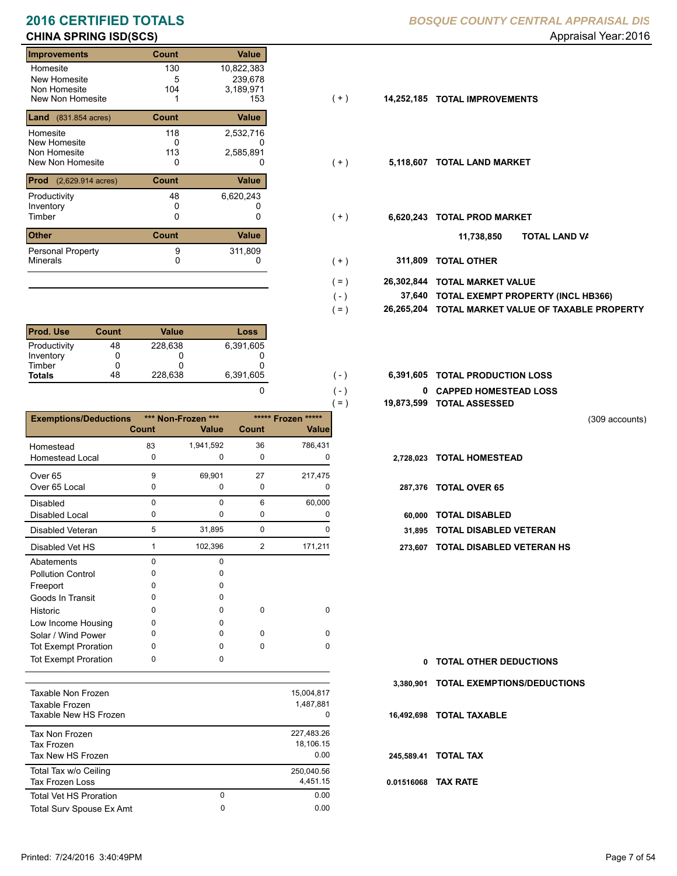### **Improvements Count Value** Homesite New Homesite Non Homesite<br>New Non Homesite New Non Homesite 1 153 (+) **14,252,185 TOTAL IMPROVEMENTS** 130 10,822,383  $\frac{5}{104}$ 0 14 3,189,971<br>153 **Land** (831.854 acres) **Count Value** Homesite New Homesite Non Homesite<br>New Non Homesite New Non Homesite **TOTAL LAND MARKET** 0 0 **5,118,607** 118 2,532,716 0 239,678 113 2,585,891 **Prod** (2,629.914 acres) **Count Value** Productivity  $48$  6,620,243<br>Inventory 0 Inventory<br>Timber 0 0 0 Timber 0 **TOTAL PROD MARKET 6,620,243 Other Count** Count Value Minerals Personal Property 48 9 311,809

| <b>Prod. Use</b> | Count | Value   | Loss      |
|------------------|-------|---------|-----------|
| Productivity     | 48    | 228.638 | 6,391,605 |
| Inventory        |       |         |           |
| Timber           |       |         |           |
| <b>Totals</b>    | 48    | 228,638 | 6,391,605 |

|                              |              |                    |             |                    | $( = )$    | 19,873,599 TOTAL ASSESSED |
|------------------------------|--------------|--------------------|-------------|--------------------|------------|---------------------------|
| <b>Exemptions/Deductions</b> |              | *** Non-Frozen *** |             | ***** Frozen ***** |            |                           |
|                              | <b>Count</b> | <b>Value</b>       | Count       | <b>Value</b>       |            |                           |
| Homestead                    | 83           | 1,941,592          | 36          | 786,431            |            |                           |
| <b>Homestead Local</b>       | $\mathbf 0$  | 0                  | $\mathbf 0$ | 0                  |            | 2,728,023 TOTAL HOMESTEAD |
| Over <sub>65</sub>           | 9            | 69,901             | 27          | 217,475            |            |                           |
| Over 65 Local                | 0            | 0                  | 0           | 0                  |            | 287,376 TOTAL OVER 65     |
| <b>Disabled</b>              | $\Omega$     | $\Omega$           | 6           | 60,000             |            |                           |
| Disabled Local               | 0            | 0                  | 0           | 0                  | 60,000     | <b>TOTAL DISABLED</b>     |
| Disabled Veteran             | 5            | 31,895             | $\mathbf 0$ | $\Omega$           | 31.895     | <b>TOTAL DISABLED VI</b>  |
| Disabled Vet HS              | 1            | 102,396            | 2           | 171,211            | 273,607    | <b>TOTAL DISABLED VI</b>  |
| Abatements                   | $\mathbf 0$  | $\mathbf 0$        |             |                    |            |                           |
| <b>Pollution Control</b>     | 0            | 0                  |             |                    |            |                           |
| Freeport                     | 0            | 0                  |             |                    |            |                           |
| Goods In Transit             | O            | <sup>0</sup>       |             |                    |            |                           |
| Historic                     | 0            | 0                  | $\mathbf 0$ | $\mathbf 0$        |            |                           |
| Low Income Housing           | 0            | 0                  |             |                    |            |                           |
| Solar / Wind Power           | O            | $\Omega$           | $\mathbf 0$ | $\Omega$           |            |                           |
| <b>Tot Exempt Proration</b>  | <sup>0</sup> | $\Omega$           | $\mathbf 0$ | $\Omega$           |            |                           |
| <b>Tot Exempt Proration</b>  | 0            | 0                  |             |                    |            | 0 TOTAL OTHER DEDU        |
|                              |              |                    |             |                    | 3,380,901  | <b>TOTAL EXEMPTIONS</b>   |
| Taxable Non Frozen           |              |                    |             | 15,004,817         |            |                           |
| Taxable Frozen               |              |                    |             | 1,487,881          |            |                           |
| Taxable New HS Frozen        |              |                    |             | $\Omega$           |            | 16,492,698 TOTAL TAXABLE  |
| <b>Tax Non Frozen</b>        |              |                    |             | 227,483.26         |            |                           |
| <b>Tax Frozen</b>            |              |                    |             | 18,106.15          |            |                           |
| Tax New HS Frozen            |              |                    |             | 0.00               | 245,589.41 | <b>TOTAL TAX</b>          |
| Total Tax w/o Ceiling        |              |                    |             | 250.040.56         |            |                           |

Tax Frozen Loss 4,451.15

Total Surv Spouse Ex Amt 0.00

0

Total Vet HS Proration

## **2016 CERTIFIED TOTALS** *BOSQUE COUNTY CENTRAL APPRAISAL DIS*

- $(+)$
- $(+)$
- $(+)$ 
	- **TOTAL LAND VA 11,738,850**
- 0 0 **311,809 TOTAL OTHER**  $( + )$

 $( - )$  $( = )$ 

 $( - )$  $( - )$ 

0

0 0.00

- **26,302,844 TOTAL MARKET VALUE**  $( = )$ 
	- **TOTAL EXEMPT PROPERTY (INCL HB366) 37,640**
	- **26,265,204 TOTAL MARKET VALUE OF TAXABLE PROPERTY**
- **TOTAL PRODUCTION LOSS** 6,391,605 **6,391,605**
	- **0 CAPPED HOMESTEAD LOSS**
	- **19,873,599 TOTAL ASSESSED**

(309 accounts)

- 
- 
- Disabled Local **TOTAL DISABLED**
- 31,895 TOTAL DISABLED VETERAN
- 273,607 TOTAL DISABLED VETERAN HS

| 0 TOTAL OTHER DEDUCTIONS              |
|---------------------------------------|
| 3,380,901 TOTAL EXEMPTIONS/DEDUCTIONS |
| 16.492.698 TOTAL TAXABLE              |
| 245.589.41 TOTAL TAX                  |
| 0.01516068 TAX RATE                   |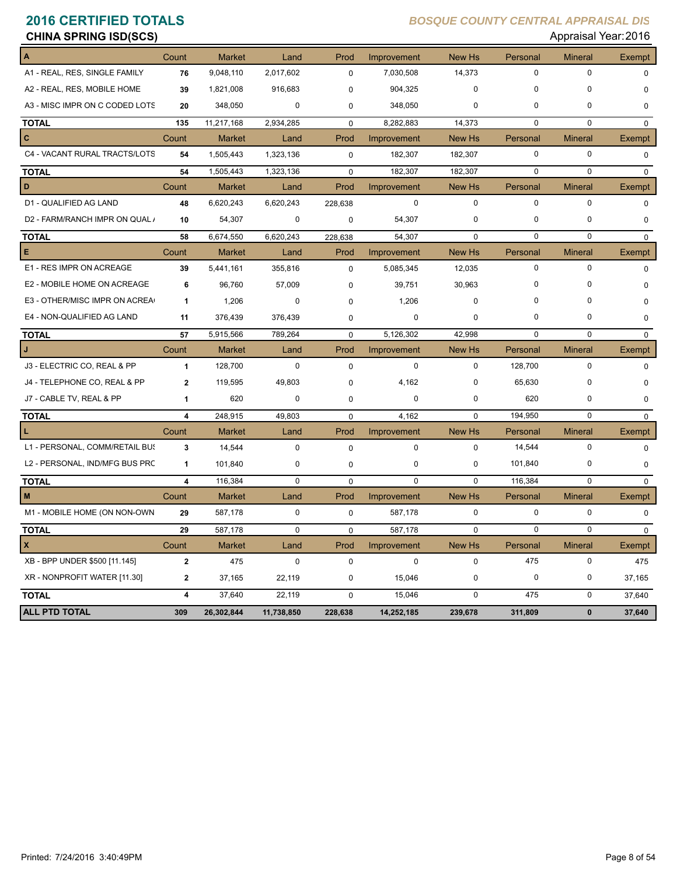| Appraisal Year: 2016<br><b>CHINA SPRING ISD(SCS)</b> |              |               |            |             |             |             |             |                |               |  |
|------------------------------------------------------|--------------|---------------|------------|-------------|-------------|-------------|-------------|----------------|---------------|--|
|                                                      | Count        | <b>Market</b> | Land       | Prod        | Improvement | New Hs      | Personal    | <b>Mineral</b> | <b>Exempt</b> |  |
| A1 - REAL, RES, SINGLE FAMILY                        | 76           | 9,048,110     | 2,017,602  | $\mathbf 0$ | 7,030,508   | 14,373      | $\mathbf 0$ | 0              | $\mathbf 0$   |  |
| A2 - REAL, RES, MOBILE HOME                          | 39           | 1,821,008     | 916,683    | $\Omega$    | 904,325     | $\Omega$    | $\Omega$    | $\Omega$       | $\mathbf 0$   |  |
| A3 - MISC IMPR ON C CODED LOTS                       | 20           | 348,050       | 0          | 0           | 348,050     | 0           | 0           | 0              | 0             |  |
| <b>TOTAL</b>                                         | 135          | 11,217,168    | 2,934,285  | $\mathbf 0$ | 8,282,883   | 14,373      | $\mathbf 0$ | 0              | $\mathbf 0$   |  |
| C                                                    | Count        | <b>Market</b> | Land       | Prod        | Improvement | New Hs      | Personal    | Mineral        | <b>Exempt</b> |  |
| C4 - VACANT RURAL TRACTS/LOTS                        | 54           | 1,505,443     | 1,323,136  | $\mathbf 0$ | 182,307     | 182,307     | 0           | 0              | $\mathbf 0$   |  |
| <b>TOTAL</b>                                         | 54           | 1,505,443     | 1,323,136  | 0           | 182,307     | 182,307     | $\mathbf 0$ | $\mathbf 0$    | $\mathbf 0$   |  |
| D                                                    | Count        | <b>Market</b> | Land       | Prod        | Improvement | New Hs      | Personal    | <b>Mineral</b> | Exempt        |  |
| D1 - QUALIFIED AG LAND                               | 48           | 6,620,243     | 6,620,243  | 228,638     | $\mathbf 0$ | 0           | $\mathbf 0$ | $\mathbf 0$    | $\mathbf 0$   |  |
| D2 - FARM/RANCH IMPR ON QUAL /                       | 10           | 54,307        | 0          | 0           | 54,307      | 0           | 0           | 0              | 0             |  |
| <b>TOTAL</b>                                         | 58           | 6,674,550     | 6,620,243  | 228,638     | 54,307      | $\mathbf 0$ | $\mathbf 0$ | $\mathbf 0$    | $\mathbf 0$   |  |
| Е                                                    | Count        | <b>Market</b> | Land       | Prod        | Improvement | New Hs      | Personal    | <b>Mineral</b> | Exempt        |  |
| E1 - RES IMPR ON ACREAGE                             | 39           | 5,441,161     | 355,816    | 0           | 5,085,345   | 12,035      | $\mathbf 0$ | $\mathbf 0$    | $\mathbf 0$   |  |
| E2 - MOBILE HOME ON ACREAGE                          | 6            | 96,760        | 57,009     | 0           | 39,751      | 30,963      | 0           | O              | 0             |  |
| E3 - OTHER/MISC IMPR ON ACREA                        | 1            | 1,206         | 0          | $\Omega$    | 1,206       | 0           | 0           | 0              | 0             |  |
| E4 - NON-QUALIFIED AG LAND                           | 11           | 376,439       | 376,439    | 0           | 0           | 0           | 0           | 0              | $\mathbf 0$   |  |
| <b>TOTAL</b>                                         | 57           | 5,915,566     | 789,264    | $\mathbf 0$ | 5,126,302   | 42,998      | 0           | $\mathbf 0$    | $\mathbf 0$   |  |
|                                                      | Count        | <b>Market</b> | Land       | Prod        | Improvement | New Hs      | Personal    | <b>Mineral</b> | <b>Exempt</b> |  |
| J3 - ELECTRIC CO, REAL & PP                          | 1            | 128,700       | 0          | $\mathbf 0$ | 0           | 0           | 128,700     | 0              | $\mathbf 0$   |  |
| J4 - TELEPHONE CO, REAL & PP                         | $\mathbf{2}$ | 119,595       | 49,803     | 0           | 4,162       | 0           | 65,630      | 0              | $\mathbf 0$   |  |
| J7 - CABLE TV, REAL & PP                             | 1            | 620           | 0          | 0           | 0           | 0           | 620         | 0              | 0             |  |
| <b>TOTAL</b>                                         | 4            | 248,915       | 49,803     | $\mathbf 0$ | 4,162       | $\Omega$    | 194,950     | 0              | $\mathbf 0$   |  |
| L                                                    | Count        | <b>Market</b> | Land       | Prod        | Improvement | New Hs      | Personal    | <b>Mineral</b> | Exempt        |  |
| L1 - PERSONAL, COMM/RETAIL BUS                       | 3            | 14,544        | 0          | $\mathbf 0$ | 0           | 0           | 14,544      | $\mathbf 0$    | $\mathbf 0$   |  |
| L2 - PERSONAL, IND/MFG BUS PRC                       | 1            | 101,840       | 0          | 0           | 0           | 0           | 101,840     | 0              | 0             |  |
| <b>TOTAL</b>                                         | 4            | 116,384       | 0          | $\mathbf 0$ | 0           | $\mathbf 0$ | 116,384     | 0              | $\mathbf{0}$  |  |
| М                                                    | Count        | <b>Market</b> | Land       | Prod        | Improvement | New Hs      | Personal    | Mineral        | Exempt        |  |
| M1 - MOBILE HOME (ON NON-OWN                         | 29           | 587,178       | 0          | 0           | 587,178     | 0           | $\mathbf 0$ | 0              | 0             |  |
| <b>TOTAL</b>                                         | 29           | 587,178       | $\pmb{0}$  | $\mathbf 0$ | 587,178     | 0           | $\mathbf 0$ | 0              | 0             |  |
| X                                                    | Count        | Market        | Land       | Prod        | Improvement | New Hs      | Personal    | <b>Mineral</b> | Exempt        |  |
| XB - BPP UNDER \$500 [11.145]                        | $\mathbf 2$  | 475           | $\pmb{0}$  | $\mathbf 0$ | 0           | 0           | 475         | 0              | 475           |  |
| XR - NONPROFIT WATER [11.30]                         | $\mathbf{2}$ | 37,165        | 22,119     | 0           | 15,046      | 0           | 0           | 0              | 37,165        |  |
| <b>TOTAL</b>                                         | 4            | 37,640        | 22,119     | 0           | 15,046      | 0           | 475         | 0              | 37,640        |  |
| <b>ALL PTD TOTAL</b>                                 | 309          | 26,302,844    | 11,738,850 | 228,638     | 14,252,185  | 239,678     | 311,809     | $\bf{0}$       | 37,640        |  |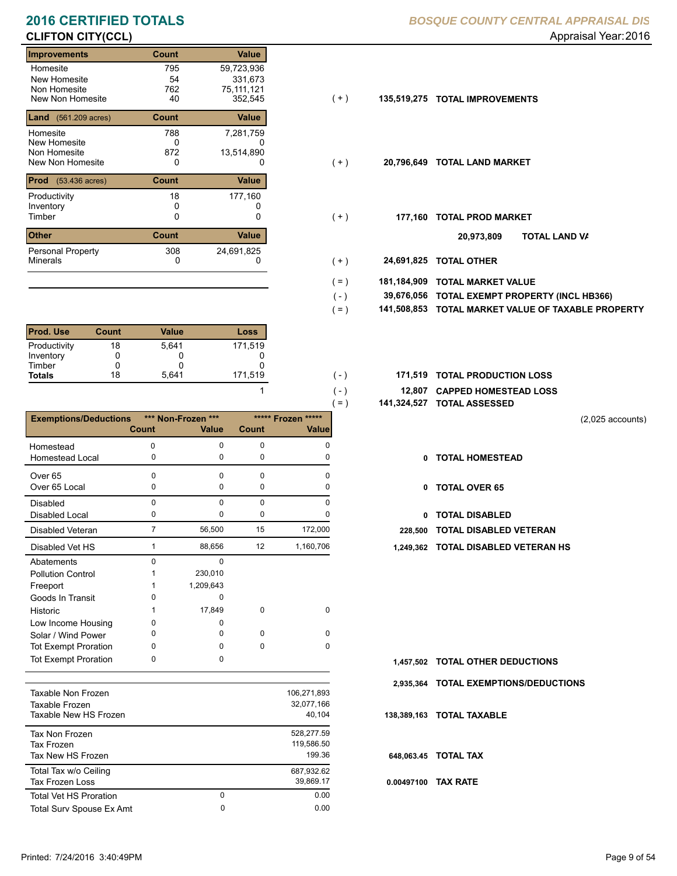# **CLIFTON CITY(CCL)** Appraisal Year: 2016

### **Improvements Count Value** Homesite New Homesite Non Homesite<br>New Non Homesite New Non Homesite 40 352,545 (+) **135,519,275 TOTAL IMPROVEMENTS** 795 59,723,936 54<br>762 0 762 75,111,121<br>40 352,545 **Land** (561.209 acres) **Count Count Value** Homesite New Homesite **Non Homesite**<br>New Non Homesite New Non Homesite **TOTAL LAND MARKET** 0 0 **20,796,649** 788 7,281,759  $0$ <br>872 331,673 13,514,890 **Prod** (53.436 acres) **Count Value** Productivity 18 177,160 Inventory<br>Timber 0 0 0 Timber 0 **TOTAL PROD MARKET 177,160 Other Count** Count Value Minerals Personal Property 18 308 24,691,825

| Prod. Use     | <b>Count</b> | Value | Loss    |
|---------------|--------------|-------|---------|
| Productivity  | 18           | 5.641 | 171,519 |
| Inventory     |              |       |         |
| Timber        |              |       |         |
| <b>Totals</b> | 18           | 5.641 | 171,519 |

|                                                |                |                    |              | $=$ )                 |              | 141,324,527 TOTAL ASSESSED    |
|------------------------------------------------|----------------|--------------------|--------------|-----------------------|--------------|-------------------------------|
| <b>Exemptions/Deductions</b>                   |                | *** Non-Frozen *** |              | *****<br>***** Frozen |              |                               |
|                                                | <b>Count</b>   | <b>Value</b>       | <b>Count</b> | <b>Value</b>          |              |                               |
| Homestead                                      | 0              | $\Omega$           | $\mathbf 0$  | $\Omega$              |              |                               |
| <b>Homestead Local</b>                         | 0              | $\mathbf 0$        | 0            | 0                     | 0            | <b>TOTAL HOMESTEAD</b>        |
| Over <sub>65</sub>                             | 0              | $\mathbf 0$        | $\mathbf 0$  | $\Omega$              |              |                               |
| Over 65 Local                                  | 0              | $\Omega$           | 0            | 0                     | $\mathbf{0}$ | <b>TOTAL OVER 65</b>          |
| Disabled                                       | 0              | $\Omega$           | $\mathbf 0$  | $\Omega$              |              |                               |
| Disabled Local                                 | 0              | $\mathbf 0$        | $\mathbf 0$  | 0                     | $\mathbf{0}$ | <b>TOTAL DISABLED</b>         |
| <b>Disabled Veteran</b>                        | $\overline{7}$ | 56,500             | 15           | 172,000               | 228,500      | <b>TOTAL DISABLED VETERAN</b> |
| Disabled Vet HS                                | 1              | 88,656             | 12           | 1,160,706             | 1.249.362    | <b>TOTAL DISABLED VETERAN</b> |
| Abatements                                     | $\mathbf 0$    | $\Omega$           |              |                       |              |                               |
| <b>Pollution Control</b>                       | 1              | 230,010            |              |                       |              |                               |
| Freeport                                       | 1              | 1,209,643          |              |                       |              |                               |
| Goods In Transit                               | $\Omega$       | $\Omega$           |              |                       |              |                               |
| Historic                                       | 1              | 17,849             | $\mathbf 0$  | $\mathbf 0$           |              |                               |
| Low Income Housing                             | 0              | $\Omega$           |              |                       |              |                               |
| Solar / Wind Power                             | 0              | $\Omega$           | $\mathbf 0$  | $\Omega$              |              |                               |
| <b>Tot Exempt Proration</b>                    | 0              | $\Omega$           | $\mathbf 0$  | $\Omega$              |              |                               |
| <b>Tot Exempt Proration</b>                    | 0              | $\Omega$           |              |                       | 1,457,502    | <b>TOTAL OTHER DEDUCTIONS</b> |
|                                                |                |                    |              |                       | 2,935,364    | <b>TOTAL EXEMPTIONS/DEDUC</b> |
| <b>Taxable Non Frozen</b>                      |                |                    |              | 106,271,893           |              |                               |
| <b>Taxable Frozen</b><br>Taxable New HS Frozen |                |                    |              | 32,077,166<br>40,104  | 138,389,163  | <b>TOTAL TAXABLE</b>          |
| <b>Tax Non Frozen</b>                          |                |                    |              | 528,277.59            |              |                               |
| <b>Tax Frozen</b>                              |                |                    |              | 119,586.50            |              |                               |
| Tax New HS Frozen                              |                |                    |              | 199.36                | 648.063.45   | <b>TOTAL TAX</b>              |

Total Tax w/o Ceiling 687,932.62

Tax Frozen Loss 39,869.17

Total Surv Spouse Ex Amt 0.00

0

Total Vet HS Proration

## **2016 CERTIFIED TOTALS** *BOSQUE COUNTY CENTRAL APPRAISAL DIS*

- $(+)$
- $(+)$
- $(+)$ 
	- **TOTAL LAND VA 20,973,809**
- 0 0 **24,691,825 TOTAL OTHER**  $(+)$

 $( - )$ 

 $( - )$  $( - )$ 

1

0 0.00

- **181,184,909 TOTAL MARKET VALUE**  $( = )$ 
	- **TOTAL EXEMPT PROPERTY (INCL HB366) 39,676,056**
- **141,508,853 TOTAL MARKET VALUE OF TAXABLE PROPERTY**  $( = )$
- 171,519 **171,519 TOTAL PRODUCTION LOSS** 
	- **12,807 CAPPED HOMESTEAD LOSS**
	- **141,324,527 TOTAL ASSESSED**
- (2,025 accounts)
- **TOTAL HOMESTEAD**
- 0 TOTAL OVER 65
- 0 TOTAL DISABLED
- 
- 1 12 88,656 1,160,706 **1,249,362 TOTAL DISABLED VETERAN HS**

- 1,457,502 TOTAL OTHER DEDUCTIONS
- **2,935,364 TOTAL EXEMPTIONS/DEDUCTIONS**
- **138,389,163 TOTAL TAXABLE**
- **648,063.45 TOTAL TAX**
- **0.00497100 TAX RATE**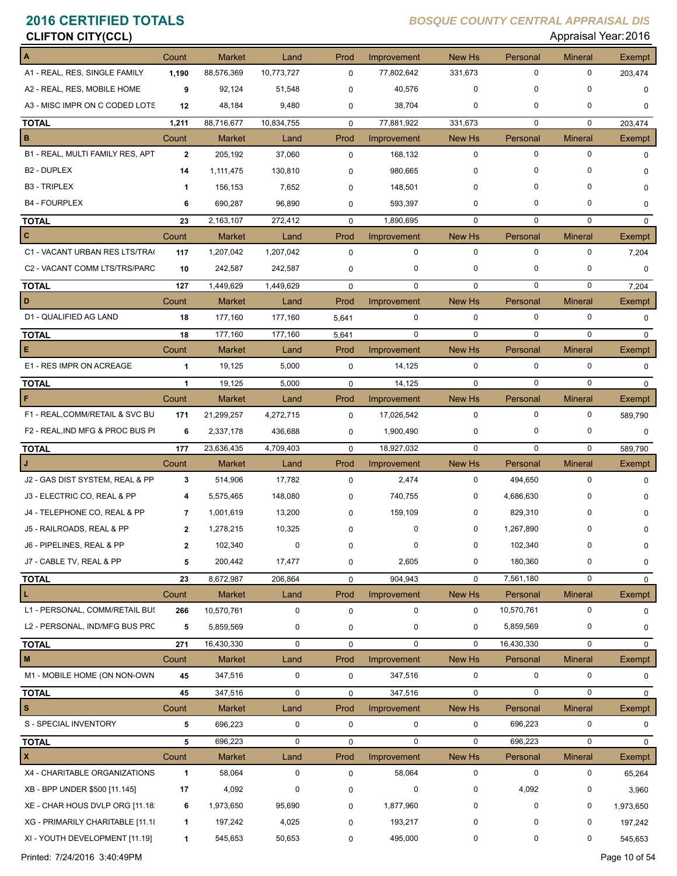| <b>CLIFTON CITY(CCL)</b>         |                |               |             |             |             |               |             | Appraisal Year: 2016 |               |
|----------------------------------|----------------|---------------|-------------|-------------|-------------|---------------|-------------|----------------------|---------------|
| A                                | Count          | <b>Market</b> | Land        | Prod        | Improvement | New Hs        | Personal    | <b>Mineral</b>       | <b>Exempt</b> |
| A1 - REAL, RES, SINGLE FAMILY    | 1,190          | 88,576,369    | 10,773,727  | $\mathbf 0$ | 77,802,642  | 331,673       | 0           | 0                    | 203,474       |
| A2 - REAL, RES, MOBILE HOME      | 9              | 92,124        | 51,548      | $\Omega$    | 40,576      | 0             | 0           | 0                    | 0             |
| A3 - MISC IMPR ON C CODED LOTS   | 12             | 48,184        | 9,480       | 0           | 38,704      | 0             | 0           | 0                    | 0             |
| <b>TOTAL</b>                     | 1,211          | 88,716,677    | 10,834,755  | 0           | 77,881,922  | 331,673       | $\mathbf 0$ | 0                    | 203,474       |
| B                                | Count          | <b>Market</b> | Land        | Prod        | Improvement | New Hs        | Personal    | <b>Mineral</b>       | Exempt        |
| B1 - REAL, MULTI FAMILY RES, APT | $\mathbf{2}$   | 205,192       | 37,060      | $\mathbf 0$ | 168,132     | 0             | $\mathbf 0$ | $\mathbf 0$          | 0             |
| B <sub>2</sub> - DUPLEX          | 14             | 1,111,475     | 130,810     | 0           | 980,665     | 0             | 0           | $\Omega$             | 0             |
| <b>B3 - TRIPLEX</b>              | $\mathbf 1$    | 156,153       | 7,652       | 0           | 148,501     | 0             | 0           | 0                    | 0             |
| <b>B4 - FOURPLEX</b>             | 6              | 690,287       | 96,890      | 0           | 593,397     | 0             | 0           | 0                    | 0             |
| <b>TOTAL</b>                     | 23             | 2,163,107     | 272,412     | $\mathbf 0$ | 1,890,695   | 0             | $\mathbf 0$ | 0                    | $\mathbf 0$   |
| c                                | Count          | Market        | Land        | Prod        | Improvement | New Hs        | Personal    | <b>Mineral</b>       | Exempt        |
| C1 - VACANT URBAN RES LTS/TRA(   | 117            | 1,207,042     | 1,207,042   | $\mathbf 0$ | 0           | 0             | $\mathbf 0$ | $\mathbf 0$          | 7,204         |
| C2 - VACANT COMM LTS/TRS/PARC    | 10             | 242,587       | 242,587     | 0           | 0           | 0             | 0           | 0                    | 0             |
| <b>TOTAL</b>                     | 127            | 1,449,629     | 1,449,629   | $\mathbf 0$ | $\mathbf 0$ | $\mathbf 0$   | $\Omega$    | 0                    | 7,204         |
| D                                | Count          | Market        | Land        | Prod        | Improvement | <b>New Hs</b> | Personal    | <b>Mineral</b>       | Exempt        |
| D1 - QUALIFIED AG LAND           | 18             | 177,160       | 177,160     | 5,641       | 0           | 0             | $\mathbf 0$ | 0                    | 0             |
| <b>TOTAL</b>                     | 18             | 177,160       | 177,160     | 5,641       | 0           | $\mathbf 0$   | $\mathbf 0$ | $\mathbf 0$          | 0             |
| Е                                | Count          | <b>Market</b> | Land        | Prod        | Improvement | New Hs        | Personal    | <b>Mineral</b>       | <b>Exempt</b> |
| E1 - RES IMPR ON ACREAGE         | $\mathbf{1}$   | 19,125        | 5,000       | 0           | 14,125      | $\mathbf 0$   | $\mathbf 0$ | 0                    | $\mathbf 0$   |
| <b>TOTAL</b>                     | $\mathbf{1}$   | 19,125        | 5,000       | $\mathbf 0$ | 14,125      | $\mathbf 0$   | $\Omega$    | $\Omega$             | $\mathbf 0$   |
| F                                | Count          | Market        | Land        | Prod        | Improvement | New Hs        | Personal    | Mineral              | Exempt        |
| F1 - REAL, COMM/RETAIL & SVC BU  | 171            | 21,299,257    | 4,272,715   | $\mathbf 0$ | 17,026,542  | 0             | 0           | 0                    | 589,790       |
| F2 - REAL, IND MFG & PROC BUS PI | 6              | 2,337,178     | 436,688     | 0           | 1,900,490   | 0             | 0           | 0                    | 0             |
| <b>TOTAL</b>                     | 177            | 23,636,435    | 4,709,403   | $\mathbf 0$ | 18,927,032  | $\mathbf 0$   | $\mathbf 0$ | 0                    | 589,790       |
|                                  | Count          | <b>Market</b> | Land        | Prod        | Improvement | <b>New Hs</b> | Personal    | <b>Mineral</b>       | Exempt        |
| J2 - GAS DIST SYSTEM, REAL & PP  | 3              | 514,906       | 17,782      | 0           | 2,474       | 0             | 494,650     | 0                    | 0             |
| J3 - ELECTRIC CO, REAL & PP      | 4              | 5,575,465     | 148,080     | 0           | 740,755     | 0             | 4,686,630   | 0                    | 0             |
| J4 - TELEPHONE CO, REAL & PP     | $\overline{7}$ | 1,001,619     | 13,200      | 0           | 159,109     | 0             | 829,310     | 0                    | 0             |
| J5 - RAILROADS, REAL & PP        | 2              | 1,278,215     | 10,325      | 0           | 0           | 0             | 1,267,890   | 0                    | $\pmb{0}$     |
| J6 - PIPELINES, REAL & PP        | $\mathbf{2}$   | 102,340       | $\mathbf 0$ | 0           | 0           | 0             | 102,340     |                      | 0             |
| J7 - CABLE TV, REAL & PP         | 5              | 200,442       | 17,477      | 0           | 2,605       | 0             | 180,360     | 0                    | 0             |
| <b>TOTAL</b>                     | 23             | 8,672,987     | 206,864     | 0           | 904,943     | 0             | 7,561,180   | 0                    | 0             |
| L                                | Count          | <b>Market</b> | Land        | Prod        | Improvement | New Hs        | Personal    | <b>Mineral</b>       | Exempt        |
| L1 - PERSONAL, COMM/RETAIL BUS   | 266            | 10,570,761    | $\pmb{0}$   | $\pmb{0}$   | 0           | 0             | 10,570,761  | 0                    | $\mathbf 0$   |
| L2 - PERSONAL, IND/MFG BUS PRC   | 5              | 5,859,569     | 0           | 0           | 0           | 0             | 5,859,569   | 0                    | 0             |
| <b>TOTAL</b>                     | 271            | 16,430,330    | $\pmb{0}$   | 0           | 0           | $\mathbf 0$   | 16,430,330  | 0                    | $\mathbf 0$   |
| M                                | Count          | <b>Market</b> | Land        | Prod        | Improvement | New Hs        | Personal    | <b>Mineral</b>       | Exempt        |
| M1 - MOBILE HOME (ON NON-OWN     | 45             | 347,516       | 0           | 0           | 347,516     | 0             | $\mathbf 0$ | 0                    | $\mathbf 0$   |
| <b>TOTAL</b>                     | 45             | 347,516       | 0           | 0           | 347,516     | 0             | 0           | 0                    | 0             |
| s                                | Count          | <b>Market</b> | Land        | Prod        | Improvement | New Hs        | Personal    | <b>Mineral</b>       | <b>Exempt</b> |
| S - SPECIAL INVENTORY            | 5              | 696,223       | 0           | 0           | 0           | 0             | 696,223     | 0                    | 0             |
| <b>TOTAL</b>                     | 5              | 696,223       | 0           | 0           | 0           | 0             | 696,223     | 0                    | 0             |
| x                                | Count          | Market        | Land        | Prod        | Improvement | New Hs        | Personal    | <b>Mineral</b>       | <b>Exempt</b> |
| X4 - CHARITABLE ORGANIZATIONS    | 1              | 58,064        | 0           | 0           | 58,064      | 0             | 0           | 0                    | 65,264        |
| XB - BPP UNDER \$500 [11.145]    | 17             | 4,092         | 0           | 0           | 0           | 0             | 4,092       | 0                    | 3,960         |
| XE - CHAR HOUS DVLP ORG [11.18]  | 6              | 1,973,650     | 95,690      | 0           | 1,877,960   | 0             | 0           | 0                    | 1,973,650     |
| XG - PRIMARILY CHARITABLE [11.18 | 1              | 197,242       | 4,025       | 0           | 193,217     | 0             | 0           | 0                    | 197,242       |
| XI - YOUTH DEVELOPMENT [11.19]   | 1              | 545,653       | 50,653      | 0           | 495,000     | 0             | 0           | 0                    | 545,653       |

Printed: 7/24/2016 3:40:49PM Page 10 of 54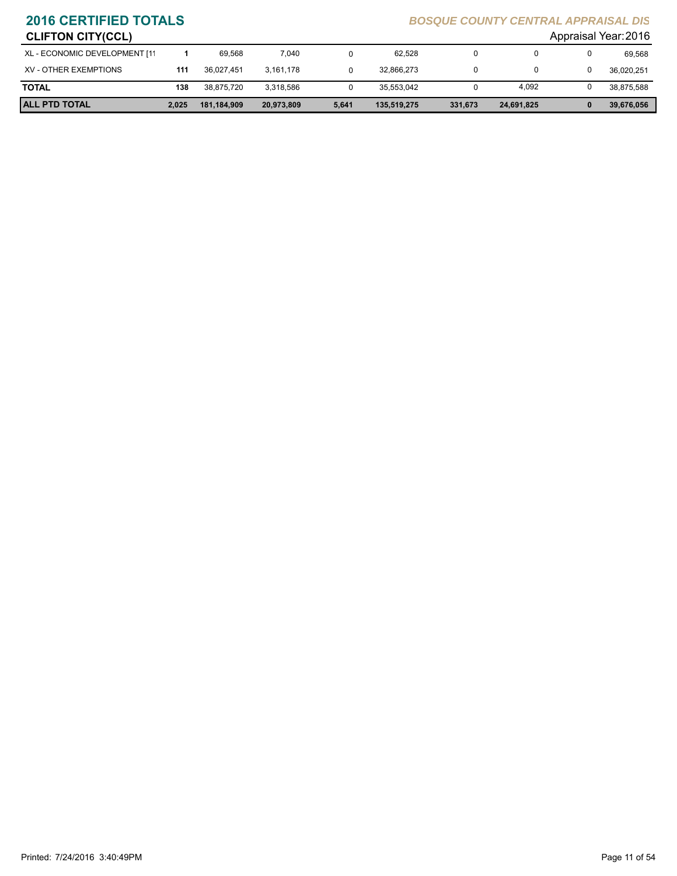| Appraisal Year: 2016<br><b>CLIFTON CITY(CCL)</b> |       |             |            |       |             |         |            |   |            |
|--------------------------------------------------|-------|-------------|------------|-------|-------------|---------|------------|---|------------|
| XL - ECONOMIC DEVELOPMENT [11                    |       | 69.568      | 7.040      |       | 62.528      |         | 0          | 0 | 69.568     |
| XV - OTHER EXEMPTIONS                            | 111   | 36.027.451  | 3.161.178  |       | 32,866,273  |         | 0          | 0 | 36,020,251 |
| <b>TOTAL</b>                                     | 138   | 38.875.720  | 3.318.586  | U     | 35,553,042  |         | 4,092      | 0 | 38,875,588 |
| <b>ALL PTD TOTAL</b>                             | 2.025 | 181,184,909 | 20,973,809 | 5,641 | 135.519.275 | 331,673 | 24,691,825 | 0 | 39,676,056 |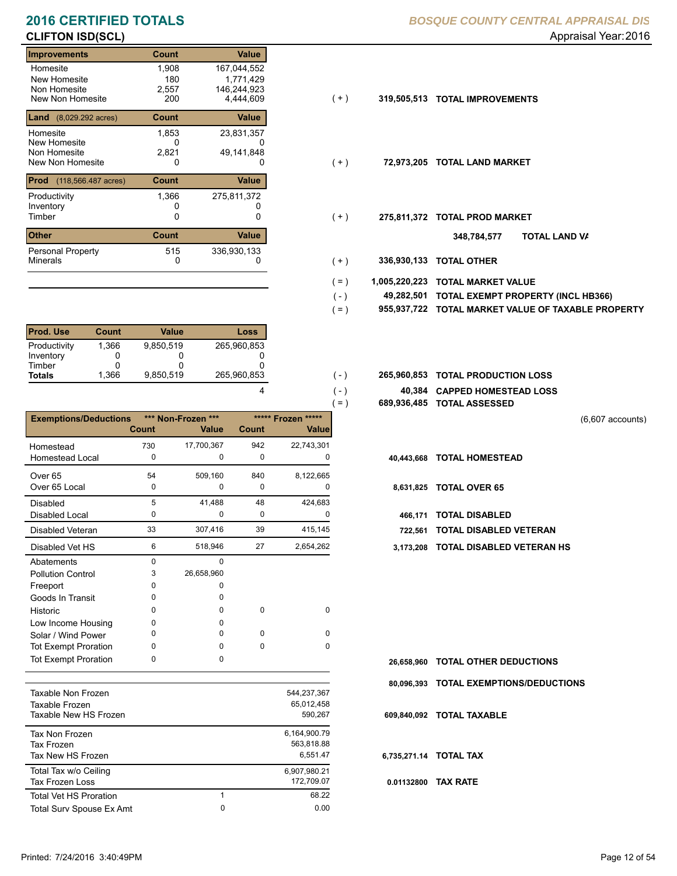# **CLIFTON ISD(SCL)** Appraisal Year: 2016

### **Improvements Count Value** Homesite New Homesite Non Homesite<br>New Non Homesite New Non Homesite **TOTAL IMPROVEMENTS** 200 4,444,609 **319,505,513** 1,908 167,044,552 180<br>2.557 0 2,557 146,244,923 **Land** (8,029.292 acres) **Count Value** Homesite New Homesite Non Homesite<br>New Non Homesite New Non Homesite **TOTAL LAND MARKET** 0 0 **72,973,205** 1,853 23,831,357 0 1,771,429 2,821 49,141,848 **Prod** (118,566.487 acres) **Count Value** Productivity 1,366 275,811,372 Inventory<br>Timber 0 0 0 Timber 0 **TOTAL PROD MARKET 275,811,372 Other Count** Count Value Minerals Personal Property 1,366 515 336,930,133

| <b>Prod. Use</b> | Count | Value     | Loss        |
|------------------|-------|-----------|-------------|
| Productivity     | 1,366 | 9.850.519 | 265.960.853 |
| Inventory        |       |           |             |
| Timber           |       |           |             |
| <b>Totals</b>    | 1.366 | 9,850,519 | 265,960,853 |

| ***** Frozen *****<br><b>Exemptions/Deductions</b><br>*** Non-Frozen ***<br><b>Value</b><br><b>Count</b><br><b>Count</b><br>Value<br>942<br>22,743,301<br>17,700,367<br>730<br>Homestead<br><b>Homestead Local</b><br>0<br>0<br>0<br><b>TOTAL HOMESTEAD</b><br>0<br>40,443,668<br>509,160<br>8,122,665<br>54<br>840<br>Over <sub>65</sub><br>Over 65 Local<br>$\mathbf 0$<br>0<br>0<br><b>TOTAL OVER 65</b><br>0<br>8,631,825<br>41,488<br>424,683<br>Disabled<br>5<br>48<br>0<br>0<br>Disabled Local<br>0<br><b>TOTAL DISABLED</b><br>0<br>466.171<br>33<br>307,416<br>39<br>Disabled Veteran<br>415,145<br>722,561<br>6<br>518,946<br>2,654,262<br>Disabled Vet HS<br>27<br>3,173,208<br>Abatements<br>$\Omega$<br>0<br>26,658,960<br>3<br><b>Pollution Control</b><br>0<br>Freeport<br>0<br>Goods In Transit<br>0<br>0<br>0<br>0<br>Historic<br>0<br>0<br>0<br>0<br>Low Income Housing<br>$\Omega$<br>$\Omega$<br>0<br>0<br>Solar / Wind Power<br><b>Tot Exempt Proration</b><br>$\Omega$<br>0<br>$\Omega$<br>0<br><b>Tot Exempt Proration</b><br>0<br>0<br>26,658,960<br>80.096.393 |  |  | $=$ ) | 689,936,485 TOTAL ASSESSED    |
|-----------------------------------------------------------------------------------------------------------------------------------------------------------------------------------------------------------------------------------------------------------------------------------------------------------------------------------------------------------------------------------------------------------------------------------------------------------------------------------------------------------------------------------------------------------------------------------------------------------------------------------------------------------------------------------------------------------------------------------------------------------------------------------------------------------------------------------------------------------------------------------------------------------------------------------------------------------------------------------------------------------------------------------------------------------------------------------------|--|--|-------|-------------------------------|
|                                                                                                                                                                                                                                                                                                                                                                                                                                                                                                                                                                                                                                                                                                                                                                                                                                                                                                                                                                                                                                                                                         |  |  |       |                               |
|                                                                                                                                                                                                                                                                                                                                                                                                                                                                                                                                                                                                                                                                                                                                                                                                                                                                                                                                                                                                                                                                                         |  |  |       |                               |
|                                                                                                                                                                                                                                                                                                                                                                                                                                                                                                                                                                                                                                                                                                                                                                                                                                                                                                                                                                                                                                                                                         |  |  |       |                               |
|                                                                                                                                                                                                                                                                                                                                                                                                                                                                                                                                                                                                                                                                                                                                                                                                                                                                                                                                                                                                                                                                                         |  |  |       |                               |
|                                                                                                                                                                                                                                                                                                                                                                                                                                                                                                                                                                                                                                                                                                                                                                                                                                                                                                                                                                                                                                                                                         |  |  |       |                               |
|                                                                                                                                                                                                                                                                                                                                                                                                                                                                                                                                                                                                                                                                                                                                                                                                                                                                                                                                                                                                                                                                                         |  |  |       |                               |
|                                                                                                                                                                                                                                                                                                                                                                                                                                                                                                                                                                                                                                                                                                                                                                                                                                                                                                                                                                                                                                                                                         |  |  |       |                               |
|                                                                                                                                                                                                                                                                                                                                                                                                                                                                                                                                                                                                                                                                                                                                                                                                                                                                                                                                                                                                                                                                                         |  |  |       |                               |
|                                                                                                                                                                                                                                                                                                                                                                                                                                                                                                                                                                                                                                                                                                                                                                                                                                                                                                                                                                                                                                                                                         |  |  |       | <b>TOTAL DISABLED VETERAN</b> |
|                                                                                                                                                                                                                                                                                                                                                                                                                                                                                                                                                                                                                                                                                                                                                                                                                                                                                                                                                                                                                                                                                         |  |  |       | <b>TOTAL DISABLED VETERAN</b> |
|                                                                                                                                                                                                                                                                                                                                                                                                                                                                                                                                                                                                                                                                                                                                                                                                                                                                                                                                                                                                                                                                                         |  |  |       |                               |
|                                                                                                                                                                                                                                                                                                                                                                                                                                                                                                                                                                                                                                                                                                                                                                                                                                                                                                                                                                                                                                                                                         |  |  |       |                               |
|                                                                                                                                                                                                                                                                                                                                                                                                                                                                                                                                                                                                                                                                                                                                                                                                                                                                                                                                                                                                                                                                                         |  |  |       |                               |
|                                                                                                                                                                                                                                                                                                                                                                                                                                                                                                                                                                                                                                                                                                                                                                                                                                                                                                                                                                                                                                                                                         |  |  |       |                               |
|                                                                                                                                                                                                                                                                                                                                                                                                                                                                                                                                                                                                                                                                                                                                                                                                                                                                                                                                                                                                                                                                                         |  |  |       |                               |
|                                                                                                                                                                                                                                                                                                                                                                                                                                                                                                                                                                                                                                                                                                                                                                                                                                                                                                                                                                                                                                                                                         |  |  |       |                               |
|                                                                                                                                                                                                                                                                                                                                                                                                                                                                                                                                                                                                                                                                                                                                                                                                                                                                                                                                                                                                                                                                                         |  |  |       |                               |
|                                                                                                                                                                                                                                                                                                                                                                                                                                                                                                                                                                                                                                                                                                                                                                                                                                                                                                                                                                                                                                                                                         |  |  |       |                               |
|                                                                                                                                                                                                                                                                                                                                                                                                                                                                                                                                                                                                                                                                                                                                                                                                                                                                                                                                                                                                                                                                                         |  |  |       | <b>TOTAL OTHER DEDUCTIONS</b> |
| 544 237 367<br>Tovoblo Non Erozon                                                                                                                                                                                                                                                                                                                                                                                                                                                                                                                                                                                                                                                                                                                                                                                                                                                                                                                                                                                                                                                       |  |  |       | <b>TOTAL EXEMPTIONS/DEDUC</b> |

| Taxable Non Frozen<br>Taxable Frozen<br>Taxable New HS Frozen |   | 544,237,367<br>65,012,458<br>590,267   |
|---------------------------------------------------------------|---|----------------------------------------|
| Tax Non Frozen<br>Tax Frozen<br>Tax New HS Frozen             |   | 6,164,900.79<br>563,818.88<br>6.551.47 |
| Total Tax w/o Ceiling<br>Tax Frozen Loss                      |   | 6,907,980.21<br>172,709.07             |
| Total Vet HS Proration                                        | 1 | 68.22                                  |
| Total Surv Spouse Ex Amt                                      | 0 | 0.00                                   |

- $(+)$
- $(+)$
- $(+)$ 
	- **TOTAL LAND VA 348,784,577**
- 0 0 **336,930,133 TOTAL OTHER**  $(+)$

 $( - )$  $( - )$ 

4

- **1,005,220,223 TOTAL MARKET VALUE**  $( = )$
- **TOTAL EXEMPT PROPERTY (INCL HB366) 49,282,501**  $( - )$
- **955,937,722 TOTAL MARKET VALUE OF TAXABLE PROPERTY**  $( = )$
- **TOTAL PRODUCTION LOSS** 265,960,853 **265,960,853**
	- **40,384 CAPPED HOMESTEAD LOSS**
	- **689,936,485 TOTAL ASSESSED**

(6,607 accounts)

- 
- -
- 
- 6 27 518,946 2,654,262 **3,173,208 TOTAL DISABLED VETERAN HS**

- **TOTAL OTHER DEDUCTIONS 26,658,960**
- **80,096,393 TOTAL EXEMPTIONS/DEDUCTIONS**

**609,840,092 TOTAL TAXABLE**

### **6,735,271.14 TOTAL TAX**

**0.01132800 TAX RATE**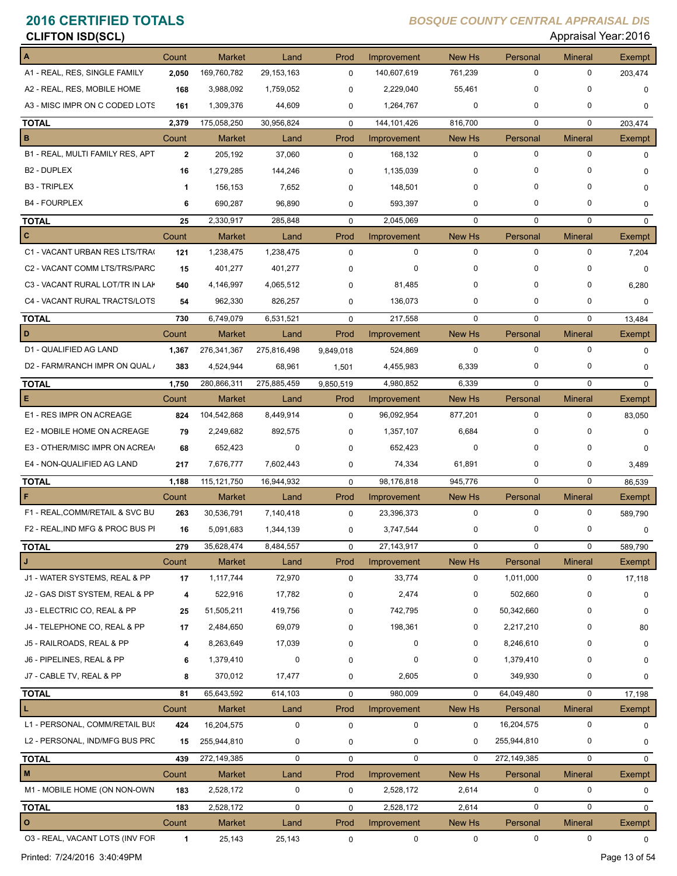| <b>CLIFTON ISD(SCL)</b>          |              |               |              |             |               |               |             | Appraisal Year: 2016 |                  |
|----------------------------------|--------------|---------------|--------------|-------------|---------------|---------------|-------------|----------------------|------------------|
|                                  | Count        | <b>Market</b> | Land         | Prod        | Improvement   | <b>New Hs</b> | Personal    | <b>Mineral</b>       | Exempt           |
| A1 - REAL, RES, SINGLE FAMILY    | 2,050        | 169,760,782   | 29, 153, 163 | $\mathbf 0$ | 140,607,619   | 761,239       | 0           | 0                    | 203,474          |
| A2 - REAL, RES, MOBILE HOME      | 168          | 3,988,092     | 1,759,052    | $\mathbf 0$ | 2,229,040     | 55,461        | 0           | $\Omega$             | $\mathbf 0$      |
| A3 - MISC IMPR ON C CODED LOTS   | 161          | 1,309,376     | 44,609       | 0           | 1,264,767     | 0             | 0           | 0                    | $\mathbf 0$      |
| <b>TOTAL</b>                     | 2,379        | 175,058,250   | 30,956,824   | $\mathbf 0$ | 144, 101, 426 | 816,700       | $\mathbf 0$ | 0                    | 203,474          |
| в                                | Count        | <b>Market</b> | Land         | Prod        | Improvement   | New Hs        | Personal    | <b>Mineral</b>       | <b>Exempt</b>    |
| B1 - REAL, MULTI FAMILY RES, APT | $\mathbf{2}$ | 205,192       | 37,060       | 0           | 168,132       | 0             | $\mathbf 0$ | $\mathbf 0$          | $\mathbf 0$      |
| B <sub>2</sub> - DUPLEX          | 16           | 1,279,285     | 144,246      | 0           | 1,135,039     | 0             | 0           | O                    | 0                |
| <b>B3 - TRIPLEX</b>              | 1            | 156,153       | 7,652        | $\Omega$    | 148,501       | $\Omega$      | 0           | $\Omega$             | $\Omega$         |
| <b>B4 - FOURPLEX</b>             | 6            | 690,287       | 96,890       | 0           | 593,397       | $\mathbf 0$   | 0           | 0                    | $\mathbf 0$      |
| <b>TOTAL</b>                     | 25           | 2,330,917     | 285,848      | $\mathbf 0$ | 2,045,069     | $\mathbf 0$   | 0           | 0                    | $\mathbf 0$      |
| C                                | Count        | <b>Market</b> | Land         | Prod        | Improvement   | New Hs        | Personal    | <b>Mineral</b>       | <b>Exempt</b>    |
| C1 - VACANT URBAN RES LTS/TRA(   | 121          | 1,238,475     | 1,238,475    | $\mathbf 0$ | 0             | 0             | 0           | 0                    | 7,204            |
| C2 - VACANT COMM LTS/TRS/PARC    | 15           | 401,277       | 401,277      | $\Omega$    | 0             | 0             | 0           | 0                    | 0                |
| C3 - VACANT RURAL LOT/TR IN LAK  | 540          | 4,146,997     | 4,065,512    | 0           | 81,485        | 0             | 0           | 0                    | 6,280            |
| C4 - VACANT RURAL TRACTS/LOTS    | 54           | 962,330       | 826,257      | 0           | 136,073       | $\mathbf 0$   | 0           | 0                    | $\mathbf 0$      |
|                                  |              | 6,749,079     | 6,531,521    | $\mathbf 0$ | 217,558       | $\mathbf 0$   | $\mathbf 0$ | $\mathbf 0$          |                  |
| <b>TOTAL</b><br>D                | 730<br>Count | <b>Market</b> | Land         | Prod        | Improvement   | New Hs        | Personal    | <b>Mineral</b>       | 13,484<br>Exempt |
| D1 - QUALIFIED AG LAND           | 1,367        | 276,341,367   | 275,816,498  | 9,849,018   | 524,869       | $\mathbf 0$   | $\pmb{0}$   | 0                    | 0                |
| D2 - FARM/RANCH IMPR ON QUAL /   |              |               |              |             |               |               | 0           | 0                    |                  |
|                                  | 383          | 4,524,944     | 68,961       | 1,501       | 4,455,983     | 6,339         |             |                      | $\mathbf 0$      |
| <b>TOTAL</b>                     | 1,750        | 280,866,311   | 275,885,459  | 9,850,519   | 4,980,852     | 6,339         | $\Omega$    | 0                    | $\Omega$         |
| Е                                | Count        | <b>Market</b> | Land         | Prod        | Improvement   | New Hs        | Personal    | <b>Mineral</b>       | Exempt           |
| E1 - RES IMPR ON ACREAGE         | 824          | 104,542,868   | 8,449,914    | $\mathbf 0$ | 96,092,954    | 877,201       | $\mathbf 0$ | 0                    | 83,050           |
| E2 - MOBILE HOME ON ACREAGE      | 79           | 2,249,682     | 892,575      | 0           | 1,357,107     | 6,684         | 0           | 0                    | $\mathbf 0$      |
| E3 - OTHER/MISC IMPR ON ACREA    | 68           | 652,423       | 0            | 0           | 652,423       | 0             | 0           | 0                    | $\mathbf 0$      |
| E4 - NON-QUALIFIED AG LAND       | 217          | 7,676,777     | 7,602,443    | $\mathbf 0$ | 74,334        | 61,891        | 0           | 0                    | 3,489            |
| <b>TOTAL</b>                     | 1,188        | 115, 121, 750 | 16,944,932   | $\mathbf 0$ | 98,176,818    | 945,776       | $\mathbf 0$ | 0                    | 86,539           |
| F                                | Count        | <b>Market</b> | Land         | Prod        | Improvement   | New Hs        | Personal    | <b>Mineral</b>       | Exempt           |
| F1 - REAL, COMM/RETAIL & SVC BU  | 263          | 30,536,791    | 7,140,418    | $\mathbf 0$ | 23,396,373    | 0             | $\mathbf 0$ | 0                    | 589,790          |
| F2 - REAL, IND MFG & PROC BUS PI | 16           | 5,091,683     | 1,344,139    | 0           | 3,747,544     |               | 0           |                      | U                |
| <b>TOTAL</b>                     | 279          | 35,628,474    | 8,484,557    | $\mathbf 0$ | 27, 143, 917  | $\mathbf 0$   | 0           | 0                    | 589,790          |
| J                                | Count        | <b>Market</b> | Land         | Prod        | Improvement   | New Hs        | Personal    | <b>Mineral</b>       | Exempt           |
| J1 - WATER SYSTEMS, REAL & PP    | 17           | 1,117,744     | 72,970       | 0           | 33,774        | 0             | 1,011,000   | 0                    | 17,118           |
| J2 - GAS DIST SYSTEM, REAL & PP  | 4            | 522,916       | 17,782       | 0           | 2,474         | 0             | 502,660     | 0                    | 0                |
| J3 - ELECTRIC CO, REAL & PP      | 25           | 51,505,211    | 419,756      | 0           | 742,795       | 0             | 50,342,660  | 0                    | 0                |
| J4 - TELEPHONE CO, REAL & PP     | 17           | 2,484,650     | 69,079       | $\Omega$    | 198,361       | 0             | 2,217,210   | 0                    | 80               |
| J5 - RAILROADS, REAL & PP        | 4            | 8,263,649     | 17,039       | 0           | 0             | 0             | 8,246,610   | 0                    | 0                |
| J6 - PIPELINES, REAL & PP        | 6            | 1,379,410     | 0            | $\Omega$    | 0             | 0             | 1,379,410   | 0                    | 0                |
| J7 - CABLE TV, REAL & PP         | 8            | 370,012       | 17,477       | 0           | 2,605         | 0             | 349,930     | 0                    | 0                |
| <b>TOTAL</b>                     | 81           | 65,643,592    | 614,103      | $\pmb{0}$   | 980,009       | $\mathbf 0$   | 64,049,480  | 0                    | 17,198           |
| L                                | Count        | <b>Market</b> | Land         | Prod        | Improvement   | New Hs        | Personal    | <b>Mineral</b>       | Exempt           |
| L1 - PERSONAL, COMM/RETAIL BUS   | 424          | 16,204,575    | 0            | $\mathbf 0$ | 0             | 0             | 16,204,575  | 0                    | 0                |
| L2 - PERSONAL, IND/MFG BUS PRC   | 15           | 255,944,810   | 0            | 0           | 0             | 0             | 255,944,810 | 0                    | 0                |
| <b>TOTAL</b>                     | 439          | 272,149,385   | 0            | $\mathbf 0$ | $\mathbf 0$   | $\Omega$      | 272,149,385 | 0                    | $\mathbf 0$      |
| M                                | Count        | Market        | Land         | Prod        | Improvement   | New Hs        | Personal    | <b>Mineral</b>       | Exempt           |
| M1 - MOBILE HOME (ON NON-OWN     | 183          | 2,528,172     | 0            | $\mathbf 0$ | 2,528,172     | 2,614         | 0           | 0                    | $\mathbf 0$      |
| <b>TOTAL</b>                     | 183          | 2,528,172     | $\pmb{0}$    | $\mathbf 0$ | 2,528,172     | 2,614         | $\mathbf 0$ | 0                    | $\mathbf 0$      |
| $\circ$                          | Count        | Market        | Land         | Prod        | Improvement   | New Hs        | Personal    | <b>Mineral</b>       | <b>Exempt</b>    |
| 03 - REAL, VACANT LOTS (INV FOR  | $\mathbf{1}$ | 25,143        | 25,143       | $\mathbf 0$ | 0             | 0             | $\pmb{0}$   | 0                    | $\mathbf 0$      |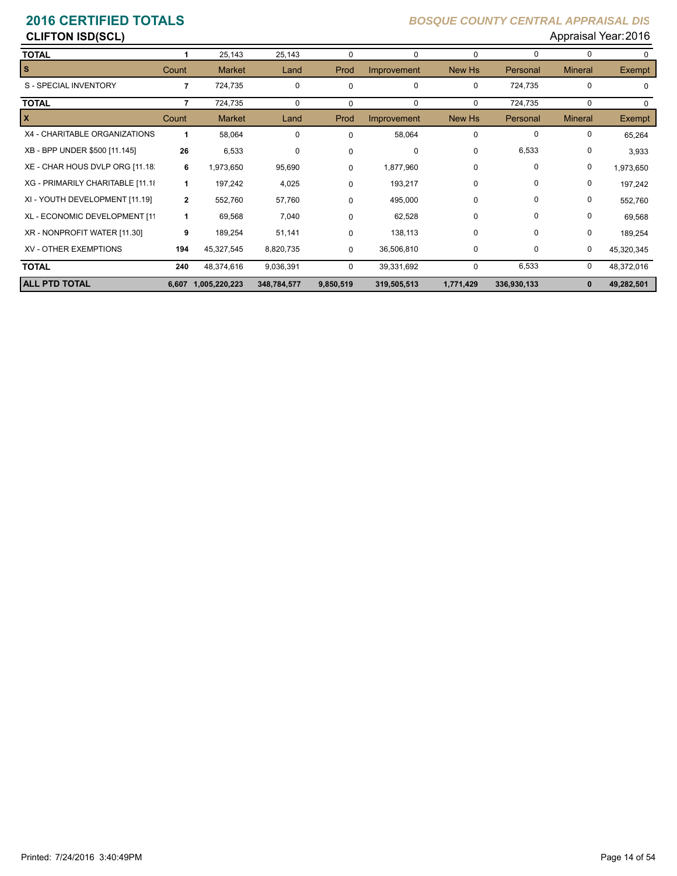### **CLIFTON ISD(SCL)** Appraisal Year: 2016

| <b>TOTAL</b>                      |                | 25,143        | 25,143      | $\Omega$    | 0           | $\Omega$  | 0           | 0              | 0             |
|-----------------------------------|----------------|---------------|-------------|-------------|-------------|-----------|-------------|----------------|---------------|
| s                                 | Count          | <b>Market</b> | Land        | Prod        | Improvement | New Hs    | Personal    | <b>Mineral</b> | <b>Exempt</b> |
| S - SPECIAL INVENTORY             | $\overline{7}$ | 724,735       | 0           | $\Omega$    | 0           | 0         | 724,735     | 0              | $\Omega$      |
| <b>TOTAL</b>                      | 7              | 724,735       | 0           | $\Omega$    | 0           | $\Omega$  | 724,735     | 0              | $\Omega$      |
| x                                 | Count          | <b>Market</b> | Land        | Prod        | Improvement | New Hs    | Personal    | <b>Mineral</b> | <b>Exempt</b> |
| X4 - CHARITABLE ORGANIZATIONS     | 1              | 58,064        | 0           | $\Omega$    | 58,064      | $\Omega$  | $\Omega$    | 0              | 65,264        |
| XB - BPP UNDER \$500 [11.145]     | 26             | 6,533         | 0           | $\Omega$    | 0           | 0         | 6,533       | 0              | 3,933         |
| XE - CHAR HOUS DVLP ORG [11.18.   | 6              | 1,973,650     | 95,690      | $\Omega$    | 1,877,960   | 0         | $\Omega$    | 0              | 1,973,650     |
| XG - PRIMARILY CHARITABLE [11.18] | $\mathbf{1}$   | 197,242       | 4,025       | $\mathbf 0$ | 193,217     | 0         | 0           | 0              | 197,242       |
| XI - YOUTH DEVELOPMENT [11.19]    | $\mathbf{2}$   | 552,760       | 57,760      | $\Omega$    | 495,000     | 0         | $\Omega$    | 0              | 552,760       |
| XL - ECONOMIC DEVELOPMENT [11     | 1              | 69,568        | 7,040       | $\Omega$    | 62,528      | 0         | $\Omega$    | 0              | 69,568        |
| XR - NONPROFIT WATER [11.30]      | 9              | 189,254       | 51,141      | 0           | 138,113     | $\Omega$  | $\Omega$    | 0              | 189,254       |
| <b>XV - OTHER EXEMPTIONS</b>      | 194            | 45,327,545    | 8,820,735   | 0           | 36,506,810  | 0         | 0           | 0              | 45,320,345    |
| <b>TOTAL</b>                      | 240            | 48,374,616    | 9,036,391   | $\Omega$    | 39,331,692  | $\Omega$  | 6,533       | 0              | 48,372,016    |
| <b>ALL PTD TOTAL</b>              | 6.607          | 1,005,220,223 | 348,784,577 | 9,850,519   | 319,505,513 | 1,771,429 | 336,930,133 | 0              | 49,282,501    |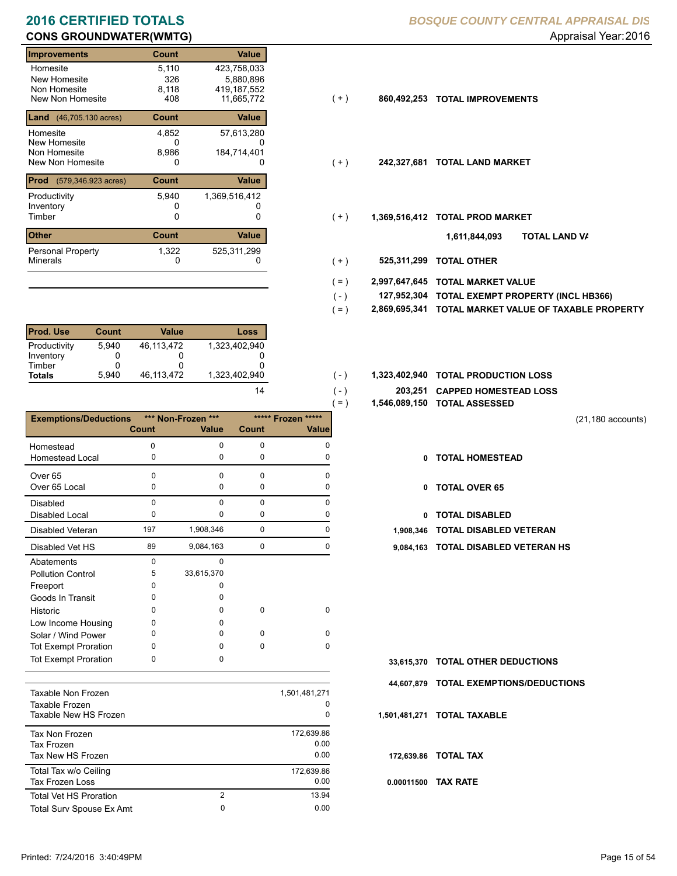# **CONS GROUNDWATER(WMTG) CONS GROUNDWATER(WMTG) Appraisal Year: 2016**

| <b>Improvements</b>                           | Count        | Value         |       |               |                           |
|-----------------------------------------------|--------------|---------------|-------|---------------|---------------------------|
| Homesite                                      | 5,110        | 423,758,033   |       |               |                           |
| New Homesite                                  | 326          | 5,880,896     |       |               |                           |
| Non Homesite                                  | 8,118        | 419, 187, 552 |       |               |                           |
| New Non Homesite                              | 408          | 11,665,772    | ( + ) | 860,492,253   | <b>TOTAL IMPROVEMENTS</b> |
| <b>Land</b> $(46, 705.130 \text{ acres})$     | <b>Count</b> | Value         |       |               |                           |
| Homesite                                      | 4,852        | 57,613,280    |       |               |                           |
| New Homesite                                  | 0            |               |       |               |                           |
| Non Homesite                                  | 8,986        | 184,714,401   |       |               |                           |
| New Non Homesite                              | 0            | 0             | (+)   | 242,327,681   | <b>TOTAL LAND MARKET</b>  |
| <b>Prod</b><br>$(579, 346.923 \text{ acres})$ | <b>Count</b> | Value         |       |               |                           |
| Productivity                                  | 5,940        | 1,369,516,412 |       |               |                           |
| Inventory                                     |              |               |       |               |                           |
| Timber                                        | 0            | 0             | $(+)$ | 1,369,516,412 | <b>TOTAL PROD MARKET</b>  |
| <b>Other</b>                                  | <b>Count</b> | Value         |       |               | 1,611,844,093             |
| Personal Property                             | 1,322        | 525,311,299   |       |               |                           |
| <b>Minerals</b>                               | 0            | 0             | $(+)$ | 525,311,299   | <b>TOTAL OTHER</b>        |

| <b>Prod. Use</b> | <b>Count</b> | Value      | Loss          |
|------------------|--------------|------------|---------------|
| Productivity     | 5.940        | 46.113.472 | 1.323.402.940 |
| Inventory        |              |            |               |
| Timber           |              |            |               |
| <b>Totals</b>    | 5.940        | 46,113,472 | 1,323,402,940 |

|                              |              |                    |             | $=$ )              |            | 1,546,089,150 TOTAL ASSESSED             |
|------------------------------|--------------|--------------------|-------------|--------------------|------------|------------------------------------------|
| <b>Exemptions/Deductions</b> |              | *** Non-Frozen *** |             | ***** Frozen ***** |            |                                          |
|                              | <b>Count</b> | <b>Value</b>       | Count       | <b>Value</b>       |            |                                          |
| Homestead                    | $\Omega$     | $\Omega$           | 0           | 0                  |            |                                          |
| Homestead Local              | 0            | 0                  | 0           | 0                  | 0          | <b>TOTAL HOMESTEAD</b>                   |
| Over <sub>65</sub>           | 0            | $\Omega$           | $\Omega$    | U                  |            |                                          |
| Over 65 Local                | 0            | 0                  | 0           |                    | 0          | <b>TOTAL OVER 65</b>                     |
| <b>Disabled</b>              | $\mathbf 0$  | $\Omega$           | $\Omega$    | $\Omega$           |            |                                          |
| <b>Disabled Local</b>        | 0            | 0                  | 0           | 0                  | 0          | <b>TOTAL DISABLED</b>                    |
| <b>Disabled Veteran</b>      | 197          | 1,908,346          | $\mathbf 0$ | 0                  | 1,908,346  | <b>TOTAL DISABLED VETERAN</b>            |
| Disabled Vet HS              | 89           | 9,084,163          | 0           | <sup>0</sup>       | 9,084,163  | <b>TOTAL DISABLED VETERAN</b>            |
| Abatements                   | $\Omega$     | $\Omega$           |             |                    |            |                                          |
| <b>Pollution Control</b>     | 5            | 33,615,370         |             |                    |            |                                          |
| Freeport                     | 0            | 0                  |             |                    |            |                                          |
| Goods In Transit             | 0            | 0                  |             |                    |            |                                          |
| Historic                     | 0            | <sup>0</sup>       | 0           | 0                  |            |                                          |
| Low Income Housing           | 0            | 0                  |             |                    |            |                                          |
| Solar / Wind Power           | 0            | 0                  | 0           | $\Omega$           |            |                                          |
| <b>Tot Exempt Proration</b>  | 0            | <sup>0</sup>       | $\Omega$    | $\Omega$           |            |                                          |
| <b>Tot Exempt Proration</b>  | 0            | 0                  |             |                    | 33,615,370 | <b>TOTAL OTHER DEDUCTIONS</b>            |
|                              |              |                    |             |                    |            | <b>44 607 879 TOTAL EVEMBTIONS/DEDUC</b> |

| Taxable Non Frozen<br>Taxable Frozen<br>Taxable New HS Frozen |                | 1,501,481,271<br>0<br>0    |
|---------------------------------------------------------------|----------------|----------------------------|
| Tax Non Frozen<br>Tax Frozen<br>Tax New HS Frozen             |                | 172,639.86<br>0.00<br>0.00 |
| Total Tax w/o Ceiling<br><b>Tax Frozen Loss</b>               |                | 172.639.86<br>0.00         |
| <b>Total Vet HS Proration</b>                                 | $\overline{2}$ | 13.94                      |
| Total Surv Spouse Ex Amt                                      | 0              | 0.00                       |

- $(+)$
- $(+)$
- $(+)$ 
	- **TOTAL LAND VA 1,611,844,093**
- 0 0 **525,311,299 TOTAL OTHER**  $(+)$

 $( - )$  $( - )$ 

14

- **2,997,647,645 TOTAL MARKET VALUE**  $( = )$
- **TOTAL EXEMPT PROPERTY (INCL HB366) 127,952,304**  $( - )$
- **2,869,695,341 TOTAL MARKET VALUE OF TAXABLE PROPERTY**  $( = )$
- 1,323,402,940 **1,323,402,940 <b>10TAL PRODUCTION LOSS** 
	- **203,251 CAPPED HOMESTEAD LOSS**
	- **1,546,089,150 TOTAL ASSESSED**
- (21,180 accounts)
- **TOTAL HOMESTEAD**
- 0 TOTAL OVER 65
- 0 TOTAL DISABLED
- 
- 89 0 9,084,163 0 **9,084,163 TOTAL DISABLED VETERAN HS**

- **TOTAL OTHER DEDUCTIONS 33,615,370**
- **44,607,879 TOTAL EXEMPTIONS/DEDUCTIONS**
- **1,501,481,271 TOTAL TAXABLE**
	- **172,639.86 TOTAL TAX**
- **0.00011500 TAX RATE**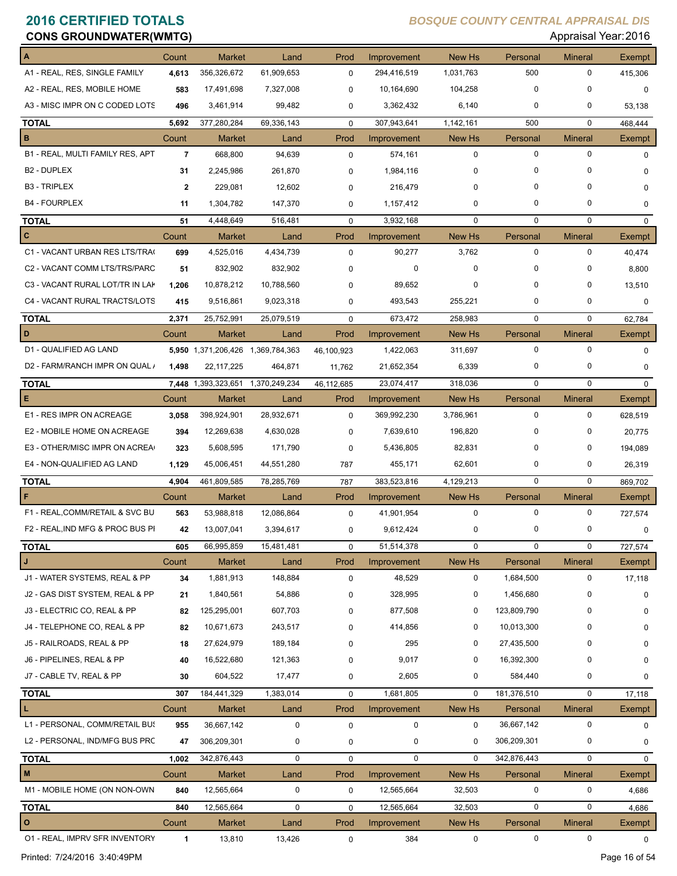| <b>CONS GROUNDWATER(WMTG)</b>    |                |                                   |               |             |             |             |             |                | Appraisal Year: 2016 |
|----------------------------------|----------------|-----------------------------------|---------------|-------------|-------------|-------------|-------------|----------------|----------------------|
|                                  | Count          | <b>Market</b>                     | Land          | Prod        | Improvement | New Hs      | Personal    | <b>Mineral</b> | Exempt               |
| A1 - REAL, RES, SINGLE FAMILY    | 4,613          | 356,326,672                       | 61,909,653    | $\mathbf 0$ | 294,416,519 | 1,031,763   | 500         | 0              | 415,306              |
| A2 - REAL, RES, MOBILE HOME      | 583            | 17,491,698                        | 7,327,008     | 0           | 10,164,690  | 104,258     | $\mathbf 0$ | 0              | 0                    |
| A3 - MISC IMPR ON C CODED LOTS   | 496            | 3,461,914                         | 99,482        | 0           | 3,362,432   | 6,140       | 0           | 0              | 53,138               |
| <b>TOTAL</b>                     | 5,692          | 377,280,284                       | 69,336,143    | $\mathbf 0$ | 307,943,641 | 1,142,161   | 500         | $\mathbf 0$    | 468,444              |
| В                                | Count          | <b>Market</b>                     | Land          | Prod        | Improvement | New Hs      | Personal    | <b>Mineral</b> | Exempt               |
| B1 - REAL, MULTI FAMILY RES, APT | $\overline{7}$ | 668,800                           | 94,639        | 0           | 574,161     | $\mathbf 0$ | $\pmb{0}$   | 0              | $\Omega$             |
| <b>B2 - DUPLEX</b>               | 31             | 2,245,986                         | 261,870       | 0           | 1,984,116   | 0           | 0           | 0              | 0                    |
| <b>B3 - TRIPLEX</b>              | $\mathbf{2}$   | 229,081                           | 12,602        | $\Omega$    | 216,479     | 0           | $\Omega$    | 0              | 0                    |
| <b>B4 - FOURPLEX</b>             | 11             | 1,304,782                         | 147,370       | 0           | 1,157,412   | 0           | 0           | 0              | 0                    |
| <b>TOTAL</b>                     | 51             | 4,448,649                         | 516,481       | $\mathbf 0$ | 3,932,168   | 0           | $\mathbf 0$ | 0              | 0                    |
| C                                | Count          | <b>Market</b>                     | Land          | Prod        | Improvement | New Hs      | Personal    | <b>Mineral</b> | Exempt               |
| C1 - VACANT URBAN RES LTS/TRA(   | 699            | 4,525,016                         | 4,434,739     | $\mathbf 0$ | 90,277      | 3,762       | $\mathbf 0$ | 0              | 40,474               |
| C2 - VACANT COMM LTS/TRS/PARC    | 51             | 832,902                           | 832,902       | 0           | 0           | 0           | $\Omega$    | 0              | 8,800                |
| C3 - VACANT RURAL LOT/TR IN LAK  | 1,206          | 10,878,212                        | 10,788,560    | 0           | 89,652      | 0           | 0           | 0              | 13,510               |
| C4 - VACANT RURAL TRACTS/LOTS    | 415            | 9,516,861                         | 9,023,318     | 0           | 493,543     | 255,221     | 0           | 0              | 0                    |
| <b>TOTAL</b>                     | 2,371          | 25,752,991                        | 25,079,519    | $\mathbf 0$ | 673,472     | 258,983     | $\mathbf 0$ | $\mathbf 0$    | 62,784               |
| D                                | Count          | <b>Market</b>                     | Land          | Prod        | Improvement | New Hs      | Personal    | <b>Mineral</b> | Exempt               |
| D1 - QUALIFIED AG LAND           |                | 5,950 1,371,206,426 1,369,784,363 |               | 46,100,923  | 1,422,063   | 311,697     | $\pmb{0}$   | 0              | $\mathbf 0$          |
| D2 - FARM/RANCH IMPR ON QUAL /   | 1,498          | 22, 117, 225                      | 464,871       | 11,762      | 21,652,354  | 6,339       | 0           | 0              | $\mathbf 0$          |
| <b>TOTAL</b>                     |                | 7,448 1,393,323,651               | 1,370,249,234 | 46,112,685  | 23,074,417  | 318,036     | $\mathbf 0$ | 0              | $\Omega$             |
| Е                                | Count          | <b>Market</b>                     | Land          | Prod        | Improvement | New Hs      | Personal    | <b>Mineral</b> | Exempt               |
| E1 - RES IMPR ON ACREAGE         | 3,058          | 398,924,901                       | 28,932,671    | $\mathbf 0$ | 369,992,230 | 3,786,961   | $\mathbf 0$ | 0              | 628,519              |
| E2 - MOBILE HOME ON ACREAGE      | 394            | 12,269,638                        | 4,630,028     | 0           | 7,639,610   | 196,820     | $\mathbf 0$ | 0              | 20,775               |
| E3 - OTHER/MISC IMPR ON ACREA    | 323            | 5,608,595                         | 171,790       | 0           | 5,436,805   | 82,831      | 0           | 0              | 194,089              |
| E4 - NON-QUALIFIED AG LAND       | 1,129          | 45,006,451                        | 44,551,280    | 787         | 455,171     | 62,601      | 0           | 0              | 26,319               |
| <b>TOTAL</b>                     | 4,904          | 461,809,585                       | 78,285,769    | 787         | 383,523,816 | 4,129,213   | $\mathbf 0$ | $\mathbf 0$    | 869,702              |
| F                                | Count          | <b>Market</b>                     | Land          | Prod        | Improvement | New Hs      | Personal    | <b>Mineral</b> | Exempt               |
| F1 - REAL, COMM/RETAIL & SVC BU  | 563            | 53,988,818                        | 12,086,864    | 0           | 41,901,954  | $\mathbf 0$ | $\mathbf 0$ | 0              | 727,574              |
| F2 - REAL, IND MFG & PROC BUS PI | 42             | 13,007,041                        | 3,394,617     | 0           | 9,612,424   | 0           |             | 0              | 0                    |
| <b>TOTAL</b>                     | 605            | 66,995,859                        | 15,481,481    | 0           | 51,514,378  | $\mathbf 0$ | $\mathbf 0$ | 0              | 727,574              |
| J                                | Count          | Market                            | Land          | Prod        | Improvement | New Hs      | Personal    | <b>Mineral</b> | Exempt               |
| J1 - WATER SYSTEMS, REAL & PP    | 34             | 1,881,913                         | 148,884       | $\mathbf 0$ | 48,529      | 0           | 1,684,500   | 0              | 17,118               |
| J2 - GAS DIST SYSTEM, REAL & PP  | 21             | 1,840,561                         | 54,886        | 0           | 328,995     | 0           | 1,456,680   | 0              | $\mathbf 0$          |
| J3 - ELECTRIC CO, REAL & PP      | 82             | 125,295,001                       | 607,703       | 0           | 877,508     | 0           | 123,809,790 | 0              | $\mathbf 0$          |
| J4 - TELEPHONE CO, REAL & PP     | 82             | 10,671,673                        | 243,517       | 0           | 414,856     | 0           | 10,013,300  | 0              | 0                    |
| J5 - RAILROADS, REAL & PP        | 18             | 27,624,979                        | 189,184       | 0           | 295         | 0           | 27,435,500  | 0              | 0                    |
| J6 - PIPELINES, REAL & PP        | 40             | 16,522,680                        | 121,363       | 0           | 9,017       | 0           | 16,392,300  | 0              | 0                    |
| J7 - CABLE TV, REAL & PP         | 30             | 604,522                           | 17,477        | 0           | 2,605       | 0           | 584,440     | 0              | 0                    |
| <b>TOTAL</b>                     | 307            | 184,441,329                       | 1,383,014     | $\mathbf 0$ | 1,681,805   | $\mathbf 0$ | 181,376,510 | 0              | 17,118               |
| L                                | Count          | <b>Market</b>                     | Land          | Prod        | Improvement | New Hs      | Personal    | <b>Mineral</b> | Exempt               |
| L1 - PERSONAL, COMM/RETAIL BUS   | 955            | 36,667,142                        | $\mathbf 0$   | $\pmb{0}$   | $\mathbf 0$ | 0           | 36,667,142  | 0              | 0                    |
| L2 - PERSONAL, IND/MFG BUS PRC   | 47             | 306,209,301                       | 0             | 0           | 0           | 0           | 306,209,301 | 0              | 0                    |
| <b>TOTAL</b>                     | 1,002          | 342,876,443                       | 0             | $\mathbf 0$ | $\mathbf 0$ | 0           | 342,876,443 | 0              | $\mathbf 0$          |
| M                                | Count          | Market                            | Land          | Prod        | Improvement | New Hs      | Personal    | <b>Mineral</b> | Exempt               |
| M1 - MOBILE HOME (ON NON-OWN     | 840            | 12,565,664                        | 0             | 0           | 12,565,664  | 32,503      | 0           | 0              | 4,686                |
| <b>TOTAL</b>                     | 840            | 12,565,664                        | 0             | $\mathbf 0$ | 12,565,664  | 32,503      | $\mathbf 0$ | 0              | 4,686                |
| O                                | Count          | Market                            | Land          | Prod        | Improvement | New Hs      | Personal    | Mineral        | Exempt               |
| 01 - REAL, IMPRV SFR INVENTORY   | 1              | 13,810                            | 13,426        | 0           | 384         | 0           | 0           | 0              | 0                    |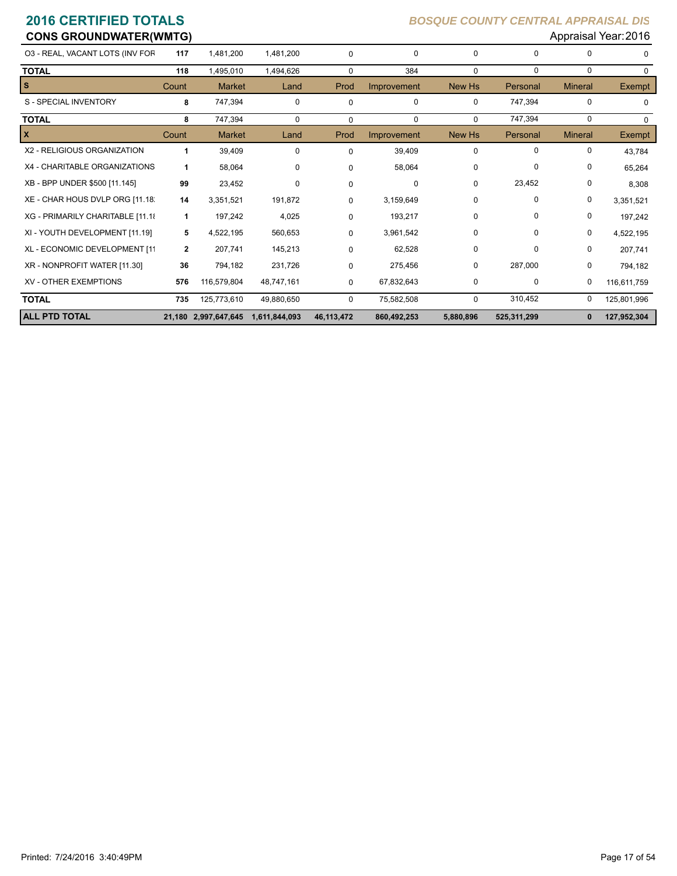| <b>CONS GROUNDWATER(WMTG)</b>    |              |                      |               |            |             |             |             |                | Appraisal Year: 2016 |
|----------------------------------|--------------|----------------------|---------------|------------|-------------|-------------|-------------|----------------|----------------------|
| 03 - REAL, VACANT LOTS (INV FOR  | 117          | 1,481,200            | 1.481.200     | 0          | 0           | 0           | 0           | <sup>0</sup>   | $\Omega$             |
| <b>TOTAL</b>                     | 118          | 1,495,010            | 1,494,626     | $\Omega$   | 384         | $\mathbf 0$ | $\mathbf 0$ | $\mathbf 0$    | $\Omega$             |
| $\vert s$                        | Count        | <b>Market</b>        | Land          | Prod       | Improvement | New Hs      | Personal    | <b>Mineral</b> | <b>Exempt</b>        |
| S - SPECIAL INVENTORY            | 8            | 747,394              | 0             | 0          | 0           | 0           | 747,394     | $\Omega$       | $\Omega$             |
| <b>TOTAL</b>                     | 8            | 747,394              | 0             | 0          | $\mathbf 0$ | 0           | 747,394     | 0              | $\Omega$             |
| $\mathbf{x}$                     | Count        | <b>Market</b>        | Land          | Prod       | Improvement | New Hs      | Personal    | <b>Mineral</b> | <b>Exempt</b>        |
| X2 - RELIGIOUS ORGANIZATION      | 1            | 39,409               | 0             | $\Omega$   | 39,409      | 0           | $\Omega$    | 0              | 43,784               |
| X4 - CHARITABLE ORGANIZATIONS    | 1            | 58,064               | 0             | $\Omega$   | 58,064      | 0           | 0           | 0              | 65,264               |
| XB - BPP UNDER \$500 [11.145]    | 99           | 23,452               | 0             | $\Omega$   | 0           | 0           | 23,452      | 0              | 8,308                |
| XE - CHAR HOUS DVLP ORG [11.18]  | 14           | 3,351,521            | 191,872       | 0          | 3,159,649   | 0           | 0           | 0              | 3,351,521            |
| XG - PRIMARILY CHARITABLE [11.18 | 1            | 197,242              | 4,025         | 0          | 193,217     | 0           | $\Omega$    | 0              | 197,242              |
| XI - YOUTH DEVELOPMENT [11.19]   | 5            | 4,522,195            | 560,653       | 0          | 3,961,542   | 0           | $\Omega$    | 0              | 4,522,195            |
| XL - ECONOMIC DEVELOPMENT [11    | $\mathbf{2}$ | 207,741              | 145,213       | 0          | 62,528      | 0           | 0           | 0              | 207,741              |
| XR - NONPROFIT WATER [11.30]     | 36           | 794,182              | 231,726       | 0          | 275,456     | 0           | 287,000     | 0              | 794,182              |
| <b>XV - OTHER EXEMPTIONS</b>     | 576          | 116,579,804          | 48,747,161    | 0          | 67,832,643  | 0           | 0           | 0              | 116,611,759          |
| <b>TOTAL</b>                     | 735          | 125,773,610          | 49,880,650    | 0          | 75,582,508  | $\mathbf 0$ | 310,452     | 0              | 125,801,996          |
| <b>ALL PTD TOTAL</b>             |              | 21,180 2,997,647,645 | 1,611,844,093 | 46,113,472 | 860,492,253 | 5,880,896   | 525,311,299 |                | 127,952,304          |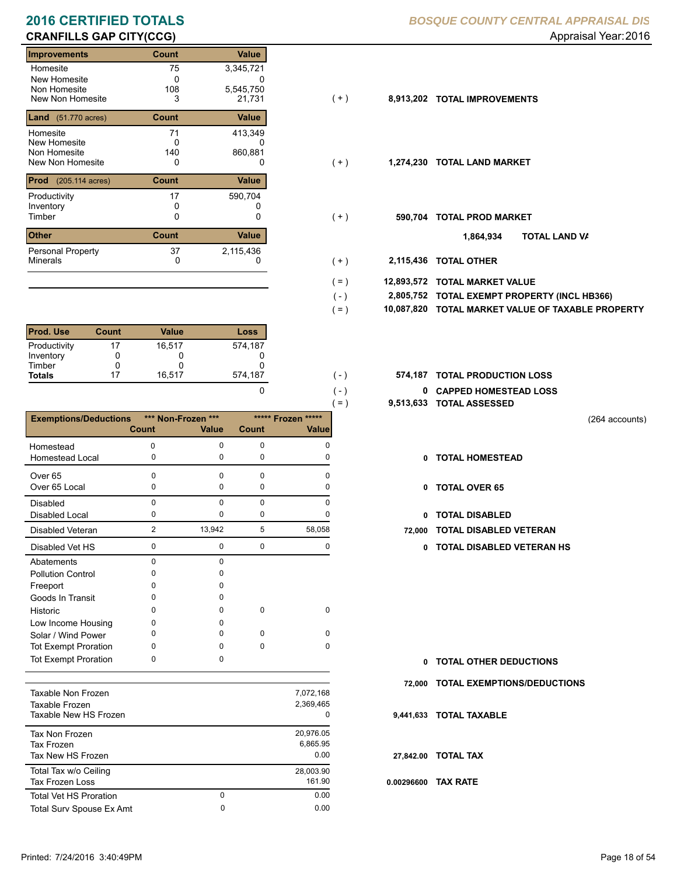# **CRANFILLS GAP CITY(CCG) CRANFILLS GAP CITY(CCG) Appraisal Year: 2016**

| Improvements                         | Count        | <b>Value</b> |       |           |                           |
|--------------------------------------|--------------|--------------|-------|-----------|---------------------------|
| Homesite                             | 75           | 3,345,721    |       |           |                           |
| New Homesite                         | 0            |              |       |           |                           |
| Non Homesite                         | 108          | 5,545,750    |       |           |                           |
| New Non Homesite                     | 3            | 21,731       | ( + ) | 8,913,202 | <b>TOTAL IMPROVEMENTS</b> |
| <b>Land</b> $(51.770 \text{ acres})$ | <b>Count</b> | Value        |       |           |                           |
| Homesite                             | 71           | 413,349      |       |           |                           |
| New Homesite                         | 0            | 0            |       |           |                           |
| Non Homesite                         | 140          | 860,881      |       |           |                           |
| New Non Homesite                     | 0            | 0            | (+)   | 1,274,230 | <b>TOTAL LAND MARKET</b>  |
| <b>Prod</b> (205.114 acres)          | <b>Count</b> | Value        |       |           |                           |
| Productivity                         | 17           | 590,704      |       |           |                           |
| Inventory                            |              |              |       |           |                           |
| Timber                               | 0            | 0            | (+)   | 590,704   | <b>TOTAL PROD MARKET</b>  |
| <b>Other</b>                         | <b>Count</b> | Value        |       |           | וסד<br>1,864,934          |
| <b>Personal Property</b>             | 37           | 2,115,436    |       |           |                           |
| <b>Minerals</b>                      | 0            | 0            | $+ )$ | 2,115,436 | <b>TOTAL OTHER</b>        |

| <b>Prod. Use</b> | Count | Value  | Loss    |
|------------------|-------|--------|---------|
| Productivity     | 17    | 16.517 | 574,187 |
| Inventory        |       |        |         |
| Timber           |       | O      |         |
| <b>Totals</b>    | 17    | 16,517 | 574,187 |

|                              |                |                    |              |                    | 9,513,633<br>$( = )$ |
|------------------------------|----------------|--------------------|--------------|--------------------|----------------------|
| <b>Exemptions/Deductions</b> |                | *** Non-Frozen *** |              | ***** Frozen ***** |                      |
|                              | <b>Count</b>   | <b>Value</b>       | <b>Count</b> | <b>Value</b>       |                      |
| Homestead                    | $\mathbf 0$    | $\mathbf 0$        | $\mathbf 0$  | $\Omega$           |                      |
| <b>Homestead Local</b>       | 0              | 0                  | $\mathbf 0$  | 0                  | 0                    |
| Over <sub>65</sub>           | 0              | $\Omega$           | $\Omega$     | $\Omega$           |                      |
| Over 65 Local                | 0              | $\mathbf 0$        | $\mathbf 0$  | 0                  | 0                    |
| Disabled                     | 0              | $\Omega$           | $\mathbf 0$  | $\Omega$           |                      |
| <b>Disabled Local</b>        | 0              | 0                  | $\mathbf 0$  | 0                  | 0                    |
| <b>Disabled Veteran</b>      | $\overline{2}$ | 13,942             | 5            | 58,058             | 72,000               |
| Disabled Vet HS              | 0              | $\mathbf 0$        | $\mathbf 0$  | $\mathbf 0$        | 0                    |
| Abatements                   | 0              | $\mathbf 0$        |              |                    |                      |
| <b>Pollution Control</b>     | 0              | O                  |              |                    |                      |
| Freeport                     | 0              | 0                  |              |                    |                      |
| Goods In Transit             | 0              | $\Omega$           |              |                    |                      |
| Historic                     | 0              | <sup>0</sup>       | $\mathbf 0$  | $\mathbf 0$        |                      |
| Low Income Housing           | 0              | O                  |              |                    |                      |
| Solar / Wind Power           | 0              | <sup>0</sup>       | $\Omega$     | $\Omega$           |                      |
| <b>Tot Exempt Proration</b>  | 0              | $\Omega$           | 0            | $\Omega$           |                      |
| <b>Tot Exempt Proration</b>  | 0              | 0                  |              |                    | 0                    |
|                              |                |                    |              |                    | 72,000               |
| Taxable Non Frozen           |                |                    |              | 7,072,168          |                      |
| Taxable Frozen               |                |                    |              | 2,369,465          |                      |
| Taxable New HS Frozen        |                |                    |              | 0                  | 9,441,633            |
| <b>Tax Non Frozen</b>        |                |                    |              | 20,976.05          |                      |
| <b>Tax Frozen</b>            |                |                    |              | 6,865.95           |                      |
| Tax New HS Frozen            |                |                    |              | 0.00               | 27,842.00            |
| Total Tax w/o Ceiling        |                |                    |              | 28,003.90          |                      |
| <b>Tax Frozen Loss</b>       |                |                    |              | 161.90             | 0.00296600           |

Total Surv Spouse Ex Amt 0.00

0

Total Vet HS Proration

### **2016 CERTIFIED TOTALS** *BOSQUE COUNTY CENTRAL APPRAISAL DIS*

- $( + )$
- $(+)$
- $(+)$ 
	- **TOTAL LAND VA 1,864,934**
- 0 0 **2,115,436 TOTAL OTHER**  $(+)$

 $( - )$  $( = )$ 

 $( - )$  $( - )$ 

0

0 0.00

- **12,893,572 TOTAL MARKET VALUE**  $( = )$ 
	- **TOTAL EXEMPT PROPERTY (INCL HB366) 2,805,752**
	- **10,087,820 TOTAL MARKET VALUE OF TAXABLE PROPERTY**
- **TOTAL PRODUCTION LOSS** 574,187 **574,187**
	- **0 CAPPED HOMESTEAD LOSS**
	- **9,513,633 TOTAL ASSESSED**
- (264 accounts)
- **TOTAL HOMESTEAD**
- 0 TOTAL OVER 65
- 0 TOTAL DISABLED
- **72,000 TOTAL DISABLED VETERAN** 
	- 0 0 0 0 **0 TOTAL DISABLED VETERAN HS**

- **TOTAL OTHER DEDUCTIONS 0**
- **72,000 TOTAL EXEMPTIONS/DEDUCTIONS**
- **9,441,633 TOTAL TAXABLE**
- **27,842.00 TOTAL TAX**
- **0.00296600 TAX RATE**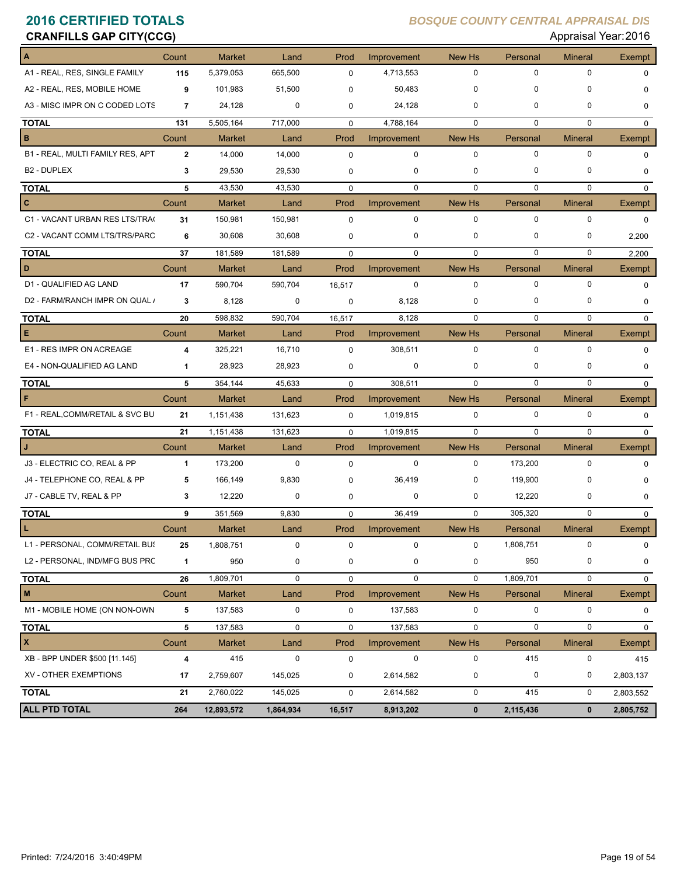| <b>CRANFILLS GAP CITY(CCG)</b>   |              |               |           |             |             |             |             | Appraisal Year: 2016 |               |
|----------------------------------|--------------|---------------|-----------|-------------|-------------|-------------|-------------|----------------------|---------------|
| A                                | Count        | <b>Market</b> | Land      | Prod        | Improvement | New Hs      | Personal    | <b>Mineral</b>       | Exempt        |
| A1 - REAL, RES, SINGLE FAMILY    | 115          | 5,379,053     | 665,500   | $\mathbf 0$ | 4,713,553   | $\mathbf 0$ | $\mathbf 0$ | 0                    | $\mathbf 0$   |
| A2 - REAL, RES, MOBILE HOME      | 9            | 101,983       | 51,500    | $\mathbf 0$ | 50,483      | $\mathbf 0$ | $\mathbf 0$ | 0                    | $\mathbf 0$   |
| A3 - MISC IMPR ON C CODED LOTS   | 7            | 24,128        | 0         | $\mathbf 0$ | 24,128      | $\mathbf 0$ | 0           | 0                    | $\mathbf 0$   |
| <b>TOTAL</b>                     | 131          | 5,505,164     | 717,000   | $\mathbf 0$ | 4,788,164   | $\mathbf 0$ | $\mathbf 0$ | $\mathbf 0$          | $\mathbf 0$   |
| в                                | Count        | <b>Market</b> | Land      | Prod        | Improvement | New Hs      | Personal    | <b>Mineral</b>       | <b>Exempt</b> |
| B1 - REAL, MULTI FAMILY RES, APT | $\mathbf{2}$ | 14,000        | 14,000    | 0           | 0           | $\mathbf 0$ | $\mathbf 0$ | $\mathbf 0$          | 0             |
| B <sub>2</sub> - DUPLEX          | 3            | 29,530        | 29,530    | $\mathbf 0$ | 0           | $\mathbf 0$ | $\mathbf 0$ | 0                    | 0             |
| <b>TOTAL</b>                     | 5            | 43,530        | 43,530    | $\mathbf 0$ | 0           | $\mathbf 0$ | $\mathbf 0$ | 0                    | $\mathbf 0$   |
| $\mathbf{C}$                     | Count        | <b>Market</b> | Land      | Prod        | Improvement | New Hs      | Personal    | <b>Mineral</b>       | Exempt        |
| C1 - VACANT URBAN RES LTS/TRA(   | 31           | 150,981       | 150,981   | $\mathbf 0$ | 0           | $\mathbf 0$ | $\mathbf 0$ | 0                    | $\mathbf 0$   |
| C2 - VACANT COMM LTS/TRS/PARC    | 6            | 30,608        | 30,608    | $\mathbf 0$ | 0           | 0           | 0           | 0                    | 2,200         |
| <b>TOTAL</b>                     | 37           | 181,589       | 181,589   | $\mathbf 0$ | $\mathbf 0$ | $\mathbf 0$ | $\mathbf 0$ | 0                    | 2,200         |
| D                                | Count        | <b>Market</b> | Land      | Prod        | Improvement | New Hs      | Personal    | <b>Mineral</b>       | Exempt        |
| D1 - QUALIFIED AG LAND           | 17           | 590,704       | 590,704   | 16,517      | 0           | 0           | $\mathbf 0$ | 0                    | $\mathbf 0$   |
| D2 - FARM/RANCH IMPR ON QUAL /   | 3            | 8,128         | 0         | $\mathbf 0$ | 8,128       | 0           | 0           | 0                    | $\mathbf 0$   |
| <b>TOTAL</b>                     | 20           | 598,832       | 590,704   | 16,517      | 8,128       | $\Omega$    | $\Omega$    | 0                    | $\Omega$      |
| E                                | Count        | <b>Market</b> | Land      | Prod        | Improvement | New Hs      | Personal    | <b>Mineral</b>       | Exempt        |
| E1 - RES IMPR ON ACREAGE         | 4            | 325,221       | 16,710    | $\pmb{0}$   | 308,511     | $\mathbf 0$ | $\mathbf 0$ | $\mathbf 0$          | $\mathbf 0$   |
| E4 - NON-QUALIFIED AG LAND       | $\mathbf 1$  | 28,923        | 28,923    | $\mathbf 0$ | 0           | $\mathbf 0$ | 0           | 0                    | $\mathbf 0$   |
| <b>TOTAL</b>                     | 5            | 354,144       | 45,633    | $\mathbf 0$ | 308,511     | $\Omega$    | $\Omega$    | $\mathbf 0$          | $\mathbf 0$   |
| F                                | Count        | <b>Market</b> | Land      | Prod        | Improvement | New Hs      | Personal    | <b>Mineral</b>       | Exempt        |
| F1 - REAL, COMM/RETAIL & SVC BU  | 21           | 1,151,438     | 131,623   | 0           | 1,019,815   | 0           | $\mathbf 0$ | 0                    | $\mathbf 0$   |
| <b>TOTAL</b>                     | 21           | 1,151,438     | 131,623   | $\mathbf 0$ | 1,019,815   | $\mathbf 0$ | $\Omega$    | 0                    | $\mathbf 0$   |
| J                                | Count        | <b>Market</b> | Land      | Prod        | Improvement | New Hs      | Personal    | <b>Mineral</b>       | Exempt        |
| J3 - ELECTRIC CO, REAL & PP      | $\mathbf{1}$ | 173,200       | 0         | $\mathbf 0$ | $\mathbf 0$ | 0           | 173,200     | 0                    | $\mathbf 0$   |
| J4 - TELEPHONE CO, REAL & PP     | 5            | 166,149       | 9,830     | $\mathbf 0$ | 36,419      | 0           | 119,900     | 0                    | 0             |
| J7 - CABLE TV, REAL & PP         | 3            | 12,220        | 0         | $\mathbf 0$ | 0           | 0           | 12,220      | 0                    | 0             |
| <b>TOTAL</b>                     | 9            | 351,569       | 9,830     | $\mathbf 0$ | 36,419      | $\mathbf 0$ | 305,320     | $\mathbf 0$          | $\mathbf 0$   |
| L                                | Count        | Market        | Land      | Prod        | Improvement | New Hs      | Personal    | <b>Mineral</b>       | Exempt        |
| L1 - PERSONAL, COMM/RETAIL BUS   | 25           | 1,808,751     | $\pmb{0}$ | $\pmb{0}$   | 0           | $\pmb{0}$   | 1,808,751   | 0                    | 0             |
| L2 - PERSONAL, IND/MFG BUS PRC   | 1            | 950           | 0         | 0           | 0           | 0           | 950         | 0                    | 0             |
| <b>TOTAL</b>                     | 26           | 1,809,701     | 0         | $\pmb{0}$   | 0           | 0           | 1,809,701   | 0                    | $\mathbf 0$   |
| $\mathsf{M}\xspace$              | Count        | <b>Market</b> | Land      | Prod        | Improvement | New Hs      | Personal    | <b>Mineral</b>       | Exempt        |
| M1 - MOBILE HOME (ON NON-OWN     | 5            | 137,583       | $\pmb{0}$ | $\pmb{0}$   | 137,583     | 0           | $\pmb{0}$   | 0                    | 0             |
| <b>TOTAL</b>                     | 5            | 137,583       | 0         | $\pmb{0}$   | 137,583     | $\pmb{0}$   | 0           | $\mathbf 0$          | 0             |
| X                                | Count        | <b>Market</b> | Land      | Prod        | Improvement | New Hs      | Personal    | <b>Mineral</b>       | <b>Exempt</b> |
| XB - BPP UNDER \$500 [11.145]    | 4            | 415           | 0         | 0           | 0           | 0           | 415         | 0                    | 415           |
| XV - OTHER EXEMPTIONS            | 17           | 2,759,607     | 145,025   | 0           | 2,614,582   | 0           | 0           | 0                    | 2,803,137     |
| <b>TOTAL</b>                     | 21           | 2,760,022     | 145,025   | 0           | 2,614,582   | 0           | 415         | 0                    | 2,803,552     |
| <b>ALL PTD TOTAL</b>             | 264          | 12,893,572    | 1,864,934 | 16,517      | 8,913,202   | $\pmb{0}$   | 2,115,436   | $\mathbf 0$          | 2,805,752     |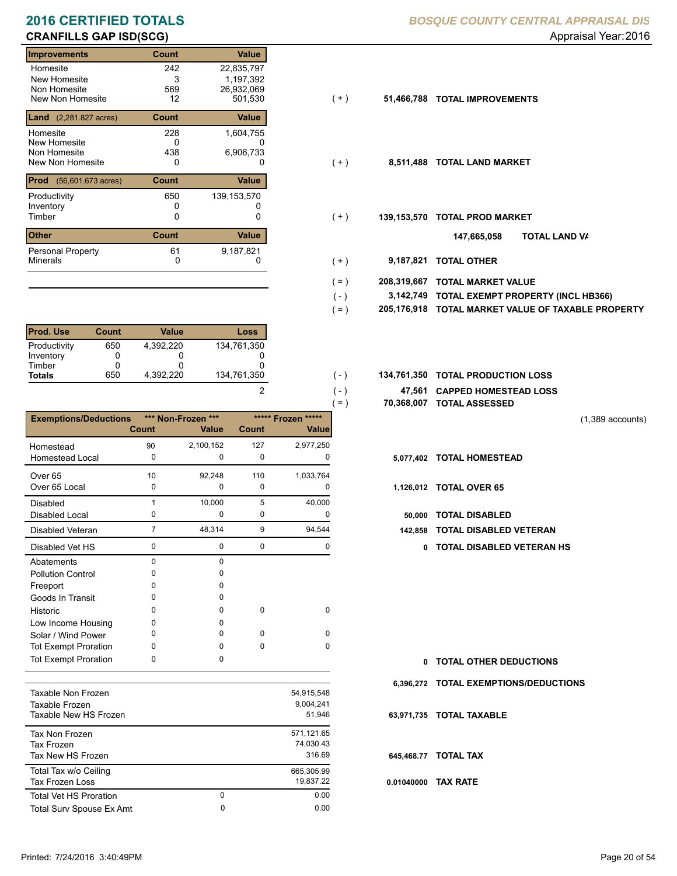# **CRANFILLS GAP ISD(SCG) CRANFILLS GAP ISD(SCG) Appraisal Year: 2016**

| <b>Improvements</b><br><b>Value</b><br>Count                         |
|----------------------------------------------------------------------|
| 22,835,797<br>242<br>Homesite                                        |
| New Homesite<br>3<br>1,197,392                                       |
| Non Homesite<br>569<br>26,932,069                                    |
| New Non Homesite<br>12<br>501,530<br>$(+)$<br>51,466,788             |
| <b>Land</b> (2,281.827 acres)<br>Value<br>Count                      |
| 228<br>1,604,755<br>Homesite                                         |
| New Homesite<br>0<br>0                                               |
| Non Homesite<br>438<br>6,906,733                                     |
| New Non Homesite<br>8,511,488<br>0<br>0<br>$(+)$                     |
| Prod<br><b>Value</b><br><b>Count</b><br>$(56,601.673 \text{ acres})$ |
| 650<br>139,153,570<br>Productivity                                   |
| Inventory<br>0                                                       |
| Timber<br>0<br>139,153,570<br>0<br>$(+)$                             |
| <b>Other</b><br><b>Count</b><br><b>Value</b>                         |
| 61<br><b>Personal Property</b><br>9,187,821                          |
| <b>Minerals</b><br>9,187,821<br>0<br>0<br>$(+)$                      |

| <b>Prod. Use</b> | <b>Count</b> | Value     | Loss        |
|------------------|--------------|-----------|-------------|
| Productivity     | 650          | 4.392.220 | 134,761,350 |
| Inventory        |              |           |             |
| Timber           |              |           |             |
| <b>Totals</b>    | 650          | 4.392.220 | 134,761,350 |

|                              |                |                             |             |                                    | $=$ )        | 70,368,007 TOTAL ASSESSED     |
|------------------------------|----------------|-----------------------------|-------------|------------------------------------|--------------|-------------------------------|
| <b>Exemptions/Deductions</b> | <b>Count</b>   | *** Non-Frozen ***<br>Value | Count       | ***** Frozen *****<br><b>Value</b> |              |                               |
| Homestead                    | 90             | 2,100,152                   | 127         | 2,977,250                          |              |                               |
| <b>Homestead Local</b>       | 0              | 0                           | 0           | 0                                  |              | 5,077,402 TOTAL HOMESTEAD     |
| Over <sub>65</sub>           | 10             | 92,248                      | 110         | 1,033,764                          |              |                               |
| Over 65 Local                | 0              | 0                           | 0           | 0                                  |              | 1,126,012 TOTAL OVER 65       |
| <b>Disabled</b>              | $\mathbf{1}$   | 10,000                      | 5           | 40,000                             |              |                               |
| <b>Disabled Local</b>        | 0              | $\Omega$                    | 0           | 0                                  | 50,000       | <b>TOTAL DISABLED</b>         |
| <b>Disabled Veteran</b>      | $\overline{7}$ | 48,314                      | 9           | 94,544                             | 142,858      | <b>TOTAL DISABLED VETERAN</b> |
| Disabled Vet HS              | 0              | 0                           | $\mathbf 0$ | 0                                  | $\mathbf{0}$ | <b>TOTAL DISABLED VETERAN</b> |
| Abatements                   | 0              | $\Omega$                    |             |                                    |              |                               |
| <b>Pollution Control</b>     | 0              | 0                           |             |                                    |              |                               |
| Freeport                     | 0              | $\Omega$                    |             |                                    |              |                               |
| Goods In Transit             | 0              | <sup>0</sup>                |             |                                    |              |                               |
| Historic                     | O              | $\Omega$                    | 0           | 0                                  |              |                               |
| Low Income Housing           | 0              | 0                           |             |                                    |              |                               |
| Solar / Wind Power           | 0              | $\Omega$                    | $\Omega$    | $\Omega$                           |              |                               |
| <b>Tot Exempt Proration</b>  | $\Omega$       | 0                           | $\Omega$    | $\Omega$                           |              |                               |
| <b>Tot Exempt Proration</b>  | 0              | 0                           |             |                                    | $\mathbf{0}$ | <b>TOTAL OTHER DEDUCTIONS</b> |
|                              |                |                             |             |                                    | 6,396,272    | <b>TOTAL EXEMPTIONS/DEDUC</b> |
| <b>Taxable Non Frozen</b>    |                |                             |             | 54,915,548                         |              |                               |
| Taxable Frozen               |                |                             |             | 9,004,241                          |              |                               |
| Taxable New HS Frozen        |                |                             |             | 51,946                             |              | 63,971,735 TOTAL TAXABLE      |
| <b>Tax Non Frozen</b>        |                |                             |             | 571,121.65                         |              |                               |
| <b>Tax Frozen</b>            |                |                             |             | 74,030.43                          |              |                               |
| Tax New HS Frozen            |                |                             |             | 316.69                             |              | 645,468.77 TOTAL TAX          |

Total Tax w/o Ceiling 665,305.99

Tax Frozen Loss 19,837.22

Total Surv Spouse Ex Amt 0.00

0

Total Vet HS Proration

- $( + )$
- $(+)$
- $(+)$ 
	- **TOTAL LAND VA 147,665,058**
- 0 0 **9,187,821 TOTAL OTHER**  $(+)$
- **208,319,667 TOTAL MARKET VALUE**  $( = )$
- **TOTAL EXEMPT PROPERTY (INCL HB366) 3,142,749**  $( - )$
- **205,176,918 TOTAL MARKET VALUE OF TAXABLE PROPERTY**  $( = )$
- **TOTAL PRODUCTION LOSS** 134,761,350 **134,761,350**
	- **47,561 CAPPED HOMESTEAD LOSS**
	- **70,368,007 TOTAL ASSESSED**
- (1,389 accounts)
- 
- - Disabled Local **TOTAL DISABLED**
- - 0 0 0 0 **0 TOTAL DISABLED VETERAN HS**

- **TOTAL OTHER DEDUCTIONS 0 6,396,272 TOTAL EXEMPTIONS/DEDUCTIONS 63,971,735 TOTAL TAXABLE 645,468.77 TOTAL TAX**
- 
- **0.01040000 TAX RATE**

 $( - )$  $( = )$ 

2

0 0.00

 $( - )$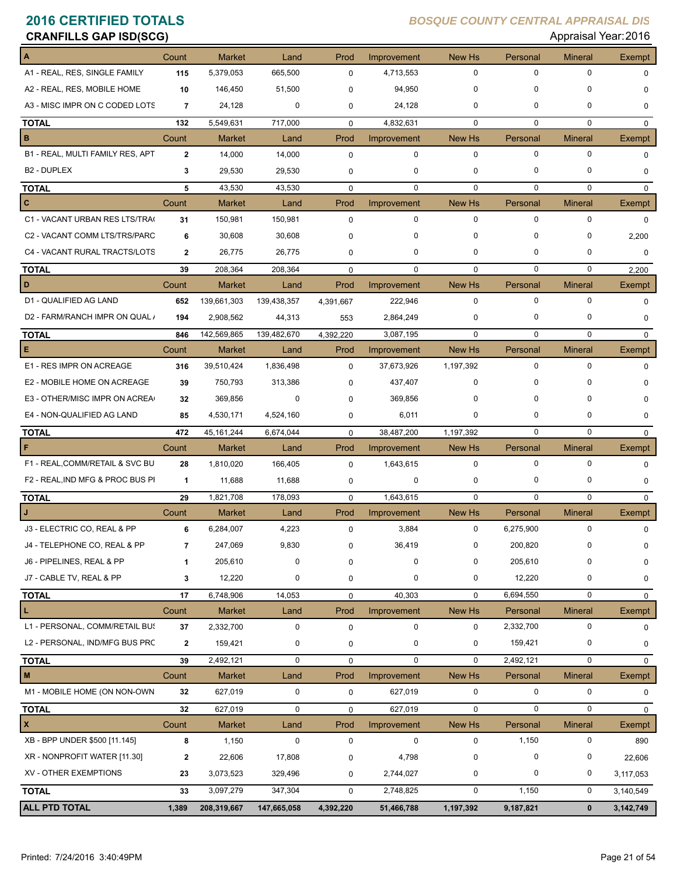| <b>CRANFILLS GAP ISD(SCG)</b>    |                |               |             |             |             |             |             | Appraisal Year: 2016 |               |
|----------------------------------|----------------|---------------|-------------|-------------|-------------|-------------|-------------|----------------------|---------------|
|                                  | Count          | <b>Market</b> | Land        | Prod        | Improvement | New Hs      | Personal    | <b>Mineral</b>       | Exempt        |
| A1 - REAL, RES, SINGLE FAMILY    | 115            | 5,379,053     | 665,500     | $\mathbf 0$ | 4,713,553   | 0           | 0           | $\mathbf 0$          | $\mathbf 0$   |
| A2 - REAL, RES, MOBILE HOME      | 10             | 146,450       | 51,500      | $\Omega$    | 94,950      | 0           | 0           | $\Omega$             | 0             |
| A3 - MISC IMPR ON C CODED LOTS   | $\overline{7}$ | 24,128        | 0           | 0           | 24,128      | 0           | 0           | 0                    | 0             |
| <b>TOTAL</b>                     | 132            | 5,549,631     | 717,000     | $\mathbf 0$ | 4,832,631   | $\mathbf 0$ | $\mathbf 0$ | $\mathbf 0$          | $\mathbf 0$   |
| в                                | Count          | <b>Market</b> | Land        | Prod        | Improvement | New Hs      | Personal    | <b>Mineral</b>       | <b>Exempt</b> |
| B1 - REAL, MULTI FAMILY RES, APT | $\mathbf{2}$   | 14,000        | 14,000      | $\mathbf 0$ | 0           | $\mathbf 0$ | 0           | $\mathbf 0$          | 0             |
| <b>B2 - DUPLEX</b>               | 3              | 29,530        | 29,530      | 0           | 0           | 0           | 0           | $\mathbf 0$          | 0             |
| <b>TOTAL</b>                     | 5              | 43,530        | 43,530      | 0           | 0           | $\mathbf 0$ | 0           | $\mathbf 0$          | $\mathbf{0}$  |
| C                                | Count          | <b>Market</b> | Land        | Prod        | Improvement | New Hs      | Personal    | <b>Mineral</b>       | <b>Exempt</b> |
| C1 - VACANT URBAN RES LTS/TRA    | 31             | 150,981       | 150,981     | $\mathbf 0$ | $\mathbf 0$ | 0           | 0           | $\mathbf 0$          | $\mathbf 0$   |
| C2 - VACANT COMM LTS/TRS/PARC    | 6              | 30,608        | 30,608      | 0           | 0           | 0           | 0           | 0                    | 2,200         |
| C4 - VACANT RURAL TRACTS/LOTS    | $\mathbf{2}$   | 26,775        | 26,775      | 0           | 0           | 0           | 0           | 0                    | 0             |
| <b>TOTAL</b>                     | 39             | 208,364       | 208,364     | $\mathbf 0$ | 0           | $\mathbf 0$ | $\mathbf 0$ | $\mathbf 0$          | 2,200         |
| D                                | Count          | <b>Market</b> | Land        | Prod        | Improvement | New Hs      | Personal    | <b>Mineral</b>       | Exempt        |
| D1 - QUALIFIED AG LAND           | 652            | 139,661,303   | 139,438,357 | 4,391,667   | 222,946     | 0           | 0           | $\mathbf 0$          | 0             |
| D2 - FARM/RANCH IMPR ON QUAL /   | 194            | 2,908,562     | 44,313      | 553         | 2,864,249   | 0           | 0           | 0                    | 0             |
| <b>TOTAL</b>                     | 846            | 142,569,865   | 139,482,670 | 4,392,220   | 3,087,195   | $\mathbf 0$ | 0           | $\mathbf 0$          | $\mathbf{0}$  |
| Е                                | Count          | <b>Market</b> | Land        | Prod        | Improvement | New Hs      | Personal    | <b>Mineral</b>       | <b>Exempt</b> |
| E1 - RES IMPR ON ACREAGE         | 316            | 39,510,424    | 1,836,498   | $\Omega$    | 37,673,926  | 1,197,392   | 0           | $\mathbf 0$          | 0             |
| E2 - MOBILE HOME ON ACREAGE      | 39             | 750,793       | 313,386     | $\Omega$    | 437,407     | 0           | 0           | $\Omega$             | 0             |
| E3 - OTHER/MISC IMPR ON ACREA    | 32             | 369,856       | 0           | 0           | 369,856     | 0           | 0           | 0                    | 0             |
| E4 - NON-QUALIFIED AG LAND       | 85             | 4,530,171     | 4,524,160   | 0           | 6,011       | 0           | 0           | 0                    | 0             |
| <b>TOTAL</b>                     | 472            | 45, 161, 244  | 6,674,044   | $\mathbf 0$ | 38,487,200  | 1,197,392   | 0           | $\mathbf 0$          | $\mathbf 0$   |
| F                                | Count          | Market        | Land        | Prod        | Improvement | New Hs      | Personal    | <b>Mineral</b>       | Exempt        |
| F1 - REAL, COMM/RETAIL & SVC BU  | 28             | 1,810,020     | 166,405     | $\mathbf 0$ | 1,643,615   | 0           | 0           | $\mathbf 0$          | 0             |
| F2 - REAL, IND MFG & PROC BUS PI | 1              | 11,688        | 11,688      | 0           | 0           | $\mathbf 0$ | 0           | 0                    | 0             |
| <b>TOTAL</b>                     | 29             | 1,821,708     | 178,093     | $\mathbf 0$ | 1,643,615   | $\Omega$    | $\Omega$    | $\mathbf 0$          | 0             |
| J                                | Count          | <b>Market</b> | Land        | Prod        | Improvement | New Hs      | Personal    | <b>Mineral</b>       | Exempt        |
| J3 - ELECTRIC CO, REAL & PP      | 6              | 6,284,007     | 4,223       | 0           | 3,884       | 0           | 6,275,900   | $\mathbf 0$          | 0             |
| J4 - TELEPHONE CO, REAL & PP     | 7              | 247,069       | 9,830       |             | 36,419      | 0           | 200,820     | 0                    | 0             |
| J6 - PIPELINES, REAL & PP        | 1              | 205,610       | $\pmb{0}$   | 0           | 0           | 0           | 205,610     | 0                    | 0             |
| J7 - CABLE TV, REAL & PP         | 3              | 12,220        | 0           | 0           | 0           | 0           | 12,220      | 0                    | 0             |
| <b>TOTAL</b>                     | 17             | 6,748,906     | 14,053      | $\pmb{0}$   | 40,303      | $\mathbf 0$ | 6,694,550   | $\mathbf 0$          | 0             |
| L                                | Count          | Market        | Land        | Prod        | Improvement | New Hs      | Personal    | <b>Mineral</b>       | <b>Exempt</b> |
| L1 - PERSONAL, COMM/RETAIL BUS   | 37             | 2,332,700     | 0           | 0           | 0           | 0           | 2,332,700   | 0                    | 0             |
| L2 - PERSONAL, IND/MFG BUS PRC   | $\mathbf{2}$   | 159,421       | 0           | 0           | 0           | 0           | 159,421     | 0                    | 0             |
| <b>TOTAL</b>                     | 39             | 2,492,121     | $\pmb{0}$   | $\pmb{0}$   | 0           | 0           | 2,492,121   | $\mathbf 0$          | 0             |
| M                                | Count          | Market        | Land        | Prod        | Improvement | New Hs      | Personal    | <b>Mineral</b>       | Exempt        |
| M1 - MOBILE HOME (ON NON-OWN     | 32             | 627,019       | 0           | 0           | 627,019     | 0           | 0           | 0                    | 0             |
| <b>TOTAL</b>                     | 32             | 627,019       | 0           | $\mathbf 0$ | 627,019     | $\mathsf 0$ | $\mathbf 0$ | $\mathbf 0$          | $\mathbf 0$   |
| x                                | Count          | Market        | Land        | Prod        | Improvement | New Hs      | Personal    | <b>Mineral</b>       | Exempt        |
| XB - BPP UNDER \$500 [11.145]    | 8              | 1,150         | $\pmb{0}$   | $\pmb{0}$   | 0           | 0           | 1,150       | 0                    | 890           |
| XR - NONPROFIT WATER [11.30]     | $\mathbf{2}$   | 22,606        | 17,808      | 0           | 4,798       | 0           | $\pmb{0}$   | 0                    | 22,606        |
| XV - OTHER EXEMPTIONS            | 23             | 3,073,523     | 329,496     | 0           | 2,744,027   | 0           | 0           | 0                    | 3,117,053     |
| <b>TOTAL</b>                     | 33             | 3,097,279     | 347,304     | 0           | 2,748,825   | 0           | 1,150       | 0                    | 3,140,549     |
| ALL PTD TOTAL                    | 1,389          | 208,319,667   | 147,665,058 | 4,392,220   | 51,466,788  | 1,197,392   | 9,187,821   | $\mathbf 0$          | 3, 142, 749   |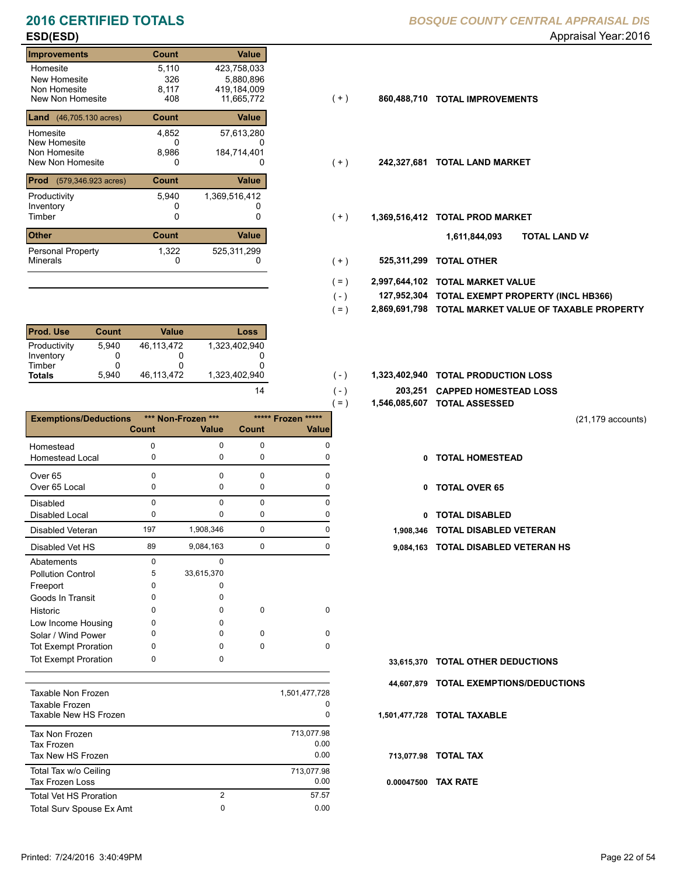# **ESD(ESD)** Appraisal Year: 2016

### **Improvements Count Value** Homesite New Homesite Non Homesite<br>New Non Homesite New Non Homesite 408 11,665,772 (+ ) **860,488,710 TOTAL IMPROVEMENTS** 5,110 423,758,033 326<br>8.117 0 117 419,184,009<br>11,665,772 408 **Land** (46,705.130 acres) **Count Value** Homesite New Homesite Non Homesite<br>New Non Homesite New Non Homesite **TOTAL LAND MARKET** 0 0 **242,327,681** 4,852 57,613,280 0<br>8,986 5,880,896 184,714,401 **Prod** (579,346.923 acres) **Count Value** Productivity 5,940 1,369,516,412 Inventory<br>Timber 0 0 0 Timber 0 **TOTAL PROD MARKET 1,369,516,412 Other Count** Count Value Minerals Personal Property 5,940 1,322 525,311,299

| <b>Prod. Use</b> | <b>Count</b> | Value      | Loss          |
|------------------|--------------|------------|---------------|
| Productivity     | 5.940        | 46.113.472 | 1.323.402.940 |
| Inventory        |              |            |               |
| Timber           | O            |            |               |
| <b>Totals</b>    | 5.940        | 46.113.472 | 1.323.402.940 |

|                              |          |                    |              | $=$ )              |              | 1,546,085,607 TOTAL ASSESSED  |
|------------------------------|----------|--------------------|--------------|--------------------|--------------|-------------------------------|
| <b>Exemptions/Deductions</b> |          | *** Non-Frozen *** |              | ***** Frozen ***** |              |                               |
|                              | Count    | <b>Value</b>       | <b>Count</b> | Valuel             |              |                               |
| Homestead                    | 0        | 0                  | $\Omega$     | <sup>0</sup>       |              |                               |
| Homestead Local              | 0        | 0                  | 0            | 0                  | 0            | <b>TOTAL HOMESTEAD</b>        |
| Over <sub>65</sub>           | $\Omega$ | $\Omega$           | $\Omega$     | $\Omega$           |              |                               |
| Over 65 Local                | 0        | 0                  | 0            | 0                  | $\mathbf{0}$ | <b>TOTAL OVER 65</b>          |
| Disabled                     | 0        | $\Omega$           | $\Omega$     | $\Omega$           |              |                               |
| <b>Disabled Local</b>        | 0        | 0                  | 0            | 0                  | 0            | <b>TOTAL DISABLED</b>         |
| Disabled Veteran             | 197      | 1,908,346          | 0            | 0                  | 1,908,346    | <b>TOTAL DISABLED VETERAN</b> |
| Disabled Vet HS              | 89       | 9,084,163          | 0            | 0                  | 9,084,163    | <b>TOTAL DISABLED VETERAN</b> |
| Abatements                   | $\Omega$ | $\Omega$           |              |                    |              |                               |
| <b>Pollution Control</b>     | 5        | 33,615,370         |              |                    |              |                               |
| Freeport                     | 0        | 0                  |              |                    |              |                               |
| Goods In Transit             | 0        | O                  |              |                    |              |                               |
| Historic                     | 0        | 0                  | 0            | 0                  |              |                               |
| Low Income Housing           | O        |                    |              |                    |              |                               |
| Solar / Wind Power           | 0        | 0                  | $\Omega$     | $\Omega$           |              |                               |
| <b>Tot Exempt Proration</b>  | 0        | 0                  | 0            | $\Omega$           |              |                               |
| <b>Tot Exempt Proration</b>  | 0        | 0                  |              |                    | 33,615,370   | <b>TOTAL OTHER DEDUCTIONS</b> |
|                              |          |                    |              |                    | 44,607,879   | <b>TOTAL EXEMPTIONS/DEDUC</b> |
| Taxable Non Frozen<br>.      |          |                    |              | 1,501,477,728      |              |                               |

| Taxable Non Frozen<br>Taxable Frozen<br>Taxable New HS Frozen |   | 1,501,477,728<br>0<br>0    |
|---------------------------------------------------------------|---|----------------------------|
| Tax Non Frozen<br>Tax Frozen<br>Tax New HS Frozen             |   | 713,077.98<br>0.00<br>0.00 |
| Total Tax w/o Ceiling<br>Tax Frozen Loss                      |   | 713,077.98<br>0.00         |
| <b>Total Vet HS Proration</b>                                 | 2 | 57.57                      |
| Total Surv Spouse Ex Amt                                      | 0 | 0.00                       |
|                                                               |   |                            |

- $(+)$
- $(+)$
- $(+)$ 
	- **TOTAL LAND VA 1,611,844,093**
- 0 0 **525,311,299 TOTAL OTHER**  $(+)$

 $( - )$  $( - )$ 

14

- **2,997,644,102 TOTAL MARKET VALUE**  $( = )$
- **TOTAL EXEMPT PROPERTY (INCL HB366) 127,952,304**  $( - )$
- **2,869,691,798 TOTAL MARKET VALUE OF TAXABLE PROPERTY**  $( = )$
- 1,323,402,940 **1,323,402,940 <b>10TAL PRODUCTION LOSS** 
	- **203,251 CAPPED HOMESTEAD LOSS**
	- **1,546,085,607 TOTAL ASSESSED**
- (21,179 accounts)
- **TOTAL HOMESTEAD**
- 0 TOTAL OVER 65
- 0 TOTAL DISABLED
- 
- 89 0 9,084,163 0 **9,084,163 TOTAL DISABLED VETERAN HS**

- **TOTAL OTHER DEDUCTIONS 33,615,370**
- **44,607,879 TOTAL EXEMPTIONS/DEDUCTIONS**
- **1,501,477,728 TOTAL TAXABLE**
	- **713,077.98 TOTAL TAX**
- **0.00047500 TAX RATE**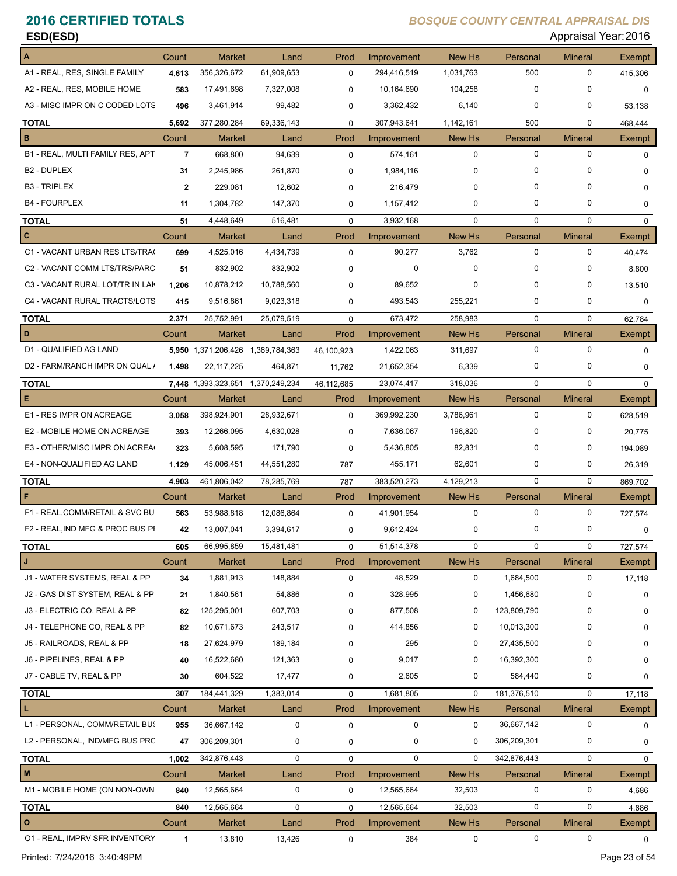| ESD(ESD)                                  |                |                              |                   |             |                          |               |               | Appraisal Year: 2016 |                  |
|-------------------------------------------|----------------|------------------------------|-------------------|-------------|--------------------------|---------------|---------------|----------------------|------------------|
|                                           | Count          | <b>Market</b>                | Land              | Prod        | Improvement              | New Hs        | Personal      | <b>Mineral</b>       | <b>Exempt</b>    |
| A1 - REAL, RES, SINGLE FAMILY             | 4,613          | 356,326,672                  | 61,909,653        | 0           | 294,416,519              | 1,031,763     | 500           | 0                    | 415,306          |
| A2 - REAL, RES, MOBILE HOME               | 583            | 17,491,698                   | 7,327,008         | 0           | 10,164,690               | 104,258       | 0             | 0                    | $\mathbf 0$      |
| A3 - MISC IMPR ON C CODED LOTS            | 496            | 3,461,914                    | 99,482            | 0           | 3,362,432                | 6,140         | 0             | 0                    | 53,138           |
| <b>TOTAL</b>                              | 5,692          | 377,280,284                  | 69,336,143        | $\mathbf 0$ | 307,943,641              | 1,142,161     | 500           | $\mathbf 0$          | 468,444          |
| В                                         | Count          | <b>Market</b>                | Land              | Prod        | Improvement              | New Hs        | Personal      | <b>Mineral</b>       | Exempt           |
| B1 - REAL, MULTI FAMILY RES, APT          | $\overline{7}$ | 668,800                      | 94,639            | 0           | 574,161                  | 0             | $\mathbf 0$   | $\mathbf 0$          | $\mathbf 0$      |
| <b>B2 - DUPLEX</b>                        | 31             | 2,245,986                    | 261,870           | 0           | 1,984,116                | 0             | 0             | 0                    | 0                |
| <b>B3 - TRIPLEX</b>                       | $\mathbf{2}$   | 229,081                      | 12,602            | $\Omega$    | 216,479                  | 0             | 0             | $\Omega$             | $\mathbf 0$      |
| <b>B4 - FOURPLEX</b>                      | 11             | 1,304,782                    | 147,370           | 0           | 1,157,412                | 0             | 0             | 0                    | 0                |
| <b>TOTAL</b>                              | 51             | 4,448,649                    | 516,481           | $\mathbf 0$ | 3,932,168                | 0             | $\mathbf 0$   | 0                    | $\mathbf 0$      |
| C                                         | Count          | <b>Market</b>                | Land              | Prod        | Improvement              | New Hs        | Personal      | <b>Mineral</b>       | <b>Exempt</b>    |
| C1 - VACANT URBAN RES LTS/TRA(            | 699            | 4,525,016                    | 4,434,739         | $\mathbf 0$ | 90,277                   | 3,762         | 0             | 0                    | 40,474           |
| C2 - VACANT COMM LTS/TRS/PARC             | 51             | 832,902                      | 832,902           | $\Omega$    | 0                        | 0             | 0             | 0                    | 8,800            |
| C3 - VACANT RURAL LOT/TR IN LAK           | 1,206          | 10,878,212                   | 10,788,560        | 0           | 89,652                   | 0             | 0             | 0                    | 13,510           |
| C4 - VACANT RURAL TRACTS/LOTS             | 415            | 9,516,861                    | 9,023,318         | 0           | 493,543                  | 255,221       | 0             | 0                    | 0                |
| <b>TOTAL</b>                              | 2,371          | 25,752,991                   | 25,079,519        | $\mathbf 0$ | 673,472                  | 258.983       | $\mathbf 0$   | $\mathbf 0$          | 62,784           |
| D                                         | Count          | <b>Market</b>                | Land              | Prod        | Improvement              | <b>New Hs</b> | Personal      | <b>Mineral</b>       | Exempt           |
| D1 - QUALIFIED AG LAND                    |                | 5,950 1,371,206,426          | 1,369,784,363     | 46,100,923  | 1,422,063                | 311,697       | $\mathsf 0$   | $\mathbf 0$          | $\mathbf 0$      |
| D2 - FARM/RANCH IMPR ON QUAL /            | 1,498          | 22, 117, 225                 | 464,871           | 11,762      | 21,652,354               | 6,339         | 0             | 0                    | $\mathbf 0$      |
| <b>TOTAL</b>                              |                | 7,448 1,393,323,651          | 1,370,249,234     | 46,112,685  | 23,074,417               | 318,036       | $\Omega$      | 0                    | $\Omega$         |
| Е                                         | Count          | <b>Market</b>                | Land              | Prod        | Improvement              | New Hs        | Personal      | <b>Mineral</b>       | Exempt           |
| E1 - RES IMPR ON ACREAGE                  | 3,058          | 398,924,901                  | 28,932,671        | $\mathbf 0$ | 369,992,230              | 3,786,961     | 0             | 0                    | 628,519          |
| E2 - MOBILE HOME ON ACREAGE               | 393            | 12,266,095                   | 4,630,028         | 0           | 7,636,067                | 196,820       | 0             | 0                    | 20,775           |
| E3 - OTHER/MISC IMPR ON ACREA             | 323            | 5,608,595                    | 171,790           | 0           | 5,436,805                | 82,831        | 0             | 0                    | 194,089          |
| E4 - NON-QUALIFIED AG LAND                | 1,129          | 45,006,451                   | 44,551,280        | 787         | 455,171                  | 62,601        | 0             | 0                    | 26,319           |
| <b>TOTAL</b>                              | 4,903          | 461,806,042                  | 78,285,769        | 787         | 383,520,273              | 4,129,213     | $\mathbf 0$   | $\mathbf 0$          | 869,702          |
| F                                         | Count          | <b>Market</b>                | Land              | Prod        | Improvement              | New Hs        | Personal      | <b>Mineral</b>       | Exempt           |
| F1 - REAL, COMM/RETAIL & SVC BU           | 563            | 53,988,818                   | 12,086,864        | 0           | 41,901,954               | 0             | $\mathbf 0$   | 0                    | 727,574          |
| F2 - REAL, IND MFG & PROC BUS PI          | 42             | 13,007,041                   | 3,394,617         | 0           | 9,612,424                |               | 0             |                      | U                |
| <b>TOTAL</b>                              | 605            | 66,995,859                   | 15,481,481        | $\mathbf 0$ | 51,514,378               | $\mathbf 0$   | 0             | 0                    | 727,574          |
| J                                         | Count          | Market                       | Land              | Prod        | Improvement              | New Hs        | Personal      | <b>Mineral</b>       | Exempt           |
| J1 - WATER SYSTEMS, REAL & PP             | 34             | 1,881,913                    | 148,884           | 0           | 48,529                   | 0             | 1,684,500     | 0                    | 17,118           |
| J2 - GAS DIST SYSTEM, REAL & PP           | 21             | 1,840,561                    | 54,886            | 0           | 328,995                  | 0             | 1,456,680     | 0                    | 0                |
| J3 - ELECTRIC CO, REAL & PP               | 82             | 125,295,001                  | 607,703           | 0           | 877,508                  | 0             | 123,809,790   | 0                    | 0                |
| J4 - TELEPHONE CO, REAL & PP              | 82             | 10,671,673                   | 243,517           | 0           | 414,856                  | 0             | 10,013,300    |                      | 0                |
| J5 - RAILROADS, REAL & PP                 | 18             | 27,624,979                   | 189,184           | O           | 295                      | 0             | 27,435,500    | 0                    | 0                |
| J6 - PIPELINES, REAL & PP                 | 40             | 16,522,680                   | 121,363           | 0           | 9,017                    | 0             | 16,392,300    | 0                    | 0                |
| J7 - CABLE TV, REAL & PP                  | 30             | 604,522                      | 17,477            | 0           | 2,605                    | 0             | 584,440       | 0                    | 0                |
|                                           |                |                              |                   |             |                          | $\mathbf 0$   | 181,376,510   | 0                    |                  |
| <b>TOTAL</b><br>L                         | 307<br>Count   | 184,441,329<br><b>Market</b> | 1,383,014<br>Land | 0<br>Prod   | 1,681,805<br>Improvement | New Hs        | Personal      | <b>Mineral</b>       | 17,118<br>Exempt |
| L1 - PERSONAL, COMM/RETAIL BUS            | 955            | 36,667,142                   | 0                 | 0           | 0                        | 0             | 36,667,142    | 0                    |                  |
| L2 - PERSONAL, IND/MFG BUS PRC            | 47             | 306,209,301                  | 0                 |             | 0                        | 0             | 306,209,301   | 0                    | 0                |
|                                           |                |                              |                   | 0           |                          |               |               |                      | 0                |
| <b>TOTAL</b><br>M                         | 1,002          | 342,876,443                  | 0                 | $\mathbf 0$ | 0                        | 0             | 342,876,443   | 0                    | $\mathbf 0$      |
| M1 - MOBILE HOME (ON NON-OWN              | Count          | Market                       | Land              | Prod        | Improvement              | New Hs        | Personal<br>0 | <b>Mineral</b><br>0  | Exempt           |
|                                           | 840            | 12,565,664                   | 0                 | 0           | 12,565,664               | 32,503        |               |                      | 4,686            |
| <b>TOTAL</b>                              | 840            | 12,565,664                   | $\mathbf 0$       | $\pmb{0}$   | 12,565,664               | 32,503        | $\mathbf 0$   | 0                    | 4,686            |
| $\circ$<br>01 - REAL, IMPRV SFR INVENTORY | Count<br>1     | Market<br>13,810             | Land<br>13,426    | Prod<br>0   | Improvement<br>384       | New Hs<br>0   | Personal<br>0 | <b>Mineral</b><br>0  | Exempt<br>0      |
|                                           |                |                              |                   |             |                          |               |               |                      |                  |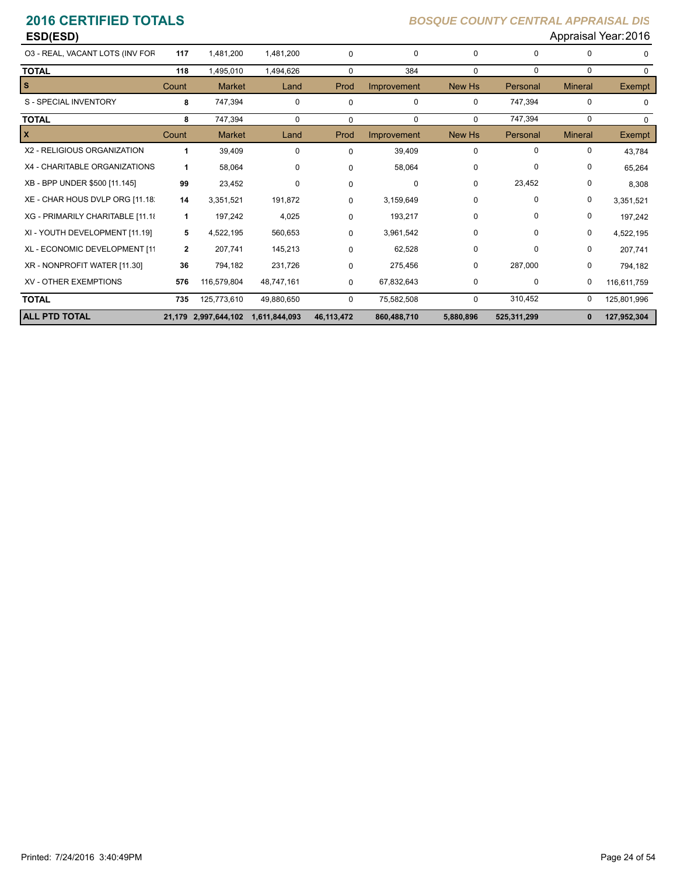| ESD(ESD)                         |              |                      |               |              |             |             |             |                | Appraisal Year: 2016 |
|----------------------------------|--------------|----------------------|---------------|--------------|-------------|-------------|-------------|----------------|----------------------|
| 03 - REAL, VACANT LOTS (INV FOR  | 117          | 1,481,200            | 1,481,200     | $\mathbf 0$  | 0           | 0           | 0           | $\Omega$       | 0                    |
| <b>TOTAL</b>                     | 118          | 1,495,010            | 1,494,626     | $\mathbf 0$  | 384         | $\mathbf 0$ | $\mathbf 0$ | $\mathbf 0$    | $\Omega$             |
| <b>S</b>                         | Count        | <b>Market</b>        | Land          | Prod         | Improvement | New Hs      | Personal    | <b>Mineral</b> | <b>Exempt</b>        |
| S - SPECIAL INVENTORY            | 8            | 747,394              | $\mathbf 0$   | $\mathbf 0$  | $\mathbf 0$ | 0           | 747,394     | $\mathbf 0$    | $\Omega$             |
| <b>TOTAL</b>                     | 8            | 747,394              | $\mathbf 0$   | $\Omega$     | $\Omega$    | $\Omega$    | 747,394     | 0              | $\Omega$             |
| $\mathbf{x}$                     | Count        | <b>Market</b>        | Land          | Prod         | Improvement | New Hs      | Personal    | <b>Mineral</b> | Exempt               |
| X2 - RELIGIOUS ORGANIZATION      | 1            | 39,409               | $\mathbf 0$   | $\Omega$     | 39,409      | 0           | 0           | $\mathbf 0$    | 43,784               |
| X4 - CHARITABLE ORGANIZATIONS    | 1            | 58,064               | $\mathbf 0$   | $\Omega$     | 58,064      | 0           | $\Omega$    | 0              | 65,264               |
| XB - BPP UNDER \$500 [11.145]    | 99           | 23,452               | 0             | 0            | 0           | 0           | 23,452      | 0              | 8,308                |
| XE - CHAR HOUS DVLP ORG [11.18]  | 14           | 3,351,521            | 191,872       | $\Omega$     | 3,159,649   | $\mathbf 0$ | 0           | 0              | 3,351,521            |
| XG - PRIMARILY CHARITABLE [11.18 | 1            | 197,242              | 4,025         | $\Omega$     | 193,217     | $\mathbf 0$ | 0           | 0              | 197,242              |
| XI - YOUTH DEVELOPMENT [11.19]   | 5            | 4,522,195            | 560,653       | $\Omega$     | 3,961,542   | 0           | $\Omega$    | $\Omega$       | 4,522,195            |
| XL - ECONOMIC DEVELOPMENT [11    | $\mathbf{2}$ | 207,741              | 145,213       | $\Omega$     | 62,528      | 0           | 0           | 0              | 207,741              |
| XR - NONPROFIT WATER [11.30]     | 36           | 794,182              | 231,726       | 0            | 275,456     | 0           | 287,000     | 0              | 794,182              |
| <b>XV - OTHER EXEMPTIONS</b>     | 576          | 116,579,804          | 48,747,161    | 0            | 67,832,643  | 0           | 0           | 0              | 116,611,759          |
| <b>TOTAL</b>                     | 735          | 125,773,610          | 49,880,650    | $\mathbf 0$  | 75,582,508  | $\mathbf 0$ | 310,452     | 0              | 125,801,996          |
| <b>ALL PTD TOTAL</b>             |              | 21,179 2,997,644,102 | 1,611,844,093 | 46, 113, 472 | 860,488,710 | 5,880,896   | 525,311,299 | $\bf{0}$       | 127,952,304          |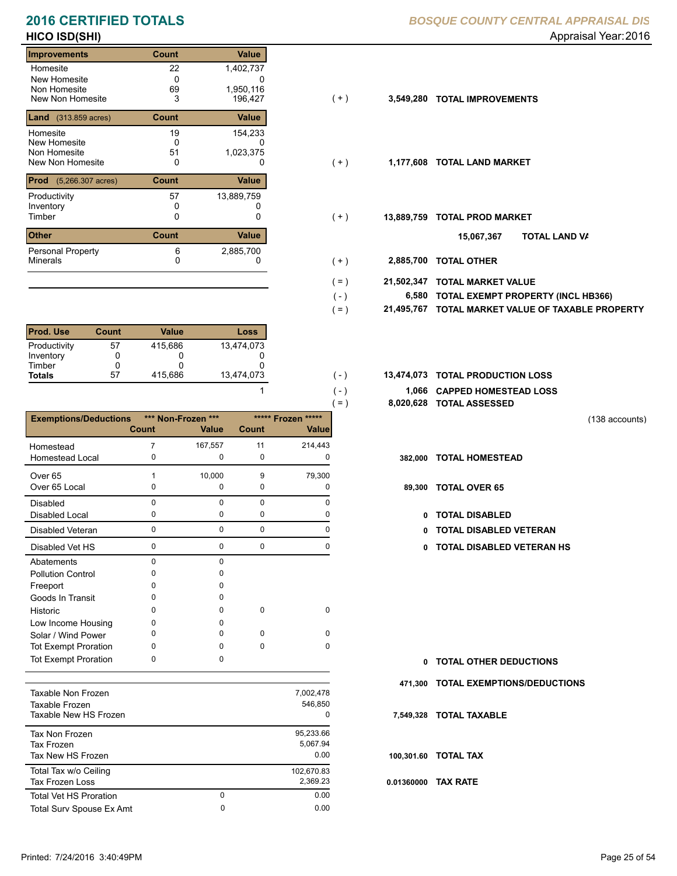### **HICO ISD(SHI)** Appraisal Year: 2016 **2016 CERTIFIED TOTALS**

### **Improvements Count Value** Homesite New Homesite Non Homesite<br>New Non Homesite New Non Homesite 3 196,427 (+) **3,549,280 TOTAL IMPROVEMENTS** 22 1,402,737  $0$ 0 69 1,950,116<br>3 196,427 **Land** (313.859 acres) **Count Value** Homesite New Homesite Non Homesite<br>New Non Homesite New Non Homesite **TOTAL LAND MARKET** 0 0 **1,177,608** 19 154,233  $\begin{array}{c} 0 \\ 51 \end{array}$ 0 51 1,023,375 **Prod** (5,266.307 acres) **Count Value** Productivity 57 13,889,759<br>
Inventory 0 0 Inventory<br>Timber 0 0 0 Timber 0 **TOTAL PROD MARKET 13,889,759 Other Count** Count Value Minerals Personal Property 57 6 2,885,700

| <b>Prod. Use</b> | Count | Value   | Loss       |
|------------------|-------|---------|------------|
| Productivity     | 57    | 415.686 | 13.474.073 |
| Inventory        |       |         |            |
| Timber           |       |         |            |
| <b>Totals</b>    | 57    | 415.686 | 13,474,073 |

|                              |              |                    |             |                    | $\left( = \right)$ | 8,020,628 TOTAL ASSESSED |
|------------------------------|--------------|--------------------|-------------|--------------------|--------------------|--------------------------|
| <b>Exemptions/Deductions</b> |              | *** Non-Frozen *** |             | ***** Frozen ***** |                    |                          |
|                              | <b>Count</b> | <b>Value</b>       | Count       | <b>Value</b>       |                    |                          |
| Homestead                    | 7            | 167,557            | 11          | 214,443            |                    |                          |
| <b>Homestead Local</b>       | 0            | 0                  | $\mathbf 0$ | O                  |                    | 382,000 TOTAL HOMESTEAD  |
| Over <sub>65</sub>           | 1            | 10,000             | 9           | 79,300             |                    |                          |
| Over 65 Local                | 0            | 0                  | 0           | 0                  |                    | 89,300 TOTAL OVER 65     |
| Disabled                     | $\mathbf 0$  | $\Omega$           | $\Omega$    | $\Omega$           |                    |                          |
| <b>Disabled Local</b>        | 0            | 0                  | 0           | 0                  | 0                  | <b>TOTAL DISABLED</b>    |
| Disabled Veteran             | $\mathbf 0$  | $\mathbf 0$        | $\mathbf 0$ | 0                  | 0                  | <b>TOTAL DISABLED VI</b> |
| Disabled Vet HS              | 0            | 0                  | $\mathbf 0$ | $\Omega$           | 0                  | <b>TOTAL DISABLED VI</b> |
| Abatements                   | $\mathbf 0$  | $\mathbf 0$        |             |                    |                    |                          |
| <b>Pollution Control</b>     | $\Omega$     | 0                  |             |                    |                    |                          |
| Freeport                     | 0            | 0                  |             |                    |                    |                          |
| Goods In Transit             | 0            | 0                  |             |                    |                    |                          |
| Historic                     | 0            | 0                  | 0           | $\mathbf 0$        |                    |                          |
| Low Income Housing           | 0            | 0                  |             |                    |                    |                          |
| Solar / Wind Power           | O            | <sup>0</sup>       | 0           | $\Omega$           |                    |                          |
| <b>Tot Exempt Proration</b>  | 0            | 0                  | $\Omega$    | 0                  |                    |                          |
| <b>Tot Exempt Proration</b>  | 0            | 0                  |             |                    | 0                  | <b>TOTAL OTHER DEDL</b>  |
|                              |              |                    |             |                    | 471,300            | <b>TOTAL EXEMPTIONS</b>  |
| Taxable Non Frozen           |              |                    |             | 7,002,478          |                    |                          |
| Taxable Frozen               |              |                    |             | 546,850            |                    |                          |
| Taxable New HS Frozen        |              |                    |             | <sup>0</sup>       |                    | 7,549,328 TOTAL TAXABLE  |
| <b>Tax Non Frozen</b>        |              |                    |             | 95,233.66          |                    |                          |
| <b>Tax Frozen</b>            |              |                    |             | 5,067.94           |                    |                          |
| Tax New HS Frozen            |              |                    |             | 0.00               |                    | 100,301.60 TOTAL TAX     |
| Total Tax w/o Ceiling        |              |                    |             | 102,670.83         |                    |                          |

Tax Frozen Loss 2,369.23

Total Surv Spouse Ex Amt 0.00

0

|  | BOSQUE COUNTY CENTRAL APPRAISAL DIS |  |
|--|-------------------------------------|--|
|  |                                     |  |

- $(+)$
- $(+)$
- $(+)$ 
	- **TOTAL LAND VA 15,067,367**
- 0 0 **2,885,700 TOTAL OTHER**  $( + )$

 $( - )$  $( = )$ 

 $( - )$  $( - )$ 

1

0 0.00

- **21,502,347 TOTAL MARKET VALUE**  $( = )$ 
	- **TOTAL EXEMPT PROPERTY (INCL HB366) 6,580**
	- **21,495,767 TOTAL MARKET VALUE OF TAXABLE PROPERTY**
- 13,474,073 **13,474,073 TOTAL PRODUCTION LOSS** 
	- **1,066 CAPPED HOMESTEAD LOSS**
	- **8,020,628 TOTAL ASSESSED**
- (138 accounts)
- 
- 89,300 TOTAL OVER 65
	- 0 TOTAL DISABLED
	- Disabled Veteran **TOTAL DISABLED VETERAN**
	- 0 0 0 0 **0 TOTAL DISABLED VETERAN HS**

| n. | <b>TOTAL OTHER DEDUCTIONS</b>       |
|----|-------------------------------------|
|    | 471,300 TOTAL EXEMPTIONS/DEDUCTIONS |
|    | 7,549,328 TOTAL TAXABLE             |
|    | 100,301.60 TOTAL TAX                |
|    | 0.01360000 TAX RATE                 |

Total Vet HS Proration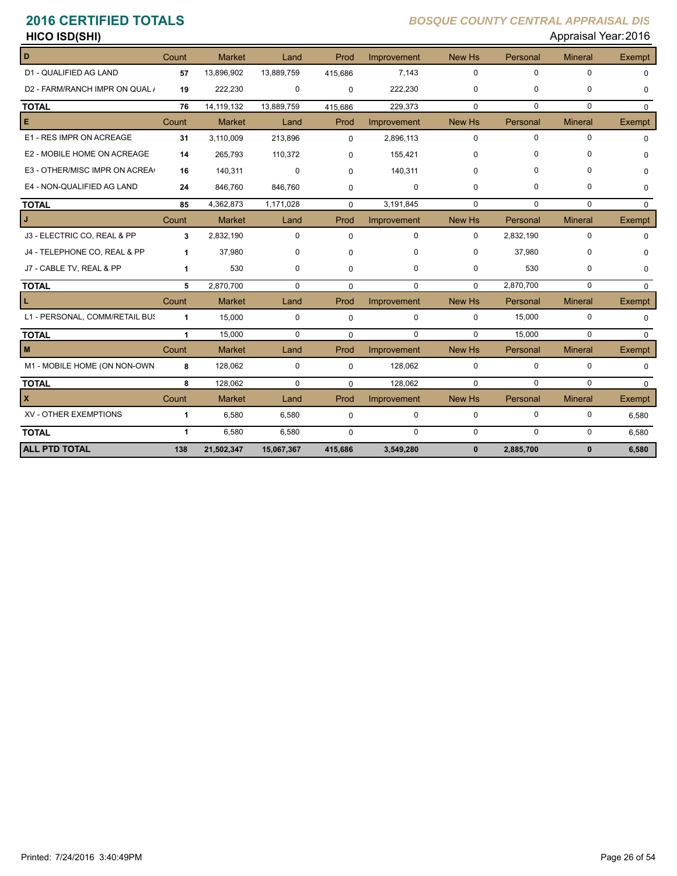| <b>HICO ISD(SHI)</b> | Appraisal Year: 2016 |
|----------------------|----------------------|
|----------------------|----------------------|

| D                              | Count        | <b>Market</b> | Land        | Prod        | Improvement | New Hs        | Personal    | <b>Mineral</b> | <b>Exempt</b> |
|--------------------------------|--------------|---------------|-------------|-------------|-------------|---------------|-------------|----------------|---------------|
| D1 - QUALIFIED AG LAND         | 57           | 13,896,902    | 13,889,759  | 415,686     | 7.143       | $\mathbf 0$   | $\mathbf 0$ | $\Omega$       | $\Omega$      |
| D2 - FARM/RANCH IMPR ON QUAL / | 19           | 222,230       | 0           | $\mathbf 0$ | 222,230     | $\mathbf 0$   | $\mathbf 0$ | 0              | $\Omega$      |
| <b>TOTAL</b>                   | 76           | 14, 119, 132  | 13,889,759  | 415,686     | 229,373     | $\Omega$      | $\Omega$    | $\Omega$       | $\Omega$      |
| Е                              | Count        | Market        | Land        | Prod        | Improvement | New Hs        | Personal    | <b>Mineral</b> | Exempt        |
| E1 - RES IMPR ON ACREAGE       | 31           | 3,110,009     | 213,896     | $\Omega$    | 2,896,113   | $\Omega$      | $\Omega$    | $\Omega$       | $\Omega$      |
| E2 - MOBILE HOME ON ACREAGE    | 14           | 265,793       | 110,372     | 0           | 155,421     | 0             | $\Omega$    | $\Omega$       | $\Omega$      |
| E3 - OTHER/MISC IMPR ON ACREA  | 16           | 140,311       | $\mathbf 0$ | $\Omega$    | 140,311     | $\Omega$      | $\Omega$    | 0              | U             |
| E4 - NON-QUALIFIED AG LAND     | 24           | 846,760       | 846,760     | $\Omega$    | $\mathbf 0$ | 0             | 0           | 0              | $\Omega$      |
| <b>TOTAL</b>                   | 85           | 4,362,873     | 1,171,028   | $\mathbf 0$ | 3,191,845   | $\Omega$      | $\Omega$    | $\Omega$       | $\Omega$      |
|                                | Count        | Market        | Land        | Prod        | Improvement | <b>New Hs</b> | Personal    | <b>Mineral</b> | Exempt        |
| J3 - ELECTRIC CO, REAL & PP    | 3            | 2,832,190     | $\mathbf 0$ | $\Omega$    | $\mathbf 0$ | $\Omega$      | 2,832,190   | $\Omega$       | $\Omega$      |
| J4 - TELEPHONE CO, REAL & PP   | 1            | 37,980        | 0           | $\Omega$    | 0           | 0             | 37,980      | 0              | $\Omega$      |
| J7 - CABLE TV, REAL & PP       | 1            | 530           | 0           | $\Omega$    | 0           | 0             | 530         | 0              | $\Omega$      |
| <b>TOTAL</b>                   | 5            | 2,870,700     | $\mathbf 0$ | $\Omega$    | $\mathbf 0$ | $\Omega$      | 2,870,700   | $\Omega$       | $\Omega$      |
|                                | Count        | <b>Market</b> | Land        | Prod        | Improvement | New Hs        | Personal    | <b>Mineral</b> | Exempt        |
| L1 - PERSONAL, COMM/RETAIL BUS | 1            | 15,000        | $\mathbf 0$ | 0           | $\mathbf 0$ | $\Omega$      | 15,000      | $\mathbf 0$    | $\Omega$      |
| <b>TOTAL</b>                   | 1            | 15,000        | $\mathbf 0$ | $\mathbf 0$ | $\mathbf 0$ | $\Omega$      | 15,000      | $\Omega$       | $\Omega$      |
| M                              | Count        | <b>Market</b> | Land        | Prod        | Improvement | New Hs        | Personal    | <b>Mineral</b> | <b>Exempt</b> |
| M1 - MOBILE HOME (ON NON-OWN   | 8            | 128,062       | $\mathbf 0$ | $\mathbf 0$ | 128,062     | $\Omega$      | $\Omega$    | $\Omega$       | $\Omega$      |
| <b>TOTAL</b>                   | 8            | 128.062       | $\Omega$    | $\Omega$    | 128.062     | $\Omega$      | $\mathbf 0$ | $\Omega$       | $\Omega$      |
| X                              | Count        | <b>Market</b> | Land        | Prod        | Improvement | New Hs        | Personal    | <b>Mineral</b> | <b>Exempt</b> |
| XV - OTHER EXEMPTIONS          | 1            | 6,580         | 6,580       | 0           | 0           | $\mathbf 0$   | $\mathbf 0$ | 0              | 6,580         |
| <b>TOTAL</b>                   | $\mathbf{1}$ | 6,580         | 6,580       | $\Omega$    | $\Omega$    | $\Omega$      | $\Omega$    | $\Omega$       | 6,580         |
| <b>ALL PTD TOTAL</b>           | 138          | 21,502,347    | 15,067,367  | 415,686     | 3,549,280   | $\bf{0}$      | 2,885,700   | $\mathbf{0}$   | 6,580         |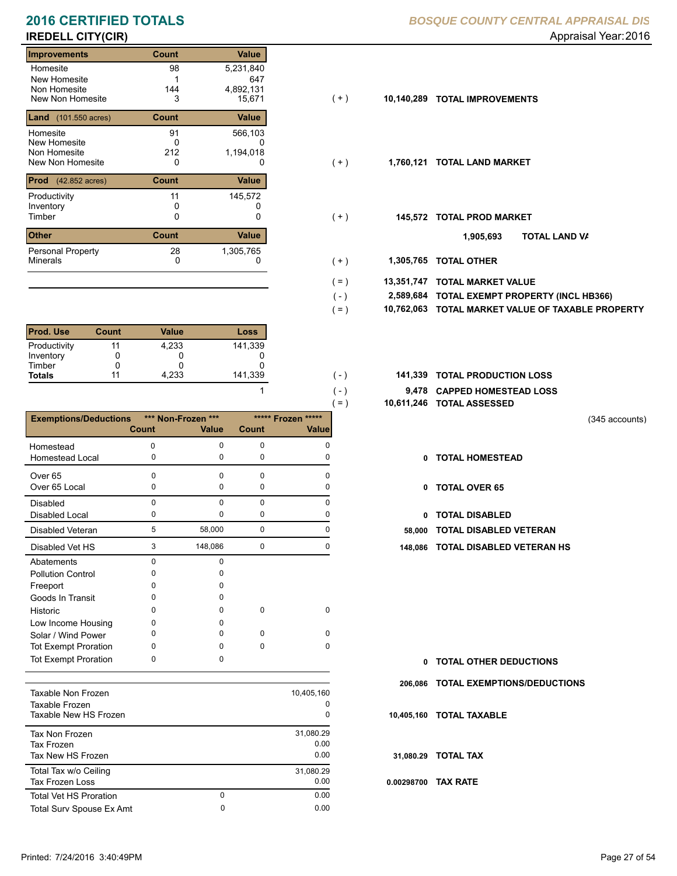# **IREDELL CITY(CIR)** Appraisal Year: 2016

### **Improvements Count Value** Homesite New Homesite Non Homesite<br>New Non Homesite New Non Homesite **TOTAL IMPROVEMENTS** 3 15,671 **10,140,289** 98 5,231,840 1<br>144 0 14<br>15,671<br>15,671 **Land** (101.550 acres) **Count Count Value** Homesite New Homesite Non Homesite<br>New Non Homesite New Non Homesite **TOTAL LAND MARKET** 0 0 **1,760,121** 91 566,103  $\begin{array}{c} 0 \\ 212 \end{array}$ 647 1,194,018 **Prod** (42.852 acres) **Count Value** Productivity 11 145,572 Inventory<br>Timber 0 0 0 Timber 0 **TOTAL PROD MARKET 145,572 Other Count** Count Value Minerals Personal Property 11 28 1,305,765

| <b>Prod. Use</b> | Count | Value | Loss    |
|------------------|-------|-------|---------|
| Productivity     | 11    | 4.233 | 141,339 |
| Inventory        |       |       |         |
| Timber           |       |       |         |
| <b>Totals</b>    | 11    | 4.233 | 141,339 |

|                              |              |                    |              | $=$ )                  | 10,611,246 |
|------------------------------|--------------|--------------------|--------------|------------------------|------------|
| <b>Exemptions/Deductions</b> |              | *** Non-Frozen *** |              | ***** Frozen<br>$****$ |            |
|                              | <b>Count</b> | <b>Value</b>       | <b>Count</b> | Value                  |            |
| Homestead                    | 0            | $\Omega$           | 0            | $\Omega$               |            |
| Homestead Local              | 0            | 0                  | 0            | 0                      | 0          |
| Over <sub>65</sub>           | $\Omega$     | $\Omega$           | $\Omega$     | <sup>0</sup>           |            |
| Over 65 Local                | 0            | 0                  | 0            | $\Omega$               | 0          |
| <b>Disabled</b>              | $\Omega$     | $\Omega$           | $\Omega$     | 0                      |            |
| <b>Disabled Local</b>        | 0            | 0                  | $\mathbf 0$  | 0                      | 0          |
| <b>Disabled Veteran</b>      | 5            | 58,000             | $\mathbf 0$  | $\Omega$               | 58,000     |
| Disabled Vet HS              | 3            | 148,086            | $\mathbf 0$  | 0                      | 148,086    |
| Abatements                   | $\Omega$     | $\Omega$           |              |                        |            |
| <b>Pollution Control</b>     | 0            | 0                  |              |                        |            |
| Freeport                     | o            | n                  |              |                        |            |
| Goods In Transit             | o            | 0                  |              |                        |            |
| Historic                     | 0            | 0                  | $\Omega$     | $\Omega$               |            |
| Low Income Housing           | 0            | o                  |              |                        |            |
| Solar / Wind Power           | 0            | O                  | $\Omega$     | $\Omega$               |            |
| <b>Tot Exempt Proration</b>  | 0            | <sup>0</sup>       | 0            | 0                      |            |
| <b>Tot Exempt Proration</b>  | 0            | 0                  |              |                        | 0          |
|                              |              |                    |              |                        | 206,086    |
| <b>Taxable Non Frozen</b>    |              |                    |              | 10,405,160             |            |
| Taxable Frozen               |              |                    |              | 0                      |            |
| Taxable New HS Frozen        |              |                    |              | o                      | 10,405,160 |
| Toy Non Erozon               |              |                    |              | 31 NRN 20              |            |

| Tax Non Frozen                |   | 31,080.29 |
|-------------------------------|---|-----------|
| Tax Frozen                    |   | 0.00      |
| Tax New HS Frozen             |   | 0.00      |
| Total Tax w/o Ceiling         |   | 31,080.29 |
| Tax Frozen Loss               |   | 0.00      |
| <b>Total Vet HS Proration</b> | 0 | 0.00      |
| Total Surv Spouse Ex Amt      | 0 | 0.00      |

### **2016 CERTIFIED TOTALS** *BOSQUE COUNTY CENTRAL APPRAISAL DIS*

- $(+)$
- $(+)$
- $(+)$ 
	- **TOTAL LAND VA 1,905,693**
- 0 0 **1,305,765 TOTAL OTHER**  $( + )$

 $( - )$ 

 $( - )$  $( - )$ 

1

- **13,351,747 TOTAL MARKET VALUE**  $( = )$ 
	- **TOTAL EXEMPT PROPERTY (INCL HB366) 2,589,684**
- **10,762,063 TOTAL MARKET VALUE OF TAXABLE PROPERTY**  $( = )$
- **TOTAL PRODUCTION LOSS** (-) **141,339 TOTAL PRODUCTION LOSS** 
	- **9,478 CAPPED HOMESTEAD LOSS**
	- **10,611,246 TOTAL ASSESSED**
- (345 accounts)
- **TOTAL HOMESTEAD**
- 0 TOTAL OVER 65
- 0 TOTAL DISABLED
- **58,000 TOTAL DISABLED VETERAN**
- 3 0 148,086 0 **148,086 TOTAL DISABLED VETERAN HS**

- **TOTAL OTHER DEDUCTIONS 0**
- **206,086 TOTAL EXEMPTIONS/DEDUCTIONS**
- **10,405,160 TOTAL TAXABLE**
- **31,080.29 TOTAL TAX**
- **0.00298700 TAX RATE**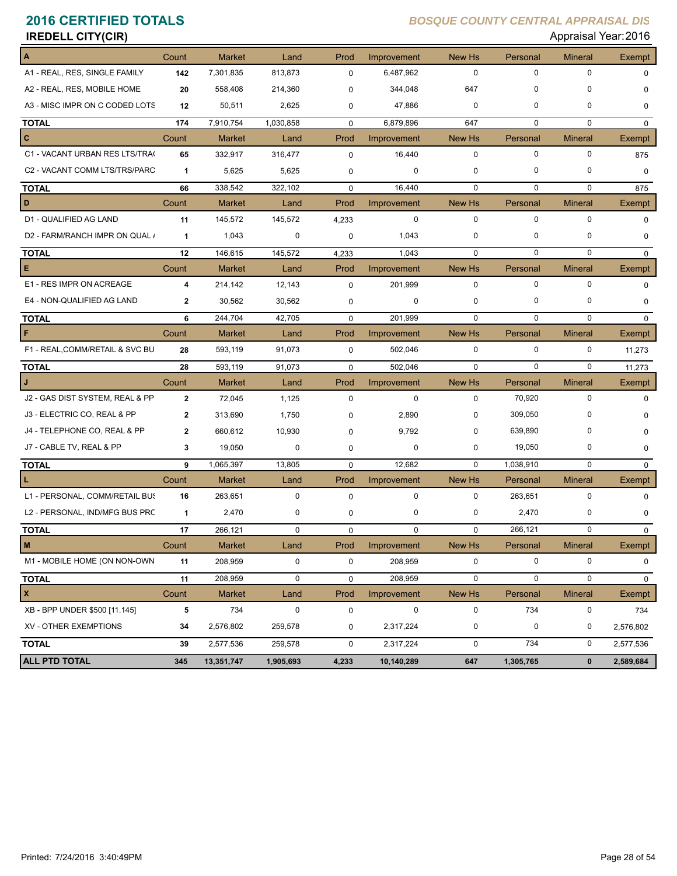| <b>IREDELL CITY(CIR)</b>        |              |               |           |             |             |             |             | Appraisal Year: 2016 |               |
|---------------------------------|--------------|---------------|-----------|-------------|-------------|-------------|-------------|----------------------|---------------|
|                                 | Count        | <b>Market</b> | Land      | Prod        | Improvement | New Hs      | Personal    | <b>Mineral</b>       | <b>Exempt</b> |
| A1 - REAL, RES, SINGLE FAMILY   | 142          | 7,301,835     | 813,873   | 0           | 6,487,962   | $\mathbf 0$ | 0           | 0                    | 0             |
| A2 - REAL, RES, MOBILE HOME     | 20           | 558,408       | 214,360   | $\Omega$    | 344,048     | 647         | 0           | 0                    | 0             |
| A3 - MISC IMPR ON C CODED LOTS  | 12           | 50,511        | 2,625     | 0           | 47,886      | 0           | 0           | 0                    | 0             |
| <b>TOTAL</b>                    | 174          | 7,910,754     | 1,030,858 | 0           | 6,879,896   | 647         | 0           | $\mathbf 0$          | $\mathbf 0$   |
| c                               | Count        | <b>Market</b> | Land      | Prod        | Improvement | New Hs      | Personal    | <b>Mineral</b>       | Exempt        |
| C1 - VACANT URBAN RES LTS/TRA(  | 65           | 332,917       | 316,477   | $\mathbf 0$ | 16,440      | 0           | 0           | 0                    | 875           |
| C2 - VACANT COMM LTS/TRS/PARC   | $\mathbf{1}$ | 5,625         | 5,625     | 0           | 0           | 0           | 0           | 0                    | 0             |
| <b>TOTAL</b>                    | 66           | 338,542       | 322,102   | $\mathbf 0$ | 16,440      | $\mathbf 0$ | $\mathbf 0$ | $\mathbf 0$          | 875           |
| D                               | Count        | <b>Market</b> | Land      | Prod        | Improvement | New Hs      | Personal    | <b>Mineral</b>       | <b>Exempt</b> |
| D1 - QUALIFIED AG LAND          | 11           | 145,572       | 145,572   | 4,233       | 0           | 0           | 0           | 0                    | 0             |
| D2 - FARM/RANCH IMPR ON QUAL /  | $\mathbf{1}$ | 1,043         | 0         | $\mathbf 0$ | 1,043       | $\mathbf 0$ | 0           | 0                    | 0             |
| <b>TOTAL</b>                    | 12           | 146,615       | 145,572   | 4,233       | 1,043       | $\mathbf 0$ | $\mathbf 0$ | $\mathbf 0$          | $\mathbf 0$   |
| Е                               | Count        | <b>Market</b> | Land      | Prod        | Improvement | New Hs      | Personal    | <b>Mineral</b>       | <b>Exempt</b> |
| E1 - RES IMPR ON ACREAGE        | 4            | 214,142       | 12,143    | 0           | 201,999     | 0           | 0           | 0                    | 0             |
| E4 - NON-QUALIFIED AG LAND      | $\mathbf{2}$ | 30,562        | 30,562    | 0           | 0           | 0           | 0           | 0                    | 0             |
| <b>TOTAL</b>                    | 6            | 244,704       | 42,705    | 0           | 201,999     | $\mathbf 0$ | $\mathbf 0$ | $\mathbf 0$          | $\mathbf{0}$  |
| F                               | Count        | <b>Market</b> | Land      | Prod        | Improvement | New Hs      | Personal    | <b>Mineral</b>       | Exempt        |
| F1 - REAL, COMM/RETAIL & SVC BU | 28           | 593,119       | 91,073    | 0           | 502,046     | 0           | 0           | 0                    | 11,273        |
| <b>TOTAL</b>                    | 28           | 593,119       | 91,073    | $\mathbf 0$ | 502,046     | $\mathbf 0$ | 0           | $\mathbf 0$          | 11,273        |
| J                               | Count        | Market        | Land      | Prod        | Improvement | New Hs      | Personal    | <b>Mineral</b>       | Exempt        |
| J2 - GAS DIST SYSTEM, REAL & PP | $\mathbf{2}$ | 72,045        | 1,125     | 0           | 0           | 0           | 70,920      | 0                    | 0             |
| J3 - ELECTRIC CO, REAL & PP     | $\mathbf{2}$ | 313,690       | 1,750     | 0           | 2,890       | 0           | 309,050     | $\Omega$             | 0             |
| J4 - TELEPHONE CO, REAL & PP    | $\mathbf{2}$ | 660,612       | 10,930    | $\Omega$    | 9,792       | 0           | 639,890     | 0                    | 0             |
| J7 - CABLE TV, REAL & PP        | 3            | 19,050        | 0         | 0           | 0           | 0           | 19,050      | 0                    | 0             |
| <b>TOTAL</b>                    | 9            | 1,065,397     | 13,805    | $\mathbf 0$ | 12,682      | $\mathbf 0$ | 1,038,910   | $\mathbf 0$          | $\mathbf{0}$  |
|                                 | Count        | Market        | Land      | Prod        | Improvement | New Hs      | Personal    | <b>Mineral</b>       | <b>Exempt</b> |
| L1 - PERSONAL, COMM/RETAIL BUS  | 16           | 263,651       | 0         | $\mathbf 0$ | 0           | 0           | 263,651     | 0                    | 0             |
| L2 - PERSONAL, IND/MFG BUS PRC  | 1            | 2,470         | 0         | 0           | 0           | 0           | 2,470       | 0                    | 0             |
| <b>TOTAL</b>                    | 17           | 266,121       |           | 0           | U           |             | 266,121     |                      |               |
| M                               | Count        | <b>Market</b> | Land      | Prod        | Improvement | New Hs      | Personal    | <b>Mineral</b>       | Exempt        |
| M1 - MOBILE HOME (ON NON-OWN    | 11           | 208,959       | 0         | $\pmb{0}$   | 208,959     | 0           | 0           | 0                    | 0             |
| <b>TOTAL</b>                    | 11           | 208,959       | $\pmb{0}$ | 0           | 208,959     | $\pmb{0}$   | 0           | $\mathbf 0$          | $\mathbf 0$   |
| <b>X</b>                        | Count        | Market        | Land      | Prod        | Improvement | New Hs      | Personal    | <b>Mineral</b>       | Exempt        |
| XB - BPP UNDER \$500 [11.145]   | 5            | 734           | 0         | 0           | 0           | 0           | 734         | 0                    | 734           |
| XV - OTHER EXEMPTIONS           | 34           | 2,576,802     | 259,578   | 0           | 2,317,224   | 0           | 0           | 0                    | 2,576,802     |
| <b>TOTAL</b>                    | 39           | 2,577,536     | 259,578   | 0           | 2,317,224   | 0           | 734         | 0                    | 2,577,536     |
| ALL PTD TOTAL                   | 345          | 13,351,747    | 1,905,693 | 4,233       | 10,140,289  | 647         | 1,305,765   | $\mathbf 0$          | 2,589,684     |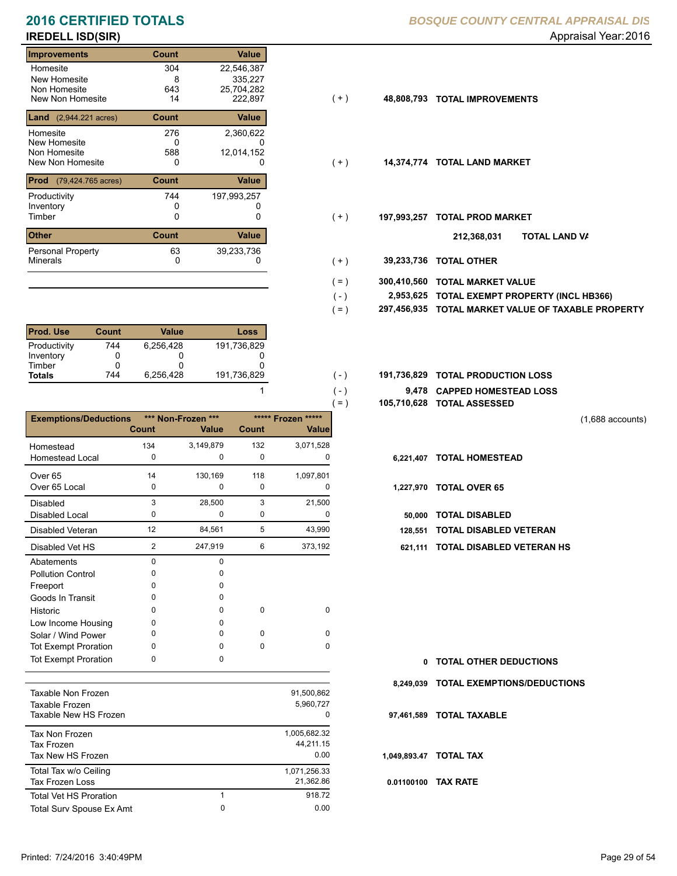# **IREDELL ISD(SIR)** Appraisal Year: 2016

### **Improvements Count Value** Homesite New Homesite Non Homesite<br>New Non Homesite New Non Homesite 14 222,897 (+ ) **48,808,793 TOTAL IMPROVEMENTS** 304 22,546,387  $8\n643$ 0 43 25,704,282<br>14 222,897 **Land** (2,944.221 acres) **Count Value** Homesite New Homesite Non Homesite<br>New Non Homesite New Non Homesite **TOTAL LAND MARKET** 0 0 **14,374,774** 276 2,360,622 0<br>588 335,227 12,014,152 **Prod** (79,424.765 acres) **Count Value** Productivity 244 197,993,257 Inventory<br>Timber 0 0 0 Timber 0 **TOTAL PROD MARKET 197,993,257 Other Count** Count Value Minerals Personal Property 744 63 39,233,736

| <b>Prod. Use</b> | Count | Value     | Loss        |
|------------------|-------|-----------|-------------|
| Productivity     | 744   | 6.256.428 | 191,736,829 |
| Inventory        |       |           |             |
| Timber           |       |           |             |
| <b>Totals</b>    | 744   | 6.256.428 | 191,736,829 |

|                              |          |                    |          |                    | $=$ )        | 105,710,628 TOTAL ASSESSED    |
|------------------------------|----------|--------------------|----------|--------------------|--------------|-------------------------------|
| <b>Exemptions/Deductions</b> |          | *** Non-Frozen *** |          | ***** Frozen ***** |              |                               |
|                              | Count    | Value              | Count    | Value              |              |                               |
| Homestead                    | 134      | 3,149,879          | 132      | 3,071,528          |              |                               |
| <b>Homestead Local</b>       | 0        | $\Omega$           | 0        | <sup>0</sup>       | 6,221,407    | <b>TOTAL HOMESTEAD</b>        |
| Over <sub>65</sub>           | 14       | 130,169            | 118      | 1,097,801          |              |                               |
| Over 65 Local                | 0        | 0                  | 0        | 0                  | 1,227,970    | <b>TOTAL OVER 65</b>          |
| <b>Disabled</b>              | 3        | 28,500             | 3        | 21,500             |              |                               |
| Disabled Local               | 0        | 0                  | 0        | 0                  | 50,000       | <b>TOTAL DISABLED</b>         |
| <b>Disabled Veteran</b>      | 12       | 84,561             | 5        | 43,990             | 128,551      | <b>TOTAL DISABLED VETERAN</b> |
| Disabled Vet HS              | 2        | 247,919            | 6        | 373,192            | 621,111      | <b>TOTAL DISABLED VETERAN</b> |
| Abatements                   | 0        | 0                  |          |                    |              |                               |
| <b>Pollution Control</b>     | 0        | 0                  |          |                    |              |                               |
| Freeport                     | 0        | 0                  |          |                    |              |                               |
| Goods In Transit             | 0        | 0                  |          |                    |              |                               |
| Historic                     | $\Omega$ | 0                  | 0        | 0                  |              |                               |
| Low Income Housing           | 0        | 0                  |          |                    |              |                               |
| Solar / Wind Power           | $\Omega$ | 0                  | $\Omega$ | $\Omega$           |              |                               |
| <b>Tot Exempt Proration</b>  | 0        | 0                  | 0        | $\Omega$           |              |                               |
| <b>Tot Exempt Proration</b>  | 0        | 0                  |          |                    | $\mathbf{0}$ | <b>TOTAL OTHER DEDUCTIONS</b> |
|                              |          |                    |          |                    |              |                               |
| Taxable Non Frozen           |          |                    |          | 91,500,862         | 8,249,039    | <b>TOTAL EXEMPTIONS/DEDUC</b> |
| Taxable Frozen               |          |                    |          | 5,960,727          |              |                               |
| Taxable New HS Frozen        |          |                    |          | $\Omega$           | 97,461,589   | <b>TOTAL TAXABLE</b>          |

| Tax Non Frozen                |   | 1,005,682.32 |
|-------------------------------|---|--------------|
| <b>Tax Frozen</b>             |   | 44,211.15    |
| Tax New HS Frozen             |   | 0.00         |
| Total Tax w/o Ceiling         |   | 1,071,256.33 |
| Tax Frozen Loss               |   | 21.362.86    |
| <b>Total Vet HS Proration</b> | 1 | 918.72       |
| Total Surv Spouse Ex Amt      | 0 | 0.00         |
|                               |   |              |

- $(+)$
- $(+)$
- $(+)$ 
	- **TOTAL LAND VA 212,368,031**
- 0 0 **39,233,736 TOTAL OTHER**  $(+)$

 $( - )$  $( - )$ 

1

- **300,410,560 TOTAL MARKET VALUE**  $( = )$
- **TOTAL EXEMPT PROPERTY (INCL HB366) 2,953,625**  $( - )$
- **297,456,935 TOTAL MARKET VALUE OF TAXABLE PROPERTY**  $( = )$
- **TOTAL PRODUCTION LOSS** 191,736,829 **191,736,829**
	- **9,478 CAPPED HOMESTEAD LOSS**
	- **105,710,628 TOTAL ASSESSED**

(1,688 accounts)

- 
- - Disabled Local **TOTAL DISABLED**
- 
- 621,111 TOTAL DISABLED VETERAN HS

- **TOTAL OTHER DEDUCTIONS 0**
- **8,249,039 TOTAL EXEMPTIONS/DEDUCTIONS**
- **97,461,589 TOTAL TAXABLE**
- **1,049,893.47 TOTAL TAX**
- **0.01100100 TAX RATE**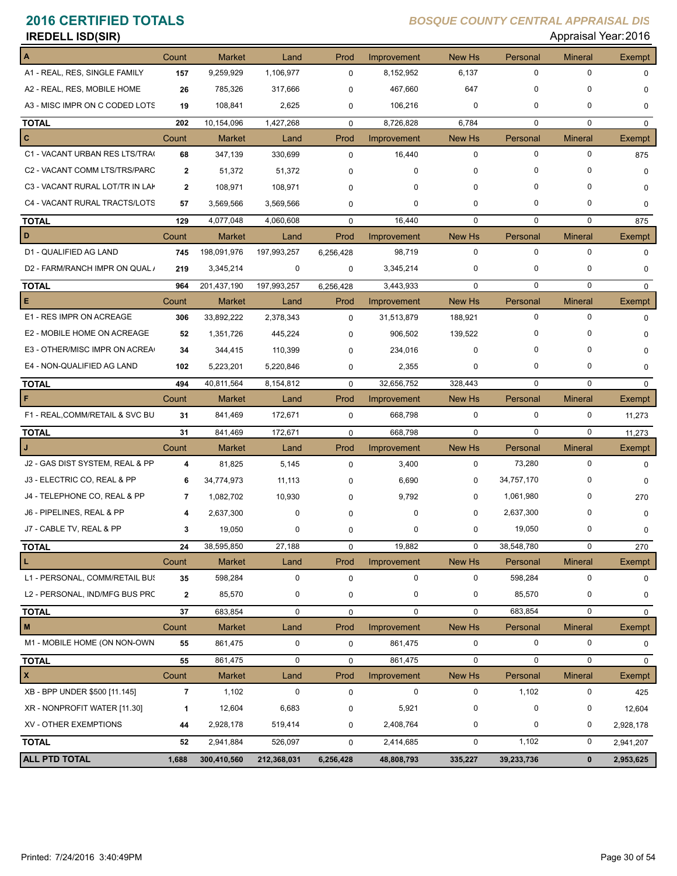| <b>IREDELL ISD(SIR)</b>         |                         |               |             |             |                    |             |             | Appraisal Year: 2016 |               |
|---------------------------------|-------------------------|---------------|-------------|-------------|--------------------|-------------|-------------|----------------------|---------------|
|                                 | Count                   | <b>Market</b> | Land        | Prod        | Improvement        | New Hs      | Personal    | <b>Mineral</b>       | <b>Exempt</b> |
| A1 - REAL, RES, SINGLE FAMILY   | 157                     | 9,259,929     | 1,106,977   | 0           | 8,152,952          | 6,137       | 0           | $\mathbf 0$          | $\mathbf 0$   |
| A2 - REAL, RES, MOBILE HOME     | 26                      | 785,326       | 317,666     | 0           | 467,660            | 647         | 0           | 0                    | 0             |
| A3 - MISC IMPR ON C CODED LOTS  | 19                      | 108,841       | 2,625       | 0           | 106,216            | 0           | 0           | 0                    | $\mathbf 0$   |
| <b>TOTAL</b>                    | 202                     | 10,154,096    | 1,427,268   | $\mathbf 0$ | 8,726,828          | 6,784       | $\mathbf 0$ | $\mathbf 0$          | $\mathbf{0}$  |
| c                               | Count                   | <b>Market</b> | Land        | Prod        | Improvement        | New Hs      | Personal    | <b>Mineral</b>       | <b>Exempt</b> |
| C1 - VACANT URBAN RES LTS/TRA(  | 68                      | 347,139       | 330,699     | 0           | 16,440             | 0           | 0           | 0                    | 875           |
| C2 - VACANT COMM LTS/TRS/PARC   | 2                       | 51,372        | 51,372      | 0           | 0                  | $\mathbf 0$ | 0           | 0                    | $\Omega$      |
| C3 - VACANT RURAL LOT/TR IN LAP | $\mathbf{2}$            | 108,971       | 108,971     | 0           | 0                  | $\mathbf 0$ | 0           | 0                    | 0             |
| C4 - VACANT RURAL TRACTS/LOTS   | 57                      | 3,569,566     | 3,569,566   | 0           | 0                  | $\mathbf 0$ | 0           | 0                    | 0             |
| TOTAL                           | 129                     | 4,077,048     | 4,060,608   | $\mathbf 0$ | 16,440             | $\mathbf 0$ | $\mathbf 0$ | $\mathbf 0$          | 875           |
| D                               | Count                   | <b>Market</b> | Land        | Prod        | Improvement        | New Hs      | Personal    | <b>Mineral</b>       | <b>Exempt</b> |
| D1 - QUALIFIED AG LAND          | 745                     | 198,091,976   | 197,993,257 | 6,256,428   | 98,719             | $\mathbf 0$ | 0           | $\mathbf 0$          | $\mathbf 0$   |
| D2 - FARM/RANCH IMPR ON QUAL /  | 219                     | 3,345,214     | 0           | 0           | 3,345,214          | 0           | 0           | 0                    | 0             |
| TOTAL                           | 964                     | 201,437,190   | 197,993,257 | 6,256,428   | 3,443,933          | $\mathbf 0$ | 0           | 0                    | $\mathbf{0}$  |
| Е                               | Count                   | <b>Market</b> | Land        | Prod        | Improvement        | New Hs      | Personal    | <b>Mineral</b>       | Exempt        |
| E1 - RES IMPR ON ACREAGE        | 306                     | 33,892,222    | 2,378,343   | $\mathbf 0$ | 31,513,879         | 188,921     | 0           | $\mathbf 0$          | $\mathbf 0$   |
| E2 - MOBILE HOME ON ACREAGE     | 52                      | 1,351,726     | 445,224     | 0           | 906,502            | 139,522     | 0           | 0                    | 0             |
| E3 - OTHER/MISC IMPR ON ACREA   | 34                      | 344,415       | 110,399     | 0           | 234,016            | $\mathbf 0$ | 0           | 0                    | 0             |
| E4 - NON-QUALIFIED AG LAND      | 102                     | 5,223,201     | 5,220,846   | 0           | 2,355              | 0           | 0           | 0                    | 0             |
| TOTAL                           | 494                     | 40,811,564    | 8,154,812   | $\mathbf 0$ | 32,656,752         | 328,443     | $\mathbf 0$ | $\mathbf 0$          | $\mathbf 0$   |
|                                 | Count                   | <b>Market</b> | Land        | Prod        | Improvement        | New Hs      | Personal    | <b>Mineral</b>       | Exempt        |
| F1 - REAL, COMM/RETAIL & SVC BU | 31                      | 841,469       | 172,671     | 0           | 668,798            | 0           | 0           | 0                    | 11,273        |
| TOTAL                           | 31                      | 841,469       | 172,671     | $\mathbf 0$ | 668,798            | $\mathbf 0$ | 0           | 0                    | 11,273        |
|                                 | Count                   | <b>Market</b> | Land        | Prod        | Improvement        | New Hs      | Personal    | <b>Mineral</b>       | Exempt        |
| J2 - GAS DIST SYSTEM, REAL & PP | 4                       | 81,825        | 5,145       | 0           | 3,400              | 0           | 73,280      | 0                    | $\mathbf 0$   |
| J3 - ELECTRIC CO, REAL & PP     | 6                       | 34,774,973    | 11,113      | 0           | 6,690              | 0           | 34,757,170  | 0                    | $\mathbf 0$   |
| J4 - TELEPHONE CO, REAL & PP    | $\overline{7}$          | 1,082,702     | 10,930      | 0           | 9,792              | $\mathbf 0$ | 1,061,980   | 0                    | 270           |
| J6 - PIPELINES, REAL & PP       | 4                       | 2,637,300     | 0           | 0           | 0                  | $\mathbf 0$ | 2,637,300   | 0                    | $\mathbf 0$   |
| J7 - CABLE TV, REAL & PP        | 3                       | 19,050        | 0           | 0           | 0                  | 0           | 19,050      | 0                    | 0             |
| TOTAL                           | 24                      | 38,595,850    | 27,188      | 0           | 19,882             | $\mathbf 0$ | 38,548,780  | 0                    | 270           |
| L.                              | Count                   | <b>Market</b> | Land        | Prod        | <b>Improvement</b> | New Hs      | Personal    | <b>Mineral</b>       | Exempt        |
| L1 - PERSONAL, COMM/RETAIL BU!  | 35                      | 598,284       | 0           | 0           | 0                  | 0           | 598,284     | 0                    | 0             |
| L2 - PERSONAL, IND/MFG BUS PRC  | $\mathbf{2}$            | 85,570        | 0           | 0           | 0                  | 0           | 85,570      | 0                    | 0             |
| TOTAL                           | 37                      | 683,854       | 0           | 0           | 0                  | 0           | 683,854     | 0                    | 0             |
| M                               | Count                   | <b>Market</b> | Land        | Prod        | Improvement        | New Hs      | Personal    | <b>Mineral</b>       | Exempt        |
| M1 - MOBILE HOME (ON NON-OWN    | 55                      | 861,475       | 0           | 0           | 861,475            | $\mathbf 0$ | 0           | 0                    | $\mathbf 0$   |
| <b>TOTAL</b>                    | 55                      | 861,475       | 0           | 0           | 861,475            | $\mathbf 0$ | $\mathbf 0$ | 0                    | $\mathbf{0}$  |
| X                               | Count                   | <b>Market</b> | Land        | Prod        | <b>Improvement</b> | New Hs      | Personal    | <b>Mineral</b>       | <b>Exempt</b> |
| XB - BPP UNDER \$500 [11.145]   | $\overline{\mathbf{r}}$ | 1,102         | $\pmb{0}$   | 0           | 0                  | 0           | 1,102       | 0                    | 425           |
| XR - NONPROFIT WATER [11.30]    | 1                       | 12,604        | 6,683       | 0           | 5,921              | 0           | $\pmb{0}$   | 0                    | 12,604        |
| XV - OTHER EXEMPTIONS           | 44                      | 2,928,178     | 519,414     | 0           | 2,408,764          | 0           | 0           | 0                    | 2,928,178     |
| TOTAL                           | 52                      | 2,941,884     | 526,097     | $\mathbf 0$ | 2,414,685          | $\mathbf 0$ | 1,102       | 0                    | 2,941,207     |
| <b>ALL PTD TOTAL</b>            | 1,688                   | 300,410,560   | 212,368,031 | 6,256,428   | 48,808,793         | 335,227     | 39,233,736  | $\pmb{0}$            | 2,953,625     |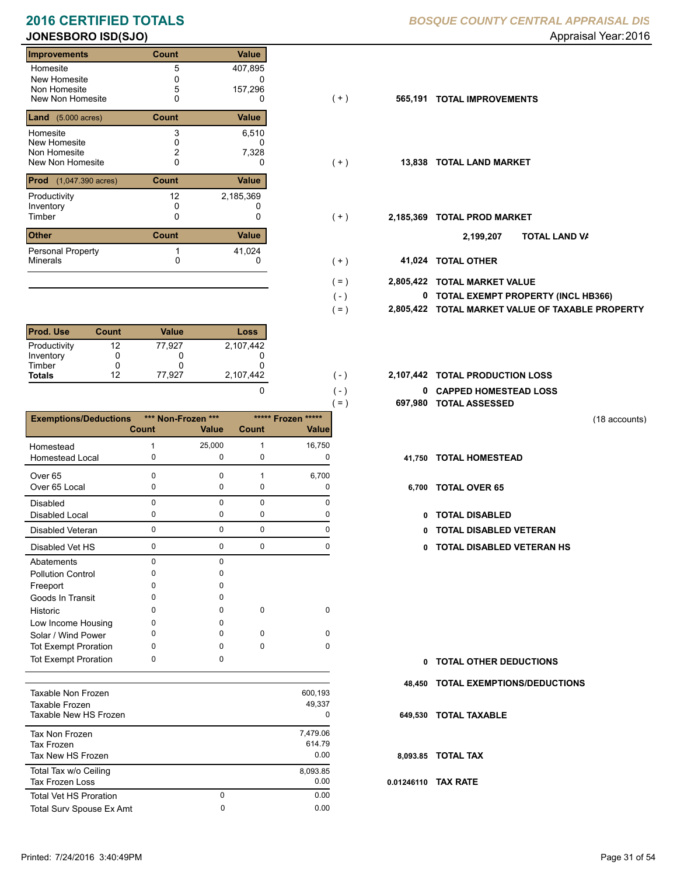### **Improvements Count Value** Homesite New Homesite Non Homesite<br>New Non Homesite New Non Homesite **TOTAL IMPROVEMENTS** 0 0 **565,191** 5 407,895 0 0 5 157,296 **Land** (5.000 acres) **Count Value** Homesite New Homesite Non Homesite<br>New Non Homesite New Non Homesite **TOTAL LAND MARKET** 0 0 **13,838** 3 6,510  $\frac{0}{2}$ 0 2 7,328 **Prod** (1,047.390 acres) **Count Value** Productivity 2,185,369 Inventory<br>Timber 0 0 0 Timber 0 **TOTAL PROD MARKET 2,185,369 Other Count** Count Value Minerals Personal Property 12  $\begin{array}{ccc} 1 & 41,024 \\ 0 & 0 \end{array}$

| <b>Prod. Use</b> | <b>Count</b> | Value  | Loss      |
|------------------|--------------|--------|-----------|
| Productivity     | 12           | 77.927 | 2.107.442 |
| Inventory        |              |        |           |
| Timber           |              |        |           |
| <b>Totals</b>    | 12           | 77.927 | 2,107,442 |

|                              |              |                    |              |                    | $( = )$ | 697,980  |
|------------------------------|--------------|--------------------|--------------|--------------------|---------|----------|
| <b>Exemptions/Deductions</b> |              | *** Non-Frozen *** |              | ***** Frozen ***** |         |          |
|                              | <b>Count</b> | <b>Value</b>       | Count        | <b>Value</b>       |         |          |
| Homestead                    | 1            | 25,000             | $\mathbf{1}$ | 16,750             |         |          |
| <b>Homestead Local</b>       | 0            | $\mathbf 0$        | $\mathbf 0$  | $\mathbf 0$        |         | 41,750   |
| Over <sub>65</sub>           | $\Omega$     | $\Omega$           | $\mathbf{1}$ | 6,700              |         |          |
| Over 65 Local                | 0            | $\mathbf 0$        | $\mathbf 0$  | 0                  |         | 6,700    |
| Disabled                     | 0            | $\Omega$           | $\mathbf 0$  | $\Omega$           |         |          |
| <b>Disabled Local</b>        | 0            | 0                  | $\mathbf 0$  | 0                  |         | 0        |
| <b>Disabled Veteran</b>      | $\mathbf 0$  | $\mathbf 0$        | $\mathbf 0$  | 0                  |         | 0        |
| Disabled Vet HS              | 0            | $\mathbf 0$        | $\mathbf 0$  | 0                  |         | 0        |
| Abatements                   | 0            | $\mathbf 0$        |              |                    |         |          |
| <b>Pollution Control</b>     | 0            | $\Omega$           |              |                    |         |          |
| Freeport                     | 0            | 0                  |              |                    |         |          |
| Goods In Transit             | 0            | 0                  |              |                    |         |          |
| Historic                     | 0            | 0                  | $\mathbf 0$  | $\mathbf 0$        |         |          |
| Low Income Housing           | 0            | <sup>0</sup>       |              |                    |         |          |
| Solar / Wind Power           | 0            | <sup>0</sup>       | $\mathbf 0$  | $\mathbf 0$        |         |          |
| <b>Tot Exempt Proration</b>  | 0            | 0                  | $\Omega$     | 0                  |         |          |
| <b>Tot Exempt Proration</b>  | 0            | 0                  |              |                    |         | 0        |
|                              |              |                    |              |                    |         | 48,450   |
| Taxable Non Frozen           |              |                    |              | 600,193            |         |          |
| Taxable Frozen               |              |                    |              | 49,337             |         |          |
| Taxable New HS Frozen        |              |                    |              | 0                  |         | 649,530  |
| Tax Non Frozen               |              |                    |              | 7,479.06           |         |          |
| <b>Tax Frozen</b>            |              |                    |              | 614.79             |         |          |
| Tax New HS Frozen            |              |                    |              | 0.00               |         | 8,093.85 |
| Total Tax w/o Ceiling        |              |                    |              | 8,093.85           |         |          |

Tax Frozen Loss 0.00

Total Surv Spouse Ex Amt 0.00

0

### **2016 CERTIFIED TOTALS** *BOSQUE COUNTY CENTRAL APPRAISAL DIS*

### **JONESBORO ISD(SJO)** Appraisal Year: 2016

 $(+)$ 

 $(+)$ 

 $(+)$ 

 $( - )$  $( = )$ 

 $( - )$  $( - )$ 

0

0 0.00

- 
- $( + )$ 
	- **TOTAL LAND VA 2,199,207**
	- 0 0 **41,024 TOTAL OTHER**
- **2,805,422 TOTAL MARKET VALUE**  $( = )$ 
	- **TOTAL EXEMPT PROPERTY (INCL HB366) 0**
	- **2,805,422 TOTAL MARKET VALUE OF TAXABLE PROPERTY**
- **TOTAL PRODUCTION LOSS** 2,107,442 **2,107,442**
	- **0 CAPPED HOMESTEAD LOSS**
	- **697,980 TOTAL ASSESSED**
- (18 accounts)
- **41,750 TOTAL HOMESTEAD**
- 6,700 TOTAL OVER 65
	- 0 TOTAL DISABLED
	- Disabled Veteran **TOTAL DISABLED VETERAN**
	- 0 0 0 0 **0 TOTAL DISABLED VETERAN HS**

- **TOTAL OTHER DEDUCTIONS 0**
- **48,450 TOTAL EXEMPTIONS/DEDUCTIONS**
- **649,530 TOTAL TAXABLE**

### **8,093.85 TOTAL TAX**

**0.01246110 TAX RATE**

Total Vet HS Proration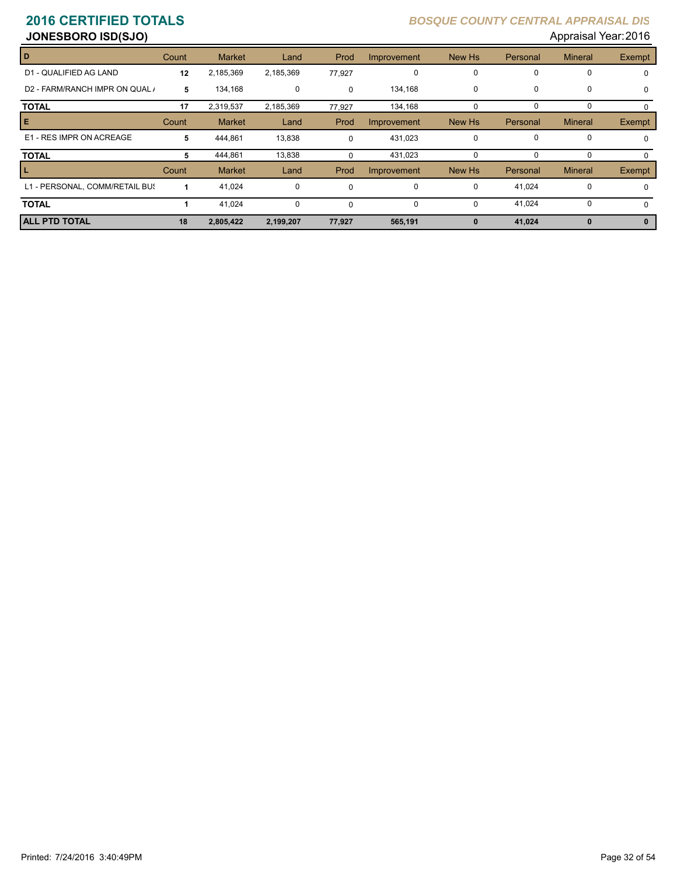| <b>JONESBORO ISD(SJO)</b>      |       |               |           |          |             |             |             | Appraisal Year: 2016 |             |
|--------------------------------|-------|---------------|-----------|----------|-------------|-------------|-------------|----------------------|-------------|
| D                              | Count | <b>Market</b> | Land      | Prod     | Improvement | New Hs      | Personal    | <b>Mineral</b>       | Exempt      |
| D1 - QUALIFIED AG LAND         | 12    | 2,185,369     | 2,185,369 | 77,927   | 0           | 0           | 0           | 0                    | $\mathbf 0$ |
| D2 - FARM/RANCH IMPR ON QUAL / | 5     | 134,168       | 0         | $\Omega$ | 134,168     | $\mathbf 0$ | 0           | 0                    | $\mathbf 0$ |
| <b>TOTAL</b>                   | 17    | 2,319,537     | 2,185,369 | 77,927   | 134,168     | $\Omega$    | $\Omega$    | 0                    | 0           |
| Е                              | Count | <b>Market</b> | Land      | Prod     | Improvement | New Hs      | Personal    | <b>Mineral</b>       | Exempt      |
| E1 - RES IMPR ON ACREAGE       | 5     | 444,861       | 13,838    | $\Omega$ | 431,023     | 0           | $\mathbf 0$ | 0                    | $\Omega$    |
| <b>TOTAL</b>                   | 5     | 444,861       | 13,838    |          | 431,023     | $\Omega$    | $\Omega$    | 0                    | 0           |
| L                              | Count | <b>Market</b> | Land      | Prod     | Improvement | New Hs      | Personal    | <b>Mineral</b>       | Exempt      |
| L1 - PERSONAL, COMM/RETAIL BU! |       | 41,024        | 0         | $\Omega$ | 0           | 0           | 41,024      | 0                    | $\Omega$    |
| <b>TOTAL</b>                   |       | 41,024        | 0         | $\Omega$ | 0           | $\Omega$    | 41,024      | 0                    | $\Omega$    |
| <b>ALL PTD TOTAL</b>           | 18    | 2,805,422     | 2,199,207 | 77,927   | 565,191     | $\bf{0}$    | 41,024      | 0                    | $\bf{0}$    |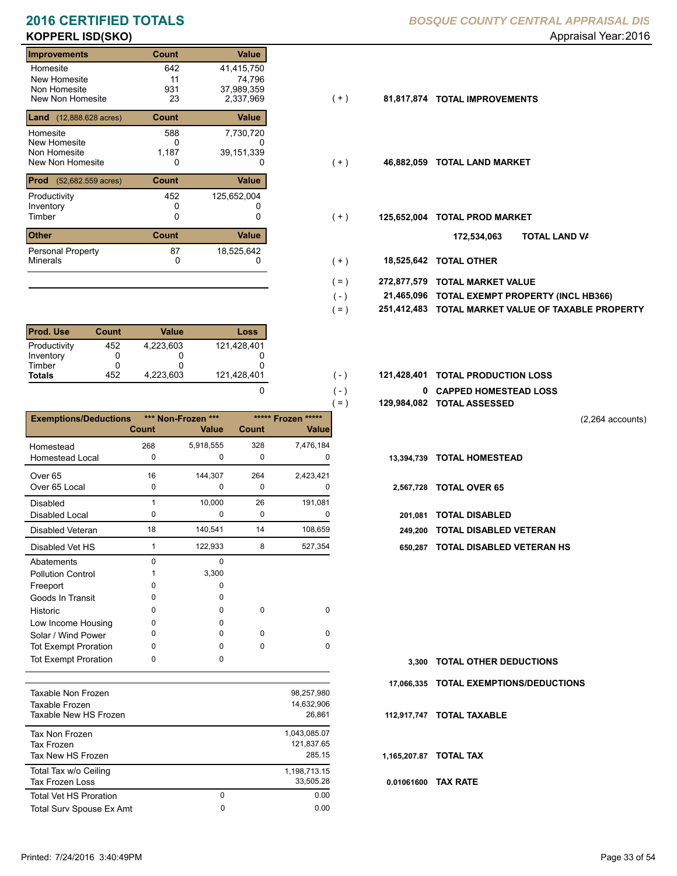# **KOPPERL ISD(SKO)** Appraisal Year: 2016

### **Improvements Count Value** Homesite New Homesite Non Homesite<br>New Non Homesite New Non Homesite 23 2,337,969 (+ ) **81,817,874 TOTAL IMPROVEMENTS** 642 41,415,750  $11$ <br>931 0 931 37,989,359<br>23 2,337,969 **Land** (12,888.628 acres) **Count Value** Homesite New Homesite Non Homesite<br>New Non Homesite New Non Homesite **TOTAL LAND MARKET** 0 0 **46,882,059** 588 7,730,720 0<br>1,187 74,796 39,151,339 **Prod** (52,682.559 acres) **Count Value** Productivity 125,652,004 Inventory<br>Timber 0 0 0 Timber 0 **TOTAL PROD MARKET 125,652,004 Other Count** Count Value Minerals Personal Property 452 87 18,525,642

| <b>Prod. Use</b> | <b>Count</b> | Value     | Loss        |
|------------------|--------------|-----------|-------------|
| Productivity     | 452          | 4.223.603 | 121,428,401 |
| Inventory        |              |           |             |
| Timber           |              |           |             |
| <b>Totals</b>    | 452          | 4.223.603 | 121,428,401 |

|                              |          |                    |              |                    | $=$ )       | 129,984,082 TOTAL ASSESSED    |
|------------------------------|----------|--------------------|--------------|--------------------|-------------|-------------------------------|
| <b>Exemptions/Deductions</b> |          | *** Non-Frozen *** |              | ***** Frozen ***** |             |                               |
|                              | Count    | <b>Value</b>       | <b>Count</b> | Valuel             |             |                               |
| Homestead                    | 268      | 5,918,555          | 328          | 7,476,184          |             |                               |
| <b>Homestead Local</b>       | 0        | $\Omega$           | 0            | 0                  | 13,394,739  | <b>TOTAL HOMESTEAD</b>        |
| Over <sub>65</sub>           | 16       | 144,307            | 264          | 2,423,421          |             |                               |
| Over 65 Local                | 0        | 0                  | 0            | 0                  | 2,567,728   | <b>TOTAL OVER 65</b>          |
| Disabled                     | 1        | 10,000             | 26           | 191,081            |             |                               |
| <b>Disabled Local</b>        | 0        | 0                  | 0            | 0                  | 201.081     | <b>TOTAL DISABLED</b>         |
| <b>Disabled Veteran</b>      | 18       | 140,541            | 14           | 108,659            | 249.200     | <b>TOTAL DISABLED VETERAN</b> |
| Disabled Vet HS              | 1        | 122,933            | 8            | 527,354            | 650.287     | TOTAL DISABLED VETERAN        |
| Abatements                   | $\Omega$ | $\Omega$           |              |                    |             |                               |
| <b>Pollution Control</b>     |          | 3,300              |              |                    |             |                               |
| Freeport                     | O        | <sup>0</sup>       |              |                    |             |                               |
| Goods In Transit             | 0        | 0                  |              |                    |             |                               |
| Historic                     | 0        | 0                  | $\Omega$     | $\Omega$           |             |                               |
| Low Income Housing           | 0        | 0                  |              |                    |             |                               |
| Solar / Wind Power           | 0        | <sup>0</sup>       | $\Omega$     | $\Omega$           |             |                               |
| <b>Tot Exempt Proration</b>  | $\Omega$ | <sup>0</sup>       | $\Omega$     | $\Omega$           |             |                               |
| <b>Tot Exempt Proration</b>  | 0        | 0                  |              |                    | 3.300       | <b>TOTAL OTHER DEDUCTIONS</b> |
|                              |          |                    |              |                    | 17.066.335  | <b>TOTAL EXEMPTIONS/DEDUC</b> |
| <b>Taxable Non Frozen</b>    |          |                    |              | 98,257,980         |             |                               |
| Taxable Frozen               |          |                    |              | 14,632,906         |             |                               |
| Taxable New HS Frozen        |          |                    |              | 26,861             | 112.917.747 | <b>TOTAL TAXABLE</b>          |
| Tay Nan Frozen               |          |                    |              | 104309507          |             |                               |

| Tax Non Frozen<br>Tax Frozen<br>Tax New HS Frozen |   | 1,043,085.07<br>121.837.65<br>285.15 |
|---------------------------------------------------|---|--------------------------------------|
| Total Tax w/o Ceiling<br>Tax Frozen Loss          |   | 1,198,713.15<br>33.505.28            |
| <b>Total Vet HS Proration</b>                     | 0 | 0.00                                 |
| Total Surv Spouse Ex Amt                          | 0 | 0.00                                 |

### **2016 CERTIFIED TOTALS** *BOSQUE COUNTY CENTRAL APPRAISAL DIS*

- $(+)$
- $(+)$
- $(+)$ 
	- **TOTAL LAND VA 172,534,063**
- 0 0 **18,525,642 TOTAL OTHER**  $(+)$

 $( - )$  $( - )$ 

0

- **272,877,579 TOTAL MARKET VALUE**  $( = )$
- **TOTAL EXEMPT PROPERTY (INCL HB366) 21,465,096**  $( - )$
- **251,412,483 TOTAL MARKET VALUE OF TAXABLE PROPERTY**  $( = )$
- **TOTAL PRODUCTION LOSS** 121,428,401 **121,428,401**
	- **0 CAPPED HOMESTEAD LOSS**
	- **129,984,082 TOTAL ASSESSED**

(2,264 accounts)

- 
- -
- 
- 1 8 122,933 527,354 **650,287 TOTAL DISABLED VETERAN HS**

**TOTAL OTHER DEDUCTIONS 3,300 17,066,335 TOTAL EXEMPTIONS/DEDUCTIONS 0.01061600 TAX RATE 112,917,747 TOTAL TAXABLE 1,165,207.87 TOTAL TAX**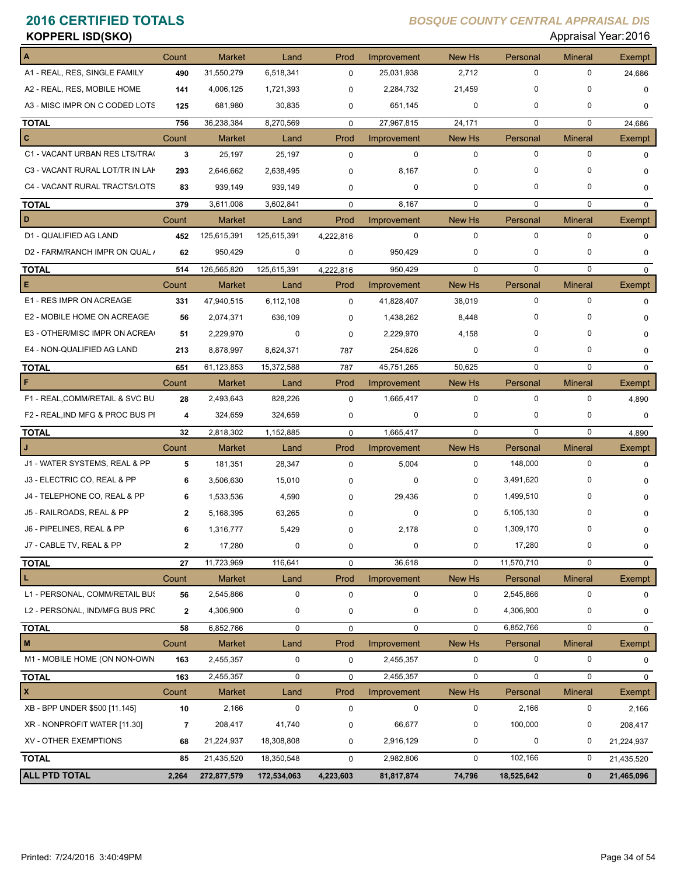| <b>KOPPERL ISD(SKO)</b>          |              |               |                  |             |             |             |             | Appraisal Year: 2016 |               |
|----------------------------------|--------------|---------------|------------------|-------------|-------------|-------------|-------------|----------------------|---------------|
|                                  | Count        | <b>Market</b> | Land             | Prod        | Improvement | New Hs      | Personal    | <b>Mineral</b>       | Exempt        |
| A1 - REAL, RES, SINGLE FAMILY    | 490          | 31,550,279    | 6,518,341        | $\mathbf 0$ | 25,031,938  | 2,712       | 0           | $\mathbf 0$          | 24,686        |
| A2 - REAL, RES, MOBILE HOME      | 141          | 4,006,125     | 1,721,393        | $\mathbf 0$ | 2,284,732   | 21,459      | $\mathbf 0$ | $\Omega$             | 0             |
| A3 - MISC IMPR ON C CODED LOTS   | 125          | 681,980       | 30,835           | 0           | 651,145     | 0           | 0           | 0                    | 0             |
| <b>TOTAL</b>                     | 756          | 36,238,384    | 8,270,569        | $\mathbf 0$ | 27,967,815  | 24,171      | $\mathbf 0$ | $\mathbf 0$          | 24,686        |
| C                                | Count        | <b>Market</b> | Land             | Prod        | Improvement | New Hs      | Personal    | <b>Mineral</b>       | Exempt        |
| C1 - VACANT URBAN RES LTS/TRA(   | 3            | 25,197        | 25,197           | $\mathbf 0$ | 0           | 0           | $\mathbf 0$ | $\mathbf 0$          | 0             |
| C3 - VACANT RURAL LOT/TR IN LAK  | 293          | 2,646,662     | 2,638,495        | 0           | 8,167       | $\mathbf 0$ | 0           | 0                    | 0             |
| C4 - VACANT RURAL TRACTS/LOTS    | 83           | 939,149       | 939,149          | 0           | 0           | 0           | $\mathbf 0$ | $\mathbf 0$          | 0             |
| <b>TOTAL</b>                     | 379          | 3,611,008     | 3,602,841        | $\mathbf 0$ | 8,167       | $\mathbf 0$ | $\mathbf 0$ | $\mathbf 0$          | $\mathbf 0$   |
| D                                | Count        | <b>Market</b> | Land             | Prod        | Improvement | New Hs      | Personal    | <b>Mineral</b>       | Exempt        |
| D1 - QUALIFIED AG LAND           | 452          | 125,615,391   | 125,615,391      | 4,222,816   | $\mathbf 0$ | 0           | $\mathbf 0$ | $\mathbf 0$          | $\mathbf 0$   |
| D2 - FARM/RANCH IMPR ON QUAL /   | 62           | 950,429       | 0                | 0           | 950,429     | 0           | 0           | 0                    | 0             |
| <b>TOTAL</b>                     | 514          | 126,565,820   | 125,615,391      | 4,222,816   | 950.429     | $\mathbf 0$ | $\mathbf 0$ | $\mathbf 0$          | $\Omega$      |
| Е                                | Count        | Market        | Land             | Prod        | Improvement | New Hs      | Personal    | <b>Mineral</b>       | <b>Exempt</b> |
| E1 - RES IMPR ON ACREAGE         | 331          | 47,940,515    | 6,112,108        | $\mathbf 0$ | 41,828,407  | 38,019      | 0           | $\mathbf 0$          | $\mathbf 0$   |
| E2 - MOBILE HOME ON ACREAGE      | 56           | 2,074,371     | 636,109          | 0           | 1,438,262   | 8,448       | 0           | 0                    | 0             |
| E3 - OTHER/MISC IMPR ON ACREA    | 51           | 2,229,970     | 0                | $\mathbf 0$ | 2,229,970   | 4,158       | 0           | $\Omega$             | 0             |
| E4 - NON-QUALIFIED AG LAND       | 213          | 8,878,997     | 8,624,371        | 787         | 254,626     | 0           | $\mathbf 0$ | 0                    | 0             |
| <b>TOTAL</b>                     | 651          | 61,123,853    | 15,372,588       | 787         | 45,751,265  | 50,625      | $\mathbf 0$ | $\mathbf 0$          | $\mathbf 0$   |
| F                                | Count        | <b>Market</b> | Land             | Prod        | Improvement | New Hs      | Personal    | <b>Mineral</b>       | Exempt        |
| F1 - REAL, COMM/RETAIL & SVC BU  | 28           | 2,493,643     | 828,226          | $\mathbf 0$ | 1,665,417   | 0           | 0           | $\mathbf 0$          | 4,890         |
| F2 - REAL, IND MFG & PROC BUS PI | 4            | 324,659       | 324,659          | 0           | 0           | 0           | 0           | $\mathbf 0$          | 0             |
| <b>TOTAL</b>                     | 32           | 2,818,302     | 1,152,885        | $\mathbf 0$ | 1,665,417   | $\mathbf 0$ | $\mathbf 0$ | $\mathbf 0$          | 4,890         |
|                                  | Count        | <b>Market</b> | Land             | Prod        | Improvement | New Hs      | Personal    | <b>Mineral</b>       | Exempt        |
| J1 - WATER SYSTEMS, REAL & PP    | 5            | 181,351       | 28,347           | $\mathbf 0$ | 5,004       | $\mathbf 0$ | 148.000     | $\mathbf 0$          | 0             |
| J3 - ELECTRIC CO, REAL & PP      | 6            | 3,506,630     | 15,010           | $\Omega$    | 0           | 0           | 3,491,620   | 0                    | 0             |
| J4 - TELEPHONE CO, REAL & PP     | 6            | 1,533,536     | 4,590            | 0           | 29,436      | 0           | 1,499,510   | 0                    | 0             |
| J5 - RAILROADS, REAL & PP        | $\mathbf{2}$ | 5,168,395     | 63,265           | 0           | 0           | 0           | 5,105,130   | 0                    | 0             |
| J6 - PIPELINES, REAL & PP        |              | 1,316,777     | 5,429            | 0           | 2,178       |             | 1,309,170   |                      |               |
| J7 - CABLE TV, REAL & PP         | $\mathbf{2}$ | 17,280        | 0                | 0           | 0           | 0           | 17,280      | 0                    | 0             |
| <b>TOTAL</b>                     | 27           | 11,723,969    | 116,641          | 0           | 36,618      | 0           | 11,570,710  | $\mathbf 0$          | 0             |
| L                                | Count        | Market        | Land             | Prod        | Improvement | New Hs      | Personal    | <b>Mineral</b>       | <b>Exempt</b> |
| L1 - PERSONAL, COMM/RETAIL BUS   | 56           | 2,545,866     | 0                | $\pmb{0}$   | 0           | 0           | 2,545,866   | $\mathbf 0$          | 0             |
| L2 - PERSONAL, IND/MFG BUS PRC   | $\mathbf{2}$ | 4,306,900     | 0                | 0           | 0           | 0           | 4,306,900   | 0                    | 0             |
| <b>TOTAL</b>                     | 58           | 6,852,766     | $\mathsf 0$      | $\pmb{0}$   | 0           | $\mathbf 0$ | 6,852,766   | $\mathbf 0$          | $\mathbf 0$   |
| M                                | Count        | <b>Market</b> | Land             | Prod        | Improvement | New Hs      | Personal    | <b>Mineral</b>       | Exempt        |
| M1 - MOBILE HOME (ON NON-OWN     | 163          | 2,455,357     | 0                | $\pmb{0}$   | 2,455,357   | 0           | $\mathbf 0$ | 0                    | 0             |
| <b>TOTAL</b>                     | 163          | 2,455,357     | 0                | 0           | 2,455,357   | $\mathbf 0$ | 0           | 0                    | 0             |
| $\pmb{\mathsf{x}}$               | Count        | <b>Market</b> | Land             | Prod        | Improvement | New Hs      | Personal    | <b>Mineral</b>       | Exempt        |
| XB - BPP UNDER \$500 [11.145]    | 10           | 2,166         | $\boldsymbol{0}$ | $\pmb{0}$   | $\pmb{0}$   | 0           | 2,166       | 0                    | 2,166         |
| XR - NONPROFIT WATER [11.30]     | 7            | 208,417       | 41,740           | 0           | 66,677      | 0           | 100,000     | 0                    | 208,417       |
| XV - OTHER EXEMPTIONS            | 68           | 21,224,937    | 18,308,808       | 0           | 2,916,129   | 0           | 0           | 0                    | 21,224,937    |
| <b>TOTAL</b>                     | 85           | 21,435,520    | 18,350,548       | 0           | 2,982,806   | 0           | 102,166     | 0                    | 21,435,520    |
| <b>ALL PTD TOTAL</b>             | 2,264        | 272,877,579   | 172,534,063      | 4,223,603   | 81,817,874  | 74,796      | 18,525,642  | $\mathbf{0}$         | 21,465,096    |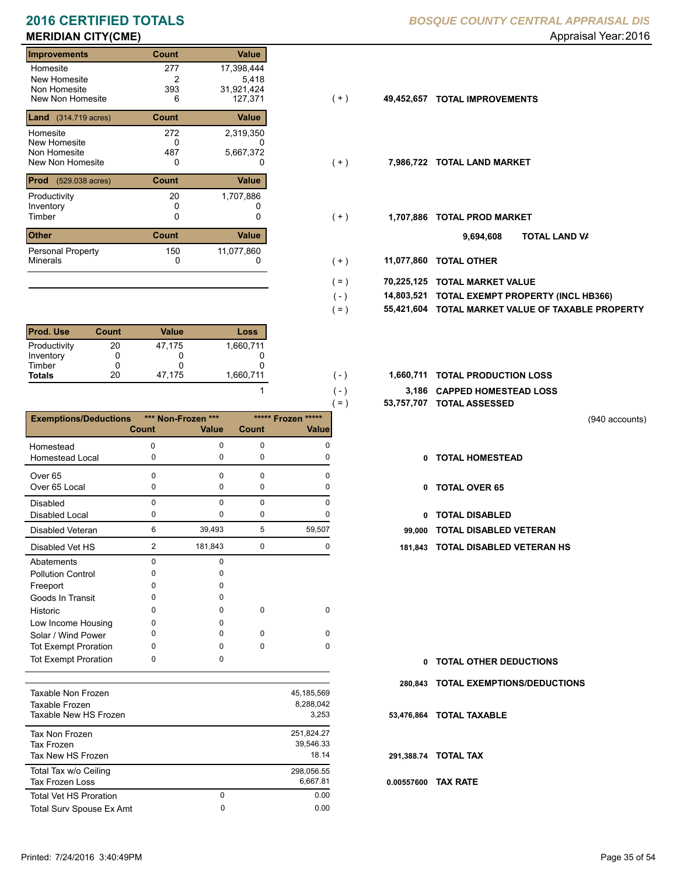# **MERIDIAN CITY(CME)** Appraisal Year: 2016

| <b>Improvements</b>               | Count        | Value        |       |            |                           |
|-----------------------------------|--------------|--------------|-------|------------|---------------------------|
| Homesite                          | 277          | 17,398,444   |       |            |                           |
| New Homesite                      | 2            | 5,418        |       |            |                           |
| Non Homesite                      | 393          | 31,921,424   |       |            |                           |
| New Non Homesite                  | 6            | 127,371      | $(+)$ | 49,452,657 | <b>TOTAL IMPROVEMENTS</b> |
| <b>Land</b> (314.719 acres)       | <b>Count</b> | Value        |       |            |                           |
| Homesite                          | 272          | 2,319,350    |       |            |                           |
| New Homesite                      | 0            | 0            |       |            |                           |
| Non Homesite                      | 487          | 5,667,372    |       |            |                           |
| New Non Homesite                  | 0            | O            | (+)   | 7,986,722  | <b>TOTAL LAND MARKET</b>  |
| Prod<br>$(529.038 \text{ acres})$ | <b>Count</b> | <b>Value</b> |       |            |                           |
| Productivity                      | 20           | 1,707,886    |       |            |                           |
| Inventory                         | 0            |              |       |            |                           |
| Timber                            | 0            | 0            | $(+)$ | 1,707,886  | <b>TOTAL PROD MARKET</b>  |
| <b>Other</b>                      | <b>Count</b> | Value        |       |            | 9,694,608                 |
| <b>Personal Property</b>          | 150          | 11,077,860   |       |            |                           |
| <b>Minerals</b>                   | 0            | 0            | $(+)$ | 11,077,860 | <b>TOTAL OTHER</b>        |

| <b>Prod. Use</b> | <b>Count</b> | <b>Value</b> | Loss      |
|------------------|--------------|--------------|-----------|
| Productivity     | 20           | 47.175       | 1,660,711 |
| Inventory        |              |              |           |
| Timber           |              |              |           |
| <b>Totals</b>    | 20           | 47,175       | 1,660,711 |

|                              |                |                    |             |                    | 53,757,707<br>$( = )$ |
|------------------------------|----------------|--------------------|-------------|--------------------|-----------------------|
| <b>Exemptions/Deductions</b> |                | *** Non-Frozen *** |             | ***** Frozen ***** |                       |
|                              | <b>Count</b>   | <b>Value</b>       | Count       | <b>Value</b>       |                       |
| Homestead                    | $\mathbf 0$    | $\Omega$           | $\mathbf 0$ | 0                  |                       |
| Homestead Local              | 0              | 0                  | $\mathbf 0$ | 0                  | 0                     |
| Over <sub>65</sub>           | 0              | $\Omega$           | $\mathbf 0$ | $\Omega$           |                       |
| Over 65 Local                | 0              | $\mathbf 0$        | $\mathbf 0$ | 0                  | 0                     |
| <b>Disabled</b>              | 0              | $\Omega$           | $\mathbf 0$ | $\Omega$           |                       |
| <b>Disabled Local</b>        | 0              | 0                  | $\mathbf 0$ | 0                  | 0                     |
| Disabled Veteran             | 6              | 39,493             | 5           | 59,507             | 99,000                |
| Disabled Vet HS              | $\overline{2}$ | 181,843            | $\mathbf 0$ | 0                  | 181,843               |
| Abatements                   | 0              | $\mathbf 0$        |             |                    |                       |
| <b>Pollution Control</b>     | 0              | 0                  |             |                    |                       |
| Freeport                     | 0              | 0                  |             |                    |                       |
| Goods In Transit             | 0              | <sup>0</sup>       |             |                    |                       |
| Historic                     | 0              | 0                  | $\mathbf 0$ | $\mathbf 0$        |                       |
| Low Income Housing           | 0              | 0                  |             |                    |                       |
| Solar / Wind Power           | 0              | <sup>0</sup>       | 0           | 0                  |                       |
| <b>Tot Exempt Proration</b>  | 0              | $\Omega$           | 0           | $\Omega$           |                       |
| <b>Tot Exempt Proration</b>  | 0              | $\Omega$           |             |                    | 0                     |
|                              |                |                    |             |                    | 280,843               |
| Taxable Non Frozen           |                |                    |             | 45,185,569         |                       |
| Taxable Frozen               |                |                    |             | 8,288,042          |                       |
| Taxable New HS Frozen        |                |                    |             | 3,253              | 53,476,864            |
| <b>Tax Non Frozen</b>        |                |                    |             | 251,824.27         |                       |
| <b>Tax Frozen</b>            |                |                    |             | 39,546.33          |                       |
| Tax New HS Frozen            |                |                    |             | 18.14              | 291,388.74            |

Total Tax w/o Ceiling 298,056.55

Tax Frozen Loss 6,667.81

Total Surv Spouse Ex Amt 0.00

0

Total Vet HS Proration

## **2016 CERTIFIED TOTALS** *BOSQUE COUNTY CENTRAL APPRAISAL DIS*

- $( + )$
- $(+)$
- $(+)$ 
	- **TOTAL LAND VA 9,694,608**
- 0 0 **11,077,860 TOTAL OTHER**  $(+)$

 $( - )$ 

 $( - )$  $( - )$ 

1

0 0.00

- **70,225,125 TOTAL MARKET VALUE**  $( = )$ 
	- **TOTAL EXEMPT PROPERTY (INCL HB366) 14,803,521**
- **55,421,604 TOTAL MARKET VALUE OF TAXABLE PROPERTY**  $( = )$
- 1,660,711 (-) **1,660,711 TOTAL PRODUCTION LOSS** 
	- **3,186 CAPPED HOMESTEAD LOSS**
	- **53,757,707 TOTAL ASSESSED**
- (940 accounts)
- **TOTAL HOMESTEAD**
- 0 TOTAL OVER 65
- 0 TOTAL DISABLED
- Disabled Veteran **TOTAL DISABLED VETERAN**
- 2 0 181,843 0 **181,843 TOTAL DISABLED VETERAN HS**

- **TOTAL OTHER DEDUCTIONS 0**
- **280,843 TOTAL EXEMPTIONS/DEDUCTIONS**
- **53,476,864 TOTAL TAXABLE**
- **291,388.74 TOTAL TAX**
- **0.00557600 TAX RATE**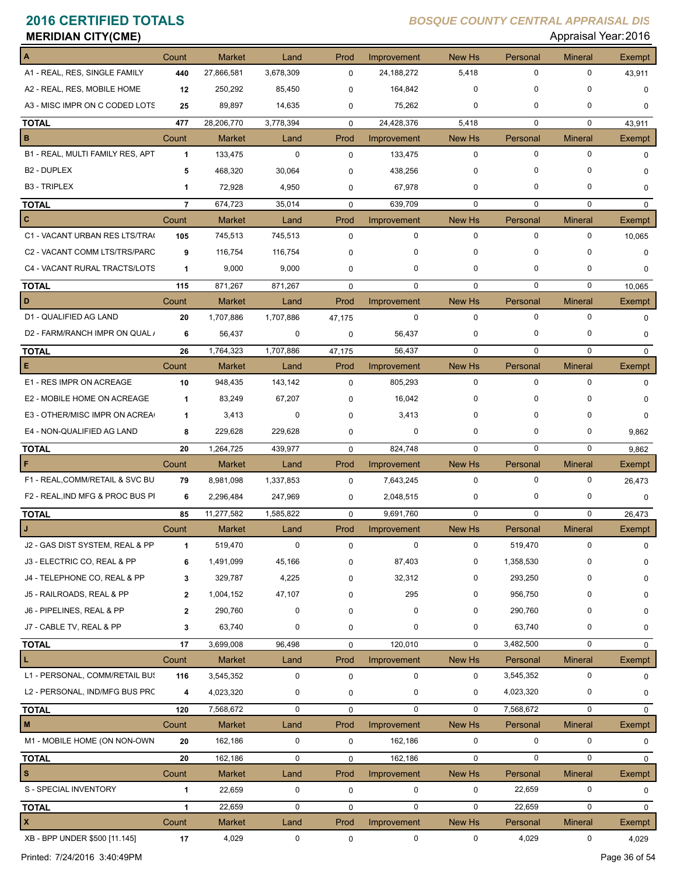| <b>MERIDIAN CITY(CME)</b>        |                |               |           |             |             |               |             | Appraisal Year: 2016          |               |
|----------------------------------|----------------|---------------|-----------|-------------|-------------|---------------|-------------|-------------------------------|---------------|
|                                  | Count          | <b>Market</b> | Land      | Prod        | Improvement | <b>New Hs</b> | Personal    | <b>Mineral</b>                | Exempt        |
| A1 - REAL, RES, SINGLE FAMILY    | 440            | 27,866,581    | 3,678,309 | 0           | 24,188,272  | 5,418         | 0           | 0                             | 43,911        |
| A2 - REAL, RES, MOBILE HOME      | 12             | 250,292       | 85,450    | 0           | 164,842     | $\mathbf 0$   | 0           | $\Omega$                      | 0             |
| A3 - MISC IMPR ON C CODED LOTS   | 25             | 89,897        | 14,635    | 0           | 75,262      | 0             | 0           | 0                             | 0             |
| <b>TOTAL</b>                     | 477            | 28,206,770    | 3,778,394 | $\mathbf 0$ | 24,428,376  | 5,418         | 0           | $\mathbf 0$                   | 43,911        |
| в                                | Count          | <b>Market</b> | Land      | Prod        | Improvement | New Hs        | Personal    | <b>Mineral</b>                | <b>Exempt</b> |
| B1 - REAL, MULTI FAMILY RES, APT | 1              | 133,475       | 0         | $\mathbf 0$ | 133,475     | $\mathbf 0$   | 0           | $\mathbf 0$                   | 0             |
| <b>B2 - DUPLEX</b>               | 5              | 468,320       | 30,064    | 0           | 438,256     | 0             | 0           | C                             | 0             |
| <b>B3 - TRIPLEX</b>              | 1              | 72,928        | 4,950     | 0           | 67,978      | 0             | 0           | 0                             | 0             |
| <b>TOTAL</b>                     | $\overline{7}$ | 674,723       | 35,014    | $\mathbf 0$ | 639,709     | $\mathbf 0$   | 0           | $\mathbf 0$                   | $\mathbf 0$   |
| c                                | Count          | <b>Market</b> | Land      | Prod        | Improvement | New Hs        | Personal    | <b>Mineral</b>                | <b>Exempt</b> |
| C1 - VACANT URBAN RES LTS/TRA(   | 105            | 745,513       | 745,513   | $\mathbf 0$ | 0           | $\mathbf 0$   | 0           | $\mathbf 0$                   | 10,065        |
| C2 - VACANT COMM LTS/TRS/PARC    | 9              | 116,754       | 116,754   | 0           | 0           | 0             | 0           | 0                             | 0             |
| C4 - VACANT RURAL TRACTS/LOTS    | 1              | 9,000         | 9,000     | 0           | 0           | 0             | 0           | 0                             | 0             |
| <b>TOTAL</b>                     | 115            | 871,267       | 871,267   | $\mathbf 0$ | 0           | $\mathbf 0$   | $\mathbf 0$ | $\mathbf 0$                   | 10,065        |
| D                                | Count          | <b>Market</b> | Land      | Prod        | Improvement | New Hs        | Personal    | <b>Mineral</b>                | <b>Exempt</b> |
| D1 - QUALIFIED AG LAND           | 20             | 1,707,886     | 1,707,886 | 47,175      | $\mathbf 0$ | $\mathbf 0$   | 0           | $\mathbf 0$                   | $\mathbf 0$   |
| D2 - FARM/RANCH IMPR ON QUAL /   |                |               |           |             |             |               | 0           | 0                             |               |
|                                  | 6              | 56,437        | 0         | 0           | 56,437      | 0             |             |                               | 0             |
| <b>TOTAL</b><br>Е                | 26             | 1,764,323     | 1,707,886 | 47,175      | 56,437      | $\mathbf 0$   | $\mathbf 0$ | $\mathbf 0$                   | $\mathbf 0$   |
|                                  | Count          | <b>Market</b> | Land      | Prod        | Improvement | New Hs        | Personal    | <b>Mineral</b><br>$\mathbf 0$ | <b>Exempt</b> |
| E1 - RES IMPR ON ACREAGE         | 10             | 948,435       | 143,142   | $\mathbf 0$ | 805,293     | $\mathbf 0$   | 0           |                               | 0             |
| E2 - MOBILE HOME ON ACREAGE      | 1              | 83,249        | 67,207    | ŋ           | 16,042      | 0             | 0           | 0                             |               |
| E3 - OTHER/MISC IMPR ON ACREA    | 1              | 3,413         | 0         | $\Omega$    | 3,413       | 0             | 0           | $\Omega$                      | 0             |
| E4 - NON-QUALIFIED AG LAND       | 8              | 229,628       | 229,628   | 0           | 0           | 0             | 0           | 0                             | 9,862         |
| <b>TOTAL</b>                     | 20             | 1,264,725     | 439,977   | $\mathbf 0$ | 824,748     | $\mathbf 0$   | 0           | 0                             | 9,862         |
| F                                | Count          | <b>Market</b> | Land      | Prod        | Improvement | New Hs        | Personal    | <b>Mineral</b>                | Exempt        |
| F1 - REAL, COMM/RETAIL & SVC BU  | 79             | 8,981,098     | 1,337,853 | $\mathbf 0$ | 7,643,245   | $\mathbf 0$   | 0           | 0                             | 26,473        |
| F2 - REAL, IND MFG & PROC BUS PI | 6              | 2,296,484     | 247,969   | 0           | 2,048,515   | 0             | 0           | 0                             | 0             |
| <b>TOTAL</b>                     | 85             | 11,277,582    | 1,585,822 | $\mathbf 0$ | 9,691,760   | $\mathbf 0$   | $\mathbf 0$ | 0                             | 26,473        |
|                                  | Count          | Market        | Land      | Prod        | Improvement | New Hs        | Personal    | Mineral                       | Exempt        |
| J2 - GAS DIST SYSTEM, REAL & PP  | 1              | 519,470       | 0         | $\mathbf 0$ | $\mathbf 0$ | $\mathbf 0$   | 519,470     | $\mathbf 0$                   | 0             |
| J3 - ELECTRIC CO, REAL & PP      | 6              | 1,491,099     | 45,166    | 0           | 87,403      | 0             | 1,358,530   | 0                             | 0             |
| J4 - TELEPHONE CO, REAL & PP     | 3              | 329,787       | 4,225     | ŋ           | 32,312      | 0             | 293,250     | 0                             | 0             |
| J5 - RAILROADS, REAL & PP        | $\mathbf{2}$   | 1,004,152     | 47,107    | ŋ           | 295         | 0             | 956,750     | 0                             | 0             |
| J6 - PIPELINES, REAL & PP        | $\mathbf{2}$   | 290,760       | 0         | 0           | 0           | 0             | 290,760     | 0                             | 0             |
| J7 - CABLE TV, REAL & PP         | 3              | 63,740        | 0         | 0           | 0           | 0             | 63,740      | 0                             | 0             |
| TOTAL                            | 17             | 3,699,008     | 96,498    | $\mathbf 0$ | 120,010     | $\mathbf 0$   | 3,482,500   | 0                             | 0             |
| L                                | Count          | <b>Market</b> | Land      | Prod        | Improvement | New Hs        | Personal    | <b>Mineral</b>                | Exempt        |
| L1 - PERSONAL, COMM/RETAIL BUS   | 116            | 3,545,352     | 0         | $\pmb{0}$   | 0           | 0             | 3,545,352   | 0                             | 0             |
| L2 - PERSONAL, IND/MFG BUS PRC   | 4              | 4,023,320     | 0         | $\pmb{0}$   | 0           | 0             | 4,023,320   | 0                             | 0             |
| <b>TOTAL</b>                     | 120            | 7,568,672     | 0         | $\mathbf 0$ | 0           | 0             | 7,568,672   | 0                             | 0             |
| M                                | Count          | <b>Market</b> | Land      | Prod        | Improvement | New Hs        | Personal    | <b>Mineral</b>                | Exempt        |
| M1 - MOBILE HOME (ON NON-OWN     | 20             | 162,186       | 0         | $\mathbf 0$ | 162,186     | 0             | 0           | 0                             | 0             |
| <b>TOTAL</b>                     | 20             | 162,186       | 0         | $\mathbf 0$ | 162,186     | 0             | 0           | 0                             | $\mathbf 0$   |
| s                                | Count          | <b>Market</b> | Land      | Prod        | Improvement | New Hs        | Personal    | <b>Mineral</b>                | Exempt        |
| S - SPECIAL INVENTORY            | 1              | 22,659        | 0         | $\pmb{0}$   | 0           | 0             | 22,659      | 0                             | 0             |
| TOTAL                            | $\mathbf{1}$   | 22,659        | 0         | $\mathbf 0$ | 0           | $\mathbf 0$   | 22,659      | 0                             | $\mathbf 0$   |
| x                                | Count          | Market        | Land      | Prod        | Improvement | New Hs        | Personal    | <b>Mineral</b>                | Exempt        |
| XB - BPP UNDER \$500 [11.145]    | 17             | 4,029         | 0         | $\pmb{0}$   | 0           | 0             | 4,029       | 0                             | 4,029         |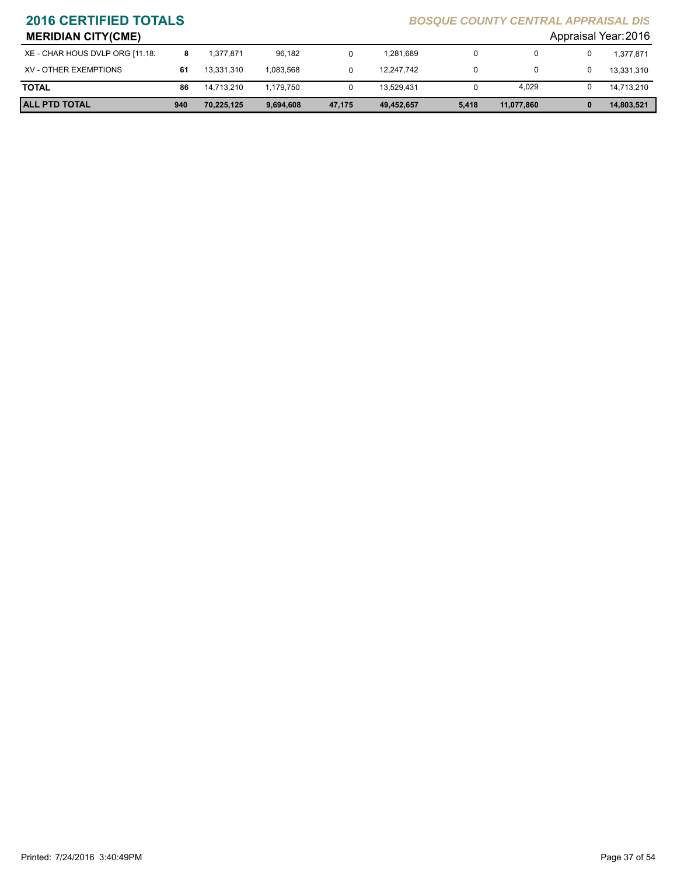| <b>MERIDIAN CITY(CME)</b>       |     |            |           |        |            |       |            |   | Appraisal Year: 2016 |
|---------------------------------|-----|------------|-----------|--------|------------|-------|------------|---|----------------------|
| XE - CHAR HOUS DVLP ORG [11.18. |     | 1.377.871  | 96.182    |        | 1.281.689  | 0     | 0          | 0 | 1.377.871            |
| XV - OTHER EXEMPTIONS           | 61  | 13,331,310 | 1.083.568 |        | 12.247.742 | 0     | 0          | 0 | 13,331,310           |
| <b>TOTAL</b>                    | 86  | 14.713.210 | 1.179.750 |        | 13.529.431 | 0     | 4,029      | 0 | 14.713.210           |
| <b>ALL PTD TOTAL</b>            | 940 | 70,225,125 | 9,694,608 | 47,175 | 49,452,657 | 5,418 | 11,077,860 | 0 | 14,803,521           |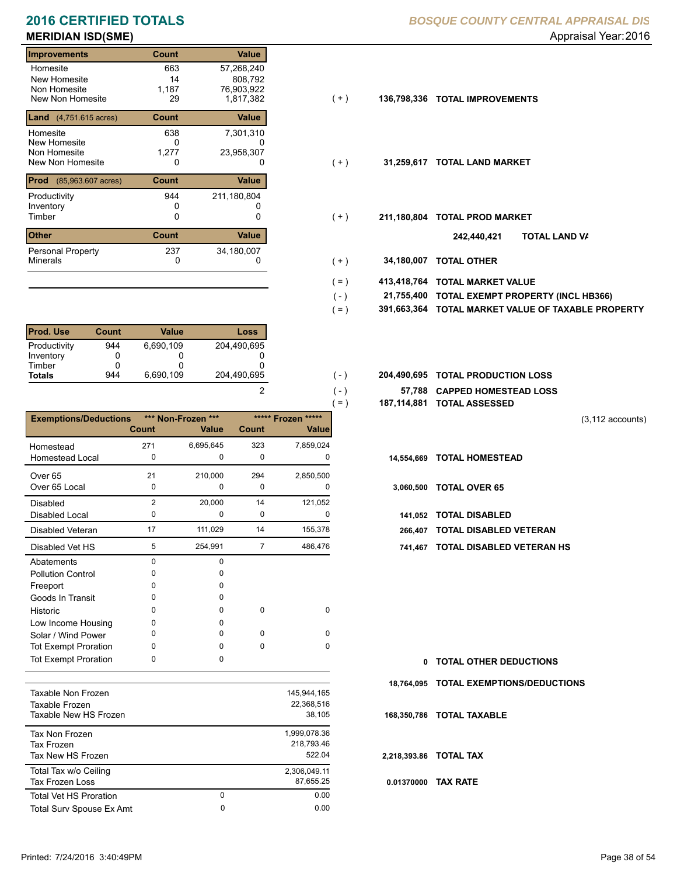# **MERIDIAN ISD(SME)** Appraisal Year: 2016

### **Improvements Count Value** Homesite New Homesite Non Homesite<br>New Non Homesite New Non Homesite 29 1,817,382 (+) **136,798,336 TOTAL IMPROVEMENTS** 663 57,268,240 14<br>1187 0 187 76,903,922<br>29 1,817,382 **Land** (4,751.615 acres) **Count Value** Homesite New Homesite Non Homesite<br>New Non Homesite New Non Homesite **TOTAL LAND MARKET** 0 0 **31,259,617** 638 7,301,310 0 808,792 1,277 23,958,307 **Prod** (85,963.607 acres) **Count Value** Productivity 211,180,804 Inventory<br>Timber 0 0 0 Timber 0 **TOTAL PROD MARKET 211,180,804 Other Count** Count Value Minerals Personal Property 944 237 34,180,007

| <b>Prod. Use</b> | Count | Value     | Loss        |
|------------------|-------|-----------|-------------|
| Productivity     | 944   | 6.690.109 | 204.490.695 |
| Inventory        |       |           |             |
| Timber           |       |           |             |
| <b>Totals</b>    | 944   | 6,690,109 | 204,490,695 |

|                              |                |                    |                |                        | $=$ )       | 187,114,881 TOTAL ASSESSED    |
|------------------------------|----------------|--------------------|----------------|------------------------|-------------|-------------------------------|
| <b>Exemptions/Deductions</b> |                | *** Non-Frozen *** |                | ***** Frozen<br>$****$ |             |                               |
|                              | <b>Count</b>   | <b>Value</b>       | <b>Count</b>   | Value                  |             |                               |
| Homestead                    | 271            | 6,695,645          | 323            | 7,859,024              |             |                               |
| <b>Homestead Local</b>       | 0              | 0                  | 0              | 0                      | 14,554,669  | <b>TOTAL HOMESTEAD</b>        |
| Over <sub>65</sub>           | 21             | 210,000            | 294            | 2,850,500              |             |                               |
| Over 65 Local                | 0              | 0                  | 0              | 0                      | 3,060,500   | <b>TOTAL OVER 65</b>          |
| <b>Disabled</b>              | $\overline{2}$ | 20,000             | 14             | 121,052                |             |                               |
| Disabled Local               | 0              | $\Omega$           | 0              | 0                      | 141.052     | <b>TOTAL DISABLED</b>         |
| <b>Disabled Veteran</b>      | 17             | 111,029            | 14             | 155,378                | 266.407     | <b>TOTAL DISABLED VETERAN</b> |
| Disabled Vet HS              | 5              | 254,991            | $\overline{7}$ | 486,476                | 741,467     | <b>TOTAL DISABLED VETERAN</b> |
| Abatements                   | 0              | $\Omega$           |                |                        |             |                               |
| <b>Pollution Control</b>     | 0              | 0                  |                |                        |             |                               |
| Freeport                     | 0              | 0                  |                |                        |             |                               |
| Goods In Transit             | 0              | 0                  |                |                        |             |                               |
| Historic                     | 0              | 0                  | 0              | 0                      |             |                               |
| Low Income Housing           | 0              | 0                  |                |                        |             |                               |
| Solar / Wind Power           | 0              | <sup>0</sup>       | $\Omega$       | $\Omega$               |             |                               |
| <b>Tot Exempt Proration</b>  | 0              | $\Omega$           | $\Omega$       | $\Omega$               |             |                               |
| <b>Tot Exempt Proration</b>  | 0              | $\Omega$           |                |                        | 0           | <b>TOTAL OTHER DEDUCTIONS</b> |
|                              |                |                    |                |                        | 18,764,095  | <b>TOTAL EXEMPTIONS/DEDUC</b> |
| Taxable Non Frozen           |                |                    |                | 145,944,165            |             |                               |
| Taxable Frozen               |                |                    |                | 22,368,516             |             |                               |
| Taxable New HS Frozen        |                |                    |                | 38,105                 | 168,350,786 | <b>TOTAL TAXABLE</b>          |

| Tax Non Frozen                |   | 1,999,078.36 |
|-------------------------------|---|--------------|
| Tax Frozen                    |   | 218.793.46   |
| Tax New HS Frozen             |   | 522.04       |
| Total Tax w/o Ceiling         |   | 2,306,049.11 |
| <b>Tax Frozen Loss</b>        |   | 87.655.25    |
| <b>Total Vet HS Proration</b> | 0 | 0.00         |
| Total Surv Spouse Ex Amt      | 0 | 0.00         |
|                               |   |              |

## **2016 CERTIFIED TOTALS** *BOSQUE COUNTY CENTRAL APPRAISAL DIS*

- $(+)$
- $(+)$
- $(+)$ 
	- **TOTAL LAND VA 242,440,421**
- 0 0 **34,180,007 TOTAL OTHER**  $(+)$

 $( - )$  $( - )$ 

2

- **413,418,764 TOTAL MARKET VALUE**  $( = )$
- **TOTAL EXEMPT PROPERTY (INCL HB366) 21,755,400**  $( - )$
- **391,663,364 TOTAL MARKET VALUE OF TAXABLE PROPERTY**  $( = )$
- **TOTAL PRODUCTION LOSS** 204,490,695 **204,490,695**
	- **57,788 CAPPED HOMESTEAD LOSS**
	- **187,114,881 TOTAL ASSESSED**
- (3,112 accounts)
- 
- -
- 
- 5 7 254,991 486,476 **741,467 TOTAL DISABLED VETERAN HS**

**TOTAL OTHER DEDUCTIONS 0 18,764,095 TOTAL EXEMPTIONS/DEDUCTIONS 0.01370000 TAX RATE 168,350,786 TOTAL TAXABLE 2,218,393.86 TOTAL TAX**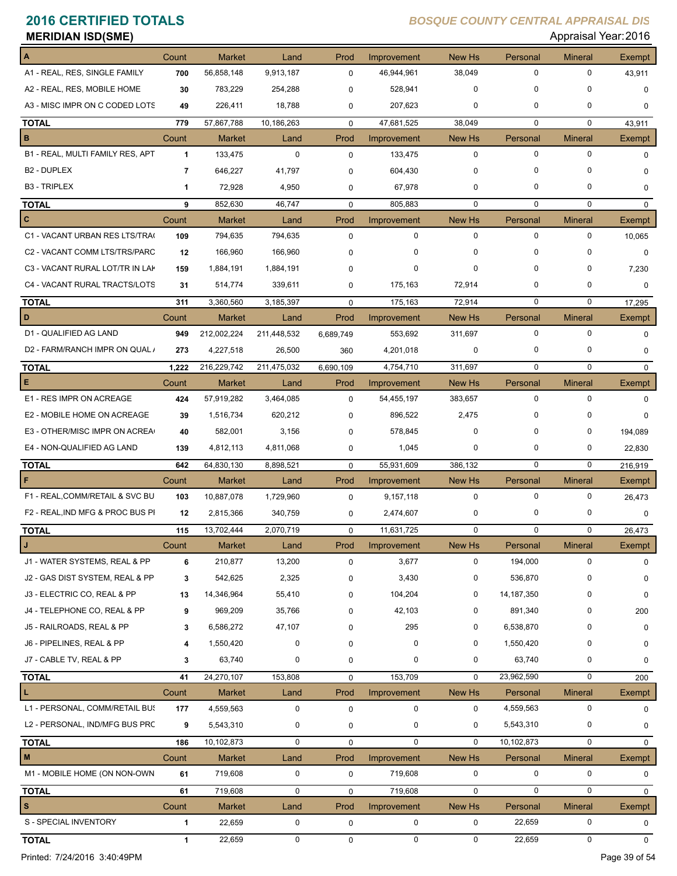| <b>MERIDIAN ISD(SME)</b>         |              |               |             |             |             |             |              | Appraisal Year: 2016 |               |
|----------------------------------|--------------|---------------|-------------|-------------|-------------|-------------|--------------|----------------------|---------------|
|                                  | Count        | <b>Market</b> | Land        | Prod        | Improvement | New Hs      | Personal     | <b>Mineral</b>       | <b>Exempt</b> |
| A1 - REAL, RES, SINGLE FAMILY    | 700          | 56,858,148    | 9,913,187   | $\mathbf 0$ | 46,944,961  | 38,049      | 0            | 0                    | 43,911        |
| A2 - REAL, RES, MOBILE HOME      | 30           | 783,229       | 254,288     | 0           | 528,941     | 0           | 0            | 0                    | 0             |
| A3 - MISC IMPR ON C CODED LOTS   | 49           | 226,411       | 18,788      | 0           | 207,623     | 0           | 0            | 0                    | $\mathbf 0$   |
| TOTAL                            | 779          | 57,867,788    | 10,186,263  | $\mathbf 0$ | 47,681,525  | 38,049      | $\mathbf 0$  | 0                    | 43,911        |
| в                                | Count        | Market        | Land        | Prod        | Improvement | New Hs      | Personal     | <b>Mineral</b>       | Exempt        |
| B1 - REAL, MULTI FAMILY RES, APT | $\mathbf{1}$ | 133,475       | $\mathbf 0$ | $\mathbf 0$ | 133,475     | $\mathbf 0$ | 0            | $\mathbf 0$          | $\mathbf 0$   |
| B <sub>2</sub> - DUPLEX          | 7            | 646,227       | 41,797      | 0           | 604,430     | $\mathbf 0$ | 0            | 0                    | 0             |
| <b>B3 - TRIPLEX</b>              | $\mathbf 1$  | 72,928        | 4,950       | 0           | 67,978      | 0           | 0            | 0                    | $\mathbf 0$   |
| <b>TOTAL</b>                     | 9            | 852,630       | 46,747      | $\mathbf 0$ | 805,883     | $\mathbf 0$ | $\mathbf 0$  | $\mathbf 0$          | $\mathbf{0}$  |
| C                                | Count        | <b>Market</b> | Land        | Prod        | Improvement | New Hs      | Personal     | <b>Mineral</b>       | Exempt        |
| C1 - VACANT URBAN RES LTS/TRA(   | 109          | 794,635       | 794,635     | 0           | 0           | $\mathbf 0$ | 0            | 0                    | 10,065        |
| C2 - VACANT COMM LTS/TRS/PARC    | 12           | 166,960       | 166,960     | 0           | 0           | $\mathbf 0$ | 0            | 0                    | 0             |
| C3 - VACANT RURAL LOT/TR IN LAP  | 159          | 1,884,191     | 1,884,191   | 0           | 0           | $\mathbf 0$ | 0            | 0                    | 7,230         |
| C4 - VACANT RURAL TRACTS/LOTS    | 31           | 514,774       | 339,611     | 0           | 175,163     | 72,914      | 0            | 0                    | $\mathbf 0$   |
| TOTAL                            | 311          | 3,360,560     | 3,185,397   | $\mathbf 0$ | 175,163     | 72,914      | 0            | 0                    | 17,295        |
| D                                | Count        | <b>Market</b> | Land        | Prod        | Improvement | New Hs      | Personal     | <b>Mineral</b>       | Exempt        |
| D1 - QUALIFIED AG LAND           | 949          | 212,002,224   | 211,448,532 | 6,689,749   | 553,692     | 311,697     | 0            | 0                    | $\mathbf 0$   |
| D2 - FARM/RANCH IMPR ON QUAL /   | 273          | 4,227,518     | 26,500      | 360         | 4,201,018   | 0           | 0            | 0                    | $\mathbf 0$   |
| TOTAL                            | 1,222        | 216,229,742   | 211,475,032 | 6,690,109   | 4,754,710   | 311,697     | $\mathbf 0$  | $\mathbf 0$          | 0             |
| Е                                | Count        | <b>Market</b> | Land        | Prod        | Improvement | New Hs      | Personal     | <b>Mineral</b>       | Exempt        |
| E1 - RES IMPR ON ACREAGE         | 424          | 57,919,282    | 3,464,085   | $\mathbf 0$ | 54,455,197  | 383,657     | 0            | $\mathbf 0$          | $\mathbf 0$   |
| E2 - MOBILE HOME ON ACREAGE      | 39           | 1,516,734     | 620,212     | 0           | 896,522     | 2,475       | 0            | 0                    | $\Omega$      |
| E3 - OTHER/MISC IMPR ON ACREA    | 40           | 582,001       | 3,156       | 0           | 578,845     | $\mathbf 0$ | 0            | 0                    | 194,089       |
| E4 - NON-QUALIFIED AG LAND       | 139          | 4,812,113     | 4,811,068   | 0           | 1,045       | 0           | 0            | 0                    | 22,830        |
| <b>TOTAL</b>                     | 642          | 64,830,130    | 8,898,521   | $\mathbf 0$ | 55,931,609  | 386,132     | $\mathbf 0$  | $\mathbf 0$          | 216,919       |
| F                                | Count        | <b>Market</b> | Land        | Prod        | Improvement | New Hs      | Personal     | <b>Mineral</b>       | Exempt        |
| F1 - REAL, COMM/RETAIL & SVC BU  | 103          | 10,887,078    | 1,729,960   | 0           | 9,157,118   | $\mathbf 0$ | $\mathbf 0$  | 0                    | 26,473        |
| F2 - REAL, IND MFG & PROC BUS PI | 12           | 2,815,366     | 340,759     | 0           | 2,474,607   | 0           | 0            | 0                    | 0             |
| TOTAL                            | 115          | 13,702,444    | 2,070,719   | 0           | 11,631,725  | $\pmb{0}$   | 0            | 0                    | 26,473        |
| J                                | Count        | Market        | Land        | Prod        | Improvement | New Hs      | Personal     | <b>Mineral</b>       | Exempt        |
| J1 - WATER SYSTEMS, REAL & PP    | 6            | 210,877       | 13,200      | 0           | 3,677       | $\mathbf 0$ | 194,000      | 0                    | $\mathbf 0$   |
| J2 - GAS DIST SYSTEM, REAL & PP  | 3            | 542,625       | 2,325       | 0           | 3,430       | 0           | 536,870      | 0                    | 0             |
| J3 - ELECTRIC CO, REAL & PP      | 13           | 14,346,964    | 55,410      | 0           | 104,204     | 0           | 14, 187, 350 | 0                    | 0             |
| J4 - TELEPHONE CO, REAL & PP     | 9            | 969,209       | 35,766      | 0           | 42,103      | 0           | 891,340      | 0                    | 200           |
| J5 - RAILROADS, REAL & PP        | 3            | 6,586,272     | 47,107      | 0           | 295         | 0           | 6,538,870    | 0                    | 0             |
| J6 - PIPELINES, REAL & PP        | 4            | 1,550,420     | 0           | 0           | 0           | 0           | 1,550,420    | 0                    | 0             |
| J7 - CABLE TV, REAL & PP         | 3            | 63,740        | 0           | 0           | 0           | 0           | 63,740       | 0                    | 0             |
| TOTAL                            | 41           | 24,270,107    | 153,808     | 0           | 153,709     | 0           | 23,962,590   | 0                    | 200           |
| L                                | Count        | <b>Market</b> | Land        | Prod        | Improvement | New Hs      | Personal     | <b>Mineral</b>       | Exempt        |
| L1 - PERSONAL, COMM/RETAIL BUS   | 177          | 4,559,563     | $\pmb{0}$   | $\pmb{0}$   | 0           | 0           | 4,559,563    | 0                    | 0             |
| L2 - PERSONAL, IND/MFG BUS PRC   | 9            | 5,543,310     | 0           | 0           | 0           | 0           | 5,543,310    | 0                    | 0             |
| TOTAL                            | 186          | 10,102,873    | 0           | $\mathbf 0$ | 0           | $\mathbf 0$ | 10,102,873   | 0                    | $\mathbf 0$   |
| M                                | Count        | <b>Market</b> | Land        | Prod        | Improvement | New Hs      | Personal     | <b>Mineral</b>       | Exempt        |
| M1 - MOBILE HOME (ON NON-OWN     | 61           | 719,608       | 0           | 0           | 719,608     | 0           | 0            | 0                    | 0             |
| <b>TOTAL</b>                     | 61           | 719,608       | 0           | 0           | 719,608     | 0           | 0            | 0                    | 0             |
| s                                | Count        | Market        | Land        | Prod        | Improvement | New Hs      | Personal     | <b>Mineral</b>       | Exempt        |
| S - SPECIAL INVENTORY            | 1            | 22,659        | 0           | 0           | 0           | 0           | 22,659       | 0                    | $\mathbf 0$   |
| TOTAL                            | 1            | 22,659        | $\mathbf 0$ | 0           | 0           | 0           | 22,659       | 0                    | $\mathbf 0$   |

Printed: 7/24/2016 3:40:49PM Page 39 of 54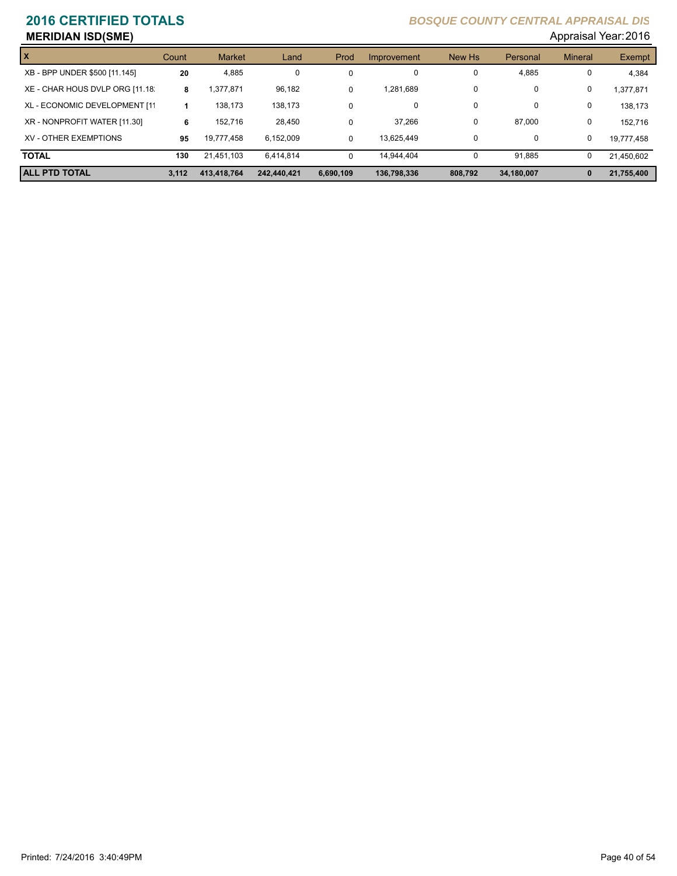# **MERIDIAN ISD(SME)** Appraisal Year: 2016

|                                 |       |               |             |             |             |          |            | . .            |            |
|---------------------------------|-------|---------------|-------------|-------------|-------------|----------|------------|----------------|------------|
| X                               | Count | <b>Market</b> | Land        | Prod        | Improvement | New Hs   | Personal   | <b>Mineral</b> | Exempt     |
| XB - BPP UNDER \$500 [11.145]   | 20    | 4.885         | 0           | $\mathbf 0$ | 0           | 0        | 4,885      | 0              | 4,384      |
| XE - CHAR HOUS DVLP ORG [11.18. | 8     | .377.871      | 96,182      | $\Omega$    | 1.281.689   | 0        | 0          | 0              | 1.377.871  |
| XL - ECONOMIC DEVELOPMENT [11   |       | 138.173       | 138.173     | $\Omega$    | 0           | 0        | 0          | 0              | 138.173    |
| XR - NONPROFIT WATER [11.30]    | 6     | 152.716       | 28,450      | $\Omega$    | 37,266      | $\Omega$ | 87.000     | 0              | 152.716    |
| XV - OTHER EXEMPTIONS           | 95    | 19.777.458    | 6.152.009   | $\Omega$    | 13.625.449  | 0        | 0          | 0              | 19,777,458 |
| <b>TOTAL</b>                    | 130   | 21.451.103    | 6.414.814   | $\Omega$    | 14.944.404  | $\Omega$ | 91,885     | 0              | 21,450,602 |
| <b>ALL PTD TOTAL</b>            | 3.112 | 413.418.764   | 242.440.421 | 6.690.109   | 136.798.336 | 808.792  | 34,180,007 | $\bf{0}$       | 21,755,400 |
|                                 |       |               |             |             |             |          |            |                |            |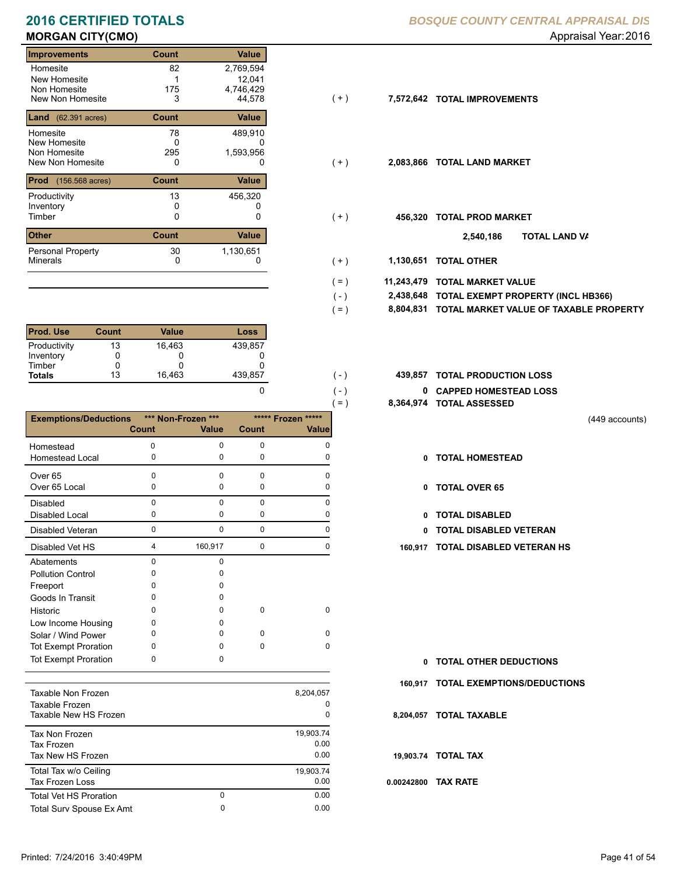# **MORGAN CITY(CMO) MORGAN CITY(CMO) Appraisal Year: 2016**

### **Improvements Count Value** Homesite New Homesite Non Homesite<br>New Non Homesite New Non Homesite **TOTAL IMPROVEMENTS** 3 44,578 **7,572,642** 82 2,769,594 1<br>175 0 1746,429<br>3 44,578 **Land** (62.391 acres) **Count Count Value** Homesite New Homesite Non Homesite<br>New Non Homesite New Non Homesite **TOTAL LAND MARKET** 0 0 **2,083,866** 78 489,910  $\begin{array}{c} 0 \\ 295 \end{array}$ 12,041 1,593,956 **Prod** (156.568 acres) **Count Value** Productivity 13 456,320 Inventory<br>Timber 0 0 0  $\begin{array}{ccc} {\sf Time} & 0 & 0 & 0 \end{array}$  (+)  ${\sf 456,320}$  TOTAL PROD MARKET **Other Count** Count Value Minerals Personal Property 13 30 1,130,651

| <b>Prod. Use</b> | Count | Value  | Loss    |
|------------------|-------|--------|---------|
| Productivity     | 13    | 16.463 | 439.857 |
| Inventory        |       |        |         |
| Timber           |       |        |         |
| <b>Totals</b>    | 13    | 16,463 | 439.857 |

|                              |              |                    |          | $=$ )              | 8,364,974 |
|------------------------------|--------------|--------------------|----------|--------------------|-----------|
| <b>Exemptions/Deductions</b> |              | *** Non-Frozen *** |          | ***** Frozen ***** |           |
|                              | <b>Count</b> | <b>Value</b>       | Count    | <b>Value</b>       |           |
| Homestead                    | $\Omega$     | $\Omega$           | $\Omega$ | $\Omega$           |           |
| <b>Homestead Local</b>       | 0            | 0                  | 0        | 0                  | 0         |
| Over <sub>65</sub>           | 0            | $\Omega$           | 0        | $\Omega$           |           |
| Over 65 Local                | 0            | 0                  | 0        | 0                  | 0         |
| <b>Disabled</b>              | $\mathbf 0$  | $\mathbf{0}$       | 0        | $\Omega$           |           |
| <b>Disabled Local</b>        | 0            | 0                  | 0        | 0                  | 0         |
| <b>Disabled Veteran</b>      | $\mathbf 0$  | $\mathbf{0}$       | 0        | $\mathbf 0$        | n         |
| Disabled Vet HS              | 4            | 160,917            | 0        | 0                  | 160,917   |
| Abatements                   | $\Omega$     | $\Omega$           |          |                    |           |
| <b>Pollution Control</b>     | 0            | U                  |          |                    |           |
| Freeport                     | O            | O                  |          |                    |           |
| Goods In Transit             | 0            | O                  |          |                    |           |
| Historic                     | <sup>0</sup> | 0                  | 0        | $\mathbf 0$        |           |
| Low Income Housing           | 0            | o                  |          |                    |           |
| Solar / Wind Power           | 0            | O                  | $\Omega$ | $\Omega$           |           |
| <b>Tot Exempt Proration</b>  | 0            | 0                  | 0        | $\Omega$           |           |
| <b>Tot Exempt Proration</b>  | 0            | 0                  |          |                    | 0         |
|                              |              |                    |          |                    |           |
| Taxable Non Frozen           |              |                    |          | 8,204,057          | 160,917   |
| Taxable Frozen               |              |                    |          | 0                  |           |
| Taxable New HS Frozen        |              |                    |          | 0                  | 8,204,057 |

| iaxable iyon Frozen           |   | 0, 204, 001 |
|-------------------------------|---|-------------|
| Taxable Frozen                |   | 0           |
| Taxable New HS Frozen         |   | 0           |
| <b>Tax Non Frozen</b>         |   | 19,903.74   |
| Tax Frozen                    |   | 0.00        |
| Tax New HS Frozen             |   | 0.00        |
| Total Tax w/o Ceiling         |   | 19,903.74   |
| <b>Tax Frozen Loss</b>        |   | 0.00        |
| <b>Total Vet HS Proration</b> | 0 | 0.00        |
| Total Surv Spouse Ex Amt      | 0 | 0.00        |
|                               |   |             |

### **2016 CERTIFIED TOTALS** *BOSQUE COUNTY CENTRAL APPRAISAL DIS*

- $(+)$
- $(+)$
- $(+)$ 
	- **TOTAL LAND VA 2,540,186**
- 0 0 **1,130,651 TOTAL OTHER**  $( + )$

 $( - )$  $( = )$ 

 $( - )$  $( - )$ 

0

- **11,243,479 TOTAL MARKET VALUE**  $( = )$ 
	- **TOTAL EXEMPT PROPERTY (INCL HB366) 2,438,648**
	- **8,804,831 TOTAL MARKET VALUE OF TAXABLE PROPERTY**
- **TOTAL PRODUCTION LOSS** 439,857 **439,857**
	- **0 CAPPED HOMESTEAD LOSS**
	- **8,364,974 TOTAL ASSESSED**
- (449 accounts)
- **TOTAL HOMESTEAD**
- 0 TOTAL OVER 65
- 0 TOTAL DISABLED
- Disabled Veteran **TOTAL DISABLED VETERAN**
- 4 0 160,917 0 **160,917 TOTAL DISABLED VETERAN HS**

**TOTAL OTHER DEDUCTIONS 0**

- **160,917 TOTAL EXEMPTIONS/DEDUCTIONS**
- **8,204,057 TOTAL TAXABLE**
- **19,903.74 TOTAL TAX**
- **0.00242800 TAX RATE**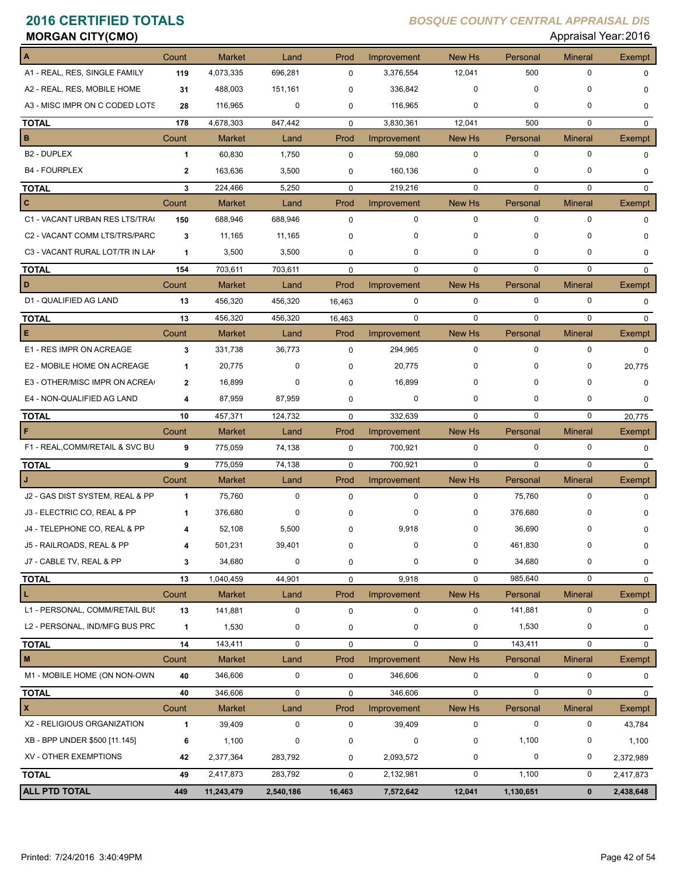| <b>MORGAN CITY(CMO)</b>         |              |               |                  |             |                  |               |             | Appraisal Year: 2016 |               |
|---------------------------------|--------------|---------------|------------------|-------------|------------------|---------------|-------------|----------------------|---------------|
| A                               | Count        | <b>Market</b> | Land             | Prod        | Improvement      | New Hs        | Personal    | <b>Mineral</b>       | Exempt        |
| A1 - REAL, RES, SINGLE FAMILY   | 119          | 4,073,335     | 696,281          | $\mathbf 0$ | 3,376,554        | 12,041        | 500         | 0                    | $\mathbf 0$   |
| A2 - REAL, RES, MOBILE HOME     | 31           | 488,003       | 151,161          | $\Omega$    | 336,842          | $\mathbf 0$   | $\mathbf 0$ | 0                    | $\mathbf 0$   |
| A3 - MISC IMPR ON C CODED LOTS  | 28           | 116,965       | $\mathbf 0$      | $\mathbf 0$ | 116,965          | $\mathbf 0$   | 0           | 0                    | $\mathbf 0$   |
| <b>TOTAL</b>                    | 178          | 4,678,303     | 847,442          | $\mathbf 0$ | 3,830,361        | 12,041        | 500         | $\mathbf 0$          | $\mathbf 0$   |
| B                               | Count        | <b>Market</b> | Land             | Prod        | Improvement      | New Hs        | Personal    | <b>Mineral</b>       | <b>Exempt</b> |
| <b>B2 - DUPLEX</b>              | 1            | 60,830        | 1,750            | $\mathbf 0$ | 59,080           | $\mathbf 0$   | $\mathbf 0$ | 0                    | $\mathbf 0$   |
| <b>B4 - FOURPLEX</b>            | $\mathbf{2}$ | 163,636       | 3,500            | 0           | 160,136          | $\mathbf 0$   | $\mathbf 0$ | 0                    | 0             |
| <b>TOTAL</b>                    | 3            | 224,466       | 5,250            | $\mathbf 0$ | 219,216          | $\mathbf 0$   | $\mathbf 0$ | 0                    | $\mathbf 0$   |
| C                               | Count        | <b>Market</b> | Land             | Prod        | Improvement      | New Hs        | Personal    | <b>Mineral</b>       | Exempt        |
| C1 - VACANT URBAN RES LTS/TRA(  | 150          | 688,946       | 688,946          | $\mathbf 0$ | $\mathbf 0$      | $\mathbf 0$   | $\mathbf 0$ | 0                    | $\mathbf 0$   |
| C2 - VACANT COMM LTS/TRS/PARC   | 3            | 11,165        | 11,165           | $\Omega$    | 0                | $\mathbf 0$   | $\Omega$    | $\Omega$             | $\mathbf 0$   |
| C3 - VACANT RURAL LOT/TR IN LAK | $\mathbf{1}$ | 3,500         | 3,500            | 0           | $\mathbf 0$      | $\mathbf 0$   | 0           | 0                    | 0             |
| <b>TOTAL</b>                    | 154          | 703,611       | 703,611          | $\mathbf 0$ | $\mathbf 0$      | $\mathbf 0$   | 0           | 0                    | $\mathbf{0}$  |
| D                               | Count        | <b>Market</b> | Land             | Prod        | Improvement      | <b>New Hs</b> | Personal    | <b>Mineral</b>       | <b>Exempt</b> |
| D1 - QUALIFIED AG LAND          | 13           | 456,320       | 456,320          | 16,463      | 0                | $\mathbf 0$   | $\mathbf 0$ | $\mathbf 0$          | $\Omega$      |
| <b>TOTAL</b>                    | 13           | 456,320       | 456,320          | 16,463      | $\mathbf 0$      | $\Omega$      | $\Omega$    | 0                    | $\Omega$      |
| E                               | Count        | <b>Market</b> | Land             | Prod        | Improvement      | <b>New Hs</b> | Personal    | <b>Mineral</b>       | Exempt        |
| E1 - RES IMPR ON ACREAGE        | 3            | 331,738       | 36,773           | $\mathbf 0$ | 294,965          | $\mathbf 0$   | $\mathbf 0$ | $\mathbf 0$          | $\Omega$      |
| E2 - MOBILE HOME ON ACREAGE     | $\mathbf 1$  | 20,775        | 0                | $\Omega$    | 20,775           | 0             | 0           | 0                    | 20,775        |
| E3 - OTHER/MISC IMPR ON ACREA   | $\mathbf{2}$ | 16,899        | 0                | $\Omega$    | 16,899           | 0             | 0           | $\Omega$             | $\mathbf 0$   |
| E4 - NON-QUALIFIED AG LAND      | 4            | 87,959        | 87,959           | 0           | 0                | $\mathbf 0$   | 0           | 0                    | $\mathbf 0$   |
| <b>TOTAL</b>                    | 10           | 457,371       | 124,732          | $\Omega$    | 332,639          | $\Omega$      | $\Omega$    | $\Omega$             | 20,775        |
| F                               | Count        | <b>Market</b> | Land             | Prod        | Improvement      | New Hs        | Personal    | <b>Mineral</b>       | Exempt        |
| F1 - REAL, COMM/RETAIL & SVC BU | 9            | 775,059       | 74,138           | $\mathbf 0$ | 700,921          | $\mathbf 0$   | 0           | 0                    | $\Omega$      |
| <b>TOTAL</b>                    | 9            | 775,059       | 74,138           | $\mathbf 0$ | 700,921          | $\mathbf 0$   | $\mathbf 0$ | 0                    | $\mathbf 0$   |
| J                               | Count        | <b>Market</b> | Land             | Prod        | Improvement      | New Hs        | Personal    | <b>Mineral</b>       | Exempt        |
| J2 - GAS DIST SYSTEM, REAL & PP | 1            | 75,760        | $\mathbf 0$      | $\mathbf 0$ | 0                | 0             | 75,760      | 0                    | $\mathbf 0$   |
| J3 - ELECTRIC CO, REAL & PP     | 1            | 376,680       | 0                | 0           | 0                | 0             | 376,680     | 0                    | 0             |
| J4 - TELEPHONE CO, REAL & PP    | 4            | 52,108        | 5,500            | 0           | 9,918            | 0             | 36,690      | 0                    | 0             |
| J5 - RAILROADS, REAL & PP       | 4            | 501,231       | 39,401           | 0           | 0                | 0             | 461,830     | 0                    | $\mathbf 0$   |
| J7 - CABLE TV, REAL & PP        | 3            | 34,680        | $\pmb{0}$        | 0           | 0                | 0             | 34,680      | 0                    | 0             |
| <b>TOTAL</b>                    | 13           | 1,040,459     | 44,901           | $\mathbf 0$ | 9,918            | $\pmb{0}$     | 985,640     | 0                    | 0             |
| L.                              | Count        | <b>Market</b> | Land             | Prod        | Improvement      | New Hs        | Personal    | <b>Mineral</b>       | Exempt        |
| L1 - PERSONAL, COMM/RETAIL BUS  | 13           | 141,881       | $\boldsymbol{0}$ | $\mathsf 0$ | $\boldsymbol{0}$ | $\pmb{0}$     | 141,881     | 0                    | 0             |
| L2 - PERSONAL, IND/MFG BUS PRC  | 1            | 1,530         | $\pmb{0}$        | 0           | 0                | 0             | 1,530       | 0                    | 0             |
| <b>TOTAL</b>                    | 14           | 143,411       | $\boldsymbol{0}$ | $\pmb{0}$   | 0                | $\pmb{0}$     | 143,411     | 0                    | 0             |
| M                               | Count        | Market        | Land             | Prod        | Improvement      | New Hs        | Personal    | <b>Mineral</b>       | Exempt        |
| M1 - MOBILE HOME (ON NON-OWN    | 40           | 346,606       | $\pmb{0}$        | $\mathbf 0$ | 346,606          | $\pmb{0}$     | $\pmb{0}$   | 0                    | 0             |
| <b>TOTAL</b>                    | 40           | 346,606       | $\pmb{0}$        | $\mathbf 0$ | 346,606          | 0             | 0           | 0                    | $\mathbf 0$   |
| X                               | Count        | Market        | Land             | Prod        | Improvement      | New Hs        | Personal    | <b>Mineral</b>       | Exempt        |
| X2 - RELIGIOUS ORGANIZATION     | $\mathbf{1}$ | 39,409        | $\pmb{0}$        | $\mathbf 0$ | 39,409           | 0             | $\pmb{0}$   | 0                    | 43,784        |
| XB - BPP UNDER \$500 [11.145]   | 6            | 1,100         | $\pmb{0}$        | $\mathbf 0$ | $\pmb{0}$        | 0             | 1,100       | 0                    | 1,100         |
| XV - OTHER EXEMPTIONS           | 42           | 2,377,364     | 283,792          | 0           | 2,093,572        | 0             | 0           | 0                    | 2,372,989     |
| <b>TOTAL</b>                    | 49           | 2,417,873     | 283,792          | $\pmb{0}$   | 2,132,981        | $\pmb{0}$     | 1,100       | 0                    | 2,417,873     |
| <b>ALL PTD TOTAL</b>            | 449          | 11,243,479    | 2,540,186        | 16,463      | 7,572,642        | 12,041        | 1,130,651   | $\mathbf{0}$         | 2,438,648     |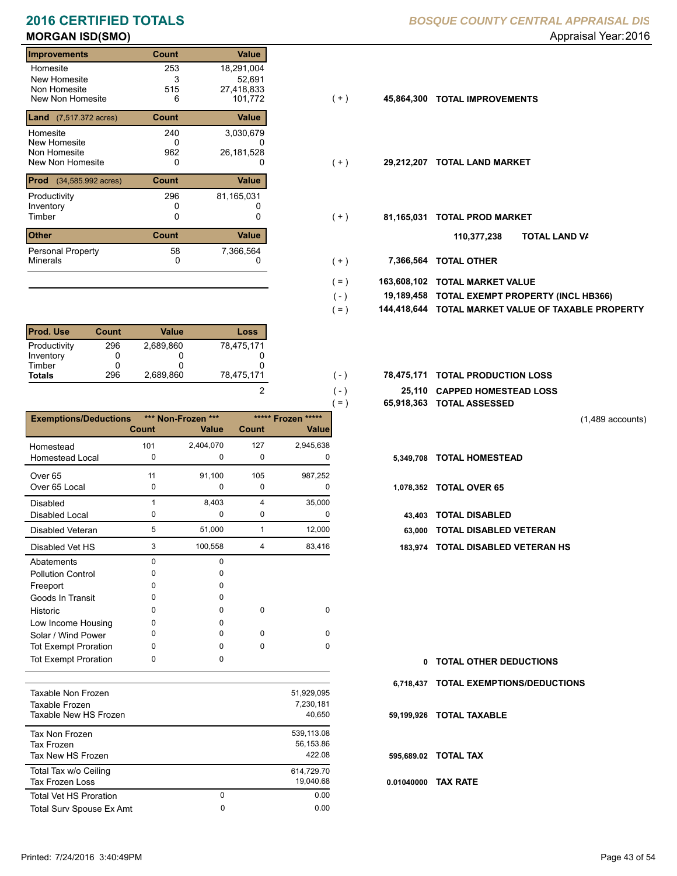# **MORGAN ISD(SMO)** Appraisal Year: 2016

### **Improvements Count Value** Homesite New Homesite Non Homesite<br>New Non Homesite New Non Homesite **TOTAL IMPROVEMENTS** 6 101,772 **45,864,300** 253 18,291,004  $\frac{3}{515}$ 0 515 27,418,833 **Land** (7,517.372 acres) **Count Value** Homesite New Homesite Non Homesite<br>New Non Homesite New Non Homesite **TOTAL LAND MARKET** 0 0 **29,212,207** 240 3,030,679  $0$ <br>962 52,691 26,181,528 **Prod** (34,585.992 acres) **Count Value** Productivity 296 81,165,031 Inventory<br>Timber 0 0 0 Timber 0 **TOTAL PROD MARKET 81,165,031 Other Count** Count Value Minerals Personal Property 296 58 7,366,564

| <b>Prod. Use</b> | Count | Value     | Loss       |
|------------------|-------|-----------|------------|
| Productivity     | 296   | 2.689.860 | 78,475,171 |
| Inventory        |       |           |            |
| Timber           |       |           |            |
| <b>Totals</b>    | 296   | 2,689,860 | 78,475,171 |

|                              |          |                    |              |                    | $=$ )  | 65,918,363 TOTAL ASSESSED  |
|------------------------------|----------|--------------------|--------------|--------------------|--------|----------------------------|
| <b>Exemptions/Deductions</b> |          | *** Non-Frozen *** |              | ***** Frozen ***** |        |                            |
|                              | Count    | <b>Value</b>       | <b>Count</b> | <b>Value</b>       |        |                            |
| Homestead                    | 101      | 2,404,070          | 127          | 2,945,638          |        |                            |
| <b>Homestead Local</b>       | 0        | $\Omega$           | $\mathbf 0$  | 0                  |        | 5,349,708 TOTAL HOMESTEAD  |
| Over <sub>65</sub>           | 11       | 91,100             | 105          | 987,252            |        |                            |
| Over 65 Local                | 0        | 0                  | 0            | 0                  |        | 1,078,352 TOTAL OVER 65    |
| <b>Disabled</b>              | 1        | 8,403              | 4            | 35,000             |        |                            |
| Disabled Local               | 0        | $\mathbf 0$        | 0            | 0                  | 43.403 | <b>TOTAL DISABLED</b>      |
| Disabled Veteran             | 5        | 51,000             | $\mathbf{1}$ | 12,000             | 63.000 | <b>TOTAL DISABLED VI</b>   |
| Disabled Vet HS              | 3        | 100,558            | 4            | 83,416             |        | 183,974 TOTAL DISABLED VI  |
| Abatements                   | $\Omega$ | $\mathbf 0$        |              |                    |        |                            |
| <b>Pollution Control</b>     | 0        | 0                  |              |                    |        |                            |
| Freeport                     | O        | <sup>0</sup>       |              |                    |        |                            |
| Goods In Transit             | 0        | <sup>0</sup>       |              |                    |        |                            |
| Historic                     | O        | 0                  | $\Omega$     | $\Omega$           |        |                            |
| Low Income Housing           | 0        | 0                  |              |                    |        |                            |
| Solar / Wind Power           | 0        | <sup>0</sup>       | $\Omega$     | $\Omega$           |        |                            |
| <b>Tot Exempt Proration</b>  | O        | <sup>0</sup>       | 0            | $\Omega$           |        |                            |
| <b>Tot Exempt Proration</b>  | 0        | 0                  |              |                    | 0      | <b>TOTAL OTHER DEDL</b>    |
|                              |          |                    |              |                    |        | 6,718,437 TOTAL EXEMPTIONS |
| <b>Taxable Non Frozen</b>    |          |                    |              | 51,929,095         |        |                            |
| Taxable Frozen               |          |                    |              | 7,230,181          |        |                            |
| Taxable New HS Frozen        |          |                    |              | 40,650             |        | 59,199,926 TOTAL TAXABLE   |
| Tau Mar Freeze               |          |                    |              | <b>E20 112 00</b>  |        |                            |

| Tax Non Frozen<br>Tax Frozen<br>Tax New HS Frozen |   | 539.113.08<br>56.153.86<br>422.08 |
|---------------------------------------------------|---|-----------------------------------|
| Total Tax w/o Ceiling<br>Tax Frozen Loss          |   | 614.729.70<br>19.040.68           |
| <b>Total Vet HS Proration</b>                     | 0 | 0.00                              |
| Total Surv Spouse Ex Amt                          | 0 | 0.00                              |

### **2016 CERTIFIED TOTALS** *BOSQUE COUNTY CENTRAL APPRAISAL DIS*

- $(+)$
- $(+)$
- $(+)$ 
	- **TOTAL LAND VA 110,377,238**
- 0 0 **7,366,564 TOTAL OTHER**  $(+)$

 $( - )$  $( - )$ 

2

- **163,608,102 TOTAL MARKET VALUE**  $( = )$
- **TOTAL EXEMPT PROPERTY (INCL HB366) 19,189,458**  $( - )$
- **144,418,644 TOTAL MARKET VALUE OF TAXABLE PROPERTY**  $( = )$
- **TOTAL PRODUCTION LOSS** 78,475,171 **78,475,171**
	- **25,110 CAPPED HOMESTEAD LOSS**
	- **65,918,363 TOTAL ASSESSED**

(1,489 accounts)

- 
- - 43,403 TOTAL DISABLED
	- Disabled Veteran **TOTAL DISABLED VETERAN**
- 183,974 TOTAL DISABLED VETERAN HS

**TOTAL OTHER DEDUCTIONS 0 6,718,437 TOTAL EXEMPTIONS/DEDUCTIONS 0.01040000 TAX RATE 59,199,926 TOTAL TAXABLE 595,689.02 TOTAL TAX**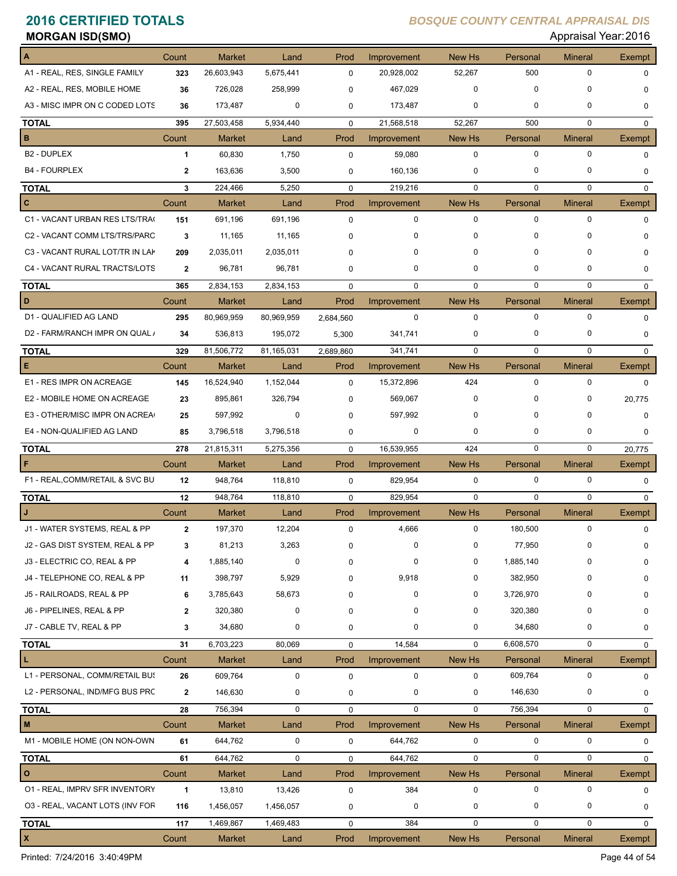| <b>MORGAN ISD(SMO)</b>          |              |               |            |             |             |             |             | Appraisal Year: 2016 |               |
|---------------------------------|--------------|---------------|------------|-------------|-------------|-------------|-------------|----------------------|---------------|
|                                 | Count        | <b>Market</b> | Land       | Prod        | Improvement | New Hs      | Personal    | <b>Mineral</b>       | Exempt        |
| A1 - REAL, RES, SINGLE FAMILY   | 323          | 26,603,943    | 5,675,441  | $\mathbf 0$ | 20,928,002  | 52,267      | 500         | 0                    | 0             |
| A2 - REAL, RES, MOBILE HOME     | 36           | 726,028       | 258,999    | $\Omega$    | 467,029     | 0           | 0           | $\Omega$             | 0             |
| A3 - MISC IMPR ON C CODED LOTS  | 36           | 173,487       | 0          | 0           | 173,487     | 0           | 0           | $\mathbf 0$          | 0             |
| <b>TOTAL</b>                    | 395          | 27,503,458    | 5,934,440  | $\mathbf 0$ | 21,568,518  | 52,267      | 500         | $\mathbf 0$          | $\mathbf 0$   |
| В                               | Count        | <b>Market</b> | Land       | Prod        | Improvement | New Hs      | Personal    | <b>Mineral</b>       | Exempt        |
| B <sub>2</sub> - DUPLEX         | 1            | 60,830        | 1,750      | $\mathbf 0$ | 59,080      | 0           | 0           | $\mathbf 0$          | $\mathbf 0$   |
| <b>B4 - FOURPLEX</b>            | $\mathbf{2}$ | 163,636       | 3,500      | 0           | 160,136     | 0           | 0           | 0                    | 0             |
| <b>TOTAL</b>                    | 3            | 224,466       | 5,250      | $\mathbf 0$ | 219,216     | $\mathbf 0$ | $\mathbf 0$ | $\mathbf 0$          | $\mathbf 0$   |
| c                               | Count        | <b>Market</b> | Land       | Prod        | Improvement | New Hs      | Personal    | <b>Mineral</b>       | <b>Exempt</b> |
| C1 - VACANT URBAN RES LTS/TRA(  | 151          | 691,196       | 691,196    | $\mathbf 0$ | 0           | 0           | 0           | $\mathbf 0$          | 0             |
| C2 - VACANT COMM LTS/TRS/PARC   | 3            | 11,165        | 11,165     | 0           | 0           | 0           | 0           | 0                    | 0             |
| C3 - VACANT RURAL LOT/TR IN LAK | 209          | 2,035,011     | 2,035,011  | 0           | 0           | 0           | 0           | 0                    | 0             |
| C4 - VACANT RURAL TRACTS/LOTS   | $\mathbf{2}$ | 96,781        | 96,781     | 0           | 0           | 0           | 0           | 0                    | 0             |
| <b>TOTAL</b>                    | 365          | 2,834,153     | 2,834,153  | $\mathbf 0$ | 0           | $\mathbf 0$ | $\mathbf 0$ | $\mathbf 0$          | $\mathbf{0}$  |
| D                               | Count        | Market        | Land       | Prod        | Improvement | New Hs      | Personal    | <b>Mineral</b>       | Exempt        |
| D1 - QUALIFIED AG LAND          | 295          | 80,969,959    | 80,969,959 | 2,684,560   | $\mathbf 0$ | $\mathbf 0$ | 0           | $\mathbf 0$          | $\mathbf 0$   |
| D2 - FARM/RANCH IMPR ON QUAL /  | 34           | 536,813       | 195,072    | 5,300       | 341,741     | 0           | 0           | $\mathbf 0$          | 0             |
| <b>TOTAL</b>                    | 329          | 81,506,772    | 81,165,031 | 2,689,860   | 341,741     | $\mathbf 0$ | $\mathbf 0$ | $\mathbf 0$          | $\mathbf 0$   |
| Е                               | Count        | Market        | Land       | Prod        | Improvement | New Hs      | Personal    | <b>Mineral</b>       | Exempt        |
| E1 - RES IMPR ON ACREAGE        | 145          | 16,524,940    | 1,152,044  | $\mathbf 0$ | 15,372,896  | 424         | $\mathbf 0$ | $\mathbf 0$          | $\Omega$      |
| E2 - MOBILE HOME ON ACREAGE     | 23           | 895,861       | 326,794    | 0           | 569,067     | 0           | 0           | 0                    | 20,775        |
| E3 - OTHER/MISC IMPR ON ACREA   | 25           | 597,992       | 0          | 0           | 597,992     | 0           | $\Omega$    | $\Omega$             | 0             |
| E4 - NON-QUALIFIED AG LAND      | 85           | 3,796,518     | 3,796,518  | 0           | 0           | 0           | 0           | 0                    | 0             |
| <b>TOTAL</b>                    | 278          | 21,815,311    | 5,275,356  | $\mathbf 0$ | 16,539,955  | 424         | 0           | $\mathbf 0$          | 20,775        |
|                                 | Count        | Market        | Land       | Prod        | Improvement | New Hs      | Personal    | <b>Mineral</b>       | Exempt        |
| F1 - REAL, COMM/RETAIL & SVC BU | 12           | 948,764       | 118,810    | $\mathbf 0$ | 829,954     | 0           | 0           | $\mathbf 0$          | $\mathbf 0$   |
| <b>TOTAL</b>                    | 12           | 948,764       | 118,810    | $\mathbf 0$ | 829,954     | $\mathbf 0$ | $\mathbf 0$ | $\mathbf 0$          | $\mathbf{0}$  |
| J                               | Count        | <b>Market</b> | Land       | Prod        | Improvement | New Hs      | Personal    | <b>Mineral</b>       | Exempt        |
| J1 - WATER SYSTEMS, REAL & PP   |              |               |            |             |             |             |             |                      |               |
|                                 |              | 197,370       | 12,204     | 0           | 4,666       |             | 180,500     |                      |               |
| J2 - GAS DIST SYSTEM, REAL & PP | 3            | 81,213        | 3,263      | $\Omega$    | 0           | 0           | 77,950      | 0                    | 0             |
| J3 - ELECTRIC CO, REAL & PP     | 4            | 1,885,140     | $\pmb{0}$  | 0           | 0           | 0           | 1,885,140   | $\Omega$             | 0             |
| J4 - TELEPHONE CO, REAL & PP    | 11           | 398,797       | 5,929      | 0           | 9,918       | 0           | 382,950     | 0                    | 0             |
| J5 - RAILROADS, REAL & PP       | 6            | 3,785,643     | 58,673     | 0           | 0           | 0           | 3,726,970   | $\Omega$             | 0             |
| J6 - PIPELINES, REAL & PP       | 2            | 320,380       | 0          | 0           | 0           | 0           | 320,380     | 0                    | 0             |
| J7 - CABLE TV, REAL & PP        | 3            | 34,680        | 0          | 0           | 0           | 0           | 34,680      | 0                    | 0             |
|                                 | 31           | 6,703,223     | 80,069     | 0           | 14,584      | $\mathbf 0$ | 6,608,570   | $\mathbf 0$          | 0             |
| г                               | Count        | Market        | Land       | Prod        | Improvement | New Hs      | Personal    | <b>Mineral</b>       | Exempt        |
| L1 - PERSONAL, COMM/RETAIL BUS  | 26           | 609,764       | 0          | 0           | 0           | 0           | 609,764     | 0                    | 0             |
| L2 - PERSONAL, IND/MFG BUS PRC  | $\mathbf{2}$ | 146,630       | 0          | $\pmb{0}$   | 0           | 0           | 146,630     | 0                    | 0             |
| <b>TOTAL</b><br><b>TOTAL</b>    | 28           | 756,394       | 0          | 0           | 0           | 0           | 756,394     | 0                    | 0             |
| M                               | Count        | Market        | Land       | Prod        | Improvement | New Hs      | Personal    | <b>Mineral</b>       | Exempt        |
| M1 - MOBILE HOME (ON NON-OWN    | 61           | 644,762       | 0          | 0           | 644,762     | 0           | 0           | 0                    | 0             |
| <b>TOTAL</b>                    | 61           | 644,762       | 0          | $\mathbf 0$ | 644,762     | 0           | 0           | 0                    | 0             |
| $\circ$                         | Count        | Market        | Land       | Prod        | Improvement | New Hs      | Personal    | <b>Mineral</b>       | Exempt        |
| 01 - REAL, IMPRV SFR INVENTORY  | $\mathbf{1}$ | 13,810        | 13,426     | $\pmb{0}$   | 384         | 0           | 0           | 0                    | 0             |
| 03 - REAL, VACANT LOTS (INV FOR | 116          | 1,456,057     | 1,456,057  | 0           | 0           | 0           | 0           | 0                    | 0             |
| <b>TOTAL</b>                    | 117          | 1,469,867     | 1,469,483  | $\mathbf 0$ | 384         | $\pmb{0}$   | 0           | $\mathbf 0$          | 0             |

Printed: 7/24/2016 3:40:49PM Page 44 of 54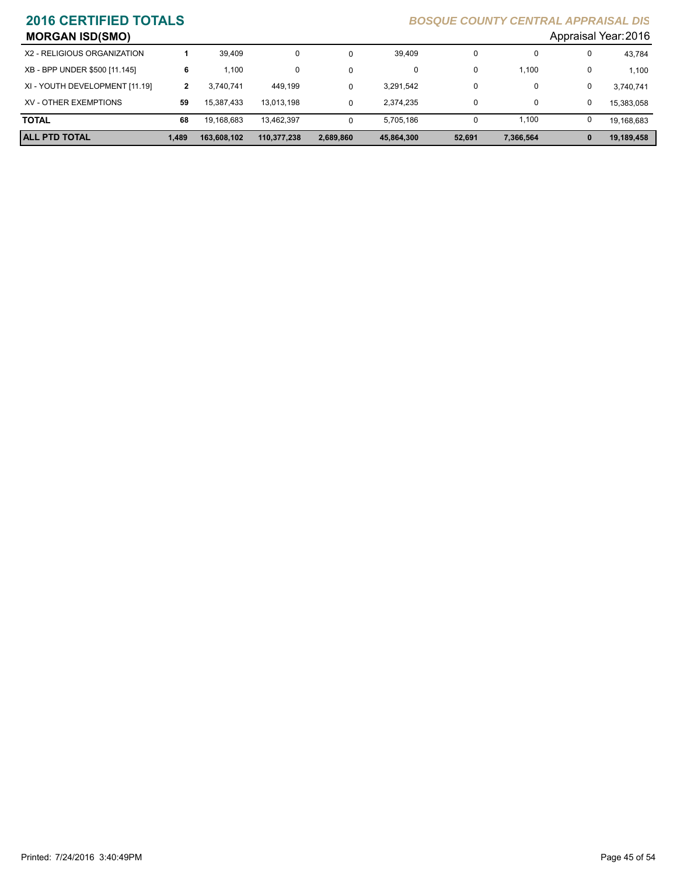| <b>MORGAN ISD(SMO)</b>         |       |             |             |              |            |        |           |              | Appraisal Year: 2016 |
|--------------------------------|-------|-------------|-------------|--------------|------------|--------|-----------|--------------|----------------------|
| X2 - RELIGIOUS ORGANIZATION    |       | 39.409      | 0           | 0            | 39.409     | 0      | 0         | 0            | 43,784               |
| XB - BPP UNDER \$500 [11.145]  | 6     | 1.100       | 0           | 0            | 0          | 0      | 1,100     |              | 1.100                |
| XI - YOUTH DEVELOPMENT [11.19] |       | 3.740.741   | 449.199     | 0            | 3,291,542  | 0      | 0         | 0            | 3,740,741            |
| XV - OTHER EXEMPTIONS          | 59    | 15.387.433  | 13.013.198  | 0            | 2.374.235  | 0      | 0         | 0            | 15.383.058           |
| <b>TOTAL</b>                   | 68    | 19,168,683  | 13.462.397  | $\mathbf{0}$ | 5.705.186  |        | 1,100     |              | 19,168,683           |
| <b>ALL PTD TOTAL</b>           | 1.489 | 163,608,102 | 110,377,238 | 2,689,860    | 45,864,300 | 52,691 | 7,366,564 | $\mathbf{0}$ | 19,189,458           |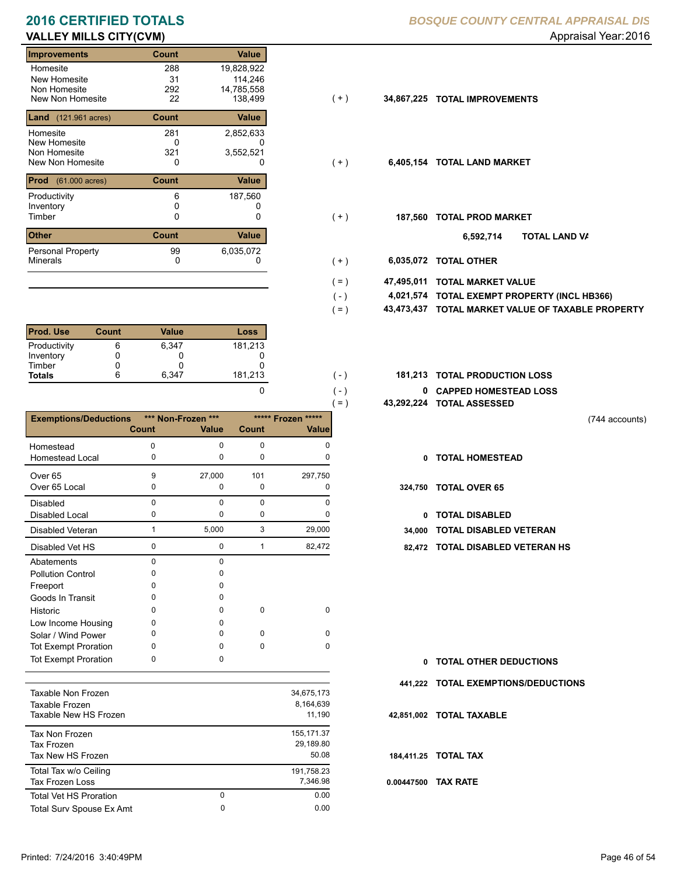### **VALLEY MILLS CITY(CVM)** and the control of the control of the control of the control of the control of the control of the control of the control of the control of the control of the control of the control of the control o **2016 CERTIFIED TOTALS** *B*

| <b>Improvements</b>                     | <b>Count</b> | Value      |                   |                             |
|-----------------------------------------|--------------|------------|-------------------|-----------------------------|
| Homesite                                | 288          | 19,828,922 |                   |                             |
| New Homesite                            | 31           | 114,246    |                   |                             |
| Non Homesite                            | 292          | 14,785,558 |                   |                             |
| New Non Homesite                        | 22           | 138,499    | (+)<br>34,867,225 | <b>TOTAL IMPROVEMENTS</b>   |
| <b>Land</b> (121.961 acres)             | Count        | Value      |                   |                             |
| Homesite                                | 281          | 2,852,633  |                   |                             |
| New Homesite                            | 0            | 0          |                   |                             |
| Non Homesite                            | 321          | 3,552,521  |                   |                             |
| New Non Homesite                        | 0            | 0          | $(+)$             | 6,405,154 TOTAL LAND MARKET |
| <b>Prod</b><br>$(61.000 \text{ acres})$ | Count        | Value      |                   |                             |
| Productivity                            | 6            | 187,560    |                   |                             |
| Inventory                               |              |            |                   |                             |
| Timber                                  | 0            | 0          | 187,560<br>$(+)$  | <b>TOTAL PROD MARKET</b>    |
| <b>Other</b>                            | Count        | Value      |                   | 6,592,714                   |
| <b>Personal Property</b>                | 99           | 6,035,072  |                   |                             |
| <b>Minerals</b>                         | 0            | 0          | 6,035,072<br>(+)  | <b>TOTAL OTHER</b>          |

| <b>Prod. Use</b> | Count | Value | Loss    |
|------------------|-------|-------|---------|
| Productivity     |       | 6.347 | 181,213 |
| Inventory        |       |       |         |
| Timber           |       |       |         |
| <b>Totals</b>    |       | 6.347 | 181,213 |

|                                 |              |                    |              | $( = )$               |              | 43,292,224 TOTAL ASSESSI |
|---------------------------------|--------------|--------------------|--------------|-----------------------|--------------|--------------------------|
| <b>Exemptions/Deductions</b>    |              | *** Non-Frozen *** |              | *****<br>***** Frozen |              |                          |
|                                 | <b>Count</b> | Value              | Count        | <b>Value</b>          |              |                          |
| Homestead                       | $\Omega$     | $\Omega$           | 0            | 0                     |              |                          |
| <b>Homestead Local</b>          | 0            | $\Omega$           | 0            | $\Omega$              | $\mathbf{0}$ | <b>TOTAL HOMEST</b>      |
| Over <sub>65</sub>              | 9            | 27,000             | 101          | 297,750               |              |                          |
| Over 65 Local                   | 0            | 0                  | 0            | 0                     | 324,750      | <b>TOTAL OVER 65</b>     |
| <b>Disabled</b>                 | $\Omega$     | $\Omega$           | $\Omega$     | $\Omega$              |              |                          |
| Disabled Local                  | 0            | $\Omega$           | 0            | $\Omega$              | $\mathbf{0}$ | <b>TOTAL DISABLE</b>     |
| Disabled Veteran                | $\mathbf{1}$ | 5,000              | 3            | 29,000                | 34,000       | <b>TOTAL DISABLE</b>     |
| Disabled Vet HS                 | $\mathbf 0$  | $\mathbf 0$        | $\mathbf{1}$ | 82,472                |              | 82,472 TOTAL DISABLE     |
| Abatements                      | $\mathbf 0$  | $\Omega$           |              |                       |              |                          |
| <b>Pollution Control</b>        | 0            | $\Omega$           |              |                       |              |                          |
| Freeport                        | 0            | 0                  |              |                       |              |                          |
| Goods In Transit                | 0            | 0                  |              |                       |              |                          |
| Historic                        | $\Omega$     | 0                  | 0            | 0                     |              |                          |
| Low Income Housing              | 0            | <sup>0</sup>       |              |                       |              |                          |
| Solar / Wind Power              | 0            | 0                  | $\Omega$     | $\Omega$              |              |                          |
| <b>Tot Exempt Proration</b>     | 0            | $\Omega$           | $\Omega$     | $\Omega$              |              |                          |
| <b>Tot Exempt Proration</b>     | 0            | 0                  |              |                       | $\mathbf{0}$ | <b>TOTAL OTHER D</b>     |
|                                 |              |                    |              |                       |              | 441,222 TOTAL EXEMPT     |
| Taxable Non Frozen              |              |                    |              | 34,675,173            |              |                          |
| Taxable Frozen                  |              |                    |              | 8,164,639             |              |                          |
| Taxable New HS Frozen           |              |                    |              | 11,190                |              | 42,851,002 TOTAL TAXABLE |
| Tax Non Frozen                  |              |                    |              | 155, 171.37           |              |                          |
| <b>Tax Frozen</b>               |              |                    |              | 29,189.80             |              |                          |
| Tax New HS Frozen               |              |                    |              | 50.08                 |              | 184,411.25 TOTAL TAX     |
| Total Tax w/o Ceiling           |              |                    |              | 191,758.23            |              |                          |
| <b>Tax Frozen Loss</b>          |              |                    |              | 7,346.98              | 0.00447500   | <b>TAX RATE</b>          |
| <b>Total Vet HS Proration</b>   |              | $\Omega$           |              | 0.00                  |              |                          |
| <b>Total Surv Spouse Ex Amt</b> |              | $\mathbf 0$        |              | 0.00                  |              |                          |

|  |  |  | <b>BOSQUE COUNTY CENTRAL APPRAISAL DIS</b> |  |
|--|--|--|--------------------------------------------|--|
|--|--|--|--------------------------------------------|--|

- $(+)$
- $(+)$
- $(+)$ 
	- **TOTAL LAND VA 6,592,714**
- 0 0 **6,035,072 TOTAL OTHER** ( + )

 $( - )$  $( - )$ 

0

- **47,495,011 TOTAL MARKET VALUE**  $( = )$
- **TOTAL EXEMPT PROPERTY (INCL HB366) 4,021,574**  $( - )$
- **43,473,437 TOTAL MARKET VALUE OF TAXABLE PROPERTY**  $( = )$
- 181,213 (-) **181,213 TOTAL PRODUCTION LOSS** 
	- **0 CAPPED HOMESTEAD LOSS**
	- **43,292,224 TOTAL ASSESSED**
- (744 accounts)
- **TOTAL HOMESTEAD**
- - 0 TOTAL DISABLED
- Disabled Veteran **TOTAL DISABLED VETERAN**
- 0 1 0 82,472 **82,472 TOTAL DISABLED VETERAN HS**

| 0 TOTAL OTHER DEDUCTIONS            |
|-------------------------------------|
| 441,222 TOTAL EXEMPTIONS/DEDUCTIONS |
| 42.851.002 TOTAL TAXABLE            |
| 184,411.25 TOTAL TAX                |
| 0.00447500 TAX RATE                 |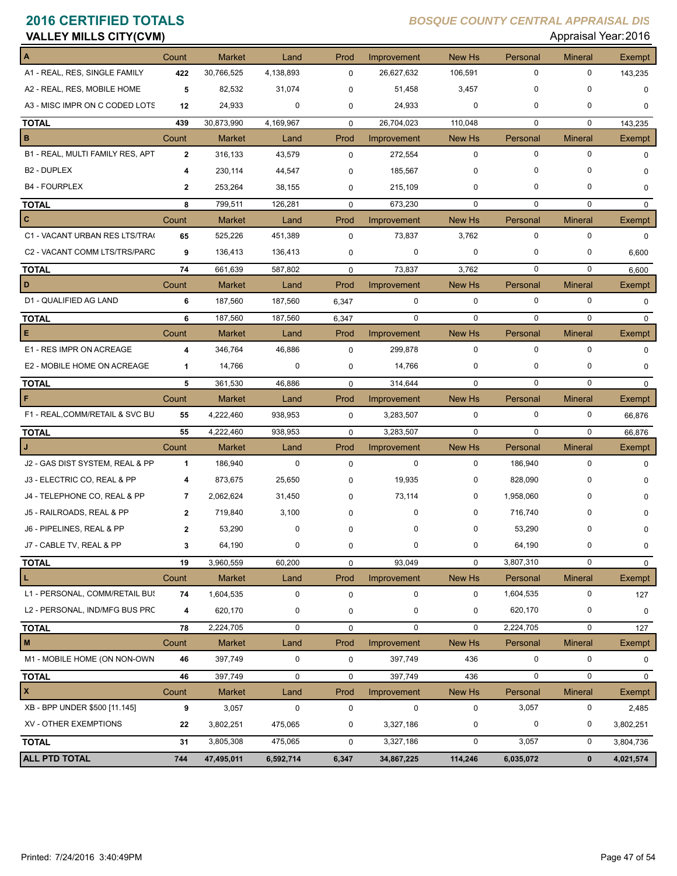| <b>VALLEY MILLS CITY(CVM)</b>    |                         |               |           |             |             |               |             | Appraisal Year: 2016 |              |
|----------------------------------|-------------------------|---------------|-----------|-------------|-------------|---------------|-------------|----------------------|--------------|
|                                  | Count                   | <b>Market</b> | Land      | Prod        | Improvement | <b>New Hs</b> | Personal    | <b>Mineral</b>       | Exempt       |
| A1 - REAL, RES, SINGLE FAMILY    | 422                     | 30,766,525    | 4,138,893 | 0           | 26,627,632  | 106,591       | 0           | $\mathbf 0$          | 143,235      |
| A2 - REAL, RES, MOBILE HOME      | 5                       | 82,532        | 31,074    | $\Omega$    | 51,458      | 3,457         | 0           | $\Omega$             | 0            |
| A3 - MISC IMPR ON C CODED LOTS   | 12                      | 24,933        | 0         | 0           | 24,933      | 0             | 0           | 0                    | 0            |
| <b>TOTAL</b>                     | 439                     | 30,873,990    | 4,169,967 | $\mathbf 0$ | 26,704,023  | 110,048       | $\mathbf 0$ | $\mathbf 0$          | 143,235      |
| в                                | Count                   | <b>Market</b> | Land      | Prod        | Improvement | New Hs        | Personal    | <b>Mineral</b>       | Exempt       |
| B1 - REAL, MULTI FAMILY RES, APT | $\overline{2}$          | 316,133       | 43,579    | $\mathbf 0$ | 272,554     | 0             | 0           | $\mathbf 0$          | 0            |
| <b>B2 - DUPLEX</b>               | 4                       | 230,114       | 44,547    | 0           | 185,567     | 0             | 0           | 0                    | 0            |
| <b>B4 - FOURPLEX</b>             | $\mathbf{2}$            | 253,264       | 38,155    | 0           | 215,109     | 0             | 0           | 0                    | 0            |
| <b>TOTAL</b>                     | 8                       | 799,511       | 126,281   | 0           | 673,230     | 0             | $\mathbf 0$ | $\mathbf 0$          | $\mathbf 0$  |
| c                                | Count                   | <b>Market</b> | Land      | Prod        | Improvement | New Hs        | Personal    | <b>Mineral</b>       | Exempt       |
| C1 - VACANT URBAN RES LTS/TRA(   | 65                      | 525,226       | 451,389   | $\mathbf 0$ | 73,837      | 3,762         | 0           | $\mathbf 0$          | $\mathbf 0$  |
| C2 - VACANT COMM LTS/TRS/PARC    | 9                       | 136,413       | 136,413   | 0           | 0           | $\mathbf 0$   | 0           | 0                    | 6,600        |
| <b>TOTAL</b>                     | 74                      | 661,639       | 587,802   | 0           | 73,837      | 3,762         | 0           | 0                    | 6,600        |
| D                                | Count                   | <b>Market</b> | Land      | Prod        | Improvement | New Hs        | Personal    | <b>Mineral</b>       | Exempt       |
| D1 - QUALIFIED AG LAND           | 6                       | 187,560       | 187,560   | 6,347       | 0           | 0             | 0           | 0                    | $\mathbf 0$  |
| <b>TOTAL</b>                     | 6                       | 187,560       | 187,560   | 6,347       | 0           | $\mathbf 0$   | $\mathbf 0$ | $\mathbf 0$          | $\mathbf{0}$ |
| Е                                | Count                   | <b>Market</b> | Land      | Prod        | Improvement | New Hs        | Personal    | <b>Mineral</b>       | Exempt       |
| E1 - RES IMPR ON ACREAGE         | $\overline{\mathbf{4}}$ | 346,764       | 46,886    | 0           | 299,878     | 0             | 0           | $\mathbf 0$          | 0            |
| E2 - MOBILE HOME ON ACREAGE      | 1                       | 14,766        | 0         | 0           | 14,766      | 0             | 0           | 0                    | 0            |
| <b>TOTAL</b>                     | 5                       | 361,530       | 46,886    | $\mathbf 0$ | 314,644     | $\mathbf 0$   | $\mathbf 0$ | $\mathbf 0$          | $\mathbf{0}$ |
| F                                | Count                   | <b>Market</b> | Land      | Prod        | Improvement | New Hs        | Personal    | <b>Mineral</b>       | Exempt       |
| F1 - REAL, COMM/RETAIL & SVC BU  | 55                      | 4,222,460     | 938,953   | $\mathbf 0$ | 3,283,507   | 0             | 0           | $\mathbf 0$          | 66,876       |
| <b>TOTAL</b>                     | 55                      | 4,222,460     | 938,953   | $\mathbf 0$ | 3,283,507   | $\mathbf 0$   | 0           | 0                    | 66,876       |
| J                                | Count                   | <b>Market</b> | Land      | Prod        | Improvement | New Hs        | Personal    | <b>Mineral</b>       | Exempt       |
| J2 - GAS DIST SYSTEM, REAL & PP  | $\mathbf 1$             | 186,940       | 0         | $\mathbf 0$ | 0           | 0             | 186,940     | $\mathbf 0$          | 0            |
| J3 - ELECTRIC CO, REAL & PP      | 4                       | 873,675       | 25,650    | 0           | 19,935      | 0             | 828,090     | 0                    | 0            |
| J4 - TELEPHONE CO, REAL & PP     | $\overline{7}$          | 2,062,624     | 31,450    | 0           | 73,114      | 0             | 1,958,060   | 0                    | 0            |
| J5 - RAILROADS, REAL & PP        | $\mathbf{2}$            | 719,840       | 3,100     | 0           | 0           | 0             | 716,740     | 0                    | 0            |
| J6 - PIPELINES, REAL & PP        |                         | 53,290        |           |             |             |               | 53,290      |                      |              |
| J7 - CABLE TV, REAL & PP         | 3                       | 64,190        | 0         | 0           | 0           | 0             | 64,190      | 0                    | 0            |
| <b>TOTAL</b>                     | 19                      | 3,960,559     | 60,200    | $\mathbf 0$ | 93,049      | 0             | 3,807,310   | 0                    | 0            |
| L                                | Count                   | <b>Market</b> | Land      | Prod        | Improvement | New Hs        | Personal    | <b>Mineral</b>       | Exempt       |
| L1 - PERSONAL, COMM/RETAIL BUS   | 74                      | 1,604,535     | 0         | 0           | 0           | 0             | 1,604,535   | 0                    | 127          |
| L2 - PERSONAL, IND/MFG BUS PRC   | 4                       | 620,170       | 0         | 0           | 0           | 0             | 620,170     | 0                    | 0            |
| <b>TOTAL</b>                     | 78                      | 2,224,705     | 0         | $\mathbf 0$ | 0           | 0             | 2,224,705   | 0                    | 127          |
| M                                | Count                   | Market        | Land      | Prod        | Improvement | New Hs        | Personal    | <b>Mineral</b>       | Exempt       |
| M1 - MOBILE HOME (ON NON-OWN     | 46                      | 397,749       | 0         | $\pmb{0}$   | 397,749     | 436           | 0           | 0                    | 0            |
| <b>TOTAL</b>                     | 46                      | 397,749       | 0         | $\mathbf 0$ | 397,749     | 436           | 0           | 0                    | 0            |
| X                                | Count                   | Market        | Land      | Prod        | Improvement | New Hs        | Personal    | <b>Mineral</b>       | Exempt       |
| XB - BPP UNDER \$500 [11.145]    | 9                       | 3,057         | $\pmb{0}$ | $\pmb{0}$   | 0           | 0             | 3,057       | 0                    | 2,485        |
| XV - OTHER EXEMPTIONS            | 22                      | 3,802,251     | 475,065   | 0           | 3,327,186   | 0             | 0           | 0                    | 3,802,251    |
| <b>TOTAL</b>                     | 31                      | 3,805,308     | 475,065   | 0           | 3,327,186   | 0             | 3,057       | 0                    | 3,804,736    |
| ALL PTD TOTAL                    | 744                     | 47,495,011    | 6,592,714 | 6,347       | 34,867,225  | 114,246       | 6,035,072   | $\mathbf 0$          | 4,021,574    |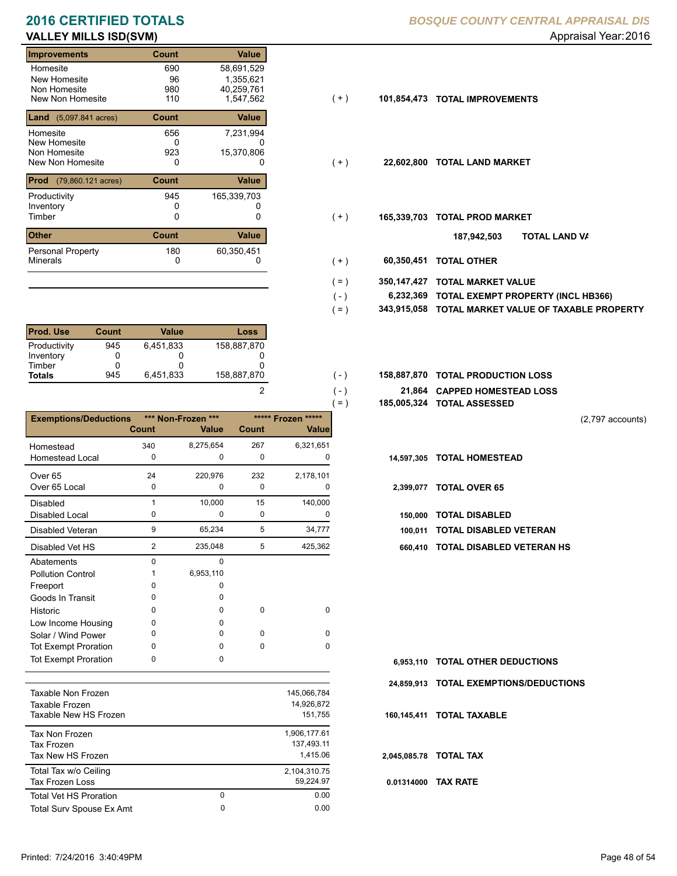# **VALLEY MILLS ISD(SVM) Appraisal Year: 2016 Appraisal Year: 2016**

### **Improvements Count Value** Homesite New Homesite Non Homesite<br>New Non Homesite New Non Homesite 110 1,547,562 (+ ) **101,854,473 TOTAL IMPROVEMENTS** 690 58,691,529 96<br>980 0 980 40,259,761<br>110 1,547,562 **Land** (5,097.841 acres) **Count Value** Homesite New Homesite Non Homesite<br>New Non Homesite New Non Homesite **TOTAL LAND MARKET** 0 0 **22,602,800** 656 7,231,994 0 1,355,621 923 15,370,806 **Prod** (79,860.121 acres) **Count Value** Productivity 165,339,703 Inventory<br>Timber 0 0 0 Timber 0 **TOTAL PROD MARKET 165,339,703 Other Count** Count Value Minerals Personal Property 945 180 60,350,451

| <b>Prod. Use</b> | Count | Value     | Loss        |
|------------------|-------|-----------|-------------|
| Productivity     | 945   | 6.451.833 | 158.887.870 |
| Inventory        |       |           |             |
| Timber           |       |           |             |
| <b>Totals</b>    | 945   | 6.451.833 | 158,887,870 |

|                              |              |                    |              |                    | $=$ )      | 185,005,324 TOTAL ASSESSED    |
|------------------------------|--------------|--------------------|--------------|--------------------|------------|-------------------------------|
| <b>Exemptions/Deductions</b> |              | *** Non-Frozen *** |              | ***** Frozen ***** |            |                               |
|                              | <b>Count</b> | <b>Value</b>       | <b>Count</b> | <b>Value</b>       |            |                               |
| Homestead                    | 340          | 8,275,654          | 267          | 6,321,651          |            |                               |
| <b>Homestead Local</b>       | 0            | 0                  | 0            | 0                  | 14,597,305 | <b>TOTAL HOMESTEAD</b>        |
| Over <sub>65</sub>           | 24           | 220,976            | 232          | 2,178,101          |            |                               |
| Over 65 Local                | 0            | 0                  | 0            | ŋ                  | 2,399,077  | <b>TOTAL OVER 65</b>          |
| Disabled                     | $\mathbf{1}$ | 10,000             | 15           | 140,000            |            |                               |
| Disabled Local               | 0            | 0                  | 0            | 0                  | 150,000    | <b>TOTAL DISABLED</b>         |
| Disabled Veteran             | 9            | 65,234             | 5            | 34,777             | 100,011    | <b>TOTAL DISABLED VETERAN</b> |
| Disabled Vet HS              | 2            | 235,048            | 5            | 425,362            | 660.410    | <b>TOTAL DISABLED VETERAN</b> |
| Abatements                   | 0            | $\Omega$           |              |                    |            |                               |
| <b>Pollution Control</b>     |              | 6,953,110          |              |                    |            |                               |
| Freeport                     | 0            | 0                  |              |                    |            |                               |
| Goods In Transit             | 0            | 0                  |              |                    |            |                               |
| Historic                     | 0            | 0                  | 0            | $\Omega$           |            |                               |
| Low Income Housing           | 0            | 0                  |              |                    |            |                               |
| Solar / Wind Power           | 0            | 0                  | $\Omega$     | $\Omega$           |            |                               |
| <b>Tot Exempt Proration</b>  | 0            | 0                  | 0            | 0                  |            |                               |
| <b>Tot Exempt Proration</b>  | 0            | 0                  |              |                    | 6.953.110  | <b>TOTAL OTHER DEDUCTIONS</b> |
|                              |              |                    |              |                    | 24.859.913 | <b>TOTAL EXEMPTIONS/DEDUC</b> |
| Taxable Non Frozen           |              |                    |              | 145,066,784        |            |                               |
| <b>Taxable Frozen</b>        |              |                    |              | 14,926,872         |            |                               |

| Taxable New HS Frozen                             |   | 151,755                                |
|---------------------------------------------------|---|----------------------------------------|
| Tax Non Frozen<br>Tax Frozen<br>Tax New HS Frozen |   | 1,906,177.61<br>137,493.11<br>1.415.06 |
| Total Tax w/o Ceiling<br><b>Tax Frozen Loss</b>   |   | 2,104,310.75<br>59.224.97              |
| Total Vet HS Proration                            | 0 | 0.00                                   |
| <b>Total Surv Spouse Ex Amt</b>                   | 0 | 0.00                                   |
|                                                   |   |                                        |

## **2016 CERTIFIED TOTALS** *BOSQUE COUNTY CENTRAL APPRAISAL DIS*

- $(+)$
- $(+)$
- $(+)$ 
	- **TOTAL LAND VA 187,942,503**
- 0 0 **60,350,451 TOTAL OTHER**  $( + )$

 $(-)$  $( - )$ 

2

- **350,147,427 TOTAL MARKET VALUE**  $( = )$
- **TOTAL EXEMPT PROPERTY (INCL HB366) 6,232,369**  $( - )$
- **343,915,058 TOTAL MARKET VALUE OF TAXABLE PROPERTY**  $( = )$
- **TOTAL PRODUCTION LOSS** 158,887,870 **158,887,870**
	- **21,864 CAPPED HOMESTEAD LOSS**
	- **185,005,324 TOTAL ASSESSED**

(2,797 accounts)

- 
- -
- 
- 2 5 235,048 425,362 **660,410 TOTAL DISABLED VETERAN HS**

- **TOTAL OTHER DEDUCTIONS 6,953,110**
- **24,859,913 TOTAL EXEMPTIONS/DEDUCTIONS**
- **160,145,411 TOTAL TAXABLE**
- **2,045,085.78 TOTAL TAX**
- **0.01314000 TAX RATE**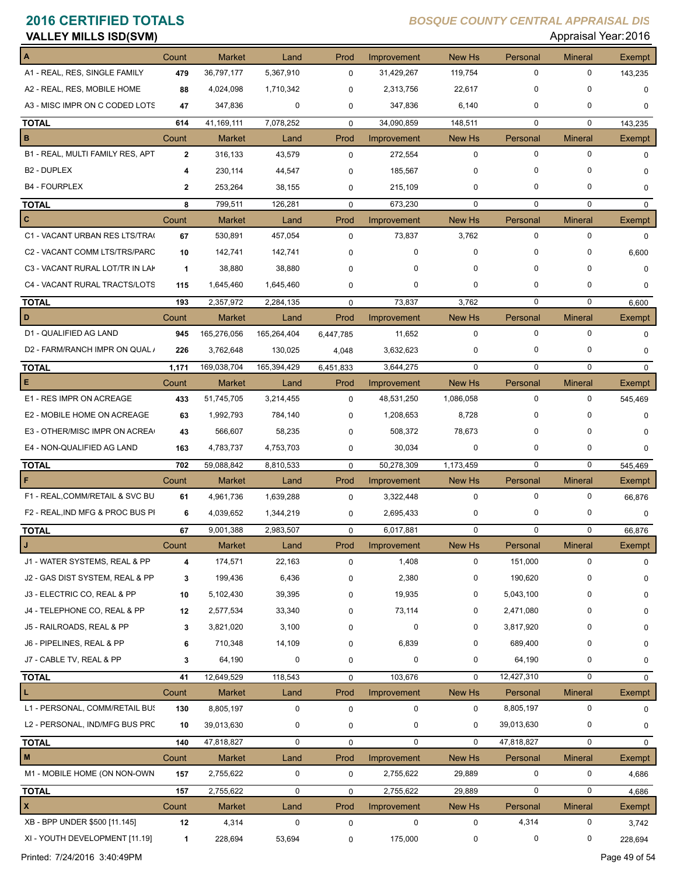| <b>VALLEY MILLS ISD(SVM)</b>     |              |               |             |             |             |               |             | Appraisal Year: 2016 |             |
|----------------------------------|--------------|---------------|-------------|-------------|-------------|---------------|-------------|----------------------|-------------|
|                                  | Count        | <b>Market</b> | Land        | Prod        | Improvement | <b>New Hs</b> | Personal    | <b>Mineral</b>       | Exempt      |
| A1 - REAL, RES, SINGLE FAMILY    | 479          | 36,797,177    | 5,367,910   | 0           | 31,429,267  | 119,754       | 0           | 0                    | 143,235     |
| A2 - REAL, RES, MOBILE HOME      | 88           | 4,024,098     | 1,710,342   | 0           | 2,313,756   | 22,617        | 0           | O                    | 0           |
| A3 - MISC IMPR ON C CODED LOTS   | 47           | 347,836       | 0           | 0           | 347,836     | 6,140         | 0           | 0                    | 0           |
| <b>TOTAL</b>                     | 614          | 41,169,111    | 7,078,252   | $\mathbf 0$ | 34,090,859  | 148,511       | $\mathbf 0$ | $\mathbf 0$          | 143,235     |
| в                                | Count        | <b>Market</b> | Land        | Prod        | Improvement | New Hs        | Personal    | <b>Mineral</b>       | Exempt      |
| B1 - REAL, MULTI FAMILY RES, APT | $\mathbf{2}$ | 316,133       | 43,579      | $\mathbf 0$ | 272,554     | 0             | 0           | $\mathbf 0$          | $\mathbf 0$ |
| <b>B2 - DUPLEX</b>               | 4            | 230,114       | 44,547      | 0           | 185,567     | 0             | 0           |                      | 0           |
| <b>B4 - FOURPLEX</b>             | $\mathbf{2}$ | 253,264       | 38,155      | 0           | 215,109     | 0             | 0           | 0                    | 0           |
| <b>TOTAL</b>                     | 8            | 799,511       | 126,281     | $\mathbf 0$ | 673,230     | $\mathbf 0$   | $\mathbf 0$ | $\mathbf 0$          | $\mathbf 0$ |
| c                                | Count        | <b>Market</b> | Land        | Prod        | Improvement | New Hs        | Personal    | <b>Mineral</b>       | Exempt      |
| C1 - VACANT URBAN RES LTS/TRA    | 67           | 530,891       | 457,054     | $\mathbf 0$ | 73,837      | 3,762         | 0           | 0                    | $\Omega$    |
| C2 - VACANT COMM LTS/TRS/PARC    | 10           | 142,741       | 142,741     | 0           | 0           | 0             | 0           | 0                    | 6,600       |
| C3 - VACANT RURAL LOT/TR IN LAK  | $\mathbf{1}$ | 38,880        | 38,880      | $\Omega$    | 0           | 0             | 0           | 0                    | 0           |
| C4 - VACANT RURAL TRACTS/LOTS    | 115          | 1,645,460     | 1,645,460   | 0           | 0           | 0             | 0           | 0                    | 0           |
| <b>TOTAL</b>                     | 193          | 2,357,972     | 2,284,135   | $\mathbf 0$ | 73,837      | 3,762         | $\mathbf 0$ | $\mathbf 0$          | 6,600       |
| D                                | Count        | <b>Market</b> | Land        | Prod        | Improvement | New Hs        | Personal    | <b>Mineral</b>       | Exempt      |
| D1 - QUALIFIED AG LAND           | 945          | 165,276,056   | 165,264,404 | 6,447,785   | 11,652      | $\mathbf 0$   | 0           | $\mathbf 0$          | $\mathbf 0$ |
| D2 - FARM/RANCH IMPR ON QUAL /   | 226          | 3,762,648     | 130,025     | 4,048       | 3,632,623   | 0             | 0           | 0                    | $\mathbf 0$ |
| <b>TOTAL</b>                     | 1,171        | 169,038,704   | 165,394,429 | 6,451,833   | 3,644,275   | $\mathbf 0$   | $\mathbf 0$ | $\mathbf 0$          | $\mathbf 0$ |
| Е                                | Count        | <b>Market</b> | Land        | Prod        | Improvement | New Hs        | Personal    | <b>Mineral</b>       | Exempt      |
| E1 - RES IMPR ON ACREAGE         | 433          | 51,745,705    | 3,214,455   | $\mathbf 0$ | 48,531,250  | 1,086,058     | 0           | 0                    | 545,469     |
| E2 - MOBILE HOME ON ACREAGE      | 63           | 1,992,793     | 784,140     | 0           | 1,208,653   | 8,728         | 0           | O                    | 0           |
| E3 - OTHER/MISC IMPR ON ACREA    | 43           | 566,607       | 58,235      | 0           | 508,372     | 78,673        | 0           | 0                    | 0           |
| E4 - NON-QUALIFIED AG LAND       | 163          | 4,783,737     | 4,753,703   | 0           | 30,034      | 0             | 0           | 0                    | 0           |
| <b>TOTAL</b>                     | 702          | 59,088,842    | 8,810,533   | $\mathbf 0$ | 50,278,309  | 1,173,459     | $\mathbf 0$ | 0                    | 545,469     |
| F                                | Count        | <b>Market</b> | Land        | Prod        | Improvement | New Hs        | Personal    | <b>Mineral</b>       | Exempt      |
| F1 - REAL, COMM/RETAIL & SVC BU  | 61           | 4,961,736     | 1,639,288   | $\mathbf 0$ | 3,322,448   | 0             | 0           | $\mathbf 0$          | 66,876      |
| F2 - REAL, IND MFG & PROC BUS PI | 6            | 4,039,652     | 1,344,219   | 0           | 2,695,433   | 0             | 0           | 0                    | 0           |
| <b>TOTAL</b>                     | 67           | 9,001,388     | 2,983,507   | 0           | 6,017,881   | 0             |             | 0                    | 66,876      |
| J                                | Count        | <b>Market</b> | Land        | Prod        | Improvement | New Hs        | Personal    | <b>Mineral</b>       | Exempt      |
| J1 - WATER SYSTEMS, REAL & PP    | 4            | 174,571       | 22,163      | 0           | 1,408       | 0             | 151,000     | 0                    | $\mathbf 0$ |
| J2 - GAS DIST SYSTEM, REAL & PP  | 3            | 199,436       | 6,436       | 0           | 2,380       | 0             | 190,620     |                      | 0           |
| J3 - ELECTRIC CO, REAL & PP      | 10           | 5,102,430     | 39,395      | 0           | 19,935      | 0             | 5,043,100   |                      | 0           |
| J4 - TELEPHONE CO, REAL & PP     | 12           | 2,577,534     | 33,340      | 0           | 73,114      | 0             | 2,471,080   | 0                    | 0           |
| J5 - RAILROADS, REAL & PP        | 3            | 3,821,020     | 3,100       | 0           | 0           | 0             | 3,817,920   |                      | 0           |
| J6 - PIPELINES, REAL & PP        | 6            | 710,348       | 14,109      | 0           | 6,839       | 0             | 689,400     | 0                    | 0           |
| J7 - CABLE TV, REAL & PP         | 3            | 64,190        | 0           | 0           | 0           | 0             | 64,190      | 0                    | 0           |
| <b>TOTAL</b>                     | 41           | 12,649,529    | 118,543     | $\mathbf 0$ | 103,676     | $\mathbf 0$   | 12,427,310  | 0                    | 0           |
| L                                | Count        | <b>Market</b> | Land        | Prod        | Improvement | New Hs        | Personal    | <b>Mineral</b>       | Exempt      |
| L1 - PERSONAL, COMM/RETAIL BUS   | 130          | 8,805,197     | 0           | $\mathbf 0$ | 0           | 0             | 8,805,197   | $\mathbf 0$          | $\mathbf 0$ |
| L2 - PERSONAL, IND/MFG BUS PRC   | 10           | 39,013,630    | 0           | 0           | 0           | 0             | 39,013,630  | 0                    | 0           |
| <b>TOTAL</b>                     | 140          | 47,818,827    | 0           | $\mathbf 0$ | 0           | 0             | 47,818,827  | 0                    | 0           |
| M                                | Count        | <b>Market</b> | Land        | Prod        | Improvement | New Hs        | Personal    | <b>Mineral</b>       | Exempt      |
| M1 - MOBILE HOME (ON NON-OWN     | 157          | 2,755,622     | 0           | 0           | 2,755,622   | 29,889        | 0           | $\mathbf 0$          | 4,686       |
| <b>TOTAL</b>                     | 157          | 2,755,622     | 0           | $\mathbf 0$ | 2,755,622   | 29,889        | 0           | $\mathbf 0$          | 4,686       |
| x                                | Count        | Market        | Land        | Prod        | Improvement | New Hs        | Personal    | <b>Mineral</b>       | Exempt      |
| XB - BPP UNDER \$500 [11.145]    | 12           | 4,314         | 0           | 0           | 0           | 0             | 4,314       | 0                    | 3,742       |
| XI - YOUTH DEVELOPMENT [11.19]   | $\mathbf{1}$ | 228,694       | 53,694      | $\mathbf 0$ | 175,000     | 0             | 0           | 0                    | 228,694     |

Printed: 7/24/2016 3:40:49PM Page 49 of 54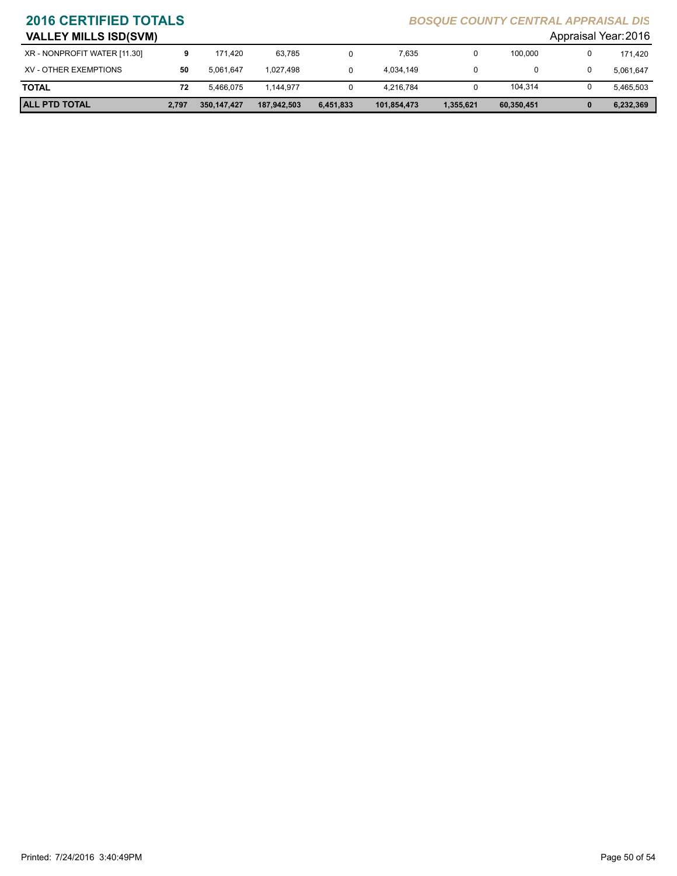| <b>VALLEY MILLS ISD(SVM)</b> |       |             |             |           |             |           |            | Appraisal Year: 2016 |
|------------------------------|-------|-------------|-------------|-----------|-------------|-----------|------------|----------------------|
| XR - NONPROFIT WATER [11.30] |       | 171.420     | 63.785      |           | 7.635       | 0         | 100,000    | 171.420              |
| XV - OTHER EXEMPTIONS        | 50    | 5.061.647   | 1.027.498   |           | 4.034.149   |           | 0          | 5,061,647            |
| <b>TOTAL</b>                 | 72    | 5.466.075   | 1.144.977   |           | 4.216.784   |           | 104,314    | 5,465,503            |
| <b>ALL PTD TOTAL</b>         | 2,797 | 350,147,427 | 187,942,503 | 6,451,833 | 101,854,473 | 1,355,621 | 60,350,451 | 6,232,369            |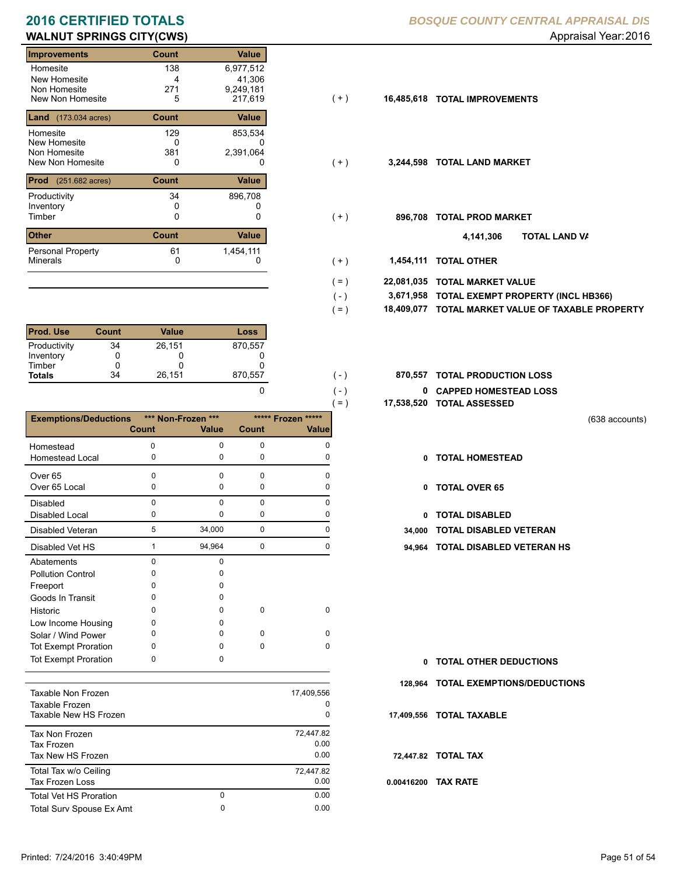# **WALNUT SPRINGS CITY(CWS) WALNUT SPRINGS CITY(CWS) Appraisal Year: 2016**

| <b>Improvements</b>                         | Count           | Value                            |       |            |                           |
|---------------------------------------------|-----------------|----------------------------------|-------|------------|---------------------------|
| Homesite<br>New Homesite<br>Non Homesite    | 138<br>4<br>271 | 6,977,512<br>41,306<br>9,249,181 |       |            |                           |
| New Non Homesite                            | 5               | 217,619                          | (+)   | 16,485,618 | <b>TOTAL IMPROVEMENTS</b> |
| <b>Land</b> $(173.034 \text{ acres})$       | <b>Count</b>    | Value                            |       |            |                           |
| Homesite<br>New Homesite<br>Non Homesite    | 129<br>0<br>381 | 853,534<br>0<br>2,391,064        |       |            |                           |
| New Non Homesite                            | 0               | 0                                | ( + ) | 3,244,598  | <b>TOTAL LAND MARKET</b>  |
| <b>Prod</b> (251.682 acres)                 | Count           | Value                            |       |            |                           |
| Productivity<br>Inventory                   | 34<br>0         | 896,708                          |       |            |                           |
| Timber                                      | 0               | 0                                | (+)   | 896,708    | <b>TOTAL PROD MARKET</b>  |
| <b>Other</b>                                | Count           | Value                            |       |            | וסד<br>4,141,306          |
| <b>Personal Property</b><br><b>Minerals</b> | 61<br>0         | 1,454,111<br>0                   | ( + ) | 1,454,111  | <b>TOTAL OTHER</b>        |

| <b>Prod. Use</b> | Count | Value  | Loss    |
|------------------|-------|--------|---------|
| Productivity     | 34    | 26,151 | 870,557 |
| Inventory        |       |        |         |
| Timber           |       | O      |         |
| <b>Totals</b>    | 34    | 26,151 | 870,557 |

|                              |                |              |              | $=$ )              | 17,538,520 |
|------------------------------|----------------|--------------|--------------|--------------------|------------|
| <b>Exemptions/Deductions</b> | *** Non-Frozen | $***$        |              | ***** Frozen ***** |            |
|                              | Count          | <b>Value</b> | <b>Count</b> | Value              |            |
| Homestead                    | 0              | 0            | $\mathbf 0$  | $\Omega$           |            |
| <b>Homestead Local</b>       | 0              | 0            | 0            | 0                  | 0          |
| Over <sub>65</sub>           | $\Omega$       | $\Omega$     | $\Omega$     | $\Omega$           |            |
| Over 65 Local                | 0              | 0            | 0            | 0                  | 0          |
| Disabled                     | 0              | $\Omega$     | 0            | 0                  |            |
| <b>Disabled Local</b>        | 0              | 0            | 0            | 0                  | 0          |
| <b>Disabled Veteran</b>      | 5              | 34,000       | $\mathbf 0$  | $\Omega$           | 34,000     |
| Disabled Vet HS              | 1              | 94,964       | $\mathbf 0$  | $\Omega$           | 94,964     |
| Abatements                   | 0              | $\Omega$     |              |                    |            |
| <b>Pollution Control</b>     | O              | U            |              |                    |            |
| Freeport                     | 0              | n            |              |                    |            |
| Goods In Transit             | o              | n            |              |                    |            |
| Historic                     | o              | 0            | 0            | 0                  |            |
| Low Income Housing           | 0              | o            |              |                    |            |
| Solar / Wind Power           | 0              | 0            | $\Omega$     | $\Omega$           |            |
| <b>Tot Exempt Proration</b>  | 0              | <sup>0</sup> | 0            | 0                  |            |
| <b>Tot Exempt Proration</b>  | 0              | 0            |              |                    | 0          |
|                              |                |              |              |                    | 128,964    |
| <b>Taxable Non Frozen</b>    |                |              |              | 17,409,556         |            |
| Taxable Frozen               |                |              |              | 0                  |            |
| Taxable New HS Frozen        |                |              |              | 0                  | 17,409,556 |

| Taxable New HS Frozen         |   |           |
|-------------------------------|---|-----------|
| Tax Non Frozen                |   | 72,447.82 |
| Tax Frozen                    |   | 0.00      |
| Tax New HS Frozen             |   | 0.00      |
| Total Tax w/o Ceiling         |   | 72.447.82 |
| <b>Tax Frozen Loss</b>        |   | 0.00      |
| <b>Total Vet HS Proration</b> | 0 | 0.00      |
| Total Surv Spouse Ex Amt      | 0 | 0.00      |
|                               |   |           |

### **2016 CERTIFIED TOTALS** *BOSQUE COUNTY CENTRAL APPRAISAL DIS*

- $(+)$
- $( + )$
- $(+)$ 
	- **TOTAL LAND VA 4,141,306**
- 0 0 **1,454,111 TOTAL OTHER**  $(+)$

 $( - )$ 

 $( - )$  $( - )$ 

0

- **22,081,035 TOTAL MARKET VALUE**  $( = )$ 
	- **TOTAL EXEMPT PROPERTY (INCL HB366) 3,671,958**
- **18,409,077 TOTAL MARKET VALUE OF TAXABLE PROPERTY**  $( = )$
- **TOTAL PRODUCTION LOSS** 870,557 **870,557**
	- **0 CAPPED HOMESTEAD LOSS**
	- **17,538,520 TOTAL ASSESSED**
- (638 accounts)
- **TOTAL HOMESTEAD**
- 0 TOTAL OVER 65
- 0 TOTAL DISABLED
- Disabled Veteran **TOTAL DISABLED VETERAN**
- 1 0 94,964 0 **94,964 TOTAL DISABLED VETERAN HS**

- **TOTAL OTHER DEDUCTIONS 0**
- **128,964 TOTAL EXEMPTIONS/DEDUCTIONS**
- **17,409,556 TOTAL TAXABLE**
- **72,447.82 TOTAL TAX**
- **0.00416200 TAX RATE**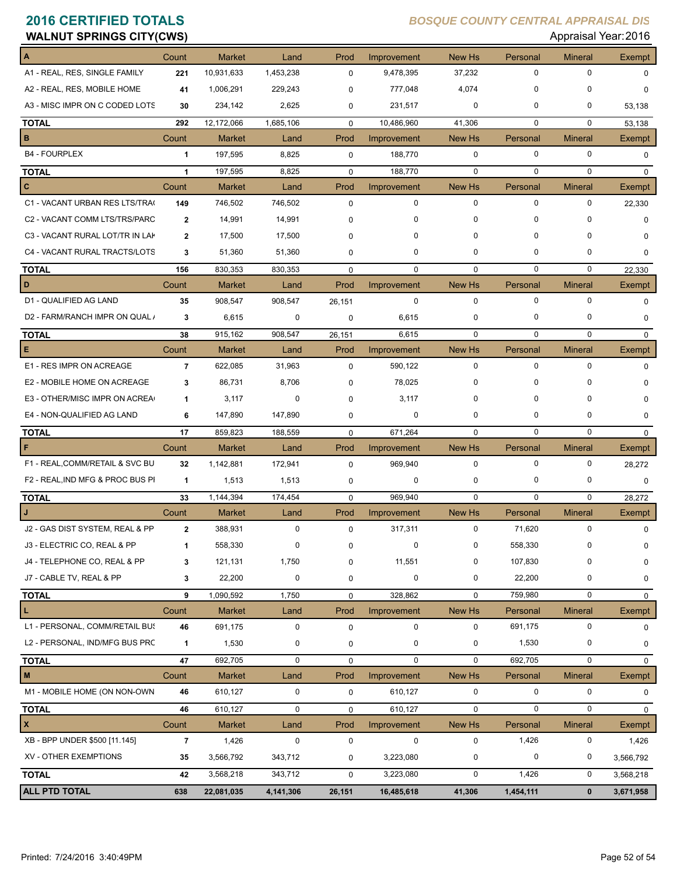| <b>WALNUT SPRINGS CITY(CWS)</b>  |                         |               |             |             |             |             |              |                | Appraisal Year: 2016 |
|----------------------------------|-------------------------|---------------|-------------|-------------|-------------|-------------|--------------|----------------|----------------------|
| A                                | Count                   | <b>Market</b> | Land        | Prod        | Improvement | New Hs      | Personal     | <b>Mineral</b> | Exempt               |
| A1 - REAL, RES, SINGLE FAMILY    | 221                     | 10,931,633    | 1,453,238   | $\mathbf 0$ | 9,478,395   | 37,232      | 0            | 0              | $\Omega$             |
| A2 - REAL, RES, MOBILE HOME      | 41                      | 1,006,291     | 229,243     | $\mathbf 0$ | 777,048     | 4,074       | $\Omega$     | $\mathbf 0$    | $\Omega$             |
| A3 - MISC IMPR ON C CODED LOTS   | 30                      | 234,142       | 2,625       | 0           | 231,517     | 0           | 0            | 0              | 53,138               |
| <b>TOTAL</b>                     | 292                     | 12,172,066    | 1,685,106   | $\mathbf 0$ | 10,486,960  | 41,306      | $\mathbf 0$  | $\mathbf 0$    | 53,138               |
| B                                | Count                   | <b>Market</b> | Land        | Prod        | Improvement | New Hs      | Personal     | <b>Mineral</b> | Exempt               |
| <b>B4 - FOURPLEX</b>             | 1                       | 197,595       | 8,825       | 0           | 188,770     | $\mathbf 0$ | 0            | $\mathbf 0$    | 0                    |
| <b>TOTAL</b>                     | $\mathbf{1}$            | 197,595       | 8,825       | $\mathbf 0$ | 188,770     | $\mathbf 0$ | $\mathbf 0$  | $\mathbf 0$    | $\mathbf 0$          |
| c                                | Count                   | <b>Market</b> | Land        | Prod        | Improvement | New Hs      | Personal     | <b>Mineral</b> | Exempt               |
| C1 - VACANT URBAN RES LTS/TRA(   | 149                     | 746,502       | 746,502     | $\mathbf 0$ | $\mathbf 0$ | $\mathbf 0$ | $\mathbf 0$  | $\mathbf 0$    | 22,330               |
| C2 - VACANT COMM LTS/TRS/PARC    | $\overline{\mathbf{2}}$ | 14,991        | 14,991      | 0           | 0           | 0           | $\mathbf 0$  | $\mathbf 0$    | 0                    |
| C3 - VACANT RURAL LOT/TR IN LAK  | $\overline{\mathbf{2}}$ | 17,500        | 17,500      | 0           | 0           | 0           | <sup>0</sup> | 0              | $\Omega$             |
| C4 - VACANT RURAL TRACTS/LOTS    | 3                       | 51,360        | 51,360      | 0           | 0           | 0           | 0            | 0              | $\Omega$             |
| <b>TOTAL</b>                     | 156                     | 830,353       | 830,353     | $\mathbf 0$ | $\mathbf 0$ | $\mathbf 0$ | 0            | $\mathbf 0$    | 22,330               |
| D                                | Count                   | Market        | Land        | Prod        | Improvement | New Hs      | Personal     | <b>Mineral</b> | Exempt               |
| D1 - QUALIFIED AG LAND           | 35                      | 908,547       | 908,547     | 26,151      | 0           | $\mathbf 0$ | 0            | $\mathbf 0$    | $\Omega$             |
| D2 - FARM/RANCH IMPR ON QUAL /   | 3                       | 6,615         | 0           | $\mathbf 0$ | 6,615       | 0           | $\mathbf 0$  | $\mathbf 0$    | 0                    |
| <b>TOTAL</b>                     | 38                      | 915,162       | 908,547     | 26,151      | 6,615       | $\mathbf 0$ | $\Omega$     | $\mathbf 0$    | $\mathbf 0$          |
| E                                | Count                   | Market        | Land        | Prod        | Improvement | New Hs      | Personal     | <b>Mineral</b> | <b>Exempt</b>        |
| E1 - RES IMPR ON ACREAGE         | $\overline{\mathbf{r}}$ | 622,085       | 31,963      | $\mathbf 0$ | 590,122     | $\mathbf 0$ | $\mathbf 0$  | $\mathbf 0$    | $\Omega$             |
| E2 - MOBILE HOME ON ACREAGE      | 3                       | 86,731        | 8,706       | $\Omega$    | 78,025      | 0           | $\Omega$     | 0              |                      |
| E3 - OTHER/MISC IMPR ON ACREA    | 1                       | 3,117         | 0           | $\Omega$    | 3,117       | 0           | $\Omega$     | 0              | O                    |
| E4 - NON-QUALIFIED AG LAND       | 6                       | 147,890       | 147,890     | 0           | 0           | 0           | 0            | 0              | $\Omega$             |
| <b>TOTAL</b>                     | 17                      | 859,823       | 188,559     | $\mathbf 0$ | 671,264     | $\mathbf 0$ | $\mathbf 0$  | $\mathbf 0$    | 0                    |
| F                                | Count                   | <b>Market</b> | Land        | Prod        | Improvement | New Hs      | Personal     | <b>Mineral</b> | <b>Exempt</b>        |
| F1 - REAL, COMM/RETAIL & SVC BU  | 32                      | 1,142,881     | 172,941     | $\Omega$    | 969,940     | $\mathbf 0$ | $\mathbf 0$  | $\mathbf 0$    | 28,272               |
| F2 - REAL, IND MFG & PROC BUS PI | $\mathbf{1}$            | 1,513         | 1,513       | $\mathbf 0$ | 0           | 0           | 0            | 0              | 0                    |
| <b>TOTAL</b>                     | 33                      | 1,144,394     | 174,454     | $\mathbf 0$ | 969,940     | $\mathbf 0$ | $\mathbf 0$  | $\mathbf 0$    | 28,272               |
| $\mathsf{L}$                     | Count                   | <b>Market</b> | Land        | Prod        | Improvement | New Hs      | Personal     | <b>Mineral</b> | Exempt               |
| J2 - GAS DIST SYSTEM, REAL & PP  |                         | 388,931       |             |             | 317,311     | 0           | 71,620       | 0              | 0                    |
| J3 - ELECTRIC CO, REAL & PP      | 1                       | 558,330       | 0           | $\Omega$    | 0           | 0           | 558,330      | 0              | 0                    |
| J4 - TELEPHONE CO, REAL & PP     | 3                       | 121,131       | 1,750       | $\mathbf 0$ | 11,551      | 0           | 107,830      | 0              | 0                    |
| J7 - CABLE TV, REAL & PP         | 3                       | 22,200        | $\mathbf 0$ | $\mathbf 0$ | 0           | 0           | 22,200       | 0              | 0                    |
| <b>TOTAL</b>                     | 9                       | 1,090,592     | 1,750       | 0           | 328,862     | $\mathbf 0$ | 759,980      | 0              | 0                    |
| L                                | Count                   | Market        | Land        | Prod        | Improvement | New Hs      | Personal     | <b>Mineral</b> | Exempt               |
| L1 - PERSONAL, COMM/RETAIL BUS   | 46                      | 691,175       | $\pmb{0}$   | $\pmb{0}$   | $\pmb{0}$   | $\pmb{0}$   | 691,175      | $\pmb{0}$      | 0                    |
| L2 - PERSONAL, IND/MFG BUS PRC   | $\mathbf{1}$            | 1,530         | 0           | 0           | 0           | 0           | 1,530        | 0              | 0                    |
| <b>TOTAL</b>                     | 47                      | 692,705       | $\pmb{0}$   | $\mathbf 0$ | 0           | $\mathbf 0$ | 692,705      | $\mathbf 0$    | $\mathbf 0$          |
| $\blacksquare$                   | Count                   | Market        | Land        | Prod        | Improvement | New Hs      | Personal     | <b>Mineral</b> | Exempt               |
| M1 - MOBILE HOME (ON NON-OWN     | 46                      | 610,127       | 0           | $\pmb{0}$   | 610,127     | $\pmb{0}$   | 0            | $\pmb{0}$      | 0                    |
| <b>TOTAL</b>                     | 46                      | 610,127       | 0           | $\mathbf 0$ | 610,127     | $\pmb{0}$   | $\mathbf 0$  | 0              | 0                    |
| $\vert x \vert$                  | Count                   | <b>Market</b> | Land        | Prod        | Improvement | New Hs      | Personal     | <b>Mineral</b> | Exempt               |
| XB - BPP UNDER \$500 [11.145]    | $\overline{7}$          | 1,426         | 0           | 0           | $\mathbf 0$ | $\pmb{0}$   | 1,426        | 0              | 1,426                |
| XV - OTHER EXEMPTIONS            | 35                      | 3,566,792     | 343,712     | 0           | 3,223,080   | 0           | $\pmb{0}$    | 0              | 3,566,792            |
| <b>TOTAL</b>                     | 42                      | 3,568,218     | 343,712     | $\mathbf 0$ | 3,223,080   | $\mathbf 0$ | 1,426        | 0              | 3,568,218            |
| <b>ALL PTD TOTAL</b>             | 638                     | 22,081,035    | 4,141,306   | 26,151      | 16,485,618  | 41,306      | 1,454,111    | $\mathbf 0$    | 3,671,958            |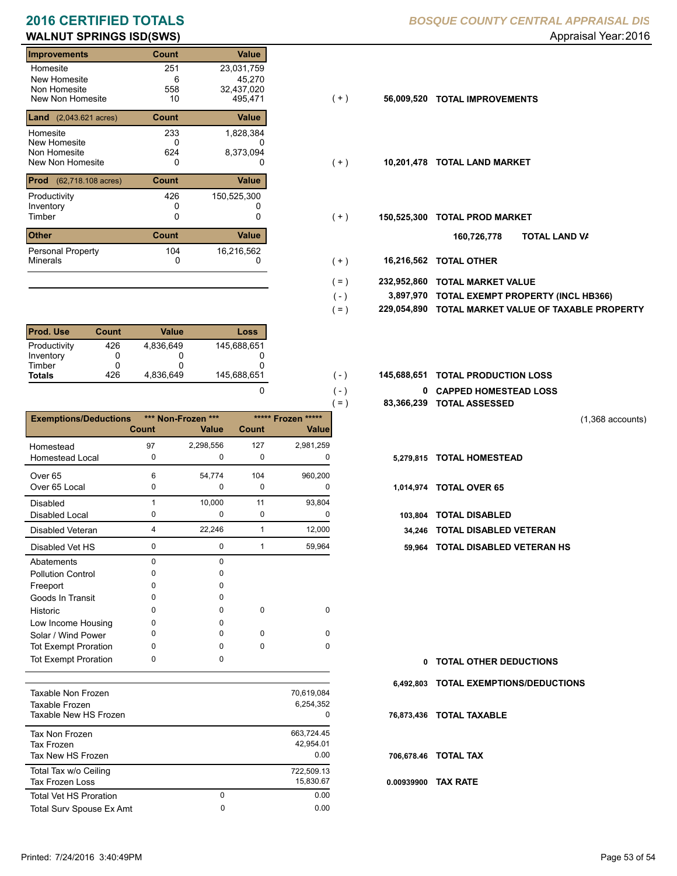# **WALNUT SPRINGS ISD(SWS) WALNUT SPRINGS ISD(SWS) Appraisal Year: 2016**

| <b>Improvements</b>                         | Count | <b>Value</b> |       |             |                           |
|---------------------------------------------|-------|--------------|-------|-------------|---------------------------|
| Homesite                                    | 251   | 23,031,759   |       |             |                           |
| New Homesite                                | 6     | 45,270       |       |             |                           |
| Non Homesite                                | 558   | 32,437,020   |       |             |                           |
| New Non Homesite                            | 10    | 495,471      | (+)   | 56,009,520  | <b>TOTAL IMPROVEMENTS</b> |
| <b>Land</b> $(2,043.621 \text{ acres})$     | Count | Value        |       |             |                           |
| Homesite                                    | 233   | 1,828,384    |       |             |                           |
| New Homesite                                | 0     | U            |       |             |                           |
| Non Homesite                                | 624   | 8,373,094    |       |             |                           |
| New Non Homesite                            | 0     | 0            | $(+)$ | 10,201,478  | <b>TOTAL LAND MARKET</b>  |
| <b>Prod</b><br>$(62,718.108 \text{ acres})$ | Count | Value        |       |             |                           |
| Productivity                                | 426   | 150,525,300  |       |             |                           |
| Inventory                                   | 0     |              |       |             |                           |
| Timber                                      | 0     | 0            | $(+)$ | 150,525,300 | <b>TOTAL PROD MARKET</b>  |
| <b>Other</b>                                | Count | Value        |       |             | 160,726,778<br>וסד        |
| <b>Personal Property</b>                    | 104   | 16,216,562   |       |             |                           |
| <b>Minerals</b>                             | 0     | 0            | $+ )$ | 16,216,562  | <b>TOTAL OTHER</b>        |

| <b>Prod. Use</b> | Count | Value     | Loss        |
|------------------|-------|-----------|-------------|
| Productivity     | 426   | 4.836.649 | 145.688.651 |
| Inventory        |       |           |             |
| Timber           |       |           |             |
| <b>Totals</b>    | 426   | 4,836,649 | 145,688,651 |

|                                             |              |                    |              |                         | $=$ )     | 83,366,239 TOTAL ASSESSED |
|---------------------------------------------|--------------|--------------------|--------------|-------------------------|-----------|---------------------------|
| <b>Exemptions/Deductions</b>                |              | *** Non-Frozen *** |              | ***** Frozen *****      |           |                           |
|                                             | <b>Count</b> | <b>Value</b>       | <b>Count</b> | <b>Value</b>            |           |                           |
| Homestead                                   | 97           | 2,298,556          | 127          | 2,981,259               |           |                           |
| <b>Homestead Local</b>                      | 0            | 0                  | 0            | 0                       |           | 5,279,815 TOTAL HOMESTEAD |
| Over <sub>65</sub>                          | 6            | 54,774             | 104          | 960,200                 |           |                           |
| Over 65 Local                               | 0            | 0                  | 0            | 0                       |           | 1,014,974 TOTAL OVER 65   |
| Disabled                                    | 1            | 10,000             | 11           | 93,804                  |           |                           |
| Disabled Local                              | 0            | $\mathbf 0$        | 0            | 0                       | 103,804   | <b>TOTAL DISABLED</b>     |
| Disabled Veteran                            | 4            | 22,246             |              | 12,000                  | 34,246    | <b>TOTAL DISABLED VI</b>  |
| Disabled Vet HS                             | 0            | $\mathbf 0$        | 1            | 59,964                  | 59.964    | <b>TOTAL DISABLED VI</b>  |
| Abatements                                  | $\Omega$     | $\Omega$           |              |                         |           |                           |
| <b>Pollution Control</b>                    | o            | $\Omega$           |              |                         |           |                           |
| Freeport                                    | n            | <sup>0</sup>       |              |                         |           |                           |
| Goods In Transit                            | n            | 0                  |              |                         |           |                           |
| Historic                                    | o            | 0                  | 0            | 0                       |           |                           |
| Low Income Housing                          | n            | $\Omega$           |              |                         |           |                           |
| Solar / Wind Power                          | O            | $\Omega$           | $\Omega$     | <sup>n</sup>            |           |                           |
| <b>Tot Exempt Proration</b>                 | O            | $\Omega$           | $\Omega$     | $\Omega$                |           |                           |
| <b>Tot Exempt Proration</b>                 | 0            | 0                  |              |                         | 0         | <b>TOTAL OTHER DEDL</b>   |
|                                             |              |                    |              |                         | 6,492,803 | <b>TOTAL EXEMPTIONS</b>   |
| <b>Taxable Non Frozen</b><br>Tavahla Erozan |              |                    |              | 70,619,084<br>6 254 352 |           |                           |

| Taxable Non Frozen<br>Taxable Frozen<br>Taxable New HS Frozen |   | 70.019.004<br>6,254,352<br>0    |
|---------------------------------------------------------------|---|---------------------------------|
| Tax Non Frozen<br>Tax Frozen<br>Tax New HS Frozen             |   | 663,724.45<br>42,954.01<br>0.00 |
| Total Tax w/o Ceiling<br>Tax Frozen Loss                      |   | 722,509.13<br>15,830.67         |
| <b>Total Vet HS Proration</b>                                 | 0 | 0.00                            |
| Total Surv Spouse Ex Amt                                      | 0 | 0.00                            |
|                                                               |   |                                 |

### **2016 CERTIFIED TOTALS** *BOSQUE COUNTY CENTRAL APPRAISAL DIS*

- $(+)$
- $( + )$
- $(+)$ 
	- **TOTAL LAND VA 160,726,778**
- 0 0 **16,216,562 TOTAL OTHER**  $(+)$

 $( - )$  $( - )$ 

0

- **232,952,860 TOTAL MARKET VALUE**  $( = )$
- **TOTAL EXEMPT PROPERTY (INCL HB366) 3,897,970**  $( - )$
- **229,054,890 TOTAL MARKET VALUE OF TAXABLE PROPERTY**  $( = )$
- **TOTAL PRODUCTION LOSS** 145,688,651 **145,688,651**
	- **0 CAPPED HOMESTEAD LOSS**
	- **83,366,239 TOTAL ASSESSED**

(1,368 accounts)

- 
- -
	- 34,246 TOTAL DISABLED VETERAN
	- 0 1 0 59,964 **59,964 TOTAL DISABLED VETERAN HS**

**TOTAL OTHER DEDUCTIONS 0 6,492,803 TOTAL EXEMPTIONS/DEDUCTIONS 0.00939900 TAX RATE 76,873,436 TOTAL TAXABLE 706,678.46 TOTAL TAX**